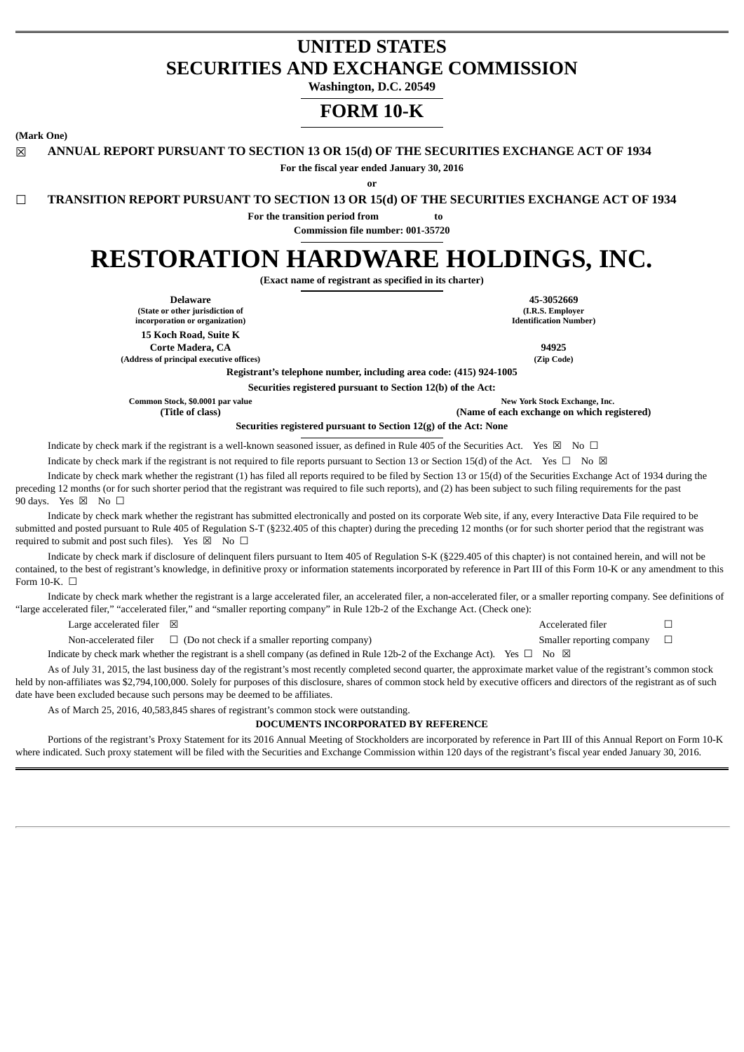## **UNITED STATES SECURITIES AND EXCHANGE COMMISSION**

**Washington, D.C. 20549**

# **FORM 10-K**

**(Mark One)**

☒ **ANNUAL REPORT PURSUANT TO SECTION 13 OR 15(d) OF THE SECURITIES EXCHANGE ACT OF 1934**

**For the fiscal year ended January 30, 2016**

**or**

☐ **TRANSITION REPORT PURSUANT TO SECTION 13 OR 15(d) OF THE SECURITIES EXCHANGE ACT OF 1934**

**For the transition period from** 

**Commission file number: 001-35720**

# **RESTORATION HARDWARE HOLDINGS, INC.**

**(Exact name of registrant as specified in its charter)**

**Delaware 45-3052669**

**(State or other jurisdiction of incorporation or organization)**

**15 Koch Road, Suite K**

**Corte Madera, CA**

**(Address of principal executive offices)**

**94925**

**(I.R.S. Employer Identification Number)**

**Registrant's telephone number, including area code: (415) 924-1005**

**Securities registered pursuant to Section 12(b) of the Act:**

**Common Stock, \$0.0001 par value New York Stock Exchange, Inc. (Title of class) (Name of each exchange on which registered)**

**Securities registered pursuant to Section 12(g) of the Act: None**

Indicate by check mark if the registrant is a well-known seasoned issuer, as defined in Rule 405 of the Securities Act. Yes  $\boxtimes$  No  $\Box$ 

Indicate by check mark if the registrant is not required to file reports pursuant to Section 13 or Section 15(d) of the Act. Yes  $\Box$  No  $\boxtimes$ 

Indicate by check mark whether the registrant (1) has filed all reports required to be filed by Section 13 or 15(d) of the Securities Exchange Act of 1934 during the preceding 12 months (or for such shorter period that the registrant was required to file such reports), and (2) has been subject to such filing requirements for the past 90 days. Yes  $\boxtimes$  No  $\Box$ 

Indicate by check mark whether the registrant has submitted electronically and posted on its corporate Web site, if any, every Interactive Data File required to be submitted and posted pursuant to Rule 405 of Regulation S-T (§232.405 of this chapter) during the preceding 12 months (or for such shorter period that the registrant was required to submit and post such files). Yes  $\boxtimes$  No  $\Box$ 

Indicate by check mark if disclosure of delinquent filers pursuant to Item 405 of Regulation S-K (§229.405 of this chapter) is not contained herein, and will not be contained, to the best of registrant's knowledge, in definitive proxy or information statements incorporated by reference in Part III of this Form 10-K or any amendment to this Form 10-K.  $\Box$ 

Indicate by check mark whether the registrant is a large accelerated filer, an accelerated filer, a non-accelerated filer, or a smaller reporting company. See definitions of "large accelerated filer," "accelerated filer," and "smaller reporting company" in Rule 12b-2 of the Exchange Act. (Check one):

Large accelerated filer 図 and ◯ and ◯ Accelerated filer <del>□</del>

Non-accelerated filer □ (Do not check if a smaller reporting company) Smaller reporting company □

Indicate by check mark whether the registrant is a shell company (as defined in Rule 12b-2 of the Exchange Act). Yes  $\Box$  No  $\boxtimes$ 

As of July 31, 2015, the last business day of the registrant's most recently completed second quarter, the approximate market value of the registrant's common stock held by non-affiliates was \$2,794,100,000. Solely for purposes of this disclosure, shares of common stock held by executive officers and directors of the registrant as of such date have been excluded because such persons may be deemed to be affiliates.

As of March 25, 2016, 40,583,845 shares of registrant's common stock were outstanding.

**DOCUMENTS INCORPORATED BY REFERENCE**

Portions of the registrant's Proxy Statement for its 2016 Annual Meeting of Stockholders are incorporated by reference in Part III of this Annual Report on Form 10-K where indicated. Such proxy statement will be filed with the Securities and Exchange Commission within 120 days of the registrant's fiscal year ended January 30, 2016.

**(Zip Code)**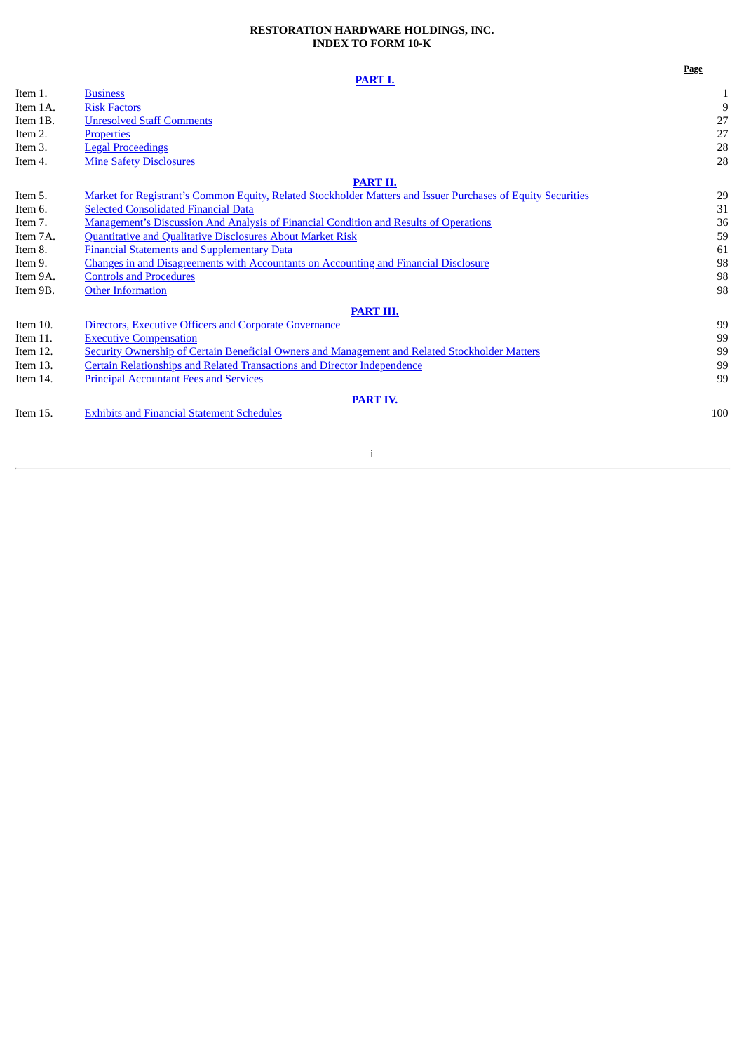#### **RESTORATION HARDWARE HOLDINGS, INC. INDEX TO FORM 10-K**

|          |                                                                                                              | Page |
|----------|--------------------------------------------------------------------------------------------------------------|------|
|          | PART I.                                                                                                      |      |
| Item 1.  | <b>Business</b>                                                                                              | 1    |
| Item 1A. | <b>Risk Factors</b>                                                                                          | 9    |
| Item 1B. | <b>Unresolved Staff Comments</b>                                                                             | 27   |
| Item 2.  | <b>Properties</b>                                                                                            | 27   |
| Item 3.  | <b>Legal Proceedings</b>                                                                                     | 28   |
| Item 4.  | <b>Mine Safety Disclosures</b>                                                                               | 28   |
|          | <b>PART II.</b>                                                                                              |      |
| Item 5.  | Market for Registrant's Common Equity, Related Stockholder Matters and Issuer Purchases of Equity Securities | 29   |
| Item 6.  | <b>Selected Consolidated Financial Data</b>                                                                  | 31   |
| Item 7.  | Management's Discussion And Analysis of Financial Condition and Results of Operations                        | 36   |
| Item 7A. | <b>Quantitative and Qualitative Disclosures About Market Risk</b>                                            | 59   |
| Item 8.  | <b>Financial Statements and Supplementary Data</b>                                                           | 61   |
| Item 9.  | <b>Changes in and Disagreements with Accountants on Accounting and Financial Disclosure</b>                  | 98   |
| Item 9A. | <b>Controls and Procedures</b>                                                                               | 98   |
| Item 9B. | <b>Other Information</b>                                                                                     | 98   |
|          | <b>PART III.</b>                                                                                             |      |
| Item 10. | Directors, Executive Officers and Corporate Governance                                                       | 99   |
| Item 11. | <b>Executive Compensation</b>                                                                                | 99   |
| Item 12. | <b>Security Ownership of Certain Beneficial Owners and Management and Related Stockholder Matters</b>        | 99   |
| Item 13. | <b>Certain Relationships and Related Transactions and Director Independence</b>                              | 99   |
| Item 14. | <b>Principal Accountant Fees and Services</b>                                                                | 99   |
|          | <b>PART IV.</b>                                                                                              |      |
| Item 15. | <b>Exhibits and Financial Statement Schedules</b>                                                            | 100  |
|          |                                                                                                              |      |

i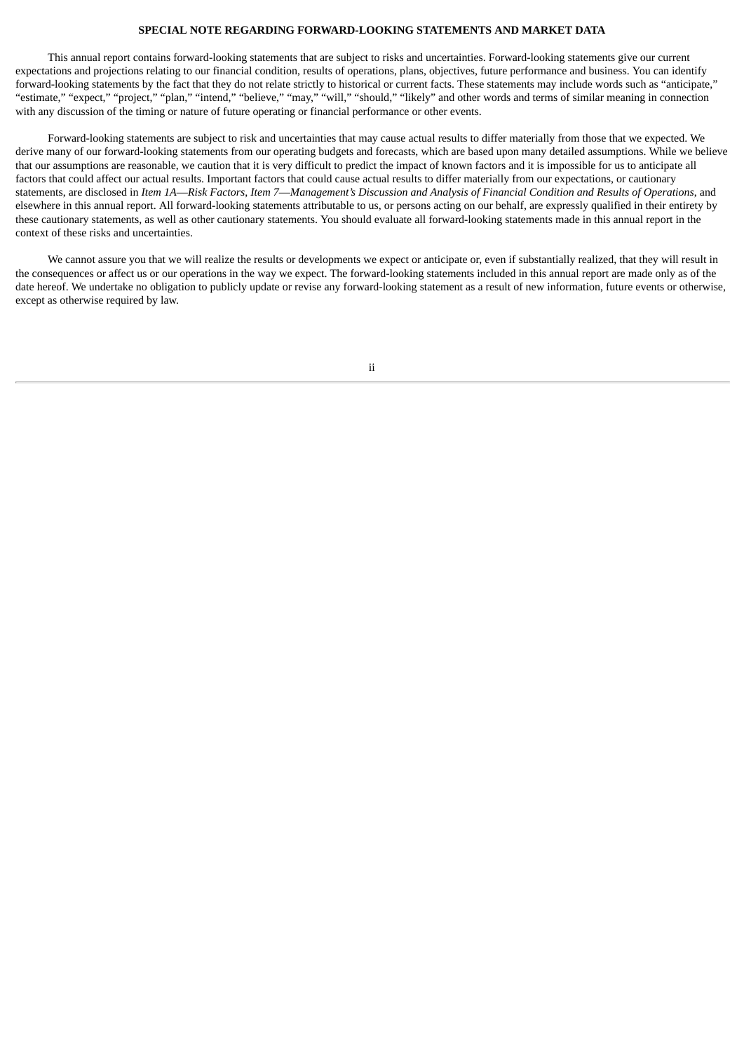#### **SPECIAL NOTE REGARDING FORWARD-LOOKING STATEMENTS AND MARKET DATA**

This annual report contains forward-looking statements that are subject to risks and uncertainties. Forward-looking statements give our current expectations and projections relating to our financial condition, results of operations, plans, objectives, future performance and business. You can identify forward-looking statements by the fact that they do not relate strictly to historical or current facts. These statements may include words such as "anticipate," "estimate," "expect," "project," "plan," "intend," "believe," "may," "will," "should," "likely" and other words and terms of similar meaning in connection with any discussion of the timing or nature of future operating or financial performance or other events.

Forward-looking statements are subject to risk and uncertainties that may cause actual results to differ materially from those that we expected. We derive many of our forward-looking statements from our operating budgets and forecasts, which are based upon many detailed assumptions. While we believe that our assumptions are reasonable, we caution that it is very difficult to predict the impact of known factors and it is impossible for us to anticipate all factors that could affect our actual results. Important factors that could cause actual results to differ materially from our expectations, or cautionary statements, are disclosed in Item 1A—Risk Factors, Item 7—Management's Discussion and Analysis of Financial Condition and Results of Operations, and elsewhere in this annual report. All forward-looking statements attributable to us, or persons acting on our behalf, are expressly qualified in their entirety by these cautionary statements, as well as other cautionary statements. You should evaluate all forward-looking statements made in this annual report in the context of these risks and uncertainties.

We cannot assure you that we will realize the results or developments we expect or anticipate or, even if substantially realized, that they will result in the consequences or affect us or our operations in the way we expect. The forward-looking statements included in this annual report are made only as of the date hereof. We undertake no obligation to publicly update or revise any forward-looking statement as a result of new information, future events or otherwise, except as otherwise required by law.

ii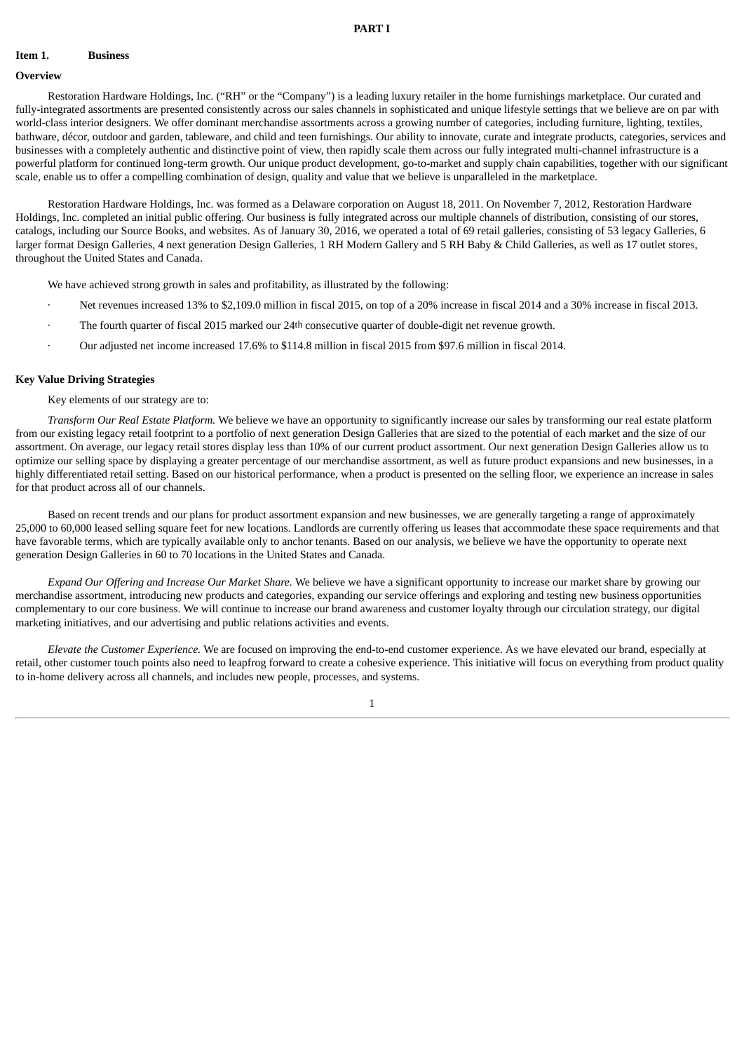#### <span id="page-3-1"></span><span id="page-3-0"></span>**Item 1. Business**

#### **Overview**

Restoration Hardware Holdings, Inc. ("RH" or the "Company") is a leading luxury retailer in the home furnishings marketplace. Our curated and fully-integrated assortments are presented consistently across our sales channels in sophisticated and unique lifestyle settings that we believe are on par with world-class interior designers. We offer dominant merchandise assortments across a growing number of categories, including furniture, lighting, textiles, bathware, décor, outdoor and garden, tableware, and child and teen furnishings. Our ability to innovate, curate and integrate products, categories, services and businesses with a completely authentic and distinctive point of view, then rapidly scale them across our fully integrated multi-channel infrastructure is a powerful platform for continued long-term growth. Our unique product development, go-to-market and supply chain capabilities, together with our significant scale, enable us to offer a compelling combination of design, quality and value that we believe is unparalleled in the marketplace.

Restoration Hardware Holdings, Inc. was formed as a Delaware corporation on August 18, 2011. On November 7, 2012, Restoration Hardware Holdings, Inc. completed an initial public offering. Our business is fully integrated across our multiple channels of distribution, consisting of our stores, catalogs, including our Source Books, and websites. As of January 30, 2016, we operated a total of 69 retail galleries, consisting of 53 legacy Galleries, 6 larger format Design Galleries, 4 next generation Design Galleries, 1 RH Modern Gallery and 5 RH Baby & Child Galleries, as well as 17 outlet stores, throughout the United States and Canada.

We have achieved strong growth in sales and profitability, as illustrated by the following:

- · Net revenues increased 13% to \$2,109.0 million in fiscal 2015, on top of a 20% increase in fiscal 2014 and a 30% increase in fiscal 2013.
- The fourth quarter of fiscal 2015 marked our 24th consecutive quarter of double-digit net revenue growth.
- · Our adjusted net income increased 17.6% to \$114.8 million in fiscal 2015 from \$97.6 million in fiscal 2014.

#### **Key Value Driving Strategies**

Key elements of our strategy are to:

*Transform Our Real Estate Platform.* We believe we have an opportunity to significantly increase our sales by transforming our real estate platform from our existing legacy retail footprint to a portfolio of next generation Design Galleries that are sized to the potential of each market and the size of our assortment. On average, our legacy retail stores display less than 10% of our current product assortment. Our next generation Design Galleries allow us to optimize our selling space by displaying a greater percentage of our merchandise assortment, as well as future product expansions and new businesses, in a highly differentiated retail setting. Based on our historical performance, when a product is presented on the selling floor, we experience an increase in sales for that product across all of our channels.

Based on recent trends and our plans for product assortment expansion and new businesses, we are generally targeting a range of approximately 25,000 to 60,000 leased selling square feet for new locations. Landlords are currently offering us leases that accommodate these space requirements and that have favorable terms, which are typically available only to anchor tenants. Based on our analysis, we believe we have the opportunity to operate next generation Design Galleries in 60 to 70 locations in the United States and Canada.

*Expand Our Offering and Increase Our Market Share.* We believe we have a significant opportunity to increase our market share by growing our merchandise assortment, introducing new products and categories, expanding our service offerings and exploring and testing new business opportunities complementary to our core business. We will continue to increase our brand awareness and customer loyalty through our circulation strategy, our digital marketing initiatives, and our advertising and public relations activities and events.

*Elevate the Customer Experience.* We are focused on improving the end-to-end customer experience. As we have elevated our brand, especially at retail, other customer touch points also need to leapfrog forward to create a cohesive experience. This initiative will focus on everything from product quality to in-home delivery across all channels, and includes new people, processes, and systems.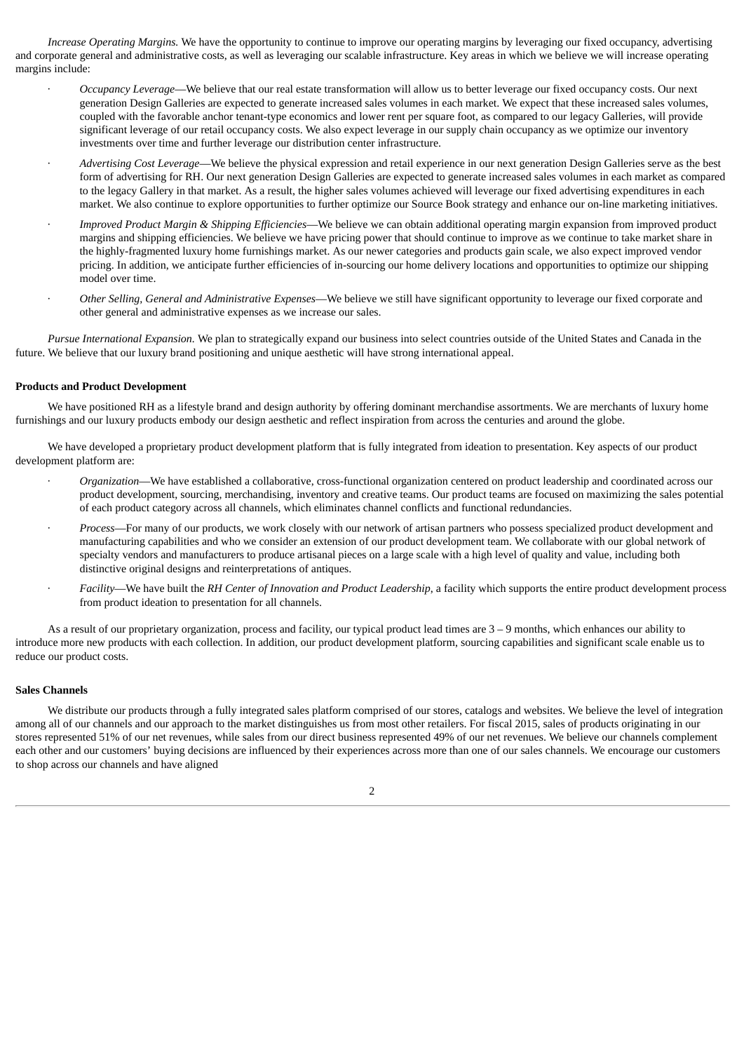*Increase Operating Margins.* We have the opportunity to continue to improve our operating margins by leveraging our fixed occupancy, advertising and corporate general and administrative costs, as well as leveraging our scalable infrastructure. Key areas in which we believe we will increase operating margins include:

- · *Occupancy Leverage*—We believe that our real estate transformation will allow us to better leverage our fixed occupancy costs. Our next generation Design Galleries are expected to generate increased sales volumes in each market. We expect that these increased sales volumes, coupled with the favorable anchor tenant-type economics and lower rent per square foot, as compared to our legacy Galleries, will provide significant leverage of our retail occupancy costs. We also expect leverage in our supply chain occupancy as we optimize our inventory investments over time and further leverage our distribution center infrastructure.
- · *Advertising Cost Leverage*—We believe the physical expression and retail experience in our next generation Design Galleries serve as the best form of advertising for RH. Our next generation Design Galleries are expected to generate increased sales volumes in each market as compared to the legacy Gallery in that market. As a result, the higher sales volumes achieved will leverage our fixed advertising expenditures in each market. We also continue to explore opportunities to further optimize our Source Book strategy and enhance our on-line marketing initiatives.
- · *Improved Product Margin & Shipping Efficiencies*—We believe we can obtain additional operating margin expansion from improved product margins and shipping efficiencies. We believe we have pricing power that should continue to improve as we continue to take market share in the highly-fragmented luxury home furnishings market. As our newer categories and products gain scale, we also expect improved vendor pricing. In addition, we anticipate further efficiencies of in-sourcing our home delivery locations and opportunities to optimize our shipping model over time.
- · *Other Selling, General and Administrative Expenses*—We believe we still have significant opportunity to leverage our fixed corporate and other general and administrative expenses as we increase our sales.

*Pursue International Expansion.* We plan to strategically expand our business into select countries outside of the United States and Canada in the future. We believe that our luxury brand positioning and unique aesthetic will have strong international appeal.

#### **Products and Product Development**

We have positioned RH as a lifestyle brand and design authority by offering dominant merchandise assortments. We are merchants of luxury home furnishings and our luxury products embody our design aesthetic and reflect inspiration from across the centuries and around the globe.

We have developed a proprietary product development platform that is fully integrated from ideation to presentation. Key aspects of our product development platform are:

- · *Organization*—We have established a collaborative, cross-functional organization centered on product leadership and coordinated across our product development, sourcing, merchandising, inventory and creative teams. Our product teams are focused on maximizing the sales potential of each product category across all channels, which eliminates channel conflicts and functional redundancies.
- · *Process*—For many of our products, we work closely with our network of artisan partners who possess specialized product development and manufacturing capabilities and who we consider an extension of our product development team. We collaborate with our global network of specialty vendors and manufacturers to produce artisanal pieces on a large scale with a high level of quality and value, including both distinctive original designs and reinterpretations of antiques.
- · *Facility*—We have built the *RH Center of Innovation and Product Leadership*, a facility which supports the entire product development process from product ideation to presentation for all channels.

As a result of our proprietary organization, process and facility, our typical product lead times are 3 – 9 months, which enhances our ability to introduce more new products with each collection. In addition, our product development platform, sourcing capabilities and significant scale enable us to reduce our product costs.

#### **Sales Channels**

We distribute our products through a fully integrated sales platform comprised of our stores, catalogs and websites. We believe the level of integration among all of our channels and our approach to the market distinguishes us from most other retailers. For fiscal 2015, sales of products originating in our stores represented 51% of our net revenues, while sales from our direct business represented 49% of our net revenues. We believe our channels complement each other and our customers' buying decisions are influenced by their experiences across more than one of our sales channels. We encourage our customers to shop across our channels and have aligned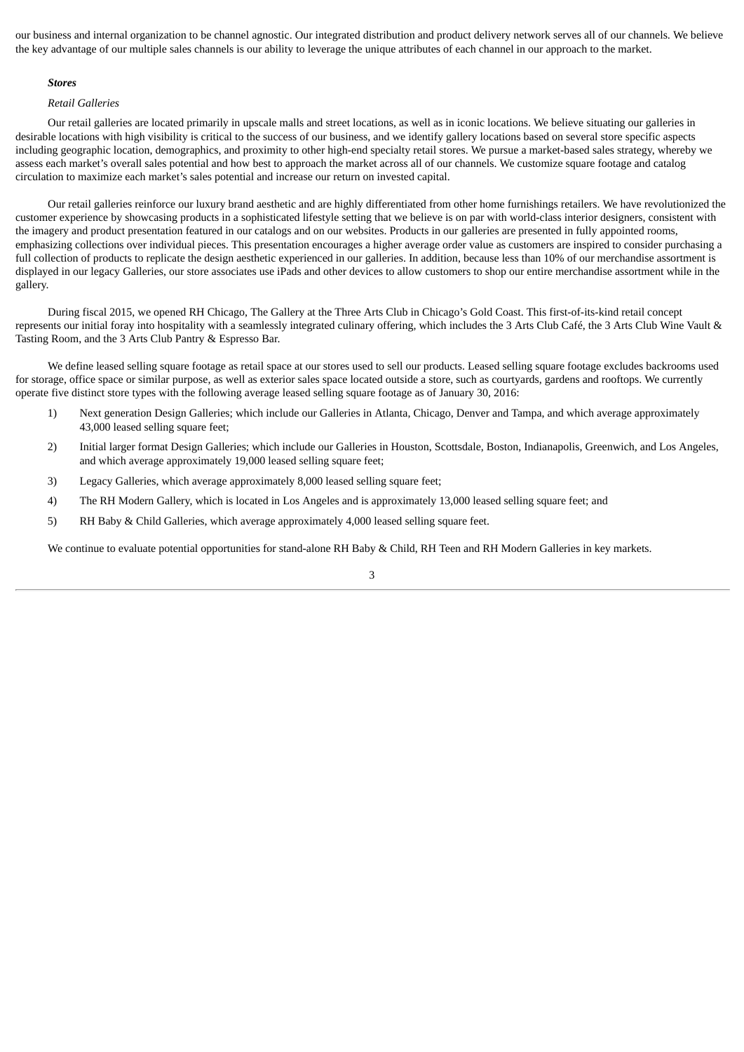our business and internal organization to be channel agnostic. Our integrated distribution and product delivery network serves all of our channels. We believe the key advantage of our multiple sales channels is our ability to leverage the unique attributes of each channel in our approach to the market.

#### *Stores*

## *Retail Galleries*

Our retail galleries are located primarily in upscale malls and street locations, as well as in iconic locations. We believe situating our galleries in desirable locations with high visibility is critical to the success of our business, and we identify gallery locations based on several store specific aspects including geographic location, demographics, and proximity to other high-end specialty retail stores. We pursue a market-based sales strategy, whereby we assess each market's overall sales potential and how best to approach the market across all of our channels. We customize square footage and catalog circulation to maximize each market's sales potential and increase our return on invested capital.

Our retail galleries reinforce our luxury brand aesthetic and are highly differentiated from other home furnishings retailers. We have revolutionized the customer experience by showcasing products in a sophisticated lifestyle setting that we believe is on par with world-class interior designers, consistent with the imagery and product presentation featured in our catalogs and on our websites. Products in our galleries are presented in fully appointed rooms, emphasizing collections over individual pieces. This presentation encourages a higher average order value as customers are inspired to consider purchasing a full collection of products to replicate the design aesthetic experienced in our galleries. In addition, because less than 10% of our merchandise assortment is displayed in our legacy Galleries, our store associates use iPads and other devices to allow customers to shop our entire merchandise assortment while in the gallery.

During fiscal 2015, we opened RH Chicago, The Gallery at the Three Arts Club in Chicago's Gold Coast. This first-of-its-kind retail concept represents our initial foray into hospitality with a seamlessly integrated culinary offering, which includes the 3 Arts Club Café, the 3 Arts Club Wine Vault & Tasting Room, and the 3 Arts Club Pantry & Espresso Bar.

We define leased selling square footage as retail space at our stores used to sell our products. Leased selling square footage excludes backrooms used for storage, office space or similar purpose, as well as exterior sales space located outside a store, such as courtyards, gardens and rooftops. We currently operate five distinct store types with the following average leased selling square footage as of January 30, 2016:

- 1) Next generation Design Galleries; which include our Galleries in Atlanta, Chicago, Denver and Tampa, and which average approximately 43,000 leased selling square feet;
- 2) Initial larger format Design Galleries; which include our Galleries in Houston, Scottsdale, Boston, Indianapolis, Greenwich, and Los Angeles, and which average approximately 19,000 leased selling square feet;
- 3) Legacy Galleries, which average approximately 8,000 leased selling square feet;
- 4) The RH Modern Gallery, which is located in Los Angeles and is approximately 13,000 leased selling square feet; and
- 5) RH Baby & Child Galleries, which average approximately 4,000 leased selling square feet.

We continue to evaluate potential opportunities for stand-alone RH Baby & Child, RH Teen and RH Modern Galleries in key markets.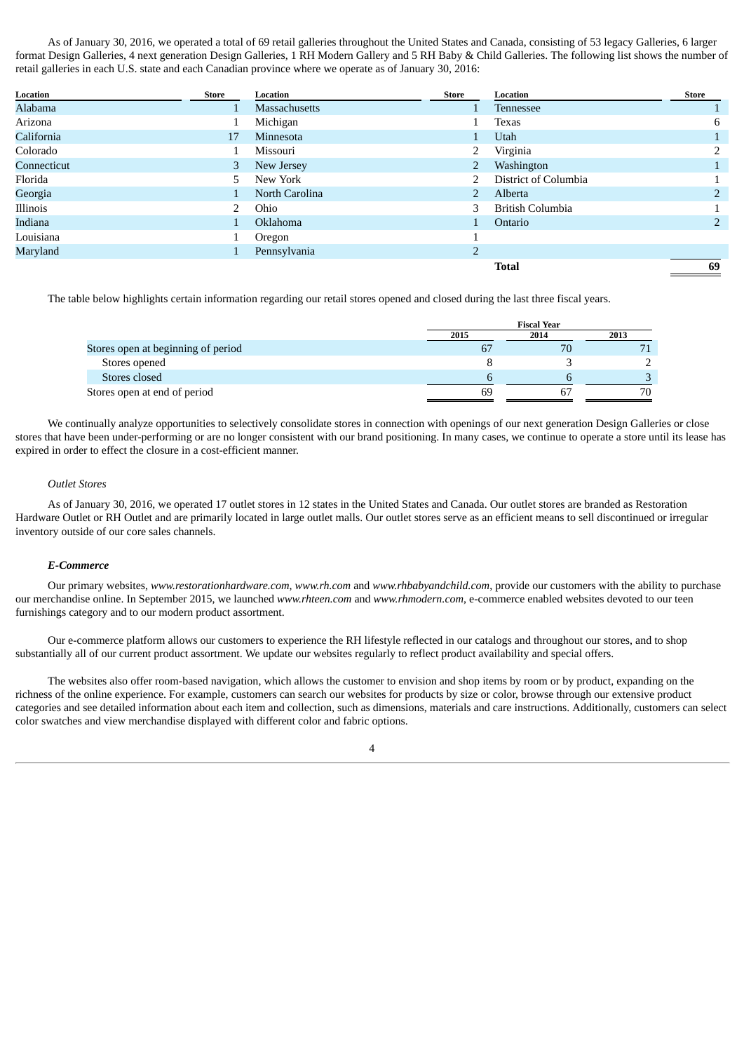As of January 30, 2016, we operated a total of 69 retail galleries throughout the United States and Canada, consisting of 53 legacy Galleries, 6 larger format Design Galleries, 4 next generation Design Galleries, 1 RH Modern Gallery and 5 RH Baby & Child Galleries. The following list shows the number of retail galleries in each U.S. state and each Canadian province where we operate as of January 30, 2016:

| Location    | <b>Store</b> | Location             | <b>Store</b>   | Location             | <b>Store</b>   |
|-------------|--------------|----------------------|----------------|----------------------|----------------|
| Alabama     |              | <b>Massachusetts</b> |                | <b>Tennessee</b>     |                |
| Arizona     |              | Michigan             |                | Texas                | 6              |
| California  | 17           | Minnesota            |                | Utah                 |                |
| Colorado    |              | Missouri             | 2              | Virginia             | $\overline{2}$ |
| Connecticut | 3            | New Jersey           | 2              | Washington           |                |
| Florida     | 5.           | New York             | 2              | District of Columbia |                |
| Georgia     |              | North Carolina       | 2              | Alberta              |                |
| Illinois    |              | Ohio                 | 3              | British Columbia     |                |
| Indiana     |              | Oklahoma             |                | Ontario              | 2              |
| Louisiana   |              | Oregon               |                |                      |                |
| Maryland    |              | Pennsylvania         | $\overline{2}$ |                      |                |
|             |              |                      |                | <b>Total</b>         | 69             |

The table below highlights certain information regarding our retail stores opened and closed during the last three fiscal years.

|                                    | <b>Fiscal Year</b> |      |      |  |  |  |  |
|------------------------------------|--------------------|------|------|--|--|--|--|
|                                    | 2015               | 2014 | 2013 |  |  |  |  |
| Stores open at beginning of period |                    |      | 71   |  |  |  |  |
| Stores opened                      |                    |      |      |  |  |  |  |
| Stores closed                      |                    |      |      |  |  |  |  |
| Stores open at end of period       | 69                 |      | 70   |  |  |  |  |

We continually analyze opportunities to selectively consolidate stores in connection with openings of our next generation Design Galleries or close stores that have been under-performing or are no longer consistent with our brand positioning. In many cases, we continue to operate a store until its lease has expired in order to effect the closure in a cost-efficient manner.

#### *Outlet Stores*

As of January 30, 2016, we operated 17 outlet stores in 12 states in the United States and Canada. Our outlet stores are branded as Restoration Hardware Outlet or RH Outlet and are primarily located in large outlet malls. Our outlet stores serve as an efficient means to sell discontinued or irregular inventory outside of our core sales channels.

#### *E-Commerce*

Our primary websites, *www.restorationhardware.com*, *www.rh.com* and *www.rhbabyandchild.com*, provide our customers with the ability to purchase our merchandise online. In September 2015, we launched *www.rhteen.com* and *www.rhmodern.com*, e-commerce enabled websites devoted to our teen furnishings category and to our modern product assortment.

Our e-commerce platform allows our customers to experience the RH lifestyle reflected in our catalogs and throughout our stores, and to shop substantially all of our current product assortment. We update our websites regularly to reflect product availability and special offers.

The websites also offer room-based navigation, which allows the customer to envision and shop items by room or by product, expanding on the richness of the online experience. For example, customers can search our websites for products by size or color, browse through our extensive product categories and see detailed information about each item and collection, such as dimensions, materials and care instructions. Additionally, customers can select color swatches and view merchandise displayed with different color and fabric options.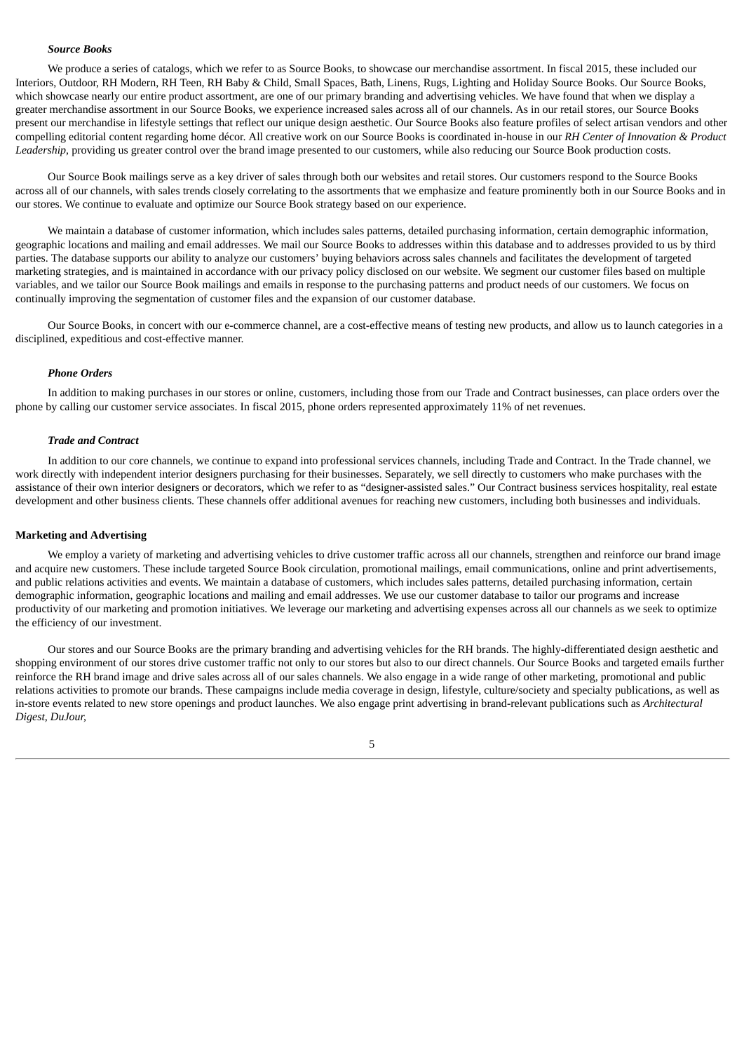#### *Source Books*

We produce a series of catalogs, which we refer to as Source Books, to showcase our merchandise assortment. In fiscal 2015, these included our Interiors, Outdoor, RH Modern, RH Teen, RH Baby & Child, Small Spaces, Bath, Linens, Rugs, Lighting and Holiday Source Books. Our Source Books, which showcase nearly our entire product assortment, are one of our primary branding and advertising vehicles. We have found that when we display a greater merchandise assortment in our Source Books, we experience increased sales across all of our channels. As in our retail stores, our Source Books present our merchandise in lifestyle settings that reflect our unique design aesthetic. Our Source Books also feature profiles of select artisan vendors and other compelling editorial content regarding home décor. All creative work on our Source Books is coordinated in-house in our *RH Center of Innovation & Product Leadership*, providing us greater control over the brand image presented to our customers, while also reducing our Source Book production costs.

Our Source Book mailings serve as a key driver of sales through both our websites and retail stores. Our customers respond to the Source Books across all of our channels, with sales trends closely correlating to the assortments that we emphasize and feature prominently both in our Source Books and in our stores. We continue to evaluate and optimize our Source Book strategy based on our experience.

We maintain a database of customer information, which includes sales patterns, detailed purchasing information, certain demographic information, geographic locations and mailing and email addresses. We mail our Source Books to addresses within this database and to addresses provided to us by third parties. The database supports our ability to analyze our customers' buying behaviors across sales channels and facilitates the development of targeted marketing strategies, and is maintained in accordance with our privacy policy disclosed on our website. We segment our customer files based on multiple variables, and we tailor our Source Book mailings and emails in response to the purchasing patterns and product needs of our customers. We focus on continually improving the segmentation of customer files and the expansion of our customer database.

Our Source Books, in concert with our e-commerce channel, are a cost-effective means of testing new products, and allow us to launch categories in a disciplined, expeditious and cost-effective manner.

#### *Phone Orders*

In addition to making purchases in our stores or online, customers, including those from our Trade and Contract businesses, can place orders over the phone by calling our customer service associates. In fiscal 2015, phone orders represented approximately 11% of net revenues.

#### *Trade and Contract*

In addition to our core channels, we continue to expand into professional services channels, including Trade and Contract. In the Trade channel, we work directly with independent interior designers purchasing for their businesses. Separately, we sell directly to customers who make purchases with the assistance of their own interior designers or decorators, which we refer to as "designer-assisted sales." Our Contract business services hospitality, real estate development and other business clients. These channels offer additional avenues for reaching new customers, including both businesses and individuals.

#### **Marketing and Advertising**

We employ a variety of marketing and advertising vehicles to drive customer traffic across all our channels, strengthen and reinforce our brand image and acquire new customers. These include targeted Source Book circulation, promotional mailings, email communications, online and print advertisements, and public relations activities and events. We maintain a database of customers, which includes sales patterns, detailed purchasing information, certain demographic information, geographic locations and mailing and email addresses. We use our customer database to tailor our programs and increase productivity of our marketing and promotion initiatives. We leverage our marketing and advertising expenses across all our channels as we seek to optimize the efficiency of our investment.

Our stores and our Source Books are the primary branding and advertising vehicles for the RH brands. The highly-differentiated design aesthetic and shopping environment of our stores drive customer traffic not only to our stores but also to our direct channels. Our Source Books and targeted emails further reinforce the RH brand image and drive sales across all of our sales channels. We also engage in a wide range of other marketing, promotional and public relations activities to promote our brands. These campaigns include media coverage in design, lifestyle, culture/society and specialty publications, as well as in-store events related to new store openings and product launches. We also engage print advertising in brand-relevant publications such as *Architectural Digest, DuJour,*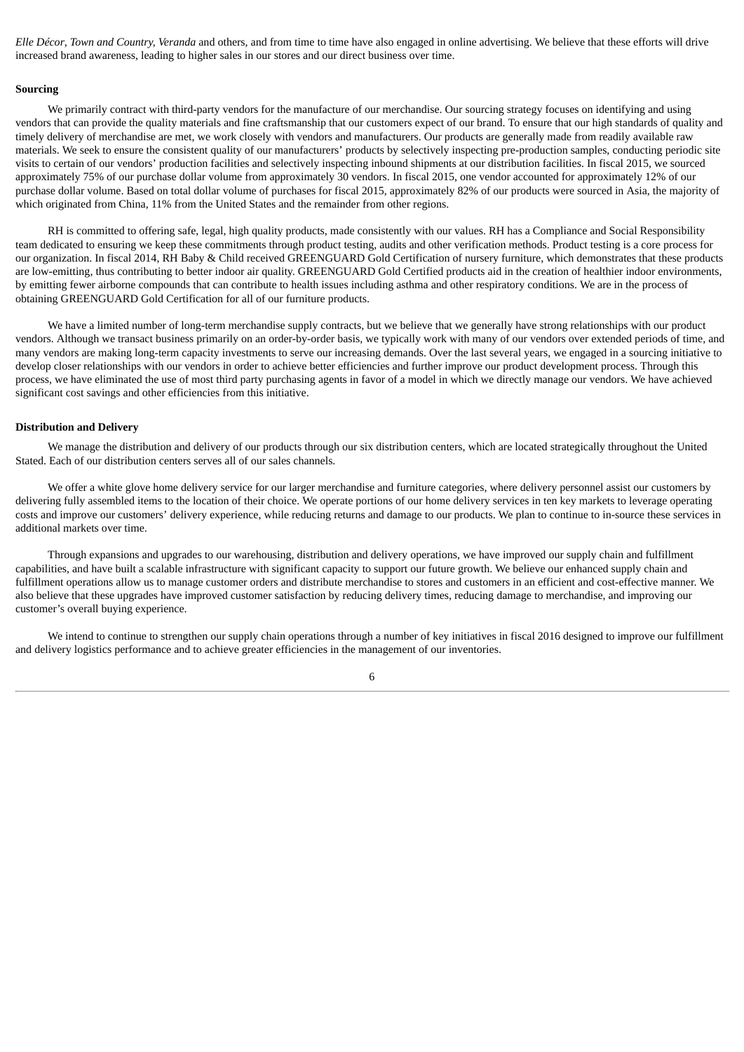*Elle Décor*, *Town and Country, Veranda* and others, and from time to time have also engaged in online advertising. We believe that these efforts will drive increased brand awareness, leading to higher sales in our stores and our direct business over time.

#### **Sourcing**

We primarily contract with third-party vendors for the manufacture of our merchandise. Our sourcing strategy focuses on identifying and using vendors that can provide the quality materials and fine craftsmanship that our customers expect of our brand. To ensure that our high standards of quality and timely delivery of merchandise are met, we work closely with vendors and manufacturers. Our products are generally made from readily available raw materials. We seek to ensure the consistent quality of our manufacturers' products by selectively inspecting pre-production samples, conducting periodic site visits to certain of our vendors' production facilities and selectively inspecting inbound shipments at our distribution facilities. In fiscal 2015, we sourced approximately 75% of our purchase dollar volume from approximately 30 vendors. In fiscal 2015, one vendor accounted for approximately 12% of our purchase dollar volume. Based on total dollar volume of purchases for fiscal 2015, approximately 82% of our products were sourced in Asia, the majority of which originated from China, 11% from the United States and the remainder from other regions.

RH is committed to offering safe, legal, high quality products, made consistently with our values. RH has a Compliance and Social Responsibility team dedicated to ensuring we keep these commitments through product testing, audits and other verification methods. Product testing is a core process for our organization. In fiscal 2014, RH Baby & Child received GREENGUARD Gold Certification of nursery furniture, which demonstrates that these products are low-emitting, thus contributing to better indoor air quality. GREENGUARD Gold Certified products aid in the creation of healthier indoor environments, by emitting fewer airborne compounds that can contribute to health issues including asthma and other respiratory conditions. We are in the process of obtaining GREENGUARD Gold Certification for all of our furniture products.

We have a limited number of long-term merchandise supply contracts, but we believe that we generally have strong relationships with our product vendors. Although we transact business primarily on an order-by-order basis, we typically work with many of our vendors over extended periods of time, and many vendors are making long-term capacity investments to serve our increasing demands. Over the last several years, we engaged in a sourcing initiative to develop closer relationships with our vendors in order to achieve better efficiencies and further improve our product development process. Through this process, we have eliminated the use of most third party purchasing agents in favor of a model in which we directly manage our vendors. We have achieved significant cost savings and other efficiencies from this initiative.

#### **Distribution and Delivery**

We manage the distribution and delivery of our products through our six distribution centers, which are located strategically throughout the United Stated. Each of our distribution centers serves all of our sales channels.

We offer a white glove home delivery service for our larger merchandise and furniture categories, where delivery personnel assist our customers by delivering fully assembled items to the location of their choice. We operate portions of our home delivery services in ten key markets to leverage operating costs and improve our customers' delivery experience, while reducing returns and damage to our products. We plan to continue to in-source these services in additional markets over time.

Through expansions and upgrades to our warehousing, distribution and delivery operations, we have improved our supply chain and fulfillment capabilities, and have built a scalable infrastructure with significant capacity to support our future growth. We believe our enhanced supply chain and fulfillment operations allow us to manage customer orders and distribute merchandise to stores and customers in an efficient and cost-effective manner. We also believe that these upgrades have improved customer satisfaction by reducing delivery times, reducing damage to merchandise, and improving our customer's overall buying experience.

We intend to continue to strengthen our supply chain operations through a number of key initiatives in fiscal 2016 designed to improve our fulfillment and delivery logistics performance and to achieve greater efficiencies in the management of our inventories.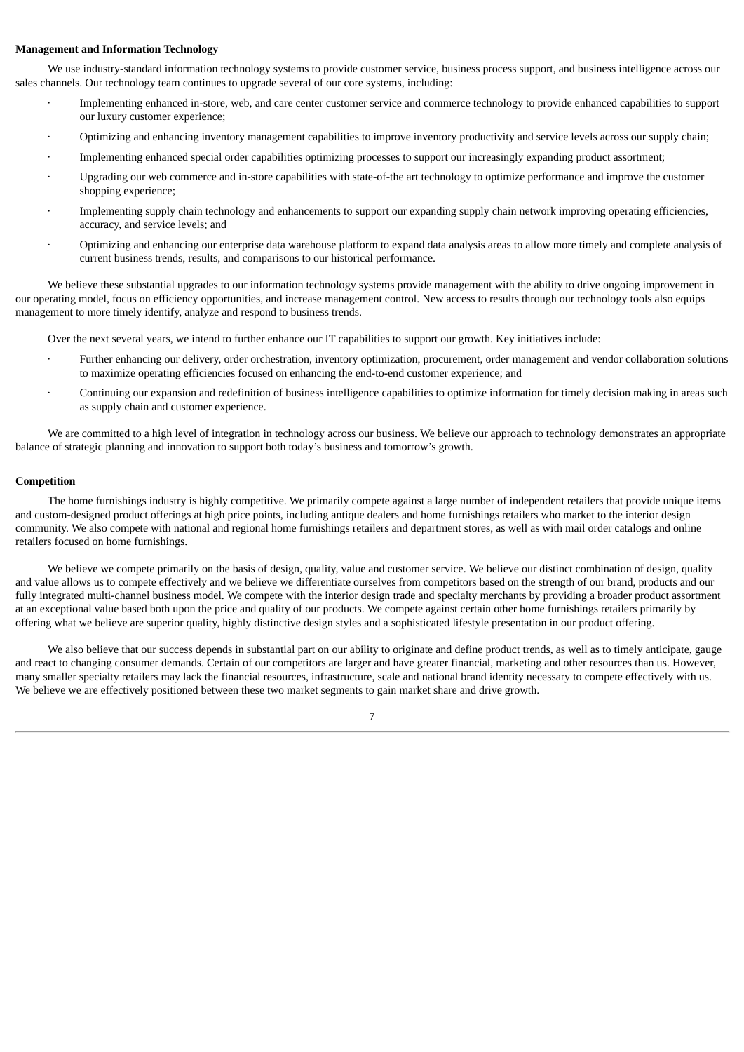#### **Management and Information Technology**

We use industry-standard information technology systems to provide customer service, business process support, and business intelligence across our sales channels. Our technology team continues to upgrade several of our core systems, including:

- · Implementing enhanced in-store, web, and care center customer service and commerce technology to provide enhanced capabilities to support our luxury customer experience;
- · Optimizing and enhancing inventory management capabilities to improve inventory productivity and service levels across our supply chain;
- · Implementing enhanced special order capabilities optimizing processes to support our increasingly expanding product assortment;
- · Upgrading our web commerce and in-store capabilities with state-of-the art technology to optimize performance and improve the customer shopping experience;
- · Implementing supply chain technology and enhancements to support our expanding supply chain network improving operating efficiencies, accuracy, and service levels; and
- · Optimizing and enhancing our enterprise data warehouse platform to expand data analysis areas to allow more timely and complete analysis of current business trends, results, and comparisons to our historical performance.

We believe these substantial upgrades to our information technology systems provide management with the ability to drive ongoing improvement in our operating model, focus on efficiency opportunities, and increase management control. New access to results through our technology tools also equips management to more timely identify, analyze and respond to business trends.

Over the next several years, we intend to further enhance our IT capabilities to support our growth. Key initiatives include:

- Further enhancing our delivery, order orchestration, inventory optimization, procurement, order management and vendor collaboration solutions to maximize operating efficiencies focused on enhancing the end-to-end customer experience; and
- · Continuing our expansion and redefinition of business intelligence capabilities to optimize information for timely decision making in areas such as supply chain and customer experience.

We are committed to a high level of integration in technology across our business. We believe our approach to technology demonstrates an appropriate balance of strategic planning and innovation to support both today's business and tomorrow's growth.

#### **Competition**

The home furnishings industry is highly competitive. We primarily compete against a large number of independent retailers that provide unique items and custom-designed product offerings at high price points, including antique dealers and home furnishings retailers who market to the interior design community. We also compete with national and regional home furnishings retailers and department stores, as well as with mail order catalogs and online retailers focused on home furnishings.

We believe we compete primarily on the basis of design, quality, value and customer service. We believe our distinct combination of design, quality and value allows us to compete effectively and we believe we differentiate ourselves from competitors based on the strength of our brand, products and our fully integrated multi-channel business model. We compete with the interior design trade and specialty merchants by providing a broader product assortment at an exceptional value based both upon the price and quality of our products. We compete against certain other home furnishings retailers primarily by offering what we believe are superior quality, highly distinctive design styles and a sophisticated lifestyle presentation in our product offering.

We also believe that our success depends in substantial part on our ability to originate and define product trends, as well as to timely anticipate, gauge and react to changing consumer demands. Certain of our competitors are larger and have greater financial, marketing and other resources than us. However, many smaller specialty retailers may lack the financial resources, infrastructure, scale and national brand identity necessary to compete effectively with us. We believe we are effectively positioned between these two market segments to gain market share and drive growth.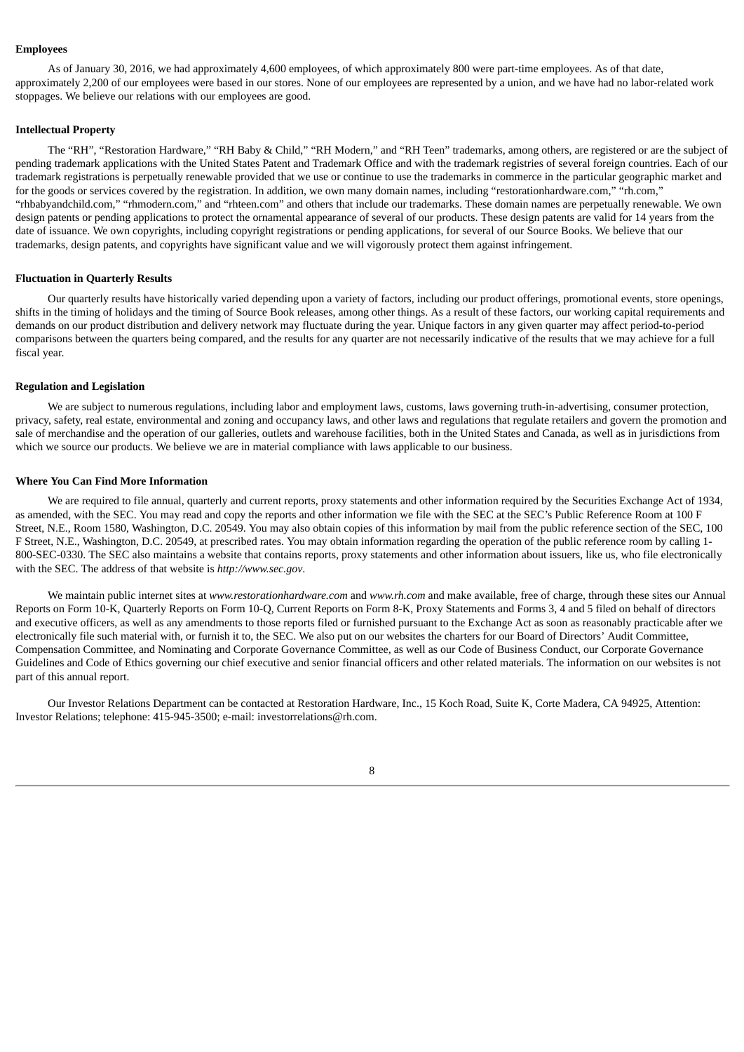#### **Employees**

As of January 30, 2016, we had approximately 4,600 employees, of which approximately 800 were part-time employees. As of that date, approximately 2,200 of our employees were based in our stores. None of our employees are represented by a union, and we have had no labor-related work stoppages. We believe our relations with our employees are good.

#### **Intellectual Property**

The "RH", "Restoration Hardware," "RH Baby & Child," "RH Modern," and "RH Teen" trademarks, among others, are registered or are the subject of pending trademark applications with the United States Patent and Trademark Office and with the trademark registries of several foreign countries. Each of our trademark registrations is perpetually renewable provided that we use or continue to use the trademarks in commerce in the particular geographic market and for the goods or services covered by the registration. In addition, we own many domain names, including "restorationhardware.com," "rh.com," "rhbabyandchild.com," "rhmodern.com," and "rhteen.com" and others that include our trademarks. These domain names are perpetually renewable. We own design patents or pending applications to protect the ornamental appearance of several of our products. These design patents are valid for 14 years from the date of issuance. We own copyrights, including copyright registrations or pending applications, for several of our Source Books. We believe that our trademarks, design patents, and copyrights have significant value and we will vigorously protect them against infringement.

#### **Fluctuation in Quarterly Results**

Our quarterly results have historically varied depending upon a variety of factors, including our product offerings, promotional events, store openings, shifts in the timing of holidays and the timing of Source Book releases, among other things. As a result of these factors, our working capital requirements and demands on our product distribution and delivery network may fluctuate during the year. Unique factors in any given quarter may affect period-to-period comparisons between the quarters being compared, and the results for any quarter are not necessarily indicative of the results that we may achieve for a full fiscal year.

#### **Regulation and Legislation**

We are subject to numerous regulations, including labor and employment laws, customs, laws governing truth-in-advertising, consumer protection, privacy, safety, real estate, environmental and zoning and occupancy laws, and other laws and regulations that regulate retailers and govern the promotion and sale of merchandise and the operation of our galleries, outlets and warehouse facilities, both in the United States and Canada, as well as in jurisdictions from which we source our products. We believe we are in material compliance with laws applicable to our business.

#### **Where You Can Find More Information**

We are required to file annual, quarterly and current reports, proxy statements and other information required by the Securities Exchange Act of 1934, as amended, with the SEC. You may read and copy the reports and other information we file with the SEC at the SEC's Public Reference Room at 100 F Street, N.E., Room 1580, Washington, D.C. 20549. You may also obtain copies of this information by mail from the public reference section of the SEC, 100 F Street, N.E., Washington, D.C. 20549, at prescribed rates. You may obtain information regarding the operation of the public reference room by calling 1- 800-SEC-0330. The SEC also maintains a website that contains reports, proxy statements and other information about issuers, like us, who file electronically with the SEC. The address of that website is *http://www.sec.gov*.

We maintain public internet sites at *www.restorationhardware.com* and *www.rh.com* and make available, free of charge, through these sites our Annual Reports on Form 10-K, Quarterly Reports on Form 10-Q, Current Reports on Form 8-K, Proxy Statements and Forms 3, 4 and 5 filed on behalf of directors and executive officers, as well as any amendments to those reports filed or furnished pursuant to the Exchange Act as soon as reasonably practicable after we electronically file such material with, or furnish it to, the SEC. We also put on our websites the charters for our Board of Directors' Audit Committee, Compensation Committee, and Nominating and Corporate Governance Committee, as well as our Code of Business Conduct, our Corporate Governance Guidelines and Code of Ethics governing our chief executive and senior financial officers and other related materials. The information on our websites is not part of this annual report.

Our Investor Relations Department can be contacted at Restoration Hardware, Inc., 15 Koch Road, Suite K, Corte Madera, CA 94925, Attention: Investor Relations; telephone: 415-945-3500; e-mail: investorrelations@rh.com.

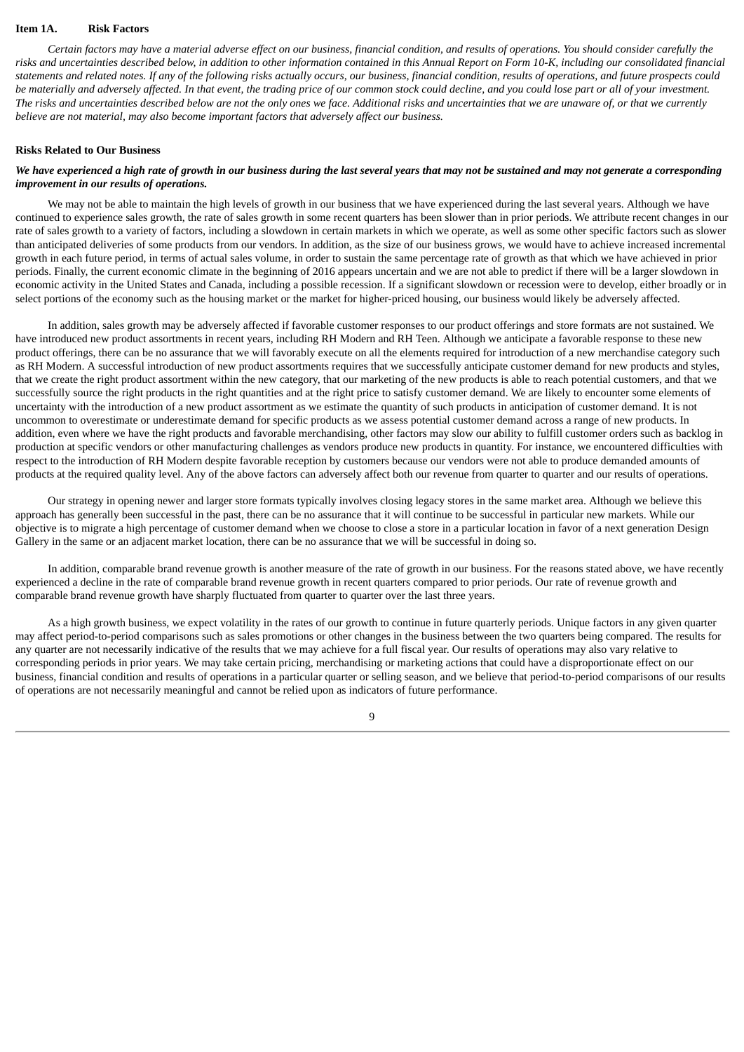#### <span id="page-11-0"></span>**Item 1A. Risk Factors**

Certain factors may have a material adverse effect on our business, financial condition, and results of operations. You should consider carefully the risks and uncertainties described below, in addition to other information contained in this Annual Report on Form 10-K, including our consolidated financial statements and related notes. If any of the following risks actually occurs, our business, financial condition, results of operations, and future prospects could be materially and adversely affected. In that event, the trading price of our common stock could decline, and you could lose part or all of your investment. The risks and uncertainties described below are not the only ones we face. Additional risks and uncertainties that we are unaware of, or that we currently *believe are not material, may also become important factors that adversely affect our business.*

#### **Risks Related to Our Business**

#### We have experienced a high rate of growth in our business during the last several years that may not be sustained and may not generate a corresponding *improvement in our results of operations.*

We may not be able to maintain the high levels of growth in our business that we have experienced during the last several years. Although we have continued to experience sales growth, the rate of sales growth in some recent quarters has been slower than in prior periods. We attribute recent changes in our rate of sales growth to a variety of factors, including a slowdown in certain markets in which we operate, as well as some other specific factors such as slower than anticipated deliveries of some products from our vendors. In addition, as the size of our business grows, we would have to achieve increased incremental growth in each future period, in terms of actual sales volume, in order to sustain the same percentage rate of growth as that which we have achieved in prior periods. Finally, the current economic climate in the beginning of 2016 appears uncertain and we are not able to predict if there will be a larger slowdown in economic activity in the United States and Canada, including a possible recession. If a significant slowdown or recession were to develop, either broadly or in select portions of the economy such as the housing market or the market for higher-priced housing, our business would likely be adversely affected.

In addition, sales growth may be adversely affected if favorable customer responses to our product offerings and store formats are not sustained. We have introduced new product assortments in recent years, including RH Modern and RH Teen. Although we anticipate a favorable response to these new product offerings, there can be no assurance that we will favorably execute on all the elements required for introduction of a new merchandise category such as RH Modern. A successful introduction of new product assortments requires that we successfully anticipate customer demand for new products and styles, that we create the right product assortment within the new category, that our marketing of the new products is able to reach potential customers, and that we successfully source the right products in the right quantities and at the right price to satisfy customer demand. We are likely to encounter some elements of uncertainty with the introduction of a new product assortment as we estimate the quantity of such products in anticipation of customer demand. It is not uncommon to overestimate or underestimate demand for specific products as we assess potential customer demand across a range of new products. In addition, even where we have the right products and favorable merchandising, other factors may slow our ability to fulfill customer orders such as backlog in production at specific vendors or other manufacturing challenges as vendors produce new products in quantity. For instance, we encountered difficulties with respect to the introduction of RH Modern despite favorable reception by customers because our vendors were not able to produce demanded amounts of products at the required quality level. Any of the above factors can adversely affect both our revenue from quarter to quarter and our results of operations.

Our strategy in opening newer and larger store formats typically involves closing legacy stores in the same market area. Although we believe this approach has generally been successful in the past, there can be no assurance that it will continue to be successful in particular new markets. While our objective is to migrate a high percentage of customer demand when we choose to close a store in a particular location in favor of a next generation Design Gallery in the same or an adjacent market location, there can be no assurance that we will be successful in doing so.

In addition, comparable brand revenue growth is another measure of the rate of growth in our business. For the reasons stated above, we have recently experienced a decline in the rate of comparable brand revenue growth in recent quarters compared to prior periods. Our rate of revenue growth and comparable brand revenue growth have sharply fluctuated from quarter to quarter over the last three years.

As a high growth business, we expect volatility in the rates of our growth to continue in future quarterly periods. Unique factors in any given quarter may affect period-to-period comparisons such as sales promotions or other changes in the business between the two quarters being compared. The results for any quarter are not necessarily indicative of the results that we may achieve for a full fiscal year. Our results of operations may also vary relative to corresponding periods in prior years. We may take certain pricing, merchandising or marketing actions that could have a disproportionate effect on our business, financial condition and results of operations in a particular quarter or selling season, and we believe that period-to-period comparisons of our results of operations are not necessarily meaningful and cannot be relied upon as indicators of future performance.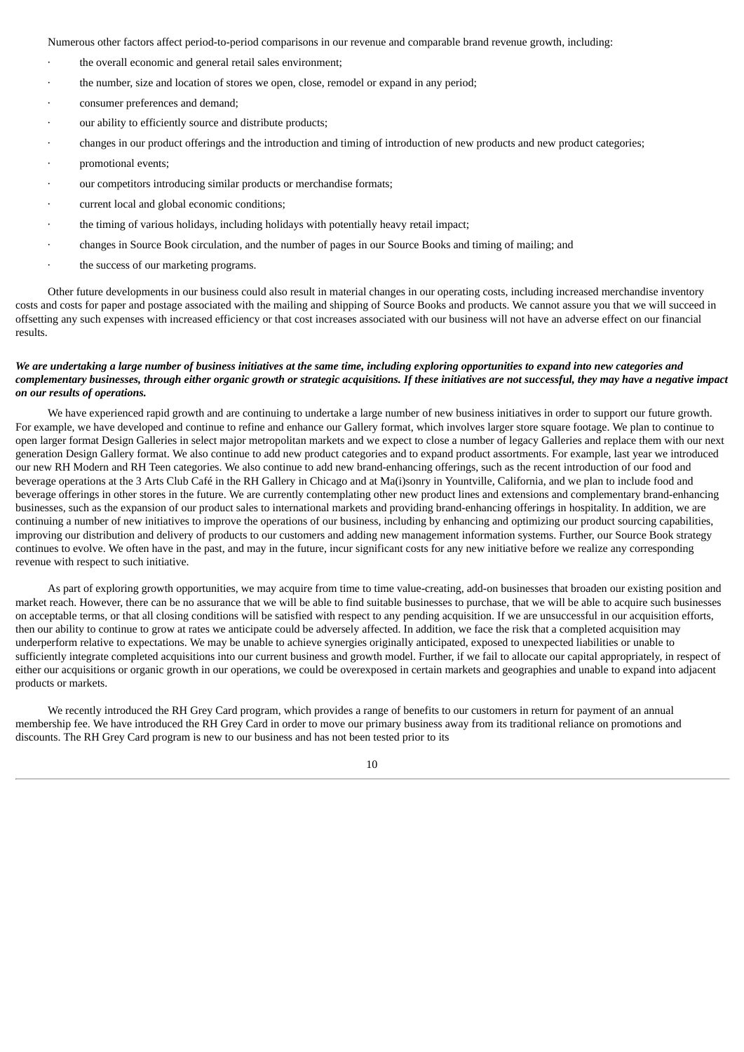Numerous other factors affect period-to-period comparisons in our revenue and comparable brand revenue growth, including:

- the overall economic and general retail sales environment;
- the number, size and location of stores we open, close, remodel or expand in any period;
- consumer preferences and demand;
- our ability to efficiently source and distribute products;
- · changes in our product offerings and the introduction and timing of introduction of new products and new product categories;
- promotional events;
- our competitors introducing similar products or merchandise formats;
- current local and global economic conditions;
- · the timing of various holidays, including holidays with potentially heavy retail impact;
- · changes in Source Book circulation, and the number of pages in our Source Books and timing of mailing; and
- the success of our marketing programs.

Other future developments in our business could also result in material changes in our operating costs, including increased merchandise inventory costs and costs for paper and postage associated with the mailing and shipping of Source Books and products. We cannot assure you that we will succeed in offsetting any such expenses with increased efficiency or that cost increases associated with our business will not have an adverse effect on our financial results.

## We are undertaking a large number of business initiatives at the same time, including exploring opportunities to expand into new categories and complementary businesses, through either organic growth or strategic acquisitions. If these initiatives are not successful, they may have a negative impact *on our results of operations.*

We have experienced rapid growth and are continuing to undertake a large number of new business initiatives in order to support our future growth. For example, we have developed and continue to refine and enhance our Gallery format, which involves larger store square footage. We plan to continue to open larger format Design Galleries in select major metropolitan markets and we expect to close a number of legacy Galleries and replace them with our next generation Design Gallery format. We also continue to add new product categories and to expand product assortments. For example, last year we introduced our new RH Modern and RH Teen categories. We also continue to add new brand-enhancing offerings, such as the recent introduction of our food and beverage operations at the 3 Arts Club Café in the RH Gallery in Chicago and at Ma(i)sonry in Yountville, California, and we plan to include food and beverage offerings in other stores in the future. We are currently contemplating other new product lines and extensions and complementary brand-enhancing businesses, such as the expansion of our product sales to international markets and providing brand-enhancing offerings in hospitality. In addition, we are continuing a number of new initiatives to improve the operations of our business, including by enhancing and optimizing our product sourcing capabilities, improving our distribution and delivery of products to our customers and adding new management information systems. Further, our Source Book strategy continues to evolve. We often have in the past, and may in the future, incur significant costs for any new initiative before we realize any corresponding revenue with respect to such initiative.

As part of exploring growth opportunities, we may acquire from time to time value-creating, add-on businesses that broaden our existing position and market reach. However, there can be no assurance that we will be able to find suitable businesses to purchase, that we will be able to acquire such businesses on acceptable terms, or that all closing conditions will be satisfied with respect to any pending acquisition. If we are unsuccessful in our acquisition efforts, then our ability to continue to grow at rates we anticipate could be adversely affected. In addition, we face the risk that a completed acquisition may underperform relative to expectations. We may be unable to achieve synergies originally anticipated, exposed to unexpected liabilities or unable to sufficiently integrate completed acquisitions into our current business and growth model. Further, if we fail to allocate our capital appropriately, in respect of either our acquisitions or organic growth in our operations, we could be overexposed in certain markets and geographies and unable to expand into adjacent products or markets.

We recently introduced the RH Grey Card program, which provides a range of benefits to our customers in return for payment of an annual membership fee. We have introduced the RH Grey Card in order to move our primary business away from its traditional reliance on promotions and discounts. The RH Grey Card program is new to our business and has not been tested prior to its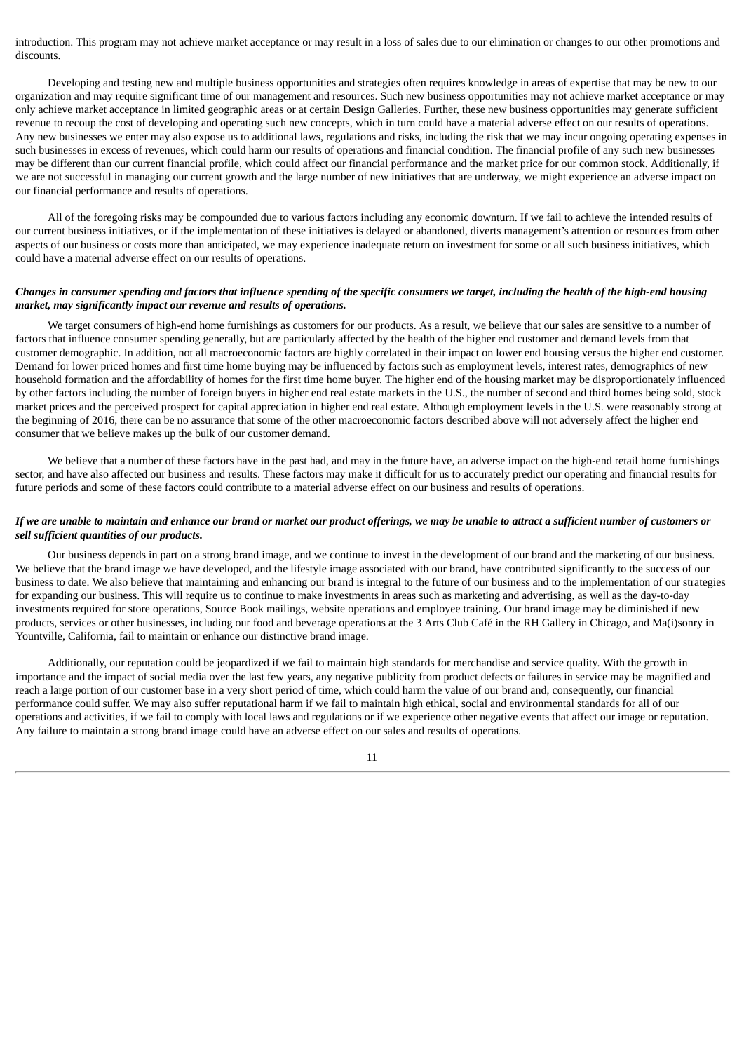introduction. This program may not achieve market acceptance or may result in a loss of sales due to our elimination or changes to our other promotions and discounts.

Developing and testing new and multiple business opportunities and strategies often requires knowledge in areas of expertise that may be new to our organization and may require significant time of our management and resources. Such new business opportunities may not achieve market acceptance or may only achieve market acceptance in limited geographic areas or at certain Design Galleries. Further, these new business opportunities may generate sufficient revenue to recoup the cost of developing and operating such new concepts, which in turn could have a material adverse effect on our results of operations. Any new businesses we enter may also expose us to additional laws, regulations and risks, including the risk that we may incur ongoing operating expenses in such businesses in excess of revenues, which could harm our results of operations and financial condition. The financial profile of any such new businesses may be different than our current financial profile, which could affect our financial performance and the market price for our common stock. Additionally, if we are not successful in managing our current growth and the large number of new initiatives that are underway, we might experience an adverse impact on our financial performance and results of operations.

All of the foregoing risks may be compounded due to various factors including any economic downturn. If we fail to achieve the intended results of our current business initiatives, or if the implementation of these initiatives is delayed or abandoned, diverts management's attention or resources from other aspects of our business or costs more than anticipated, we may experience inadequate return on investment for some or all such business initiatives, which could have a material adverse effect on our results of operations.

#### Changes in consumer spending and factors that influence spending of the specific consumers we target, including the health of the high-end housing *market, may significantly impact our revenue and results of operations.*

We target consumers of high-end home furnishings as customers for our products. As a result, we believe that our sales are sensitive to a number of factors that influence consumer spending generally, but are particularly affected by the health of the higher end customer and demand levels from that customer demographic. In addition, not all macroeconomic factors are highly correlated in their impact on lower end housing versus the higher end customer. Demand for lower priced homes and first time home buying may be influenced by factors such as employment levels, interest rates, demographics of new household formation and the affordability of homes for the first time home buyer. The higher end of the housing market may be disproportionately influenced by other factors including the number of foreign buyers in higher end real estate markets in the U.S., the number of second and third homes being sold, stock market prices and the perceived prospect for capital appreciation in higher end real estate. Although employment levels in the U.S. were reasonably strong at the beginning of 2016, there can be no assurance that some of the other macroeconomic factors described above will not adversely affect the higher end consumer that we believe makes up the bulk of our customer demand.

We believe that a number of these factors have in the past had, and may in the future have, an adverse impact on the high-end retail home furnishings sector, and have also affected our business and results. These factors may make it difficult for us to accurately predict our operating and financial results for future periods and some of these factors could contribute to a material adverse effect on our business and results of operations.

#### If we are unable to maintain and enhance our brand or market our product offerings, we may be unable to attract a sufficient number of customers or *sell sufficient quantities of our products.*

Our business depends in part on a strong brand image, and we continue to invest in the development of our brand and the marketing of our business. We believe that the brand image we have developed, and the lifestyle image associated with our brand, have contributed significantly to the success of our business to date. We also believe that maintaining and enhancing our brand is integral to the future of our business and to the implementation of our strategies for expanding our business. This will require us to continue to make investments in areas such as marketing and advertising, as well as the day-to-day investments required for store operations, Source Book mailings, website operations and employee training. Our brand image may be diminished if new products, services or other businesses, including our food and beverage operations at the 3 Arts Club Café in the RH Gallery in Chicago, and Ma(i)sonry in Yountville, California, fail to maintain or enhance our distinctive brand image.

Additionally, our reputation could be jeopardized if we fail to maintain high standards for merchandise and service quality. With the growth in importance and the impact of social media over the last few years, any negative publicity from product defects or failures in service may be magnified and reach a large portion of our customer base in a very short period of time, which could harm the value of our brand and, consequently, our financial performance could suffer. We may also suffer reputational harm if we fail to maintain high ethical, social and environmental standards for all of our operations and activities, if we fail to comply with local laws and regulations or if we experience other negative events that affect our image or reputation. Any failure to maintain a strong brand image could have an adverse effect on our sales and results of operations.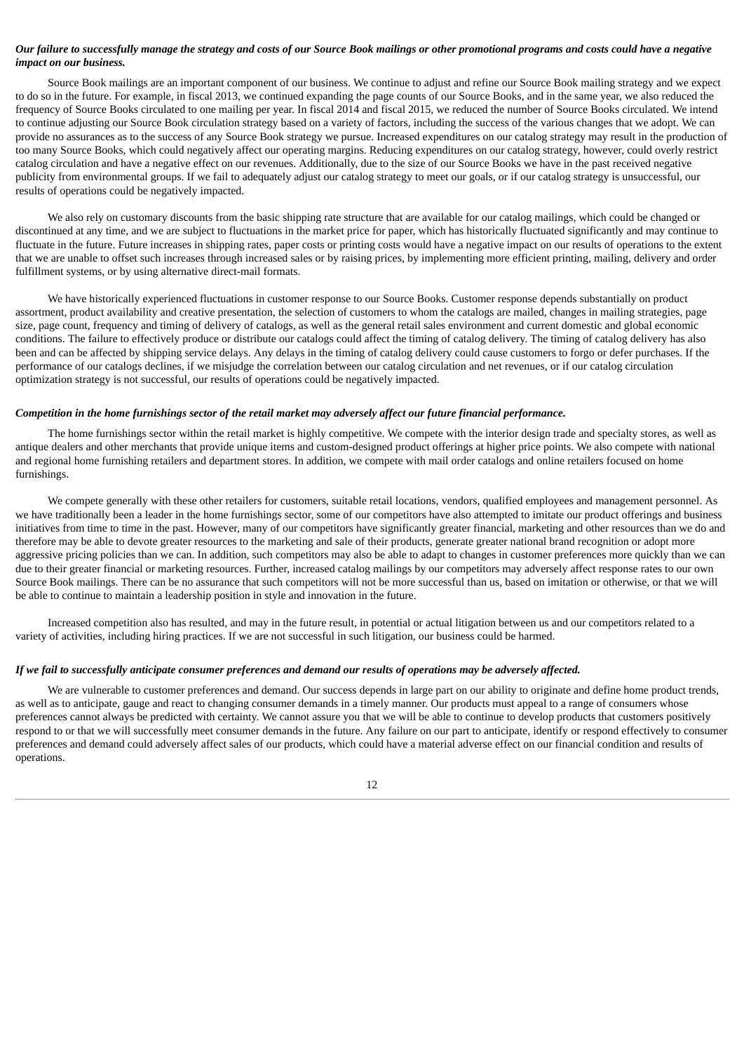## Our failure to successfully manage the strategy and costs of our Source Book mailings or other promotional programs and costs could have a negative *impact on our business.*

Source Book mailings are an important component of our business. We continue to adjust and refine our Source Book mailing strategy and we expect to do so in the future. For example, in fiscal 2013, we continued expanding the page counts of our Source Books, and in the same year, we also reduced the frequency of Source Books circulated to one mailing per year. In fiscal 2014 and fiscal 2015, we reduced the number of Source Books circulated. We intend to continue adjusting our Source Book circulation strategy based on a variety of factors, including the success of the various changes that we adopt. We can provide no assurances as to the success of any Source Book strategy we pursue. Increased expenditures on our catalog strategy may result in the production of too many Source Books, which could negatively affect our operating margins. Reducing expenditures on our catalog strategy, however, could overly restrict catalog circulation and have a negative effect on our revenues. Additionally, due to the size of our Source Books we have in the past received negative publicity from environmental groups. If we fail to adequately adjust our catalog strategy to meet our goals, or if our catalog strategy is unsuccessful, our results of operations could be negatively impacted.

We also rely on customary discounts from the basic shipping rate structure that are available for our catalog mailings, which could be changed or discontinued at any time, and we are subject to fluctuations in the market price for paper, which has historically fluctuated significantly and may continue to fluctuate in the future. Future increases in shipping rates, paper costs or printing costs would have a negative impact on our results of operations to the extent that we are unable to offset such increases through increased sales or by raising prices, by implementing more efficient printing, mailing, delivery and order fulfillment systems, or by using alternative direct-mail formats.

We have historically experienced fluctuations in customer response to our Source Books. Customer response depends substantially on product assortment, product availability and creative presentation, the selection of customers to whom the catalogs are mailed, changes in mailing strategies, page size, page count, frequency and timing of delivery of catalogs, as well as the general retail sales environment and current domestic and global economic conditions. The failure to effectively produce or distribute our catalogs could affect the timing of catalog delivery. The timing of catalog delivery has also been and can be affected by shipping service delays. Any delays in the timing of catalog delivery could cause customers to forgo or defer purchases. If the performance of our catalogs declines, if we misjudge the correlation between our catalog circulation and net revenues, or if our catalog circulation optimization strategy is not successful, our results of operations could be negatively impacted.

#### Competition in the home furnishings sector of the retail market may adversely affect our future financial performance.

The home furnishings sector within the retail market is highly competitive. We compete with the interior design trade and specialty stores, as well as antique dealers and other merchants that provide unique items and custom-designed product offerings at higher price points. We also compete with national and regional home furnishing retailers and department stores. In addition, we compete with mail order catalogs and online retailers focused on home furnishings.

We compete generally with these other retailers for customers, suitable retail locations, vendors, qualified employees and management personnel. As we have traditionally been a leader in the home furnishings sector, some of our competitors have also attempted to imitate our product offerings and business initiatives from time to time in the past. However, many of our competitors have significantly greater financial, marketing and other resources than we do and therefore may be able to devote greater resources to the marketing and sale of their products, generate greater national brand recognition or adopt more aggressive pricing policies than we can. In addition, such competitors may also be able to adapt to changes in customer preferences more quickly than we can due to their greater financial or marketing resources. Further, increased catalog mailings by our competitors may adversely affect response rates to our own Source Book mailings. There can be no assurance that such competitors will not be more successful than us, based on imitation or otherwise, or that we will be able to continue to maintain a leadership position in style and innovation in the future.

Increased competition also has resulted, and may in the future result, in potential or actual litigation between us and our competitors related to a variety of activities, including hiring practices. If we are not successful in such litigation, our business could be harmed.

### If we fail to successfully anticipate consumer preferences and demand our results of operations may be adversely affected.

We are vulnerable to customer preferences and demand. Our success depends in large part on our ability to originate and define home product trends, as well as to anticipate, gauge and react to changing consumer demands in a timely manner. Our products must appeal to a range of consumers whose preferences cannot always be predicted with certainty. We cannot assure you that we will be able to continue to develop products that customers positively respond to or that we will successfully meet consumer demands in the future. Any failure on our part to anticipate, identify or respond effectively to consumer preferences and demand could adversely affect sales of our products, which could have a material adverse effect on our financial condition and results of operations.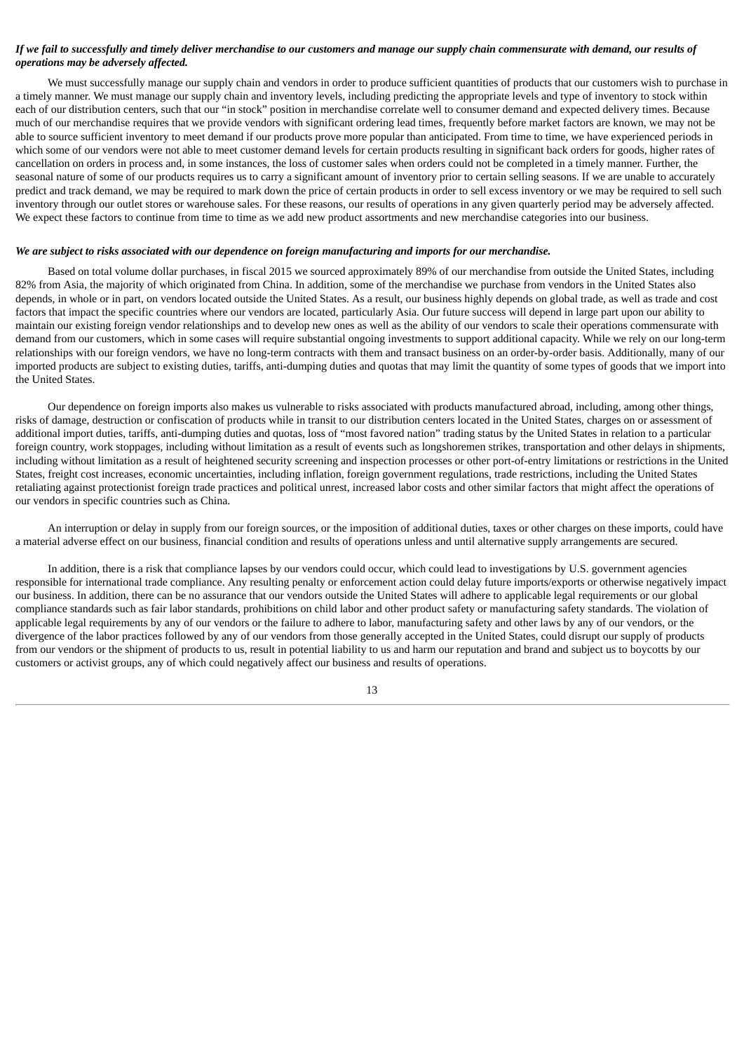## If we fail to successfully and timely deliver merchandise to our customers and manage our supply chain commensurate with demand, our results of *operations may be adversely affected.*

We must successfully manage our supply chain and vendors in order to produce sufficient quantities of products that our customers wish to purchase in a timely manner. We must manage our supply chain and inventory levels, including predicting the appropriate levels and type of inventory to stock within each of our distribution centers, such that our "in stock" position in merchandise correlate well to consumer demand and expected delivery times. Because much of our merchandise requires that we provide vendors with significant ordering lead times, frequently before market factors are known, we may not be able to source sufficient inventory to meet demand if our products prove more popular than anticipated. From time to time, we have experienced periods in which some of our vendors were not able to meet customer demand levels for certain products resulting in significant back orders for goods, higher rates of cancellation on orders in process and, in some instances, the loss of customer sales when orders could not be completed in a timely manner. Further, the seasonal nature of some of our products requires us to carry a significant amount of inventory prior to certain selling seasons. If we are unable to accurately predict and track demand, we may be required to mark down the price of certain products in order to sell excess inventory or we may be required to sell such inventory through our outlet stores or warehouse sales. For these reasons, our results of operations in any given quarterly period may be adversely affected. We expect these factors to continue from time to time as we add new product assortments and new merchandise categories into our business.

#### We are subject to risks associated with our dependence on foreign manufacturing and imports for our merchandise.

Based on total volume dollar purchases, in fiscal 2015 we sourced approximately 89% of our merchandise from outside the United States, including 82% from Asia, the majority of which originated from China. In addition, some of the merchandise we purchase from vendors in the United States also depends, in whole or in part, on vendors located outside the United States. As a result, our business highly depends on global trade, as well as trade and cost factors that impact the specific countries where our vendors are located, particularly Asia. Our future success will depend in large part upon our ability to maintain our existing foreign vendor relationships and to develop new ones as well as the ability of our vendors to scale their operations commensurate with demand from our customers, which in some cases will require substantial ongoing investments to support additional capacity. While we rely on our long-term relationships with our foreign vendors, we have no long-term contracts with them and transact business on an order-by-order basis. Additionally, many of our imported products are subject to existing duties, tariffs, anti-dumping duties and quotas that may limit the quantity of some types of goods that we import into the United States.

Our dependence on foreign imports also makes us vulnerable to risks associated with products manufactured abroad, including, among other things, risks of damage, destruction or confiscation of products while in transit to our distribution centers located in the United States, charges on or assessment of additional import duties, tariffs, anti-dumping duties and quotas, loss of "most favored nation" trading status by the United States in relation to a particular foreign country, work stoppages, including without limitation as a result of events such as longshoremen strikes, transportation and other delays in shipments, including without limitation as a result of heightened security screening and inspection processes or other port-of-entry limitations or restrictions in the United States, freight cost increases, economic uncertainties, including inflation, foreign government regulations, trade restrictions, including the United States retaliating against protectionist foreign trade practices and political unrest, increased labor costs and other similar factors that might affect the operations of our vendors in specific countries such as China.

An interruption or delay in supply from our foreign sources, or the imposition of additional duties, taxes or other charges on these imports, could have a material adverse effect on our business, financial condition and results of operations unless and until alternative supply arrangements are secured.

In addition, there is a risk that compliance lapses by our vendors could occur, which could lead to investigations by U.S. government agencies responsible for international trade compliance. Any resulting penalty or enforcement action could delay future imports/exports or otherwise negatively impact our business. In addition, there can be no assurance that our vendors outside the United States will adhere to applicable legal requirements or our global compliance standards such as fair labor standards, prohibitions on child labor and other product safety or manufacturing safety standards. The violation of applicable legal requirements by any of our vendors or the failure to adhere to labor, manufacturing safety and other laws by any of our vendors, or the divergence of the labor practices followed by any of our vendors from those generally accepted in the United States, could disrupt our supply of products from our vendors or the shipment of products to us, result in potential liability to us and harm our reputation and brand and subject us to boycotts by our customers or activist groups, any of which could negatively affect our business and results of operations.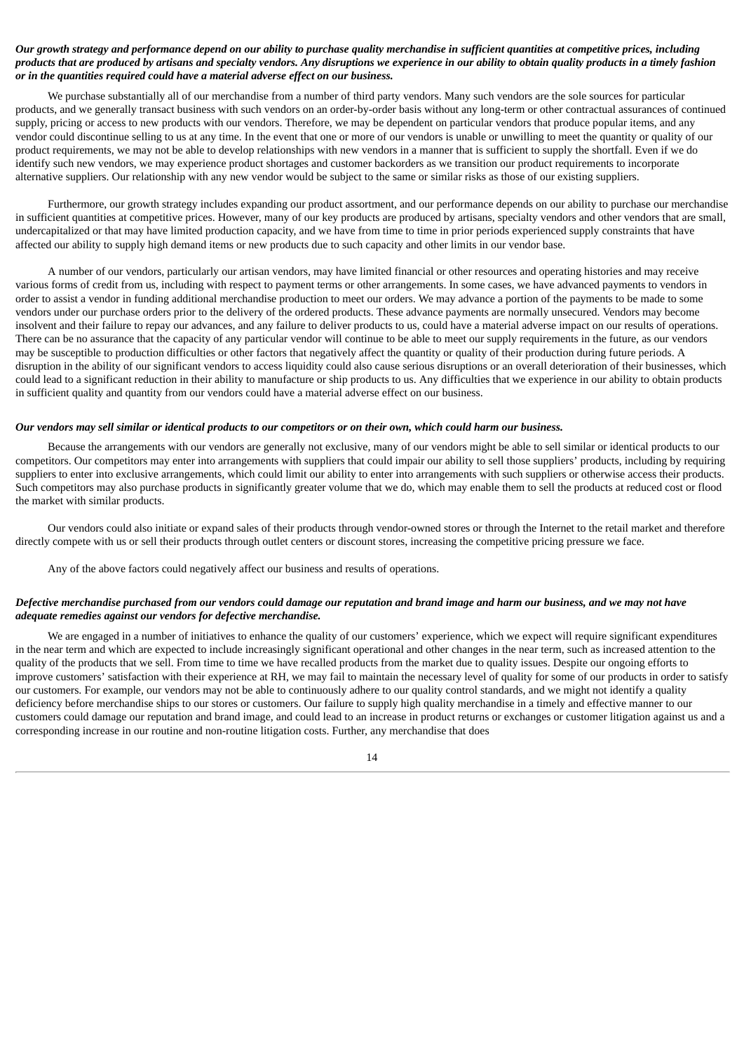## Our growth strategy and performance depend on our ability to purchase quality merchandise in sufficient quantities at competitive prices, including products that are produced by artisans and specialty vendors. Any disruptions we experience in our ability to obtain quality products in a timely fashion *or in the quantities required could have a material adverse effect on our business.*

We purchase substantially all of our merchandise from a number of third party vendors. Many such vendors are the sole sources for particular products, and we generally transact business with such vendors on an order-by-order basis without any long-term or other contractual assurances of continued supply, pricing or access to new products with our vendors. Therefore, we may be dependent on particular vendors that produce popular items, and any vendor could discontinue selling to us at any time. In the event that one or more of our vendors is unable or unwilling to meet the quantity or quality of our product requirements, we may not be able to develop relationships with new vendors in a manner that is sufficient to supply the shortfall. Even if we do identify such new vendors, we may experience product shortages and customer backorders as we transition our product requirements to incorporate alternative suppliers. Our relationship with any new vendor would be subject to the same or similar risks as those of our existing suppliers.

Furthermore, our growth strategy includes expanding our product assortment, and our performance depends on our ability to purchase our merchandise in sufficient quantities at competitive prices. However, many of our key products are produced by artisans, specialty vendors and other vendors that are small, undercapitalized or that may have limited production capacity, and we have from time to time in prior periods experienced supply constraints that have affected our ability to supply high demand items or new products due to such capacity and other limits in our vendor base.

A number of our vendors, particularly our artisan vendors, may have limited financial or other resources and operating histories and may receive various forms of credit from us, including with respect to payment terms or other arrangements. In some cases, we have advanced payments to vendors in order to assist a vendor in funding additional merchandise production to meet our orders. We may advance a portion of the payments to be made to some vendors under our purchase orders prior to the delivery of the ordered products. These advance payments are normally unsecured. Vendors may become insolvent and their failure to repay our advances, and any failure to deliver products to us, could have a material adverse impact on our results of operations. There can be no assurance that the capacity of any particular vendor will continue to be able to meet our supply requirements in the future, as our vendors may be susceptible to production difficulties or other factors that negatively affect the quantity or quality of their production during future periods. A disruption in the ability of our significant vendors to access liquidity could also cause serious disruptions or an overall deterioration of their businesses, which could lead to a significant reduction in their ability to manufacture or ship products to us. Any difficulties that we experience in our ability to obtain products in sufficient quality and quantity from our vendors could have a material adverse effect on our business.

#### Our vendors may sell similar or identical products to our competitors or on their own, which could harm our business.

Because the arrangements with our vendors are generally not exclusive, many of our vendors might be able to sell similar or identical products to our competitors. Our competitors may enter into arrangements with suppliers that could impair our ability to sell those suppliers' products, including by requiring suppliers to enter into exclusive arrangements, which could limit our ability to enter into arrangements with such suppliers or otherwise access their products. Such competitors may also purchase products in significantly greater volume that we do, which may enable them to sell the products at reduced cost or flood the market with similar products.

Our vendors could also initiate or expand sales of their products through vendor-owned stores or through the Internet to the retail market and therefore directly compete with us or sell their products through outlet centers or discount stores, increasing the competitive pricing pressure we face.

Any of the above factors could negatively affect our business and results of operations.

#### Defective merchandise purchased from our vendors could damage our reputation and brand image and harm our business, and we may not have *adequate remedies against our vendors for defective merchandise.*

We are engaged in a number of initiatives to enhance the quality of our customers' experience, which we expect will require significant expenditures in the near term and which are expected to include increasingly significant operational and other changes in the near term, such as increased attention to the quality of the products that we sell. From time to time we have recalled products from the market due to quality issues. Despite our ongoing efforts to improve customers' satisfaction with their experience at RH, we may fail to maintain the necessary level of quality for some of our products in order to satisfy our customers. For example, our vendors may not be able to continuously adhere to our quality control standards, and we might not identify a quality deficiency before merchandise ships to our stores or customers. Our failure to supply high quality merchandise in a timely and effective manner to our customers could damage our reputation and brand image, and could lead to an increase in product returns or exchanges or customer litigation against us and a corresponding increase in our routine and non-routine litigation costs. Further, any merchandise that does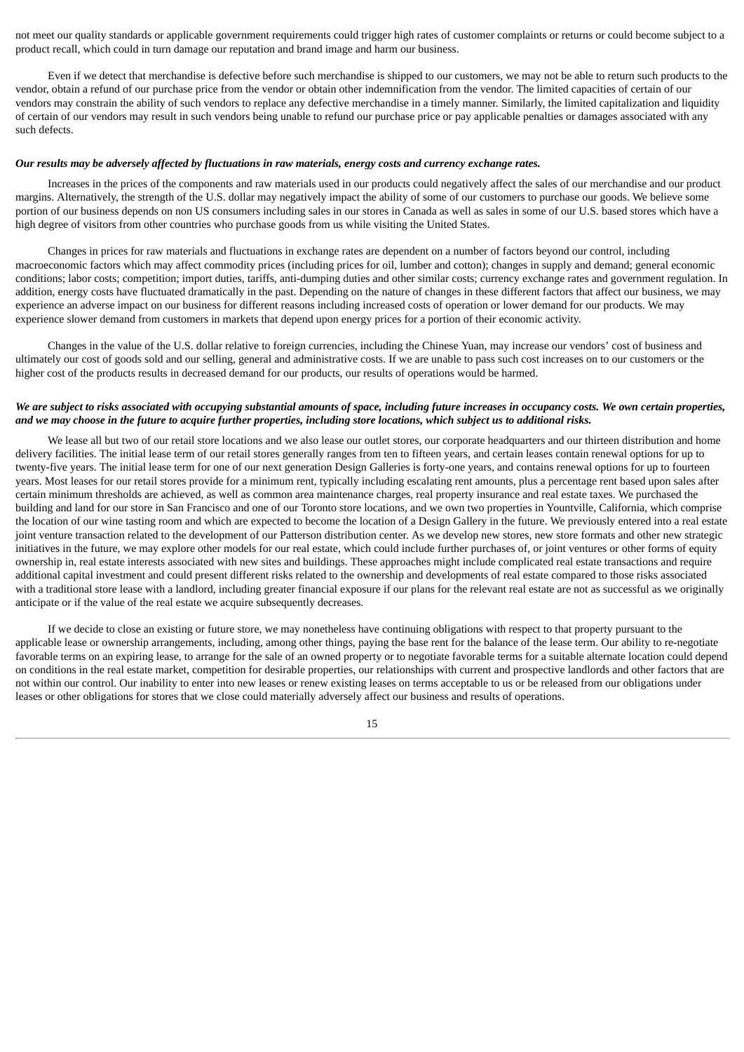not meet our quality standards or applicable government requirements could trigger high rates of customer complaints or returns or could become subject to a product recall, which could in turn damage our reputation and brand image and harm our business.

Even if we detect that merchandise is defective before such merchandise is shipped to our customers, we may not be able to return such products to the vendor, obtain a refund of our purchase price from the vendor or obtain other indemnification from the vendor. The limited capacities of certain of our vendors may constrain the ability of such vendors to replace any defective merchandise in a timely manner. Similarly, the limited capitalization and liquidity of certain of our vendors may result in such vendors being unable to refund our purchase price or pay applicable penalties or damages associated with any such defects.

#### Our results may be adversely affected by fluctuations in raw materials, energy costs and currency exchange rates.

Increases in the prices of the components and raw materials used in our products could negatively affect the sales of our merchandise and our product margins. Alternatively, the strength of the U.S. dollar may negatively impact the ability of some of our customers to purchase our goods. We believe some portion of our business depends on non US consumers including sales in our stores in Canada as well as sales in some of our U.S. based stores which have a high degree of visitors from other countries who purchase goods from us while visiting the United States.

Changes in prices for raw materials and fluctuations in exchange rates are dependent on a number of factors beyond our control, including macroeconomic factors which may affect commodity prices (including prices for oil, lumber and cotton); changes in supply and demand; general economic conditions; labor costs; competition; import duties, tariffs, anti-dumping duties and other similar costs; currency exchange rates and government regulation. In addition, energy costs have fluctuated dramatically in the past. Depending on the nature of changes in these different factors that affect our business, we may experience an adverse impact on our business for different reasons including increased costs of operation or lower demand for our products. We may experience slower demand from customers in markets that depend upon energy prices for a portion of their economic activity.

Changes in the value of the U.S. dollar relative to foreign currencies, including the Chinese Yuan, may increase our vendors' cost of business and ultimately our cost of goods sold and our selling, general and administrative costs. If we are unable to pass such cost increases on to our customers or the higher cost of the products results in decreased demand for our products, our results of operations would be harmed.

#### We are subject to risks associated with occupying substantial amounts of space, including future increases in occupancy costs. We own certain properties, and we may choose in the future to acquire further properties, including store locations, which subject us to additional risks.

We lease all but two of our retail store locations and we also lease our outlet stores, our corporate headquarters and our thirteen distribution and home delivery facilities. The initial lease term of our retail stores generally ranges from ten to fifteen years, and certain leases contain renewal options for up to twenty-five years. The initial lease term for one of our next generation Design Galleries is forty-one years, and contains renewal options for up to fourteen years. Most leases for our retail stores provide for a minimum rent, typically including escalating rent amounts, plus a percentage rent based upon sales after certain minimum thresholds are achieved, as well as common area maintenance charges, real property insurance and real estate taxes. We purchased the building and land for our store in San Francisco and one of our Toronto store locations, and we own two properties in Yountville, California, which comprise the location of our wine tasting room and which are expected to become the location of a Design Gallery in the future. We previously entered into a real estate joint venture transaction related to the development of our Patterson distribution center. As we develop new stores, new store formats and other new strategic initiatives in the future, we may explore other models for our real estate, which could include further purchases of, or joint ventures or other forms of equity ownership in, real estate interests associated with new sites and buildings. These approaches might include complicated real estate transactions and require additional capital investment and could present different risks related to the ownership and developments of real estate compared to those risks associated with a traditional store lease with a landlord, including greater financial exposure if our plans for the relevant real estate are not as successful as we originally anticipate or if the value of the real estate we acquire subsequently decreases.

If we decide to close an existing or future store, we may nonetheless have continuing obligations with respect to that property pursuant to the applicable lease or ownership arrangements, including, among other things, paying the base rent for the balance of the lease term. Our ability to re-negotiate favorable terms on an expiring lease, to arrange for the sale of an owned property or to negotiate favorable terms for a suitable alternate location could depend on conditions in the real estate market, competition for desirable properties, our relationships with current and prospective landlords and other factors that are not within our control. Our inability to enter into new leases or renew existing leases on terms acceptable to us or be released from our obligations under leases or other obligations for stores that we close could materially adversely affect our business and results of operations.

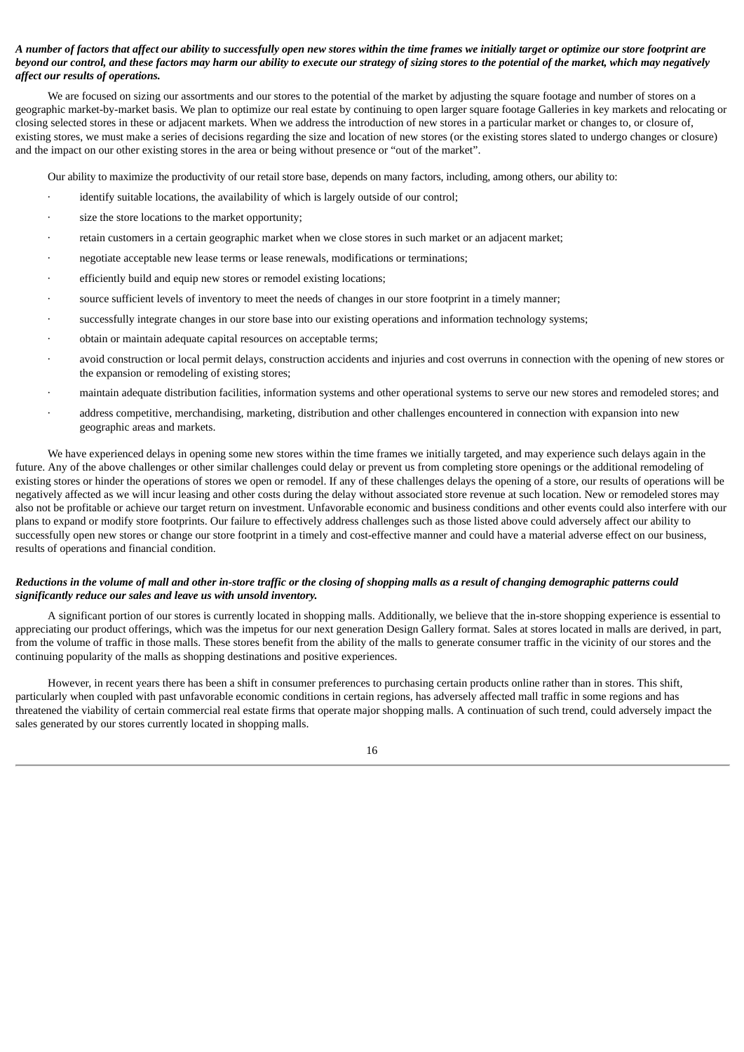## A number of factors that affect our ability to successfully open new stores within the time frames we initially target or optimize our store footprint are beyond our control, and these factors may harm our ability to execute our strategy of sizing stores to the potential of the market, which may negatively *affect our results of operations.*

We are focused on sizing our assortments and our stores to the potential of the market by adjusting the square footage and number of stores on a geographic market-by-market basis. We plan to optimize our real estate by continuing to open larger square footage Galleries in key markets and relocating or closing selected stores in these or adjacent markets. When we address the introduction of new stores in a particular market or changes to, or closure of, existing stores, we must make a series of decisions regarding the size and location of new stores (or the existing stores slated to undergo changes or closure) and the impact on our other existing stores in the area or being without presence or "out of the market".

Our ability to maximize the productivity of our retail store base, depends on many factors, including, among others, our ability to:

- identify suitable locations, the availability of which is largely outside of our control;
- size the store locations to the market opportunity:
- · retain customers in a certain geographic market when we close stores in such market or an adjacent market;
- · negotiate acceptable new lease terms or lease renewals, modifications or terminations;
- efficiently build and equip new stores or remodel existing locations;
- · source sufficient levels of inventory to meet the needs of changes in our store footprint in a timely manner;
- successfully integrate changes in our store base into our existing operations and information technology systems;
- obtain or maintain adequate capital resources on acceptable terms;
- avoid construction or local permit delays, construction accidents and injuries and cost overruns in connection with the opening of new stores or the expansion or remodeling of existing stores;
- · maintain adequate distribution facilities, information systems and other operational systems to serve our new stores and remodeled stores; and
- address competitive, merchandising, marketing, distribution and other challenges encountered in connection with expansion into new geographic areas and markets.

We have experienced delays in opening some new stores within the time frames we initially targeted, and may experience such delays again in the future. Any of the above challenges or other similar challenges could delay or prevent us from completing store openings or the additional remodeling of existing stores or hinder the operations of stores we open or remodel. If any of these challenges delays the opening of a store, our results of operations will be negatively affected as we will incur leasing and other costs during the delay without associated store revenue at such location. New or remodeled stores may also not be profitable or achieve our target return on investment. Unfavorable economic and business conditions and other events could also interfere with our plans to expand or modify store footprints. Our failure to effectively address challenges such as those listed above could adversely affect our ability to successfully open new stores or change our store footprint in a timely and cost-effective manner and could have a material adverse effect on our business, results of operations and financial condition.

## Reductions in the volume of mall and other in-store traffic or the closing of shopping malls as a result of changing demographic patterns could *significantly reduce our sales and leave us with unsold inventory.*

A significant portion of our stores is currently located in shopping malls. Additionally, we believe that the in-store shopping experience is essential to appreciating our product offerings, which was the impetus for our next generation Design Gallery format. Sales at stores located in malls are derived, in part, from the volume of traffic in those malls. These stores benefit from the ability of the malls to generate consumer traffic in the vicinity of our stores and the continuing popularity of the malls as shopping destinations and positive experiences.

However, in recent years there has been a shift in consumer preferences to purchasing certain products online rather than in stores. This shift, particularly when coupled with past unfavorable economic conditions in certain regions, has adversely affected mall traffic in some regions and has threatened the viability of certain commercial real estate firms that operate major shopping malls. A continuation of such trend, could adversely impact the sales generated by our stores currently located in shopping malls.

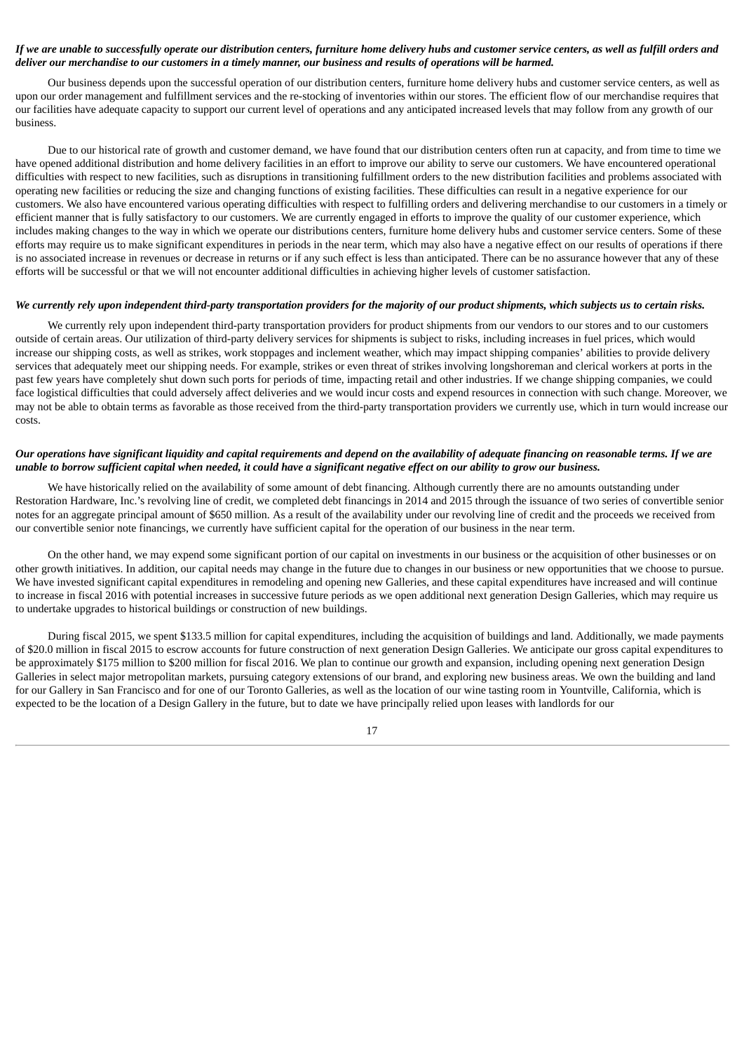#### If we are unable to successfully operate our distribution centers, furniture home delivery hubs and customer service centers, as well as fulfill orders and deliver our merchandise to our customers in a timely manner, our business and results of operations will be harmed.

Our business depends upon the successful operation of our distribution centers, furniture home delivery hubs and customer service centers, as well as upon our order management and fulfillment services and the re-stocking of inventories within our stores. The efficient flow of our merchandise requires that our facilities have adequate capacity to support our current level of operations and any anticipated increased levels that may follow from any growth of our business.

Due to our historical rate of growth and customer demand, we have found that our distribution centers often run at capacity, and from time to time we have opened additional distribution and home delivery facilities in an effort to improve our ability to serve our customers. We have encountered operational difficulties with respect to new facilities, such as disruptions in transitioning fulfillment orders to the new distribution facilities and problems associated with operating new facilities or reducing the size and changing functions of existing facilities. These difficulties can result in a negative experience for our customers. We also have encountered various operating difficulties with respect to fulfilling orders and delivering merchandise to our customers in a timely or efficient manner that is fully satisfactory to our customers. We are currently engaged in efforts to improve the quality of our customer experience, which includes making changes to the way in which we operate our distributions centers, furniture home delivery hubs and customer service centers. Some of these efforts may require us to make significant expenditures in periods in the near term, which may also have a negative effect on our results of operations if there is no associated increase in revenues or decrease in returns or if any such effect is less than anticipated. There can be no assurance however that any of these efforts will be successful or that we will not encounter additional difficulties in achieving higher levels of customer satisfaction.

#### We currently rely upon independent third-party transportation providers for the majority of our product shipments, which subjects us to certain risks.

We currently rely upon independent third-party transportation providers for product shipments from our vendors to our stores and to our customers outside of certain areas. Our utilization of third-party delivery services for shipments is subject to risks, including increases in fuel prices, which would increase our shipping costs, as well as strikes, work stoppages and inclement weather, which may impact shipping companies' abilities to provide delivery services that adequately meet our shipping needs. For example, strikes or even threat of strikes involving longshoreman and clerical workers at ports in the past few years have completely shut down such ports for periods of time, impacting retail and other industries. If we change shipping companies, we could face logistical difficulties that could adversely affect deliveries and we would incur costs and expend resources in connection with such change. Moreover, we may not be able to obtain terms as favorable as those received from the third-party transportation providers we currently use, which in turn would increase our costs.

#### Our operations have significant liquidity and capital requirements and depend on the availability of adequate financing on reasonable terms. If we are unable to borrow sufficient capital when needed, it could have a significant negative effect on our ability to grow our business.

We have historically relied on the availability of some amount of debt financing. Although currently there are no amounts outstanding under Restoration Hardware, Inc.'s revolving line of credit, we completed debt financings in 2014 and 2015 through the issuance of two series of convertible senior notes for an aggregate principal amount of \$650 million. As a result of the availability under our revolving line of credit and the proceeds we received from our convertible senior note financings, we currently have sufficient capital for the operation of our business in the near term.

On the other hand, we may expend some significant portion of our capital on investments in our business or the acquisition of other businesses or on other growth initiatives. In addition, our capital needs may change in the future due to changes in our business or new opportunities that we choose to pursue. We have invested significant capital expenditures in remodeling and opening new Galleries, and these capital expenditures have increased and will continue to increase in fiscal 2016 with potential increases in successive future periods as we open additional next generation Design Galleries, which may require us to undertake upgrades to historical buildings or construction of new buildings.

During fiscal 2015, we spent \$133.5 million for capital expenditures, including the acquisition of buildings and land. Additionally, we made payments of \$20.0 million in fiscal 2015 to escrow accounts for future construction of next generation Design Galleries. We anticipate our gross capital expenditures to be approximately \$175 million to \$200 million for fiscal 2016. We plan to continue our growth and expansion, including opening next generation Design Galleries in select major metropolitan markets, pursuing category extensions of our brand, and exploring new business areas. We own the building and land for our Gallery in San Francisco and for one of our Toronto Galleries, as well as the location of our wine tasting room in Yountville, California, which is expected to be the location of a Design Gallery in the future, but to date we have principally relied upon leases with landlords for our

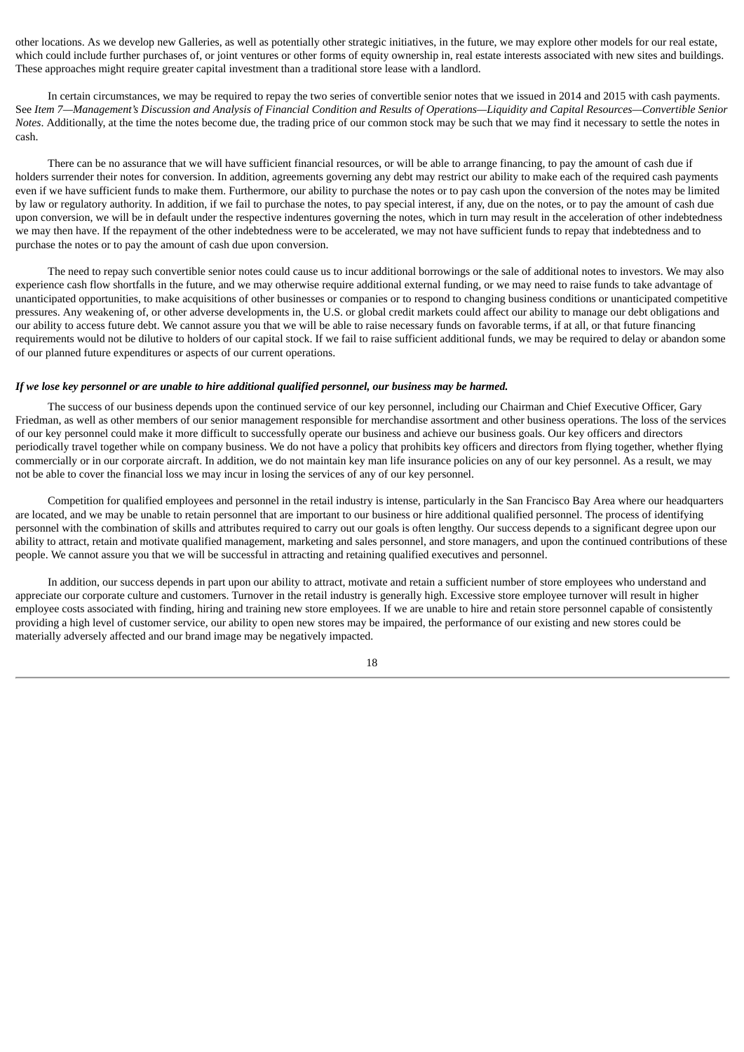other locations. As we develop new Galleries, as well as potentially other strategic initiatives, in the future, we may explore other models for our real estate, which could include further purchases of, or joint ventures or other forms of equity ownership in, real estate interests associated with new sites and buildings. These approaches might require greater capital investment than a traditional store lease with a landlord.

In certain circumstances, we may be required to repay the two series of convertible senior notes that we issued in 2014 and 2015 with cash payments. See Item 7—Management's Discussion and Analysis of Financial Condition and Results of Operations—Liquidity and Capital Resources—Convertible Senior *Notes*. Additionally, at the time the notes become due, the trading price of our common stock may be such that we may find it necessary to settle the notes in cash.

There can be no assurance that we will have sufficient financial resources, or will be able to arrange financing, to pay the amount of cash due if holders surrender their notes for conversion. In addition, agreements governing any debt may restrict our ability to make each of the required cash payments even if we have sufficient funds to make them. Furthermore, our ability to purchase the notes or to pay cash upon the conversion of the notes may be limited by law or regulatory authority. In addition, if we fail to purchase the notes, to pay special interest, if any, due on the notes, or to pay the amount of cash due upon conversion, we will be in default under the respective indentures governing the notes, which in turn may result in the acceleration of other indebtedness we may then have. If the repayment of the other indebtedness were to be accelerated, we may not have sufficient funds to repay that indebtedness and to purchase the notes or to pay the amount of cash due upon conversion.

The need to repay such convertible senior notes could cause us to incur additional borrowings or the sale of additional notes to investors. We may also experience cash flow shortfalls in the future, and we may otherwise require additional external funding, or we may need to raise funds to take advantage of unanticipated opportunities, to make acquisitions of other businesses or companies or to respond to changing business conditions or unanticipated competitive pressures. Any weakening of, or other adverse developments in, the U.S. or global credit markets could affect our ability to manage our debt obligations and our ability to access future debt. We cannot assure you that we will be able to raise necessary funds on favorable terms, if at all, or that future financing requirements would not be dilutive to holders of our capital stock. If we fail to raise sufficient additional funds, we may be required to delay or abandon some of our planned future expenditures or aspects of our current operations.

#### If we lose key personnel or are unable to hire additional qualified personnel, our business may be harmed.

The success of our business depends upon the continued service of our key personnel, including our Chairman and Chief Executive Officer, Gary Friedman, as well as other members of our senior management responsible for merchandise assortment and other business operations. The loss of the services of our key personnel could make it more difficult to successfully operate our business and achieve our business goals. Our key officers and directors periodically travel together while on company business. We do not have a policy that prohibits key officers and directors from flying together, whether flying commercially or in our corporate aircraft. In addition, we do not maintain key man life insurance policies on any of our key personnel. As a result, we may not be able to cover the financial loss we may incur in losing the services of any of our key personnel.

Competition for qualified employees and personnel in the retail industry is intense, particularly in the San Francisco Bay Area where our headquarters are located, and we may be unable to retain personnel that are important to our business or hire additional qualified personnel. The process of identifying personnel with the combination of skills and attributes required to carry out our goals is often lengthy. Our success depends to a significant degree upon our ability to attract, retain and motivate qualified management, marketing and sales personnel, and store managers, and upon the continued contributions of these people. We cannot assure you that we will be successful in attracting and retaining qualified executives and personnel.

In addition, our success depends in part upon our ability to attract, motivate and retain a sufficient number of store employees who understand and appreciate our corporate culture and customers. Turnover in the retail industry is generally high. Excessive store employee turnover will result in higher employee costs associated with finding, hiring and training new store employees. If we are unable to hire and retain store personnel capable of consistently providing a high level of customer service, our ability to open new stores may be impaired, the performance of our existing and new stores could be materially adversely affected and our brand image may be negatively impacted.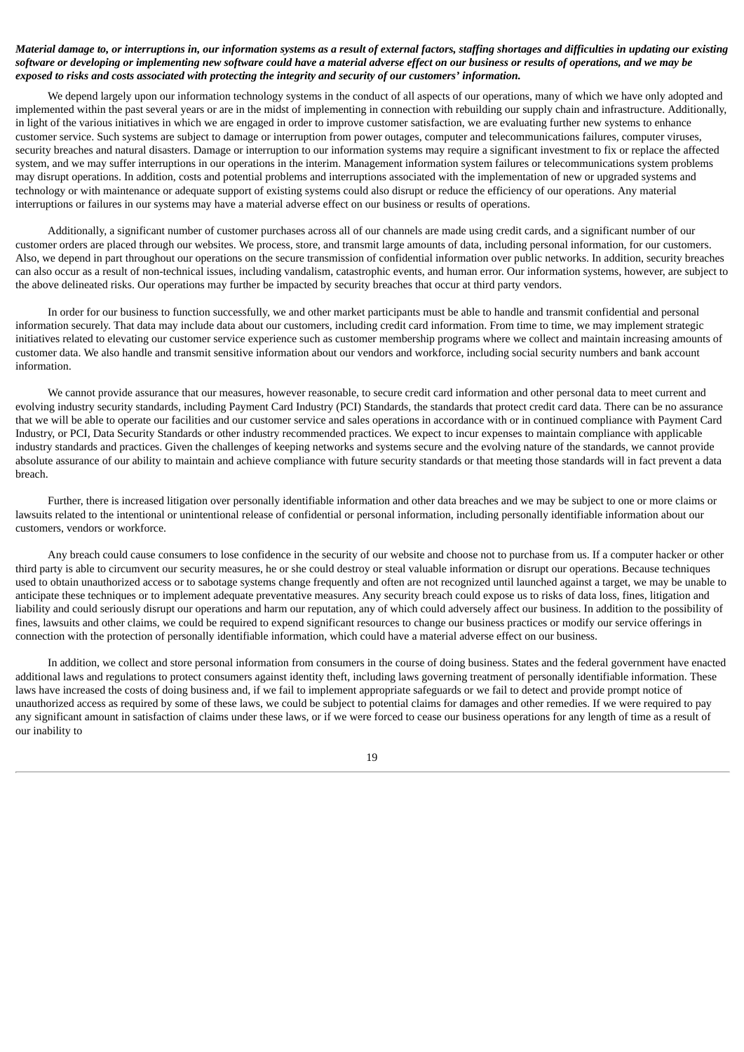## Material damage to, or interruptions in, our information systems as a result of external factors, staffing shortages and difficulties in updating our existing software or developing or implementing new software could have a material adverse effect on our business or results of operations, and we may be *exposed to risks and costs associated with protecting the integrity and security of our customers' information.*

We depend largely upon our information technology systems in the conduct of all aspects of our operations, many of which we have only adopted and implemented within the past several years or are in the midst of implementing in connection with rebuilding our supply chain and infrastructure. Additionally, in light of the various initiatives in which we are engaged in order to improve customer satisfaction, we are evaluating further new systems to enhance customer service. Such systems are subject to damage or interruption from power outages, computer and telecommunications failures, computer viruses, security breaches and natural disasters. Damage or interruption to our information systems may require a significant investment to fix or replace the affected system, and we may suffer interruptions in our operations in the interim. Management information system failures or telecommunications system problems may disrupt operations. In addition, costs and potential problems and interruptions associated with the implementation of new or upgraded systems and technology or with maintenance or adequate support of existing systems could also disrupt or reduce the efficiency of our operations. Any material interruptions or failures in our systems may have a material adverse effect on our business or results of operations.

Additionally, a significant number of customer purchases across all of our channels are made using credit cards, and a significant number of our customer orders are placed through our websites. We process, store, and transmit large amounts of data, including personal information, for our customers. Also, we depend in part throughout our operations on the secure transmission of confidential information over public networks. In addition, security breaches can also occur as a result of non-technical issues, including vandalism, catastrophic events, and human error. Our information systems, however, are subject to the above delineated risks. Our operations may further be impacted by security breaches that occur at third party vendors.

In order for our business to function successfully, we and other market participants must be able to handle and transmit confidential and personal information securely. That data may include data about our customers, including credit card information. From time to time, we may implement strategic initiatives related to elevating our customer service experience such as customer membership programs where we collect and maintain increasing amounts of customer data. We also handle and transmit sensitive information about our vendors and workforce, including social security numbers and bank account information.

We cannot provide assurance that our measures, however reasonable, to secure credit card information and other personal data to meet current and evolving industry security standards, including Payment Card Industry (PCI) Standards, the standards that protect credit card data. There can be no assurance that we will be able to operate our facilities and our customer service and sales operations in accordance with or in continued compliance with Payment Card Industry, or PCI, Data Security Standards or other industry recommended practices. We expect to incur expenses to maintain compliance with applicable industry standards and practices. Given the challenges of keeping networks and systems secure and the evolving nature of the standards, we cannot provide absolute assurance of our ability to maintain and achieve compliance with future security standards or that meeting those standards will in fact prevent a data breach.

Further, there is increased litigation over personally identifiable information and other data breaches and we may be subject to one or more claims or lawsuits related to the intentional or unintentional release of confidential or personal information, including personally identifiable information about our customers, vendors or workforce.

Any breach could cause consumers to lose confidence in the security of our website and choose not to purchase from us. If a computer hacker or other third party is able to circumvent our security measures, he or she could destroy or steal valuable information or disrupt our operations. Because techniques used to obtain unauthorized access or to sabotage systems change frequently and often are not recognized until launched against a target, we may be unable to anticipate these techniques or to implement adequate preventative measures. Any security breach could expose us to risks of data loss, fines, litigation and liability and could seriously disrupt our operations and harm our reputation, any of which could adversely affect our business. In addition to the possibility of fines, lawsuits and other claims, we could be required to expend significant resources to change our business practices or modify our service offerings in connection with the protection of personally identifiable information, which could have a material adverse effect on our business.

In addition, we collect and store personal information from consumers in the course of doing business. States and the federal government have enacted additional laws and regulations to protect consumers against identity theft, including laws governing treatment of personally identifiable information. These laws have increased the costs of doing business and, if we fail to implement appropriate safeguards or we fail to detect and provide prompt notice of unauthorized access as required by some of these laws, we could be subject to potential claims for damages and other remedies. If we were required to pay any significant amount in satisfaction of claims under these laws, or if we were forced to cease our business operations for any length of time as a result of our inability to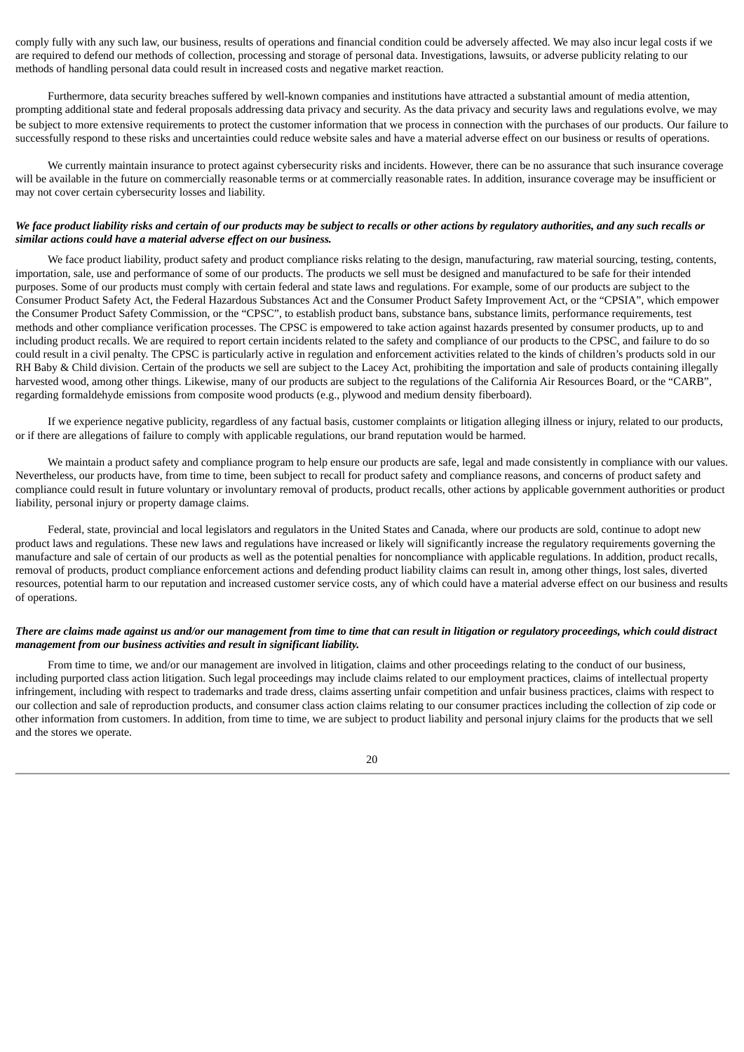comply fully with any such law, our business, results of operations and financial condition could be adversely affected. We may also incur legal costs if we are required to defend our methods of collection, processing and storage of personal data. Investigations, lawsuits, or adverse publicity relating to our methods of handling personal data could result in increased costs and negative market reaction.

Furthermore, data security breaches suffered by well-known companies and institutions have attracted a substantial amount of media attention, prompting additional state and federal proposals addressing data privacy and security. As the data privacy and security laws and regulations evolve, we may be subject to more extensive requirements to protect the customer information that we process in connection with the purchases of our products. Our failure to successfully respond to these risks and uncertainties could reduce website sales and have a material adverse effect on our business or results of operations.

We currently maintain insurance to protect against cybersecurity risks and incidents. However, there can be no assurance that such insurance coverage will be available in the future on commercially reasonable terms or at commercially reasonable rates. In addition, insurance coverage may be insufficient or may not cover certain cybersecurity losses and liability.

## We face product liability risks and certain of our products may be subject to recalls or other actions by regulatory authorities, and any such recalls or *similar actions could have a material adverse effect on our business.*

We face product liability, product safety and product compliance risks relating to the design, manufacturing, raw material sourcing, testing, contents, importation, sale, use and performance of some of our products. The products we sell must be designed and manufactured to be safe for their intended purposes. Some of our products must comply with certain federal and state laws and regulations. For example, some of our products are subject to the Consumer Product Safety Act, the Federal Hazardous Substances Act and the Consumer Product Safety Improvement Act, or the "CPSIA", which empower the Consumer Product Safety Commission, or the "CPSC", to establish product bans, substance bans, substance limits, performance requirements, test methods and other compliance verification processes. The CPSC is empowered to take action against hazards presented by consumer products, up to and including product recalls. We are required to report certain incidents related to the safety and compliance of our products to the CPSC, and failure to do so could result in a civil penalty. The CPSC is particularly active in regulation and enforcement activities related to the kinds of children's products sold in our RH Baby & Child division. Certain of the products we sell are subject to the Lacey Act, prohibiting the importation and sale of products containing illegally harvested wood, among other things. Likewise, many of our products are subject to the regulations of the California Air Resources Board, or the "CARB", regarding formaldehyde emissions from composite wood products (e.g., plywood and medium density fiberboard).

If we experience negative publicity, regardless of any factual basis, customer complaints or litigation alleging illness or injury, related to our products, or if there are allegations of failure to comply with applicable regulations, our brand reputation would be harmed.

We maintain a product safety and compliance program to help ensure our products are safe, legal and made consistently in compliance with our values. Nevertheless, our products have, from time to time, been subject to recall for product safety and compliance reasons, and concerns of product safety and compliance could result in future voluntary or involuntary removal of products, product recalls, other actions by applicable government authorities or product liability, personal injury or property damage claims.

Federal, state, provincial and local legislators and regulators in the United States and Canada, where our products are sold, continue to adopt new product laws and regulations. These new laws and regulations have increased or likely will significantly increase the regulatory requirements governing the manufacture and sale of certain of our products as well as the potential penalties for noncompliance with applicable regulations. In addition, product recalls, removal of products, product compliance enforcement actions and defending product liability claims can result in, among other things, lost sales, diverted resources, potential harm to our reputation and increased customer service costs, any of which could have a material adverse effect on our business and results of operations.

### There are claims made against us and/or our management from time to time that can result in litigation or regulatory proceedings, which could distract *management from our business activities and result in significant liability.*

From time to time, we and/or our management are involved in litigation, claims and other proceedings relating to the conduct of our business, including purported class action litigation. Such legal proceedings may include claims related to our employment practices, claims of intellectual property infringement, including with respect to trademarks and trade dress, claims asserting unfair competition and unfair business practices, claims with respect to our collection and sale of reproduction products, and consumer class action claims relating to our consumer practices including the collection of zip code or other information from customers. In addition, from time to time, we are subject to product liability and personal injury claims for the products that we sell and the stores we operate.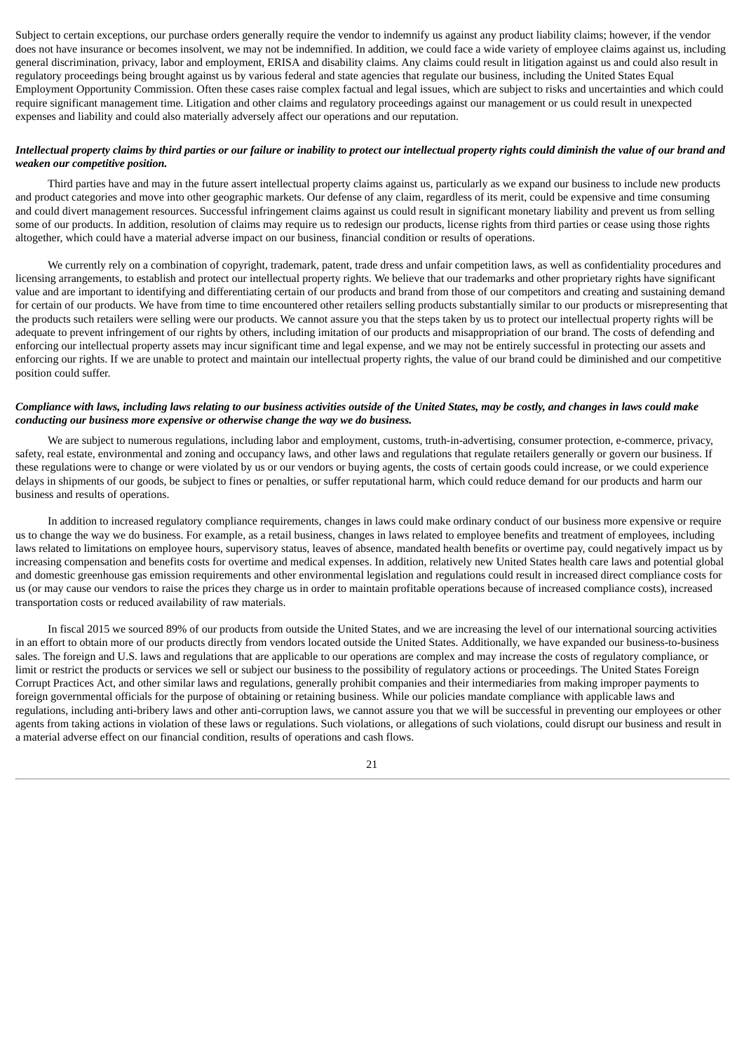Subject to certain exceptions, our purchase orders generally require the vendor to indemnify us against any product liability claims; however, if the vendor does not have insurance or becomes insolvent, we may not be indemnified. In addition, we could face a wide variety of employee claims against us, including general discrimination, privacy, labor and employment, ERISA and disability claims. Any claims could result in litigation against us and could also result in regulatory proceedings being brought against us by various federal and state agencies that regulate our business, including the United States Equal Employment Opportunity Commission. Often these cases raise complex factual and legal issues, which are subject to risks and uncertainties and which could require significant management time. Litigation and other claims and regulatory proceedings against our management or us could result in unexpected expenses and liability and could also materially adversely affect our operations and our reputation.

### Intellectual property claims by third parties or our failure or inability to protect our intellectual property rights could diminish the value of our brand and *weaken our competitive position.*

Third parties have and may in the future assert intellectual property claims against us, particularly as we expand our business to include new products and product categories and move into other geographic markets. Our defense of any claim, regardless of its merit, could be expensive and time consuming and could divert management resources. Successful infringement claims against us could result in significant monetary liability and prevent us from selling some of our products. In addition, resolution of claims may require us to redesign our products, license rights from third parties or cease using those rights altogether, which could have a material adverse impact on our business, financial condition or results of operations.

We currently rely on a combination of copyright, trademark, patent, trade dress and unfair competition laws, as well as confidentiality procedures and licensing arrangements, to establish and protect our intellectual property rights. We believe that our trademarks and other proprietary rights have significant value and are important to identifying and differentiating certain of our products and brand from those of our competitors and creating and sustaining demand for certain of our products. We have from time to time encountered other retailers selling products substantially similar to our products or misrepresenting that the products such retailers were selling were our products. We cannot assure you that the steps taken by us to protect our intellectual property rights will be adequate to prevent infringement of our rights by others, including imitation of our products and misappropriation of our brand. The costs of defending and enforcing our intellectual property assets may incur significant time and legal expense, and we may not be entirely successful in protecting our assets and enforcing our rights. If we are unable to protect and maintain our intellectual property rights, the value of our brand could be diminished and our competitive position could suffer.

#### Compliance with laws, including laws relating to our business activities outside of the United States, may be costly, and changes in laws could make *conducting our business more expensive or otherwise change the way we do business.*

We are subject to numerous regulations, including labor and employment, customs, truth-in-advertising, consumer protection, e-commerce, privacy, safety, real estate, environmental and zoning and occupancy laws, and other laws and regulations that regulate retailers generally or govern our business. If these regulations were to change or were violated by us or our vendors or buying agents, the costs of certain goods could increase, or we could experience delays in shipments of our goods, be subject to fines or penalties, or suffer reputational harm, which could reduce demand for our products and harm our business and results of operations.

In addition to increased regulatory compliance requirements, changes in laws could make ordinary conduct of our business more expensive or require us to change the way we do business. For example, as a retail business, changes in laws related to employee benefits and treatment of employees, including laws related to limitations on employee hours, supervisory status, leaves of absence, mandated health benefits or overtime pay, could negatively impact us by increasing compensation and benefits costs for overtime and medical expenses. In addition, relatively new United States health care laws and potential global and domestic greenhouse gas emission requirements and other environmental legislation and regulations could result in increased direct compliance costs for us (or may cause our vendors to raise the prices they charge us in order to maintain profitable operations because of increased compliance costs), increased transportation costs or reduced availability of raw materials.

In fiscal 2015 we sourced 89% of our products from outside the United States, and we are increasing the level of our international sourcing activities in an effort to obtain more of our products directly from vendors located outside the United States. Additionally, we have expanded our business-to-business sales. The foreign and U.S. laws and regulations that are applicable to our operations are complex and may increase the costs of regulatory compliance, or limit or restrict the products or services we sell or subject our business to the possibility of regulatory actions or proceedings. The United States Foreign Corrupt Practices Act, and other similar laws and regulations, generally prohibit companies and their intermediaries from making improper payments to foreign governmental officials for the purpose of obtaining or retaining business. While our policies mandate compliance with applicable laws and regulations, including anti-bribery laws and other anti-corruption laws, we cannot assure you that we will be successful in preventing our employees or other agents from taking actions in violation of these laws or regulations. Such violations, or allegations of such violations, could disrupt our business and result in a material adverse effect on our financial condition, results of operations and cash flows.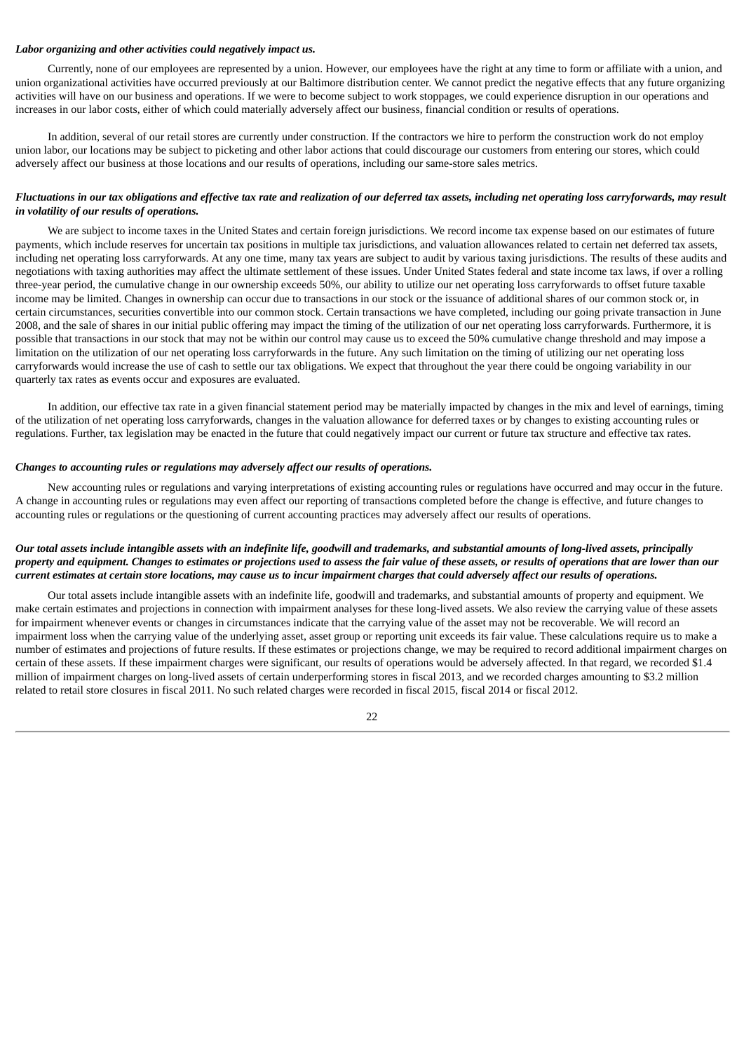#### *Labor organizing and other activities could negatively impact us.*

Currently, none of our employees are represented by a union. However, our employees have the right at any time to form or affiliate with a union, and union organizational activities have occurred previously at our Baltimore distribution center. We cannot predict the negative effects that any future organizing activities will have on our business and operations. If we were to become subject to work stoppages, we could experience disruption in our operations and increases in our labor costs, either of which could materially adversely affect our business, financial condition or results of operations.

In addition, several of our retail stores are currently under construction. If the contractors we hire to perform the construction work do not employ union labor, our locations may be subject to picketing and other labor actions that could discourage our customers from entering our stores, which could adversely affect our business at those locations and our results of operations, including our same-store sales metrics.

## Fluctuations in our tax obligations and effective tax rate and realization of our deferred tax assets, including net operating loss carryforwards, may result *in volatility of our results of operations.*

We are subject to income taxes in the United States and certain foreign jurisdictions. We record income tax expense based on our estimates of future payments, which include reserves for uncertain tax positions in multiple tax jurisdictions, and valuation allowances related to certain net deferred tax assets, including net operating loss carryforwards. At any one time, many tax years are subject to audit by various taxing jurisdictions. The results of these audits and negotiations with taxing authorities may affect the ultimate settlement of these issues. Under United States federal and state income tax laws, if over a rolling three-year period, the cumulative change in our ownership exceeds 50%, our ability to utilize our net operating loss carryforwards to offset future taxable income may be limited. Changes in ownership can occur due to transactions in our stock or the issuance of additional shares of our common stock or, in certain circumstances, securities convertible into our common stock. Certain transactions we have completed, including our going private transaction in June 2008, and the sale of shares in our initial public offering may impact the timing of the utilization of our net operating loss carryforwards. Furthermore, it is possible that transactions in our stock that may not be within our control may cause us to exceed the 50% cumulative change threshold and may impose a limitation on the utilization of our net operating loss carryforwards in the future. Any such limitation on the timing of utilizing our net operating loss carryforwards would increase the use of cash to settle our tax obligations. We expect that throughout the year there could be ongoing variability in our quarterly tax rates as events occur and exposures are evaluated.

In addition, our effective tax rate in a given financial statement period may be materially impacted by changes in the mix and level of earnings, timing of the utilization of net operating loss carryforwards, changes in the valuation allowance for deferred taxes or by changes to existing accounting rules or regulations. Further, tax legislation may be enacted in the future that could negatively impact our current or future tax structure and effective tax rates.

#### *Changes to accounting rules or regulations may adversely affect our results of operations.*

New accounting rules or regulations and varying interpretations of existing accounting rules or regulations have occurred and may occur in the future. A change in accounting rules or regulations may even affect our reporting of transactions completed before the change is effective, and future changes to accounting rules or regulations or the questioning of current accounting practices may adversely affect our results of operations.

## Our total assets include intangible assets with an indefinite life, goodwill and trademarks, and substantial amounts of long-lived assets, principally property and equipment. Changes to estimates or projections used to assess the fair value of these assets, or results of operations that are lower than our current estimates at certain store locations, may cause us to incur impairment charges that could adversely affect our results of operations.

Our total assets include intangible assets with an indefinite life, goodwill and trademarks, and substantial amounts of property and equipment. We make certain estimates and projections in connection with impairment analyses for these long-lived assets. We also review the carrying value of these assets for impairment whenever events or changes in circumstances indicate that the carrying value of the asset may not be recoverable. We will record an impairment loss when the carrying value of the underlying asset, asset group or reporting unit exceeds its fair value. These calculations require us to make a number of estimates and projections of future results. If these estimates or projections change, we may be required to record additional impairment charges on certain of these assets. If these impairment charges were significant, our results of operations would be adversely affected. In that regard, we recorded \$1.4 million of impairment charges on long-lived assets of certain underperforming stores in fiscal 2013, and we recorded charges amounting to \$3.2 million related to retail store closures in fiscal 2011. No such related charges were recorded in fiscal 2015, fiscal 2014 or fiscal 2012.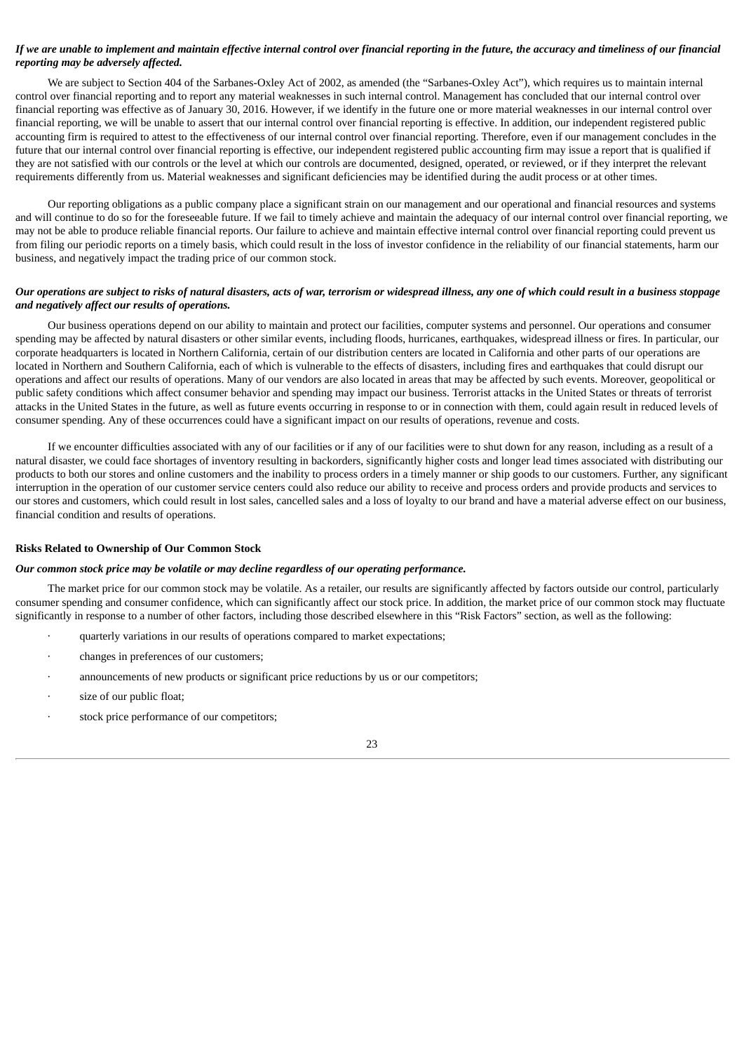## If we are unable to implement and maintain effective internal control over financial reporting in the future, the accuracy and timeliness of our financial *reporting may be adversely affected.*

We are subject to Section 404 of the Sarbanes-Oxley Act of 2002, as amended (the "Sarbanes-Oxley Act"), which requires us to maintain internal control over financial reporting and to report any material weaknesses in such internal control. Management has concluded that our internal control over financial reporting was effective as of January 30, 2016. However, if we identify in the future one or more material weaknesses in our internal control over financial reporting, we will be unable to assert that our internal control over financial reporting is effective. In addition, our independent registered public accounting firm is required to attest to the effectiveness of our internal control over financial reporting. Therefore, even if our management concludes in the future that our internal control over financial reporting is effective, our independent registered public accounting firm may issue a report that is qualified if they are not satisfied with our controls or the level at which our controls are documented, designed, operated, or reviewed, or if they interpret the relevant requirements differently from us. Material weaknesses and significant deficiencies may be identified during the audit process or at other times.

Our reporting obligations as a public company place a significant strain on our management and our operational and financial resources and systems and will continue to do so for the foreseeable future. If we fail to timely achieve and maintain the adequacy of our internal control over financial reporting, we may not be able to produce reliable financial reports. Our failure to achieve and maintain effective internal control over financial reporting could prevent us from filing our periodic reports on a timely basis, which could result in the loss of investor confidence in the reliability of our financial statements, harm our business, and negatively impact the trading price of our common stock.

#### Our operations are subject to risks of natural disasters, acts of war, terrorism or widespread illness, any one of which could result in a business stoppage *and negatively affect our results of operations.*

Our business operations depend on our ability to maintain and protect our facilities, computer systems and personnel. Our operations and consumer spending may be affected by natural disasters or other similar events, including floods, hurricanes, earthquakes, widespread illness or fires. In particular, our corporate headquarters is located in Northern California, certain of our distribution centers are located in California and other parts of our operations are located in Northern and Southern California, each of which is vulnerable to the effects of disasters, including fires and earthquakes that could disrupt our operations and affect our results of operations. Many of our vendors are also located in areas that may be affected by such events. Moreover, geopolitical or public safety conditions which affect consumer behavior and spending may impact our business. Terrorist attacks in the United States or threats of terrorist attacks in the United States in the future, as well as future events occurring in response to or in connection with them, could again result in reduced levels of consumer spending. Any of these occurrences could have a significant impact on our results of operations, revenue and costs.

If we encounter difficulties associated with any of our facilities or if any of our facilities were to shut down for any reason, including as a result of a natural disaster, we could face shortages of inventory resulting in backorders, significantly higher costs and longer lead times associated with distributing our products to both our stores and online customers and the inability to process orders in a timely manner or ship goods to our customers. Further, any significant interruption in the operation of our customer service centers could also reduce our ability to receive and process orders and provide products and services to our stores and customers, which could result in lost sales, cancelled sales and a loss of loyalty to our brand and have a material adverse effect on our business, financial condition and results of operations.

## **Risks Related to Ownership of Our Common Stock**

#### *Our common stock price may be volatile or may decline regardless of our operating performance.*

The market price for our common stock may be volatile. As a retailer, our results are significantly affected by factors outside our control, particularly consumer spending and consumer confidence, which can significantly affect our stock price. In addition, the market price of our common stock may fluctuate significantly in response to a number of other factors, including those described elsewhere in this "Risk Factors" section, as well as the following:

- quarterly variations in our results of operations compared to market expectations;
- · changes in preferences of our customers;
- announcements of new products or significant price reductions by us or our competitors;
- size of our public float;
- stock price performance of our competitors;

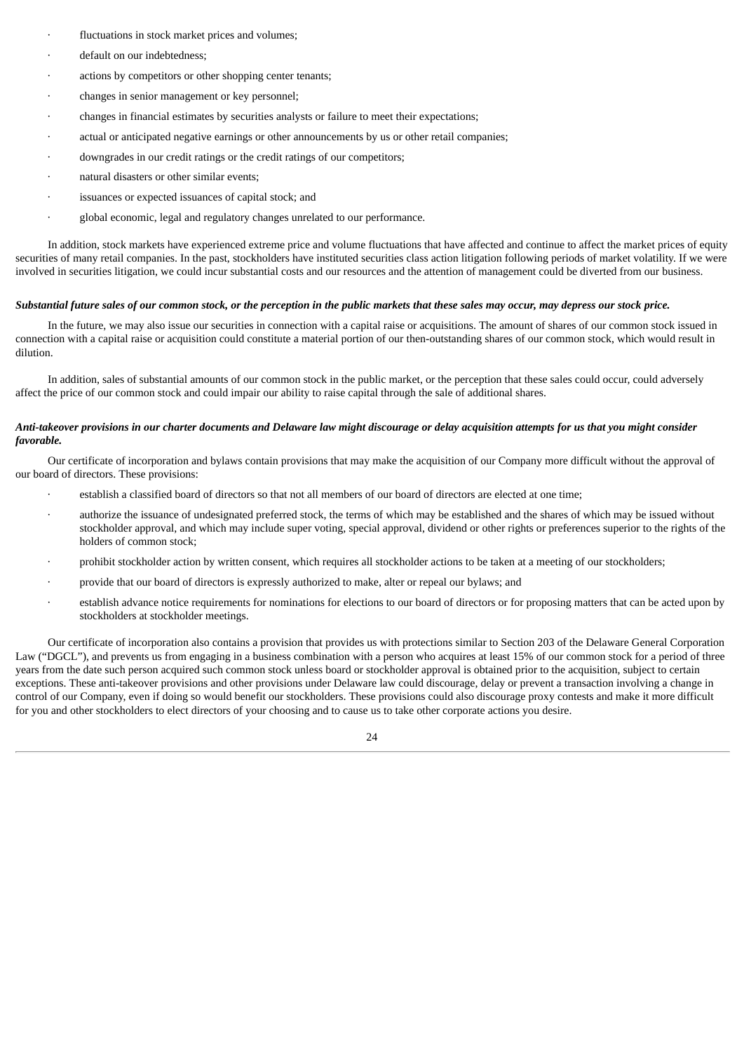- fluctuations in stock market prices and volumes;
- default on our indebtedness:
- actions by competitors or other shopping center tenants;
- · changes in senior management or key personnel;
- · changes in financial estimates by securities analysts or failure to meet their expectations;
- · actual or anticipated negative earnings or other announcements by us or other retail companies;
- downgrades in our credit ratings or the credit ratings of our competitors;
- natural disasters or other similar events;
- issuances or expected issuances of capital stock; and
- · global economic, legal and regulatory changes unrelated to our performance.

In addition, stock markets have experienced extreme price and volume fluctuations that have affected and continue to affect the market prices of equity securities of many retail companies. In the past, stockholders have instituted securities class action litigation following periods of market volatility. If we were involved in securities litigation, we could incur substantial costs and our resources and the attention of management could be diverted from our business.

#### Substantial future sales of our common stock, or the perception in the public markets that these sales may occur, may depress our stock price.

In the future, we may also issue our securities in connection with a capital raise or acquisitions. The amount of shares of our common stock issued in connection with a capital raise or acquisition could constitute a material portion of our then-outstanding shares of our common stock, which would result in dilution.

In addition, sales of substantial amounts of our common stock in the public market, or the perception that these sales could occur, could adversely affect the price of our common stock and could impair our ability to raise capital through the sale of additional shares.

#### Anti-takeover provisions in our charter documents and Delaware law might discourage or delay acquisition attempts for us that you might consider *favorable.*

Our certificate of incorporation and bylaws contain provisions that may make the acquisition of our Company more difficult without the approval of our board of directors. These provisions:

- establish a classified board of directors so that not all members of our board of directors are elected at one time;
- · authorize the issuance of undesignated preferred stock, the terms of which may be established and the shares of which may be issued without stockholder approval, and which may include super voting, special approval, dividend or other rights or preferences superior to the rights of the holders of common stock;
- prohibit stockholder action by written consent, which requires all stockholder actions to be taken at a meeting of our stockholders;
- · provide that our board of directors is expressly authorized to make, alter or repeal our bylaws; and
- establish advance notice requirements for nominations for elections to our board of directors or for proposing matters that can be acted upon by stockholders at stockholder meetings.

Our certificate of incorporation also contains a provision that provides us with protections similar to Section 203 of the Delaware General Corporation Law ("DGCL"), and prevents us from engaging in a business combination with a person who acquires at least 15% of our common stock for a period of three years from the date such person acquired such common stock unless board or stockholder approval is obtained prior to the acquisition, subject to certain exceptions. These anti-takeover provisions and other provisions under Delaware law could discourage, delay or prevent a transaction involving a change in control of our Company, even if doing so would benefit our stockholders. These provisions could also discourage proxy contests and make it more difficult for you and other stockholders to elect directors of your choosing and to cause us to take other corporate actions you desire.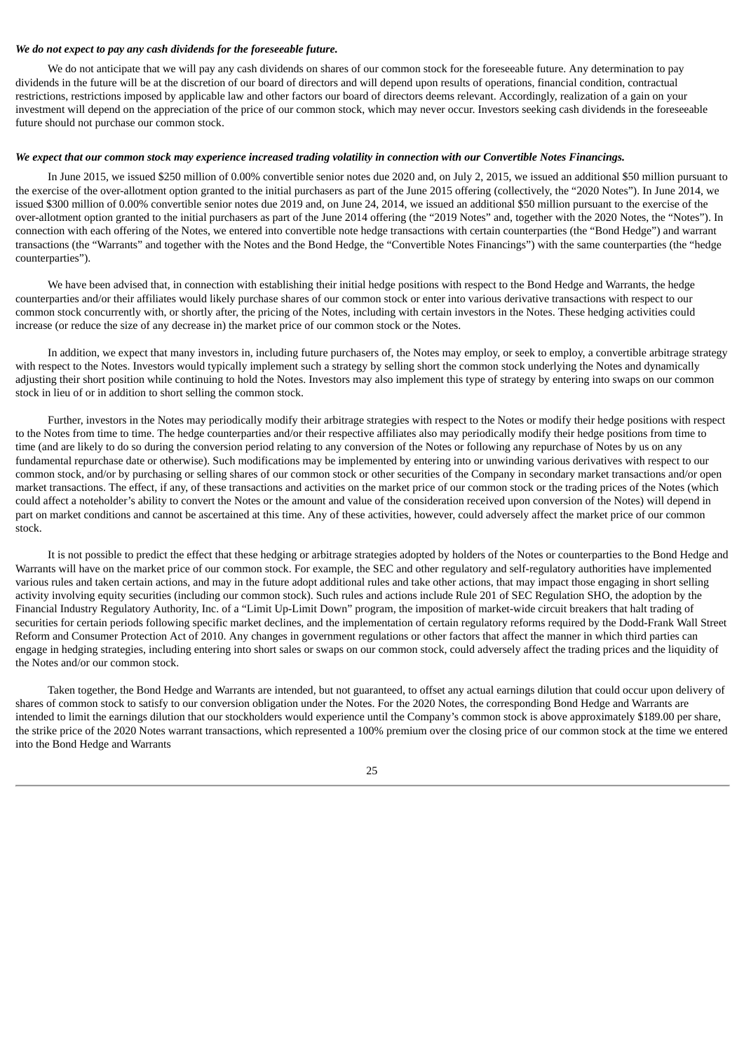#### *We do not expect to pay any cash dividends for the foreseeable future.*

We do not anticipate that we will pay any cash dividends on shares of our common stock for the foreseeable future. Any determination to pay dividends in the future will be at the discretion of our board of directors and will depend upon results of operations, financial condition, contractual restrictions, restrictions imposed by applicable law and other factors our board of directors deems relevant. Accordingly, realization of a gain on your investment will depend on the appreciation of the price of our common stock, which may never occur. Investors seeking cash dividends in the foreseeable future should not purchase our common stock.

#### We expect that our common stock may experience increased trading volatility in connection with our Convertible Notes Financings.

In June 2015, we issued \$250 million of 0.00% convertible senior notes due 2020 and, on July 2, 2015, we issued an additional \$50 million pursuant to the exercise of the over-allotment option granted to the initial purchasers as part of the June 2015 offering (collectively, the "2020 Notes"). In June 2014, we issued \$300 million of 0.00% convertible senior notes due 2019 and, on June 24, 2014, we issued an additional \$50 million pursuant to the exercise of the over-allotment option granted to the initial purchasers as part of the June 2014 offering (the "2019 Notes" and, together with the 2020 Notes, the "Notes"). In connection with each offering of the Notes, we entered into convertible note hedge transactions with certain counterparties (the "Bond Hedge") and warrant transactions (the "Warrants" and together with the Notes and the Bond Hedge, the "Convertible Notes Financings") with the same counterparties (the "hedge counterparties").

We have been advised that, in connection with establishing their initial hedge positions with respect to the Bond Hedge and Warrants, the hedge counterparties and/or their affiliates would likely purchase shares of our common stock or enter into various derivative transactions with respect to our common stock concurrently with, or shortly after, the pricing of the Notes, including with certain investors in the Notes. These hedging activities could increase (or reduce the size of any decrease in) the market price of our common stock or the Notes.

In addition, we expect that many investors in, including future purchasers of, the Notes may employ, or seek to employ, a convertible arbitrage strategy with respect to the Notes. Investors would typically implement such a strategy by selling short the common stock underlying the Notes and dynamically adjusting their short position while continuing to hold the Notes. Investors may also implement this type of strategy by entering into swaps on our common stock in lieu of or in addition to short selling the common stock.

Further, investors in the Notes may periodically modify their arbitrage strategies with respect to the Notes or modify their hedge positions with respect to the Notes from time to time. The hedge counterparties and/or their respective affiliates also may periodically modify their hedge positions from time to time (and are likely to do so during the conversion period relating to any conversion of the Notes or following any repurchase of Notes by us on any fundamental repurchase date or otherwise). Such modifications may be implemented by entering into or unwinding various derivatives with respect to our common stock, and/or by purchasing or selling shares of our common stock or other securities of the Company in secondary market transactions and/or open market transactions. The effect, if any, of these transactions and activities on the market price of our common stock or the trading prices of the Notes (which could affect a noteholder's ability to convert the Notes or the amount and value of the consideration received upon conversion of the Notes) will depend in part on market conditions and cannot be ascertained at this time. Any of these activities, however, could adversely affect the market price of our common stock.

It is not possible to predict the effect that these hedging or arbitrage strategies adopted by holders of the Notes or counterparties to the Bond Hedge and Warrants will have on the market price of our common stock. For example, the SEC and other regulatory and self-regulatory authorities have implemented various rules and taken certain actions, and may in the future adopt additional rules and take other actions, that may impact those engaging in short selling activity involving equity securities (including our common stock). Such rules and actions include Rule 201 of SEC Regulation SHO, the adoption by the Financial Industry Regulatory Authority, Inc. of a "Limit Up-Limit Down" program, the imposition of market-wide circuit breakers that halt trading of securities for certain periods following specific market declines, and the implementation of certain regulatory reforms required by the Dodd-Frank Wall Street Reform and Consumer Protection Act of 2010. Any changes in government regulations or other factors that affect the manner in which third parties can engage in hedging strategies, including entering into short sales or swaps on our common stock, could adversely affect the trading prices and the liquidity of the Notes and/or our common stock.

Taken together, the Bond Hedge and Warrants are intended, but not guaranteed, to offset any actual earnings dilution that could occur upon delivery of shares of common stock to satisfy to our conversion obligation under the Notes. For the 2020 Notes, the corresponding Bond Hedge and Warrants are intended to limit the earnings dilution that our stockholders would experience until the Company's common stock is above approximately \$189.00 per share, the strike price of the 2020 Notes warrant transactions, which represented a 100% premium over the closing price of our common stock at the time we entered into the Bond Hedge and Warrants

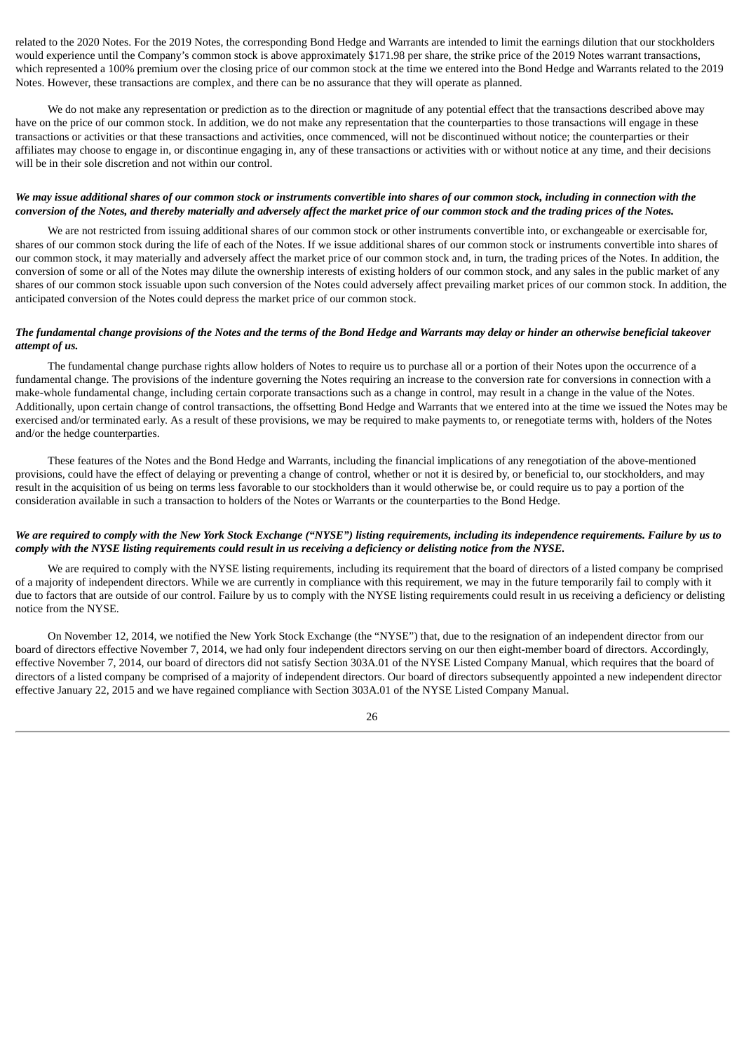related to the 2020 Notes. For the 2019 Notes, the corresponding Bond Hedge and Warrants are intended to limit the earnings dilution that our stockholders would experience until the Company's common stock is above approximately \$171.98 per share, the strike price of the 2019 Notes warrant transactions, which represented a 100% premium over the closing price of our common stock at the time we entered into the Bond Hedge and Warrants related to the 2019 Notes. However, these transactions are complex, and there can be no assurance that they will operate as planned.

We do not make any representation or prediction as to the direction or magnitude of any potential effect that the transactions described above may have on the price of our common stock. In addition, we do not make any representation that the counterparties to those transactions will engage in these transactions or activities or that these transactions and activities, once commenced, will not be discontinued without notice; the counterparties or their affiliates may choose to engage in, or discontinue engaging in, any of these transactions or activities with or without notice at any time, and their decisions will be in their sole discretion and not within our control.

## We may issue additional shares of our common stock or instruments convertible into shares of our common stock, including in connection with the conversion of the Notes, and thereby materially and adversely affect the market price of our common stock and the trading prices of the Notes.

We are not restricted from issuing additional shares of our common stock or other instruments convertible into, or exchangeable or exercisable for, shares of our common stock during the life of each of the Notes. If we issue additional shares of our common stock or instruments convertible into shares of our common stock, it may materially and adversely affect the market price of our common stock and, in turn, the trading prices of the Notes. In addition, the conversion of some or all of the Notes may dilute the ownership interests of existing holders of our common stock, and any sales in the public market of any shares of our common stock issuable upon such conversion of the Notes could adversely affect prevailing market prices of our common stock. In addition, the anticipated conversion of the Notes could depress the market price of our common stock.

#### The fundamental change provisions of the Notes and the terms of the Bond Hedge and Warrants may delay or hinder an otherwise beneficial takeover *attempt of us.*

The fundamental change purchase rights allow holders of Notes to require us to purchase all or a portion of their Notes upon the occurrence of a fundamental change. The provisions of the indenture governing the Notes requiring an increase to the conversion rate for conversions in connection with a make-whole fundamental change, including certain corporate transactions such as a change in control, may result in a change in the value of the Notes. Additionally, upon certain change of control transactions, the offsetting Bond Hedge and Warrants that we entered into at the time we issued the Notes may be exercised and/or terminated early. As a result of these provisions, we may be required to make payments to, or renegotiate terms with, holders of the Notes and/or the hedge counterparties.

These features of the Notes and the Bond Hedge and Warrants, including the financial implications of any renegotiation of the above-mentioned provisions, could have the effect of delaying or preventing a change of control, whether or not it is desired by, or beneficial to, our stockholders, and may result in the acquisition of us being on terms less favorable to our stockholders than it would otherwise be, or could require us to pay a portion of the consideration available in such a transaction to holders of the Notes or Warrants or the counterparties to the Bond Hedge.

#### We are required to comply with the New York Stock Exchange ("NYSE") listing requirements, including its independence requirements. Failure by us to comply with the NYSE listing requirements could result in us receiving a deficiency or delisting notice from the NYSE.

We are required to comply with the NYSE listing requirements, including its requirement that the board of directors of a listed company be comprised of a majority of independent directors. While we are currently in compliance with this requirement, we may in the future temporarily fail to comply with it due to factors that are outside of our control. Failure by us to comply with the NYSE listing requirements could result in us receiving a deficiency or delisting notice from the NYSE.

On November 12, 2014, we notified the New York Stock Exchange (the "NYSE") that, due to the resignation of an independent director from our board of directors effective November 7, 2014, we had only four independent directors serving on our then eight-member board of directors. Accordingly, effective November 7, 2014, our board of directors did not satisfy Section 303A.01 of the NYSE Listed Company Manual, which requires that the board of directors of a listed company be comprised of a majority of independent directors. Our board of directors subsequently appointed a new independent director effective January 22, 2015 and we have regained compliance with Section 303A.01 of the NYSE Listed Company Manual.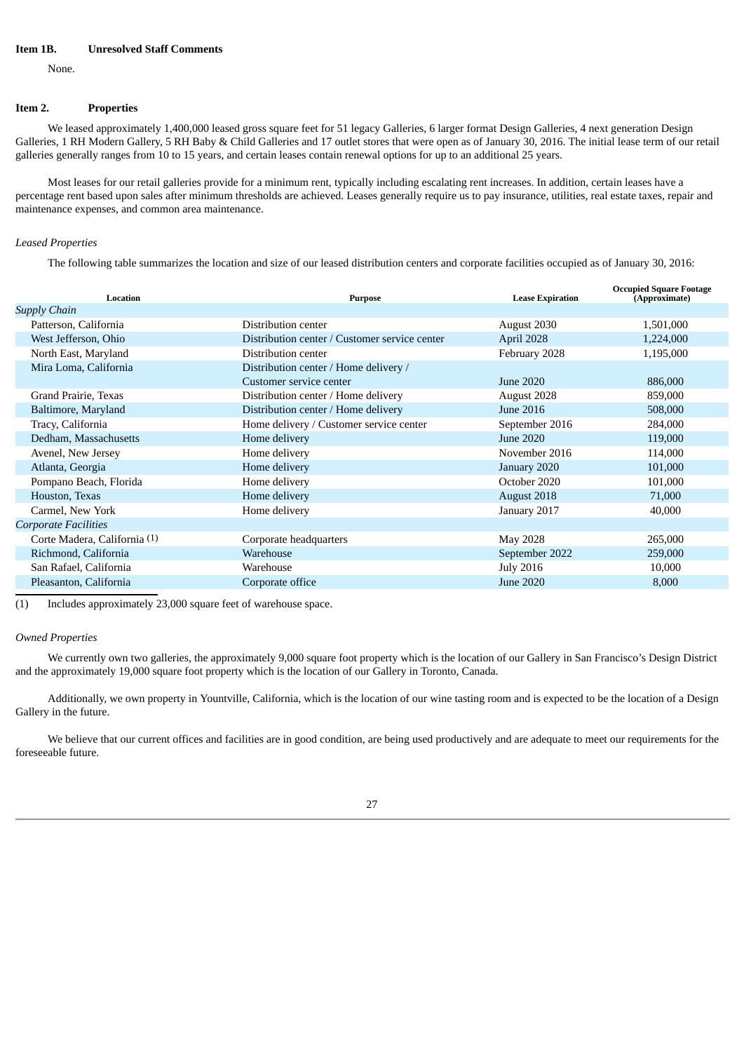#### **Item 1B. Unresolved Staff Comments**

<span id="page-29-1"></span><span id="page-29-0"></span>None.

#### **Item 2. Properties**

We leased approximately 1,400,000 leased gross square feet for 51 legacy Galleries, 6 larger format Design Galleries, 4 next generation Design Galleries, 1 RH Modern Gallery, 5 RH Baby & Child Galleries and 17 outlet stores that were open as of January 30, 2016. The initial lease term of our retail galleries generally ranges from 10 to 15 years, and certain leases contain renewal options for up to an additional 25 years.

Most leases for our retail galleries provide for a minimum rent, typically including escalating rent increases. In addition, certain leases have a percentage rent based upon sales after minimum thresholds are achieved. Leases generally require us to pay insurance, utilities, real estate taxes, repair and maintenance expenses, and common area maintenance.

#### *Leased Properties*

The following table summarizes the location and size of our leased distribution centers and corporate facilities occupied as of January 30, 2016:

| <b>Location</b><br><b>Purpose</b> |                                               | <b>Lease Expiration</b> | <b>Occupied Square Footage</b><br>(Approximate) |
|-----------------------------------|-----------------------------------------------|-------------------------|-------------------------------------------------|
| <b>Supply Chain</b>               |                                               |                         |                                                 |
| Patterson, California             | Distribution center                           | August 2030             | 1,501,000                                       |
| West Jefferson, Ohio              | Distribution center / Customer service center | April 2028              | 1,224,000                                       |
| North East, Maryland              | Distribution center                           | February 2028           | 1,195,000                                       |
| Mira Loma, California             | Distribution center / Home delivery /         |                         |                                                 |
|                                   | Customer service center                       | June 2020               | 886,000                                         |
| Grand Prairie, Texas              | Distribution center / Home delivery           | August 2028             | 859,000                                         |
| Baltimore, Maryland               | Distribution center / Home delivery           | June 2016               | 508,000                                         |
| Tracy, California                 | Home delivery / Customer service center       | September 2016          | 284,000                                         |
| Dedham, Massachusetts             | Home delivery                                 | June 2020               | 119,000                                         |
| Avenel, New Jersey                | Home delivery                                 | November 2016           | 114,000                                         |
| Atlanta, Georgia                  | Home delivery                                 | January 2020            | 101,000                                         |
| Pompano Beach, Florida            | Home delivery                                 | October 2020            | 101,000                                         |
| Houston, Texas                    | Home delivery                                 | August 2018             | 71,000                                          |
| Carmel, New York                  | Home delivery                                 | January 2017            | 40,000                                          |
| Corporate Facilities              |                                               |                         |                                                 |
| Corte Madera, California (1)      | Corporate headquarters                        | May 2028                | 265,000                                         |
| Richmond, California              | Warehouse                                     | September 2022          | 259,000                                         |
| San Rafael, California            | Warehouse                                     | <b>July 2016</b>        | 10,000                                          |
| Pleasanton, California            | Corporate office                              | June 2020               | 8,000                                           |
|                                   |                                               |                         |                                                 |

(1) Includes approximately 23,000 square feet of warehouse space.

### *Owned Properties*

We currently own two galleries, the approximately 9,000 square foot property which is the location of our Gallery in San Francisco's Design District and the approximately 19,000 square foot property which is the location of our Gallery in Toronto, Canada.

Additionally, we own property in Yountville, California, which is the location of our wine tasting room and is expected to be the location of a Design Gallery in the future.

We believe that our current offices and facilities are in good condition, are being used productively and are adequate to meet our requirements for the foreseeable future.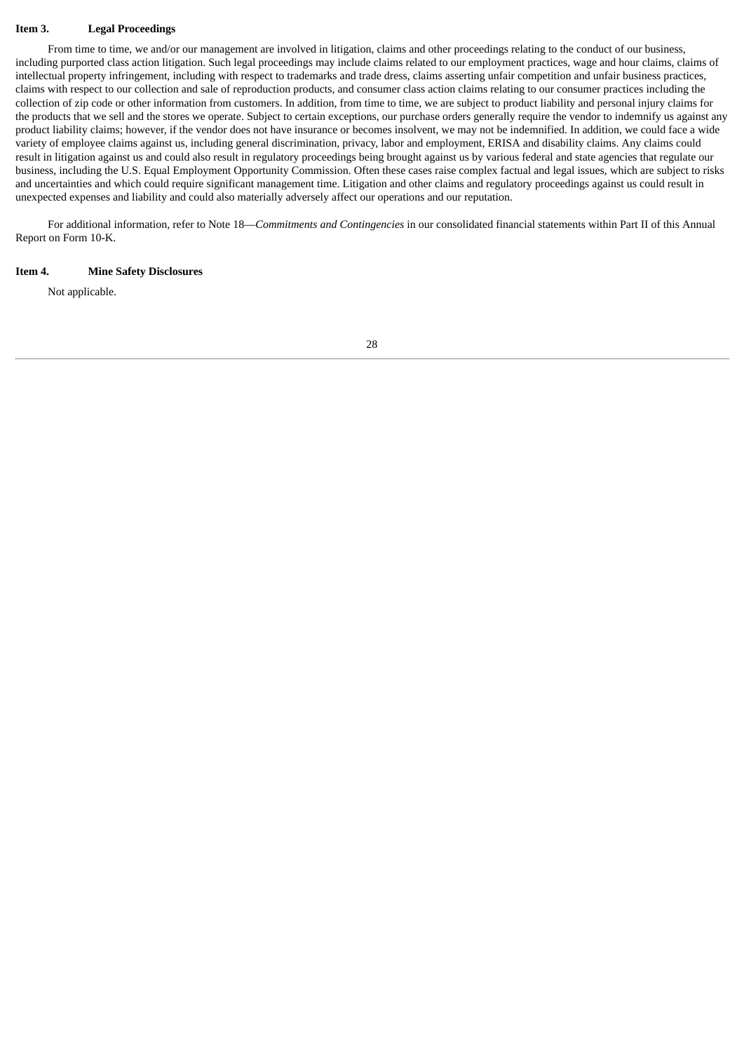#### <span id="page-30-0"></span>**Item 3. Legal Proceedings**

From time to time, we and/or our management are involved in litigation, claims and other proceedings relating to the conduct of our business, including purported class action litigation. Such legal proceedings may include claims related to our employment practices, wage and hour claims, claims of intellectual property infringement, including with respect to trademarks and trade dress, claims asserting unfair competition and unfair business practices, claims with respect to our collection and sale of reproduction products, and consumer class action claims relating to our consumer practices including the collection of zip code or other information from customers. In addition, from time to time, we are subject to product liability and personal injury claims for the products that we sell and the stores we operate. Subject to certain exceptions, our purchase orders generally require the vendor to indemnify us against any product liability claims; however, if the vendor does not have insurance or becomes insolvent, we may not be indemnified. In addition, we could face a wide variety of employee claims against us, including general discrimination, privacy, labor and employment, ERISA and disability claims. Any claims could result in litigation against us and could also result in regulatory proceedings being brought against us by various federal and state agencies that regulate our business, including the U.S. Equal Employment Opportunity Commission. Often these cases raise complex factual and legal issues, which are subject to risks and uncertainties and which could require significant management time. Litigation and other claims and regulatory proceedings against us could result in unexpected expenses and liability and could also materially adversely affect our operations and our reputation.

For additional information, refer to Note 18—*Commitments and Contingencies* in our consolidated financial statements within Part II of this Annual Report on Form 10-K.

#### **Item 4. Mine Safety Disclosures**

<span id="page-30-1"></span>Not applicable.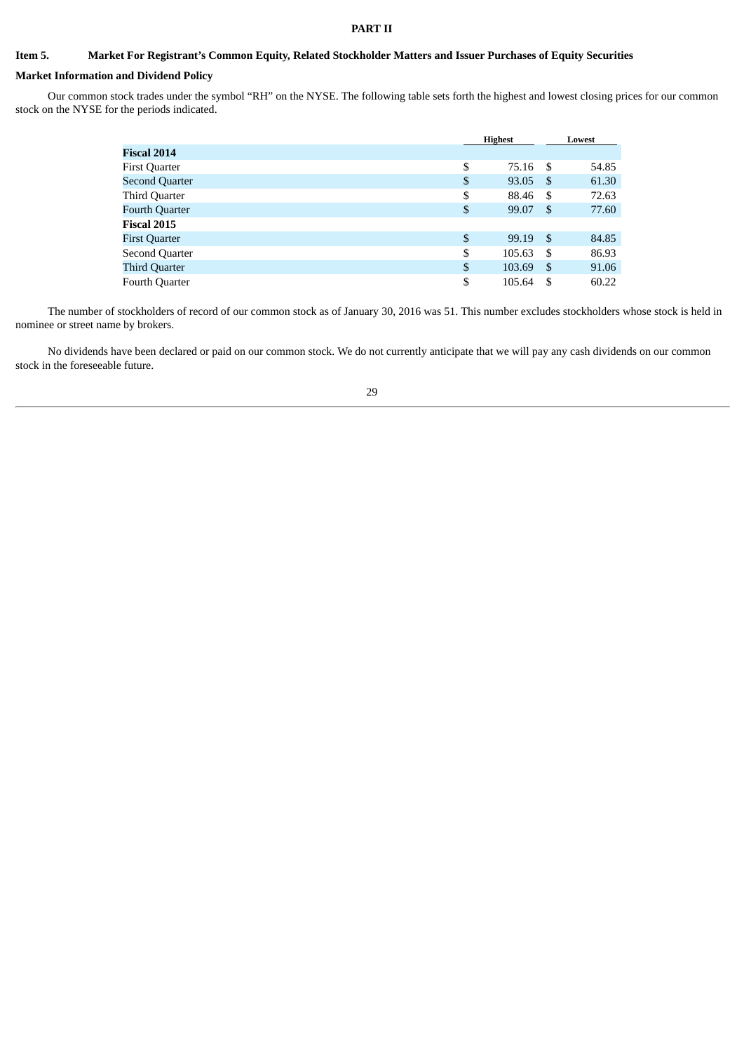#### **PART II**

#### <span id="page-31-1"></span><span id="page-31-0"></span>Item 5. Market For Registrant's Common Equity, Related Stockholder Matters and Issuer Purchases of Equity Securities

## **Market Information and Dividend Policy**

Our common stock trades under the symbol "RH" on the NYSE. The following table sets forth the highest and lowest closing prices for our common stock on the NYSE for the periods indicated.

|                | <b>Highest</b> | Lowest        |       |  |
|----------------|----------------|---------------|-------|--|
| Fiscal 2014    |                |               |       |  |
| First Quarter  | \$<br>75.16    | - \$          | 54.85 |  |
| Second Quarter | \$<br>93.05    | <sup>\$</sup> | 61.30 |  |
| Third Quarter  | \$<br>88.46    | -S            | 72.63 |  |
| Fourth Quarter | \$<br>99.07    | \$            | 77.60 |  |
| Fiscal 2015    |                |               |       |  |
| First Quarter  | \$<br>99.19    | -\$           | 84.85 |  |
| Second Quarter | \$<br>105.63   | - \$          | 86.93 |  |
| Third Quarter  | \$<br>103.69   | S             | 91.06 |  |
| Fourth Quarter | \$<br>105.64   | S             | 60.22 |  |
|                |                |               |       |  |

The number of stockholders of record of our common stock as of January 30, 2016 was 51. This number excludes stockholders whose stock is held in nominee or street name by brokers.

No dividends have been declared or paid on our common stock. We do not currently anticipate that we will pay any cash dividends on our common stock in the foreseeable future.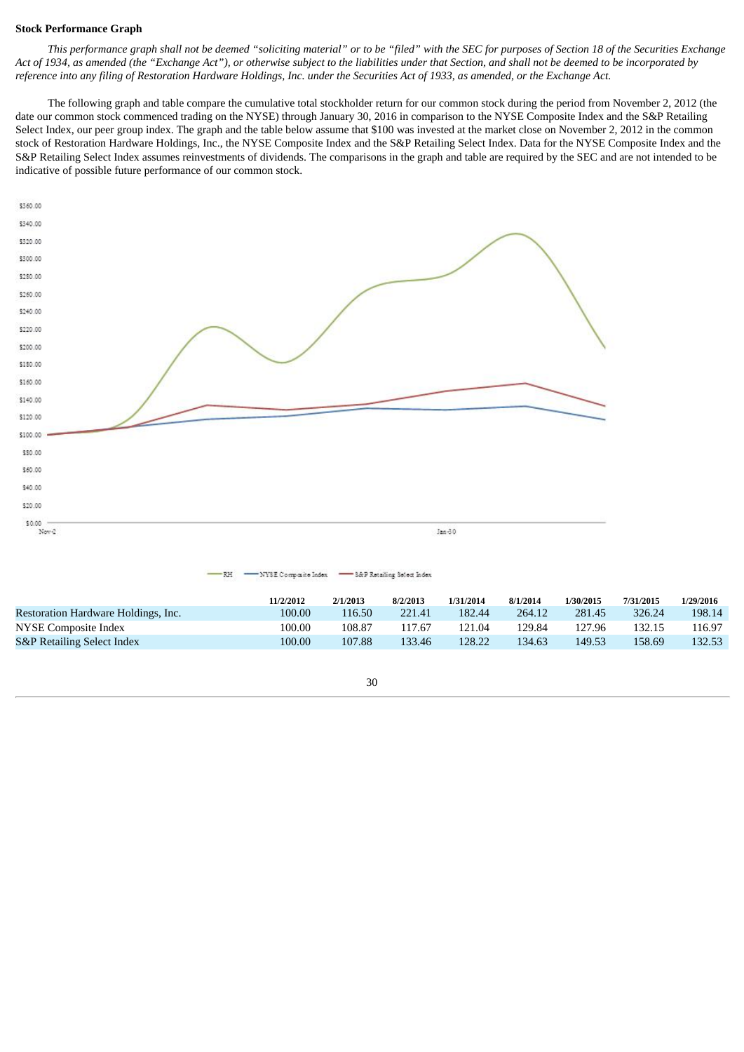#### **Stock Performance Graph**

This performance graph shall not be deemed "soliciting material" or to be "filed" with the SEC for purposes of Section 18 of the Securities Exchange Act of 1934, as amended (the "Exchange Act"), or otherwise subject to the liabilities under that Section, and shall not be deemed to be incorporated by reference into any filing of Restoration Hardware Holdings, Inc. under the Securities Act of 1933, as amended, or the Exchange Act.

The following graph and table compare the cumulative total stockholder return for our common stock during the period from November 2, 2012 (the date our common stock commenced trading on the NYSE) through January 30, 2016 in comparison to the NYSE Composite Index and the S&P Retailing Select Index, our peer group index. The graph and the table below assume that \$100 was invested at the market close on November 2, 2012 in the common stock of Restoration Hardware Holdings, Inc., the NYSE Composite Index and the S&P Retailing Select Index. Data for the NYSE Composite Index and the S&P Retailing Select Index assumes reinvestments of dividends. The comparisons in the graph and table are required by the SEC and are not intended to be indicative of possible future performance of our common stock.



#### = NYSE Compasse Index ====== S&P Retailing Select Index RH.

|                                       | 11/2/2012 | 2/1/2013 | 8/2/2013 | 1/31/2014 | 8/1/2014 | 1/30/2015 | 7/31/2015 | 1/29/2016 |
|---------------------------------------|-----------|----------|----------|-----------|----------|-----------|-----------|-----------|
| Restoration Hardware Holdings, Inc.   | 100.00    | 116.50   | 221.41   | 182.44    | 264.12   | 281.45    | 326.24    | 198.14    |
| <b>NYSE Composite Index</b>           | 100.00    | 108.87   | 117.67   | 121.04    | 129.84   | 127.96    | 132.15    | 116.97    |
| <b>S&amp;P Retailing Select Index</b> | 100.00    | 107.88   | 133.46   | 128.22    | 134.63   | 149.53    | 158.69    | 132.53    |
|                                       |           |          |          |           |          |           |           |           |

30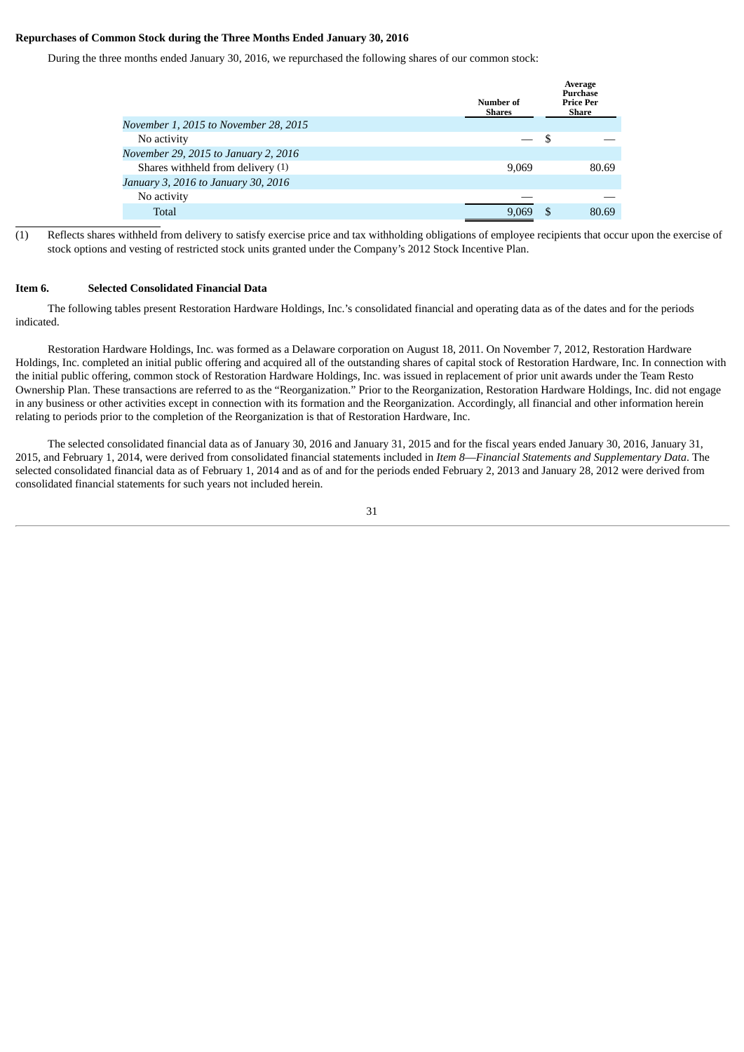#### **Repurchases of Common Stock during the Three Months Ended January 30, 2016**

During the three months ended January 30, 2016, we repurchased the following shares of our common stock:

| Number of<br><b>Shares</b> |   | Average<br><b>Purchase</b><br><b>Price Per</b><br><b>Share</b> |
|----------------------------|---|----------------------------------------------------------------|
|                            |   |                                                                |
|                            |   |                                                                |
|                            |   |                                                                |
| 9.069                      |   | 80.69                                                          |
|                            |   |                                                                |
|                            |   |                                                                |
| 9.069                      | S | 80.69                                                          |
|                            |   |                                                                |

(1) Reflects shares withheld from delivery to satisfy exercise price and tax withholding obligations of employee recipients that occur upon the exercise of stock options and vesting of restricted stock units granted under the Company's 2012 Stock Incentive Plan.

#### <span id="page-33-0"></span>**Item 6. Selected Consolidated Financial Data**

The following tables present Restoration Hardware Holdings, Inc.'s consolidated financial and operating data as of the dates and for the periods indicated.

Restoration Hardware Holdings, Inc. was formed as a Delaware corporation on August 18, 2011. On November 7, 2012, Restoration Hardware Holdings, Inc. completed an initial public offering and acquired all of the outstanding shares of capital stock of Restoration Hardware, Inc. In connection with the initial public offering, common stock of Restoration Hardware Holdings, Inc. was issued in replacement of prior unit awards under the Team Resto Ownership Plan. These transactions are referred to as the "Reorganization." Prior to the Reorganization, Restoration Hardware Holdings, Inc. did not engage in any business or other activities except in connection with its formation and the Reorganization. Accordingly, all financial and other information herein relating to periods prior to the completion of the Reorganization is that of Restoration Hardware, Inc.

The selected consolidated financial data as of January 30, 2016 and January 31, 2015 and for the fiscal years ended January 30, 2016, January 31, 2015, and February 1, 2014, were derived from consolidated financial statements included in *Item 8*—*Financial Statements and Supplementary Data*. The selected consolidated financial data as of February 1, 2014 and as of and for the periods ended February 2, 2013 and January 28, 2012 were derived from consolidated financial statements for such years not included herein.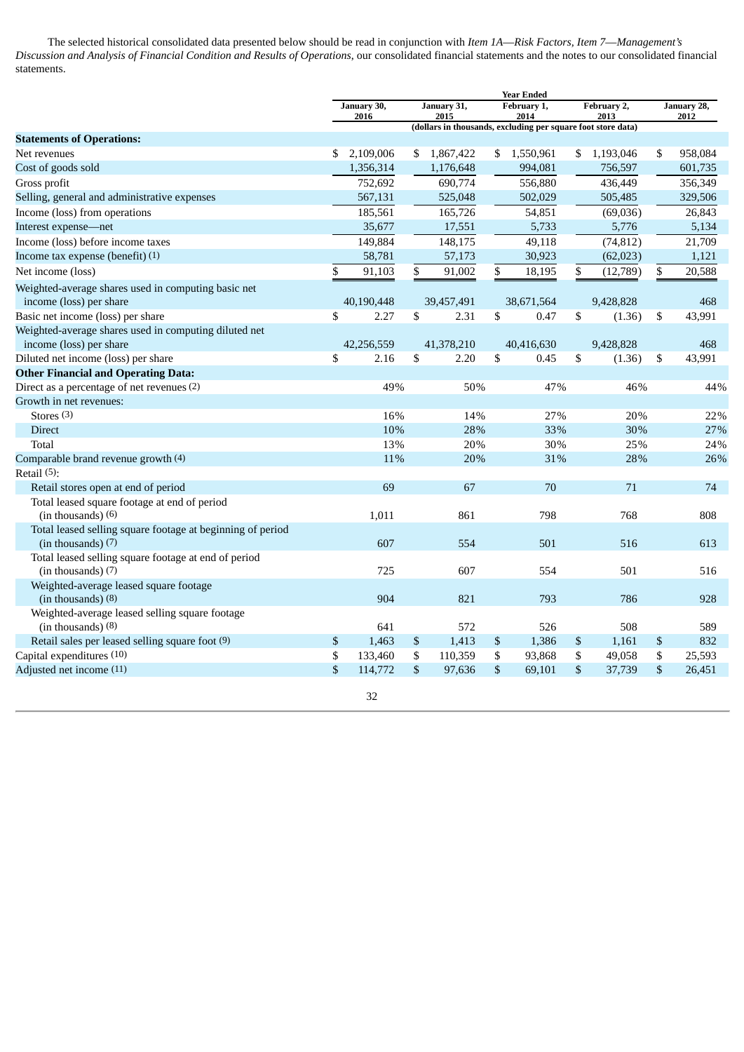The selected historical consolidated data presented below should be read in conjunction with *Item 1A*—*Risk Factors, Item 7*—*Management's* Discussion and Analysis of Financial Condition and Results of Operations, our consolidated financial statements and the notes to our consolidated financial statements.

|                                                                                  |          |                                                              |          |                     |          | <b>Year Ended</b>   |          |                     |          |                     |  |  |  |
|----------------------------------------------------------------------------------|----------|--------------------------------------------------------------|----------|---------------------|----------|---------------------|----------|---------------------|----------|---------------------|--|--|--|
|                                                                                  |          | January 30,<br>2016                                          |          | January 31,<br>2015 |          | February 1,<br>2014 |          | February 2,<br>2013 |          | January 28,<br>2012 |  |  |  |
|                                                                                  |          | (dollars in thousands, excluding per square foot store data) |          |                     |          |                     |          |                     |          |                     |  |  |  |
| <b>Statements of Operations:</b>                                                 |          |                                                              |          |                     |          |                     |          |                     |          |                     |  |  |  |
| Net revenues                                                                     | \$       | 2,109,006                                                    |          | \$1,867,422         |          | \$1,550,961         |          | \$1,193,046         | \$       | 958,084             |  |  |  |
| Cost of goods sold                                                               |          | 1,356,314                                                    |          | 1,176,648           |          | 994,081             |          | 756,597             |          | 601,735             |  |  |  |
| Gross profit                                                                     |          | 752,692                                                      |          | 690,774             |          | 556,880             |          | 436,449             |          | 356,349             |  |  |  |
| Selling, general and administrative expenses                                     |          | 567,131                                                      |          | 525,048             |          | 502,029             |          | 505,485             |          | 329,506             |  |  |  |
| Income (loss) from operations                                                    |          | 185,561                                                      |          | 165,726             |          | 54,851              |          | (69,036)            |          | 26,843              |  |  |  |
| Interest expense-net                                                             |          | 35,677                                                       |          | 17,551              |          | 5,733               |          | 5,776               |          | 5,134               |  |  |  |
| Income (loss) before income taxes                                                |          | 149,884                                                      |          | 148,175             |          | 49,118              |          | (74, 812)           |          | 21,709              |  |  |  |
| Income tax expense (benefit) $(1)$                                               |          | 58,781                                                       |          | 57,173              |          | 30,923              |          | (62,023)            |          | 1,121               |  |  |  |
| Net income (loss)                                                                | \$       | 91,103                                                       | \$       | 91,002              | \$       | 18,195              | \$       | (12,789)            | \$       | 20,588              |  |  |  |
| Weighted-average shares used in computing basic net                              |          |                                                              |          |                     |          |                     |          |                     |          |                     |  |  |  |
| income (loss) per share                                                          |          | 40,190,448                                                   |          | 39,457,491          |          | 38,671,564          |          | 9,428,828           |          | 468                 |  |  |  |
| Basic net income (loss) per share                                                | \$       | 2.27                                                         | \$       | 2.31                | \$       | 0.47                | \$       | (1.36)              | \$       | 43,991              |  |  |  |
| Weighted-average shares used in computing diluted net                            |          |                                                              |          |                     |          |                     |          |                     |          |                     |  |  |  |
| income (loss) per share                                                          |          | 42,256,559                                                   |          | 41,378,210          |          | 40,416,630          |          | 9,428,828           |          | 468                 |  |  |  |
| Diluted net income (loss) per share                                              | \$       | 2.16                                                         | \$       | 2.20                | \$       | 0.45                | \$       | (1.36)              | \$       | 43,991              |  |  |  |
| <b>Other Financial and Operating Data:</b>                                       |          |                                                              |          |                     |          |                     |          |                     |          |                     |  |  |  |
| Direct as a percentage of net revenues (2)                                       |          | 49%                                                          |          | 50%                 |          | 47%                 |          | 46%                 |          | 44%                 |  |  |  |
| Growth in net revenues:                                                          |          |                                                              |          |                     |          |                     |          |                     |          |                     |  |  |  |
| Stores $(3)$                                                                     |          | 16%                                                          |          | 14%                 |          | 27%                 |          | 20%                 |          | 22%                 |  |  |  |
| <b>Direct</b>                                                                    |          | 10%                                                          |          | 28%                 |          | 33%                 |          | 30%                 |          | 27%                 |  |  |  |
| Total                                                                            |          | 13%                                                          |          | 20%                 |          | 30%                 |          | 25%                 |          | 24%                 |  |  |  |
| Comparable brand revenue growth (4)                                              |          | 11%                                                          |          | 20%                 |          | 31%                 |          | 28%                 |          | 26%                 |  |  |  |
| Retail (5):                                                                      |          |                                                              |          |                     |          |                     |          |                     |          |                     |  |  |  |
| Retail stores open at end of period                                              |          | 69                                                           |          | 67                  |          | 70                  |          | 71                  |          | 74                  |  |  |  |
| Total leased square footage at end of period                                     |          |                                                              |          |                     |          |                     |          |                     |          |                     |  |  |  |
| $(in thousands)$ (6)                                                             |          | 1,011                                                        |          | 861                 |          | 798                 |          | 768                 |          | 808                 |  |  |  |
| Total leased selling square footage at beginning of period<br>(in thousands) (7) |          | 607                                                          |          | 554                 |          | 501                 |          | 516                 |          | 613                 |  |  |  |
| Total leased selling square footage at end of period                             |          |                                                              |          |                     |          |                     |          |                     |          |                     |  |  |  |
| (in thousands) (7)                                                               |          | 725                                                          |          | 607                 |          | 554                 |          | 501                 |          | 516                 |  |  |  |
| Weighted-average leased square footage<br>(in thousands) (8)                     |          | 904                                                          |          | 821                 |          | 793                 |          | 786                 |          | 928                 |  |  |  |
| Weighted-average leased selling square footage<br>(in thousands) (8)             |          | 641                                                          |          | 572                 |          | 526                 |          | 508                 |          | 589                 |  |  |  |
| Retail sales per leased selling square foot (9)                                  |          | 1,463                                                        |          | 1,413               |          | 1,386               |          | 1,161               |          | 832                 |  |  |  |
| Capital expenditures (10)                                                        | \$       | 133,460                                                      | \$<br>\$ | 110,359             | \$<br>\$ | 93,868              | \$<br>\$ | 49,058              | \$<br>\$ | 25,593              |  |  |  |
| Adjusted net income (11)                                                         | \$<br>\$ | 114,772                                                      | \$       | 97,636              | \$       | 69,101              | \$       | 37,739              | \$       | 26,451              |  |  |  |
|                                                                                  |          |                                                              |          |                     |          |                     |          |                     |          |                     |  |  |  |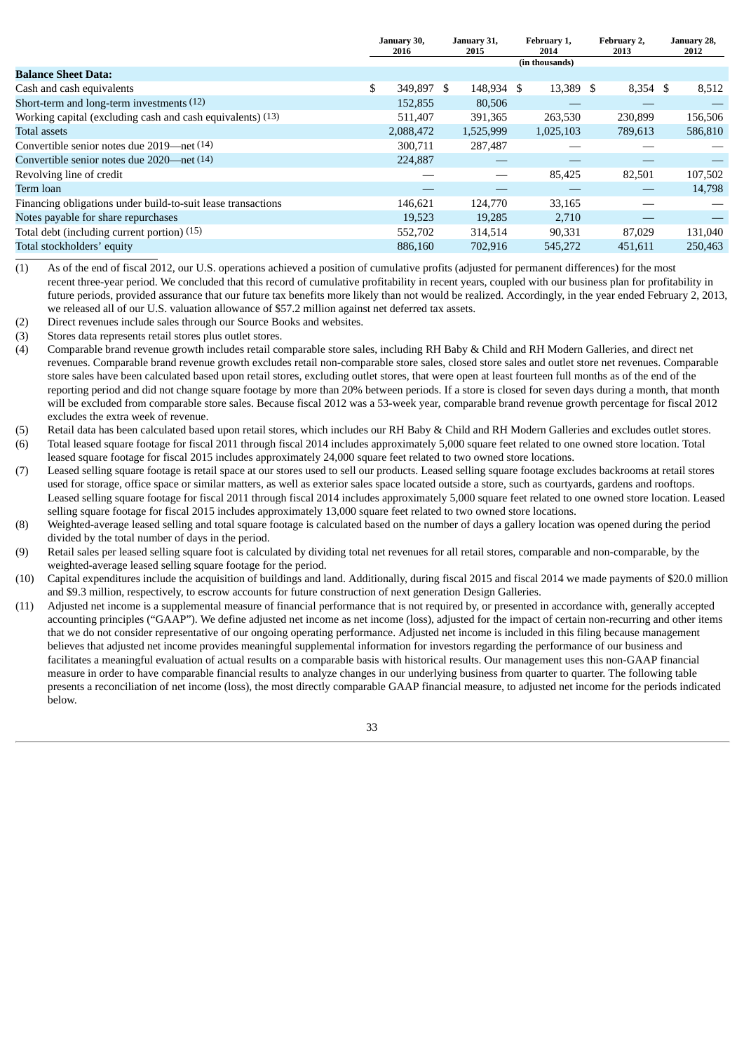|                                                              | January 30,<br>2016 |            | January 31, |            | February 1,<br>2014 |                | February 2,<br>2013 |            | January 28,<br>2012 |
|--------------------------------------------------------------|---------------------|------------|-------------|------------|---------------------|----------------|---------------------|------------|---------------------|
|                                                              |                     |            |             |            |                     | (in thousands) |                     |            |                     |
| <b>Balance Sheet Data:</b>                                   |                     |            |             |            |                     |                |                     |            |                     |
| Cash and cash equivalents                                    | \$                  | 349,897 \$ |             | 148,934 \$ |                     | 13,389 \$      |                     | $8,354$ \$ | 8,512               |
| Short-term and long-term investments $(12)$                  |                     | 152,855    |             | 80,506     |                     |                |                     |            |                     |
| Working capital (excluding cash and cash equivalents) (13)   |                     | 511,407    |             | 391,365    |                     | 263,530        |                     | 230,899    | 156,506             |
| Total assets                                                 |                     | 2,088,472  |             | 1,525,999  |                     | 1,025,103      |                     | 789,613    | 586,810             |
| Convertible senior notes due 2019—net (14)                   |                     | 300,711    |             | 287,487    |                     |                |                     |            |                     |
| Convertible senior notes due 2020—net (14)                   |                     | 224,887    |             |            |                     |                |                     |            |                     |
| Revolving line of credit                                     |                     |            |             |            |                     | 85,425         |                     | 82,501     | 107,502             |
| Term loan                                                    |                     |            |             |            |                     |                |                     |            | 14,798              |
| Financing obligations under build-to-suit lease transactions |                     | 146,621    |             | 124,770    |                     | 33,165         |                     |            |                     |
| Notes payable for share repurchases                          |                     | 19.523     |             | 19.285     |                     | 2.710          |                     |            |                     |
| Total debt (including current portion) (15)                  |                     | 552,702    |             | 314,514    |                     | 90,331         |                     | 87,029     | 131,040             |
| Total stockholders' equity                                   |                     | 886,160    |             | 702.916    |                     | 545,272        |                     | 451,611    | 250,463             |
|                                                              |                     |            |             |            |                     |                |                     |            |                     |

(1) As of the end of fiscal 2012, our U.S. operations achieved a position of cumulative profits (adjusted for permanent differences) for the most recent three-year period. We concluded that this record of cumulative profitability in recent years, coupled with our business plan for profitability in future periods, provided assurance that our future tax benefits more likely than not would be realized. Accordingly, in the year ended February 2, 2013, we released all of our U.S. valuation allowance of \$57.2 million against net deferred tax assets.

(2) Direct revenues include sales through our Source Books and websites.

(3) Stores data represents retail stores plus outlet stores.

(4) Comparable brand revenue growth includes retail comparable store sales, including RH Baby & Child and RH Modern Galleries, and direct net revenues. Comparable brand revenue growth excludes retail non-comparable store sales, closed store sales and outlet store net revenues. Comparable store sales have been calculated based upon retail stores, excluding outlet stores, that were open at least fourteen full months as of the end of the reporting period and did not change square footage by more than 20% between periods. If a store is closed for seven days during a month, that month will be excluded from comparable store sales. Because fiscal 2012 was a 53-week year, comparable brand revenue growth percentage for fiscal 2012 excludes the extra week of revenue.

(5) Retail data has been calculated based upon retail stores, which includes our RH Baby & Child and RH Modern Galleries and excludes outlet stores. (6) Total leased square footage for fiscal 2011 through fiscal 2014 includes approximately 5,000 square feet related to one owned store location. Total leased square footage for fiscal 2015 includes approximately 24,000 square feet related to two owned store locations.

(7) Leased selling square footage is retail space at our stores used to sell our products. Leased selling square footage excludes backrooms at retail stores used for storage, office space or similar matters, as well as exterior sales space located outside a store, such as courtyards, gardens and rooftops. Leased selling square footage for fiscal 2011 through fiscal 2014 includes approximately 5,000 square feet related to one owned store location. Leased selling square footage for fiscal 2015 includes approximately 13,000 square feet related to two owned store locations.

(8) Weighted-average leased selling and total square footage is calculated based on the number of days a gallery location was opened during the period divided by the total number of days in the period.

(9) Retail sales per leased selling square foot is calculated by dividing total net revenues for all retail stores, comparable and non-comparable, by the weighted-average leased selling square footage for the period.

- (10) Capital expenditures include the acquisition of buildings and land. Additionally, during fiscal 2015 and fiscal 2014 we made payments of \$20.0 million and \$9.3 million, respectively, to escrow accounts for future construction of next generation Design Galleries.
- (11) Adjusted net income is a supplemental measure of financial performance that is not required by, or presented in accordance with, generally accepted accounting principles ("GAAP"). We define adjusted net income as net income (loss), adjusted for the impact of certain non-recurring and other items that we do not consider representative of our ongoing operating performance. Adjusted net income is included in this filing because management believes that adjusted net income provides meaningful supplemental information for investors regarding the performance of our business and facilitates a meaningful evaluation of actual results on a comparable basis with historical results. Our management uses this non-GAAP financial measure in order to have comparable financial results to analyze changes in our underlying business from quarter to quarter. The following table presents a reconciliation of net income (loss), the most directly comparable GAAP financial measure, to adjusted net income for the periods indicated below.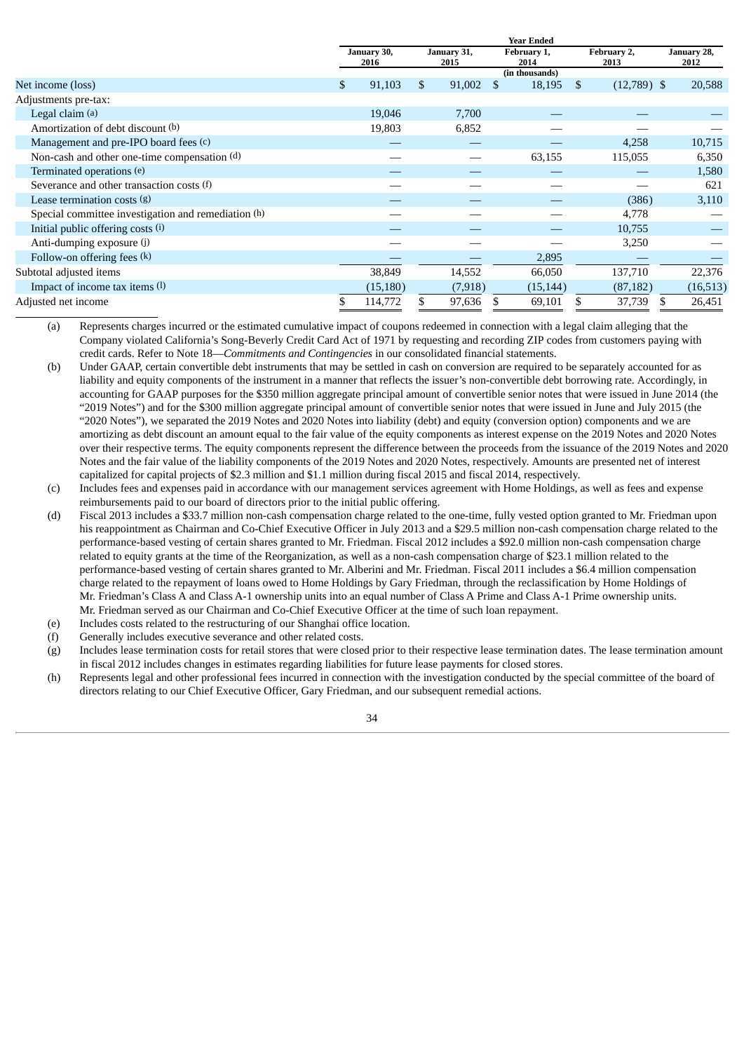|                                                     | <b>Year Ended</b> |                     |                     |         |    |                     |                     |               |  |                     |
|-----------------------------------------------------|-------------------|---------------------|---------------------|---------|----|---------------------|---------------------|---------------|--|---------------------|
|                                                     |                   | January 30,<br>2016 | January 31,<br>2015 |         |    | February 1,<br>2014 | February 2,<br>2013 |               |  | January 28,<br>2012 |
|                                                     |                   |                     |                     |         |    | (in thousands)      |                     |               |  |                     |
| Net income (loss)                                   | $\mathfrak{S}$    | 91,103              | S.                  | 91,002  | \$ | 18,195              | S.                  | $(12,789)$ \$ |  | 20,588              |
| Adjustments pre-tax:                                |                   |                     |                     |         |    |                     |                     |               |  |                     |
| Legal claim (a)                                     |                   | 19,046              |                     | 7,700   |    |                     |                     |               |  |                     |
| Amortization of debt discount (b)                   |                   | 19,803              |                     | 6,852   |    |                     |                     |               |  |                     |
| Management and pre-IPO board fees (c)               |                   |                     |                     |         |    |                     |                     | 4,258         |  | 10,715              |
| Non-cash and other one-time compensation (d)        |                   |                     |                     |         |    | 63,155              |                     | 115,055       |  | 6,350               |
| Terminated operations (e)                           |                   |                     |                     |         |    |                     |                     |               |  | 1,580               |
| Severance and other transaction costs (f)           |                   |                     |                     |         |    |                     |                     |               |  | 621                 |
| Lease termination costs (g)                         |                   |                     |                     |         |    |                     |                     | (386)         |  | 3,110               |
| Special committee investigation and remediation (h) |                   |                     |                     |         |    |                     |                     | 4,778         |  |                     |
| Initial public offering costs (i)                   |                   |                     |                     |         |    |                     |                     | 10,755        |  |                     |
| Anti-dumping exposure (j)                           |                   |                     |                     |         |    |                     |                     | 3,250         |  |                     |
| Follow-on offering fees (k)                         |                   |                     |                     |         |    | 2,895               |                     |               |  |                     |
| Subtotal adjusted items                             |                   | 38,849              |                     | 14,552  |    | 66,050              |                     | 137,710       |  | 22,376              |
| Impact of income tax items (l)                      |                   | (15, 180)           |                     | (7,918) |    | (15, 144)           |                     | (87, 182)     |  | (16, 513)           |
| Adjusted net income                                 | S                 | 114,772             |                     | 97,636  |    | 69,101              |                     | 37,739        |  | 26,451              |
|                                                     |                   |                     |                     |         |    |                     |                     |               |  |                     |

(a) Represents charges incurred or the estimated cumulative impact of coupons redeemed in connection with a legal claim alleging that the Company violated California's Song-Beverly Credit Card Act of 1971 by requesting and recording ZIP codes from customers paying with credit cards. Refer to Note 18—*Commitments and Contingencies* in our consolidated financial statements.

(b) Under GAAP, certain convertible debt instruments that may be settled in cash on conversion are required to be separately accounted for as liability and equity components of the instrument in a manner that reflects the issuer's non-convertible debt borrowing rate. Accordingly, in accounting for GAAP purposes for the \$350 million aggregate principal amount of convertible senior notes that were issued in June 2014 (the "2019 Notes") and for the \$300 million aggregate principal amount of convertible senior notes that were issued in June and July 2015 (the "2020 Notes"), we separated the 2019 Notes and 2020 Notes into liability (debt) and equity (conversion option) components and we are amortizing as debt discount an amount equal to the fair value of the equity components as interest expense on the 2019 Notes and 2020 Notes over their respective terms. The equity components represent the difference between the proceeds from the issuance of the 2019 Notes and 2020 Notes and the fair value of the liability components of the 2019 Notes and 2020 Notes, respectively. Amounts are presented net of interest capitalized for capital projects of \$2.3 million and \$1.1 million during fiscal 2015 and fiscal 2014, respectively.

(c) Includes fees and expenses paid in accordance with our management services agreement with Home Holdings, as well as fees and expense reimbursements paid to our board of directors prior to the initial public offering.

(d) Fiscal 2013 includes a \$33.7 million non-cash compensation charge related to the one-time, fully vested option granted to Mr. Friedman upon his reappointment as Chairman and Co-Chief Executive Officer in July 2013 and a \$29.5 million non-cash compensation charge related to the performance-based vesting of certain shares granted to Mr. Friedman. Fiscal 2012 includes a \$92.0 million non-cash compensation charge related to equity grants at the time of the Reorganization, as well as a non-cash compensation charge of \$23.1 million related to the performance-based vesting of certain shares granted to Mr. Alberini and Mr. Friedman. Fiscal 2011 includes a \$6.4 million compensation charge related to the repayment of loans owed to Home Holdings by Gary Friedman, through the reclassification by Home Holdings of Mr. Friedman's Class A and Class A-1 ownership units into an equal number of Class A Prime and Class A-1 Prime ownership units. Mr. Friedman served as our Chairman and Co-Chief Executive Officer at the time of such loan repayment.

- (e) Includes costs related to the restructuring of our Shanghai office location.
- (f) Generally includes executive severance and other related costs.
- $(g)$  Includes lease termination costs for retail stores that were closed prior to their respective lease termination dates. The lease termination amount in fiscal 2012 includes changes in estimates regarding liabilities for future lease payments for closed stores.
- (h) Represents legal and other professional fees incurred in connection with the investigation conducted by the special committee of the board of directors relating to our Chief Executive Officer, Gary Friedman, and our subsequent remedial actions.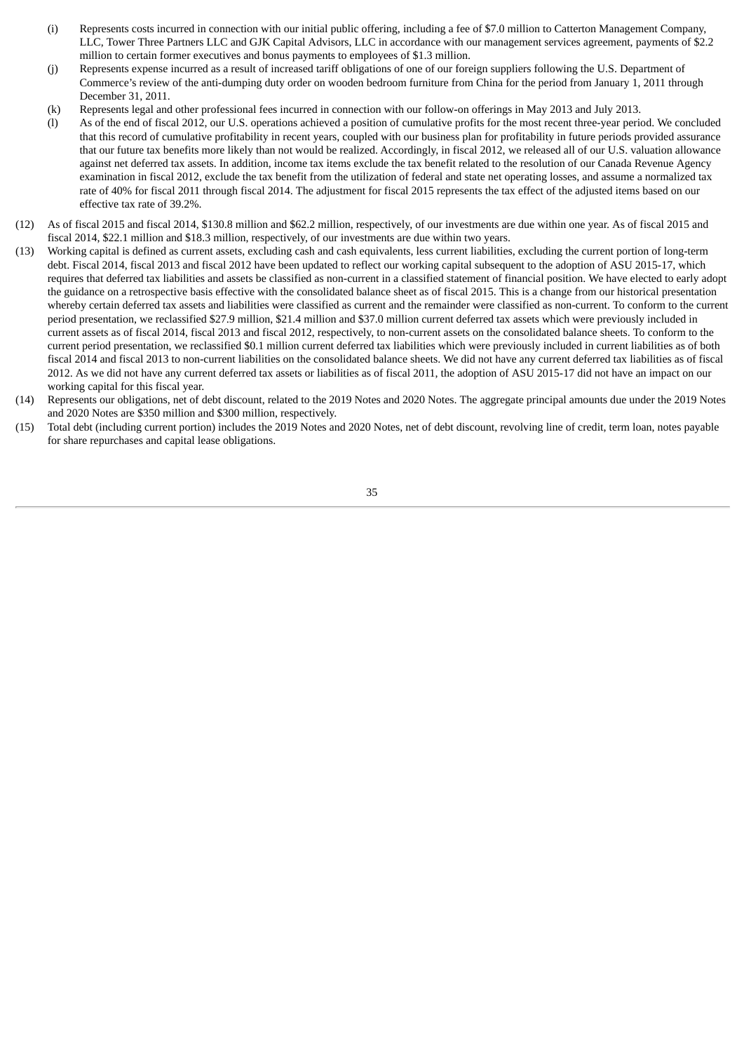- (i) Represents costs incurred in connection with our initial public offering, including a fee of \$7.0 million to Catterton Management Company, LLC, Tower Three Partners LLC and GJK Capital Advisors, LLC in accordance with our management services agreement, payments of \$2.2 million to certain former executives and bonus payments to employees of \$1.3 million.
- (j) Represents expense incurred as a result of increased tariff obligations of one of our foreign suppliers following the U.S. Department of Commerce's review of the anti-dumping duty order on wooden bedroom furniture from China for the period from January 1, 2011 through December 31, 2011.
- (k) Represents legal and other professional fees incurred in connection with our follow-on offerings in May 2013 and July 2013.
- (l) As of the end of fiscal 2012, our U.S. operations achieved a position of cumulative profits for the most recent three-year period. We concluded that this record of cumulative profitability in recent years, coupled with our business plan for profitability in future periods provided assurance that our future tax benefits more likely than not would be realized. Accordingly, in fiscal 2012, we released all of our U.S. valuation allowance against net deferred tax assets. In addition, income tax items exclude the tax benefit related to the resolution of our Canada Revenue Agency examination in fiscal 2012, exclude the tax benefit from the utilization of federal and state net operating losses, and assume a normalized tax rate of 40% for fiscal 2011 through fiscal 2014. The adjustment for fiscal 2015 represents the tax effect of the adjusted items based on our effective tax rate of 39.2%.
- (12) As of fiscal 2015 and fiscal 2014, \$130.8 million and \$62.2 million, respectively, of our investments are due within one year. As of fiscal 2015 and fiscal 2014, \$22.1 million and \$18.3 million, respectively, of our investments are due within two years.
- (13) Working capital is defined as current assets, excluding cash and cash equivalents, less current liabilities, excluding the current portion of long-term debt. Fiscal 2014, fiscal 2013 and fiscal 2012 have been updated to reflect our working capital subsequent to the adoption of ASU 2015-17, which requires that deferred tax liabilities and assets be classified as non-current in a classified statement of financial position. We have elected to early adopt the guidance on a retrospective basis effective with the consolidated balance sheet as of fiscal 2015. This is a change from our historical presentation whereby certain deferred tax assets and liabilities were classified as current and the remainder were classified as non-current. To conform to the current period presentation, we reclassified \$27.9 million, \$21.4 million and \$37.0 million current deferred tax assets which were previously included in current assets as of fiscal 2014, fiscal 2013 and fiscal 2012, respectively, to non-current assets on the consolidated balance sheets. To conform to the current period presentation, we reclassified \$0.1 million current deferred tax liabilities which were previously included in current liabilities as of both fiscal 2014 and fiscal 2013 to non-current liabilities on the consolidated balance sheets. We did not have any current deferred tax liabilities as of fiscal 2012. As we did not have any current deferred tax assets or liabilities as of fiscal 2011, the adoption of ASU 2015-17 did not have an impact on our working capital for this fiscal year.
- (14) Represents our obligations, net of debt discount, related to the 2019 Notes and 2020 Notes. The aggregate principal amounts due under the 2019 Notes and 2020 Notes are \$350 million and \$300 million, respectively.
- (15) Total debt (including current portion) includes the 2019 Notes and 2020 Notes, net of debt discount, revolving line of credit, term loan, notes payable for share repurchases and capital lease obligations.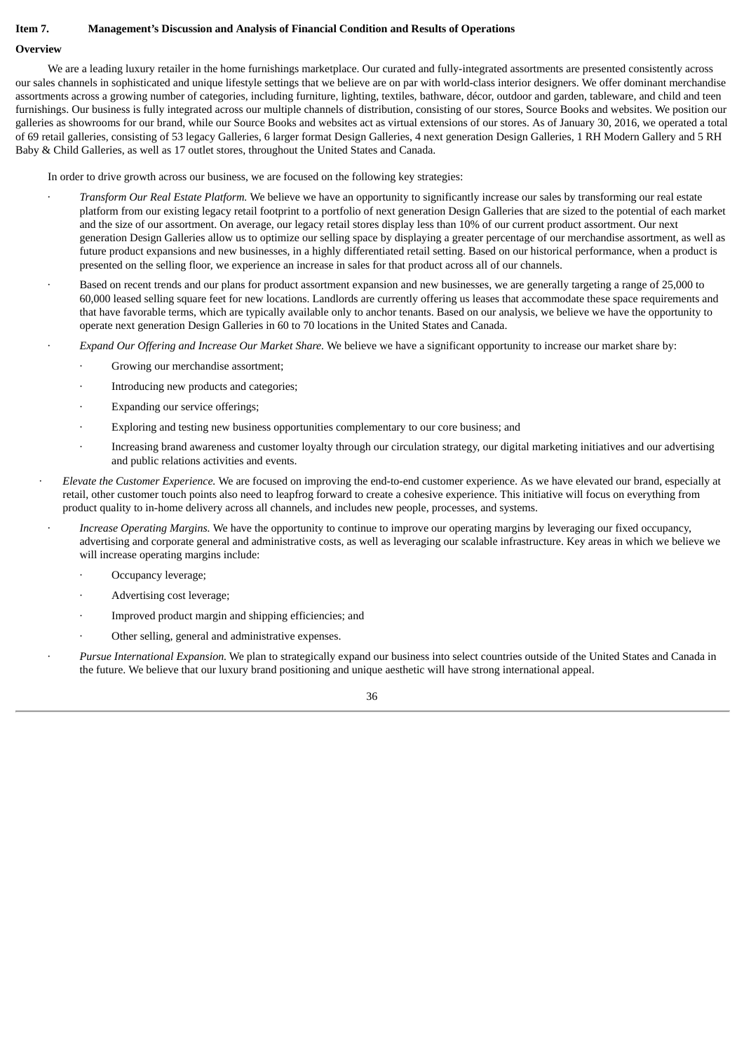# **Item 7. Management's Discussion and Analysis of Financial Condition and Results of Operations**

# **Overview**

We are a leading luxury retailer in the home furnishings marketplace. Our curated and fully-integrated assortments are presented consistently across our sales channels in sophisticated and unique lifestyle settings that we believe are on par with world-class interior designers. We offer dominant merchandise assortments across a growing number of categories, including furniture, lighting, textiles, bathware, décor, outdoor and garden, tableware, and child and teen furnishings. Our business is fully integrated across our multiple channels of distribution, consisting of our stores, Source Books and websites. We position our galleries as showrooms for our brand, while our Source Books and websites act as virtual extensions of our stores. As of January 30, 2016, we operated a total of 69 retail galleries, consisting of 53 legacy Galleries, 6 larger format Design Galleries, 4 next generation Design Galleries, 1 RH Modern Gallery and 5 RH Baby & Child Galleries, as well as 17 outlet stores, throughout the United States and Canada.

In order to drive growth across our business, we are focused on the following key strategies:

- · *Transform Our Real Estate Platform.* We believe we have an opportunity to significantly increase our sales by transforming our real estate platform from our existing legacy retail footprint to a portfolio of next generation Design Galleries that are sized to the potential of each market and the size of our assortment. On average, our legacy retail stores display less than 10% of our current product assortment. Our next generation Design Galleries allow us to optimize our selling space by displaying a greater percentage of our merchandise assortment, as well as future product expansions and new businesses, in a highly differentiated retail setting. Based on our historical performance, when a product is presented on the selling floor, we experience an increase in sales for that product across all of our channels.
- Based on recent trends and our plans for product assortment expansion and new businesses, we are generally targeting a range of 25,000 to 60,000 leased selling square feet for new locations. Landlords are currently offering us leases that accommodate these space requirements and that have favorable terms, which are typically available only to anchor tenants. Based on our analysis, we believe we have the opportunity to operate next generation Design Galleries in 60 to 70 locations in the United States and Canada.
- · *Expand Our Offering and Increase Our Market Share.* We believe we have a significant opportunity to increase our market share by:
	- Growing our merchandise assortment;
	- Introducing new products and categories;
	- Expanding our service offerings;
	- Exploring and testing new business opportunities complementary to our core business; and
	- · Increasing brand awareness and customer loyalty through our circulation strategy, our digital marketing initiatives and our advertising and public relations activities and events.
- · *Elevate the Customer Experience.* We are focused on improving the end-to-end customer experience. As we have elevated our brand, especially at retail, other customer touch points also need to leapfrog forward to create a cohesive experience. This initiative will focus on everything from product quality to in-home delivery across all channels, and includes new people, processes, and systems.
	- · *Increase Operating Margins.* We have the opportunity to continue to improve our operating margins by leveraging our fixed occupancy, advertising and corporate general and administrative costs, as well as leveraging our scalable infrastructure. Key areas in which we believe we will increase operating margins include:
		- · Occupancy leverage;
		- · Advertising cost leverage;
		- Improved product margin and shipping efficiencies; and
		- Other selling, general and administrative expenses.
	- Pursue International *Expansion*. We plan to strategically expand our business into select countries outside of the United States and Canada in the future. We believe that our luxury brand positioning and unique aesthetic will have strong international appeal.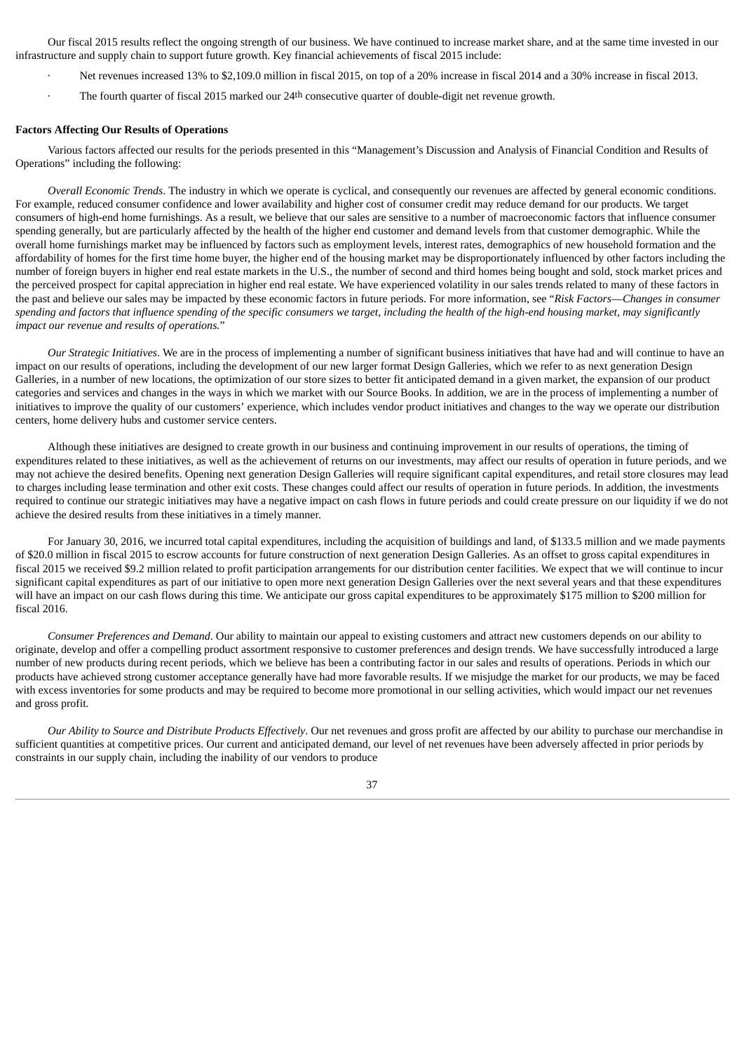Our fiscal 2015 results reflect the ongoing strength of our business. We have continued to increase market share, and at the same time invested in our infrastructure and supply chain to support future growth. Key financial achievements of fiscal 2015 include:

- · Net revenues increased 13% to \$2,109.0 million in fiscal 2015, on top of a 20% increase in fiscal 2014 and a 30% increase in fiscal 2013.
- The fourth quarter of fiscal 2015 marked our 24th consecutive quarter of double-digit net revenue growth.

# **Factors Affecting Our Results of Operations**

Various factors affected our results for the periods presented in this "Management's Discussion and Analysis of Financial Condition and Results of Operations" including the following:

*Overall Economic Trends*. The industry in which we operate is cyclical, and consequently our revenues are affected by general economic conditions. For example, reduced consumer confidence and lower availability and higher cost of consumer credit may reduce demand for our products. We target consumers of high-end home furnishings. As a result, we believe that our sales are sensitive to a number of macroeconomic factors that influence consumer spending generally, but are particularly affected by the health of the higher end customer and demand levels from that customer demographic. While the overall home furnishings market may be influenced by factors such as employment levels, interest rates, demographics of new household formation and the affordability of homes for the first time home buyer, the higher end of the housing market may be disproportionately influenced by other factors including the number of foreign buyers in higher end real estate markets in the U.S., the number of second and third homes being bought and sold, stock market prices and the perceived prospect for capital appreciation in higher end real estate. We have experienced volatility in our sales trends related to many of these factors in the past and believe our sales may be impacted by these economic factors in future periods. For more information, see "*Risk Factors*—*Changes in consumer* spending and factors that influence spending of the specific consumers we target, including the health of the high-end housing market, may significantly *impact our revenue and results of operations.*"

*Our Strategic Initiatives*. We are in the process of implementing a number of significant business initiatives that have had and will continue to have an impact on our results of operations, including the development of our new larger format Design Galleries, which we refer to as next generation Design Galleries, in a number of new locations, the optimization of our store sizes to better fit anticipated demand in a given market, the expansion of our product categories and services and changes in the ways in which we market with our Source Books. In addition, we are in the process of implementing a number of initiatives to improve the quality of our customers' experience, which includes vendor product initiatives and changes to the way we operate our distribution centers, home delivery hubs and customer service centers.

Although these initiatives are designed to create growth in our business and continuing improvement in our results of operations, the timing of expenditures related to these initiatives, as well as the achievement of returns on our investments, may affect our results of operation in future periods, and we may not achieve the desired benefits. Opening next generation Design Galleries will require significant capital expenditures, and retail store closures may lead to charges including lease termination and other exit costs. These changes could affect our results of operation in future periods. In addition, the investments required to continue our strategic initiatives may have a negative impact on cash flows in future periods and could create pressure on our liquidity if we do not achieve the desired results from these initiatives in a timely manner.

For January 30, 2016, we incurred total capital expenditures, including the acquisition of buildings and land, of \$133.5 million and we made payments of \$20.0 million in fiscal 2015 to escrow accounts for future construction of next generation Design Galleries. As an offset to gross capital expenditures in fiscal 2015 we received \$9.2 million related to profit participation arrangements for our distribution center facilities. We expect that we will continue to incur significant capital expenditures as part of our initiative to open more next generation Design Galleries over the next several years and that these expenditures will have an impact on our cash flows during this time. We anticipate our gross capital expenditures to be approximately \$175 million to \$200 million for fiscal 2016.

*Consumer Preferences and Demand*. Our ability to maintain our appeal to existing customers and attract new customers depends on our ability to originate, develop and offer a compelling product assortment responsive to customer preferences and design trends. We have successfully introduced a large number of new products during recent periods, which we believe has been a contributing factor in our sales and results of operations. Periods in which our products have achieved strong customer acceptance generally have had more favorable results. If we misjudge the market for our products, we may be faced with excess inventories for some products and may be required to become more promotional in our selling activities, which would impact our net revenues and gross profit.

*Our Ability to Source and Distribute Products Effectively*. Our net revenues and gross profit are affected by our ability to purchase our merchandise in sufficient quantities at competitive prices. Our current and anticipated demand, our level of net revenues have been adversely affected in prior periods by constraints in our supply chain, including the inability of our vendors to produce

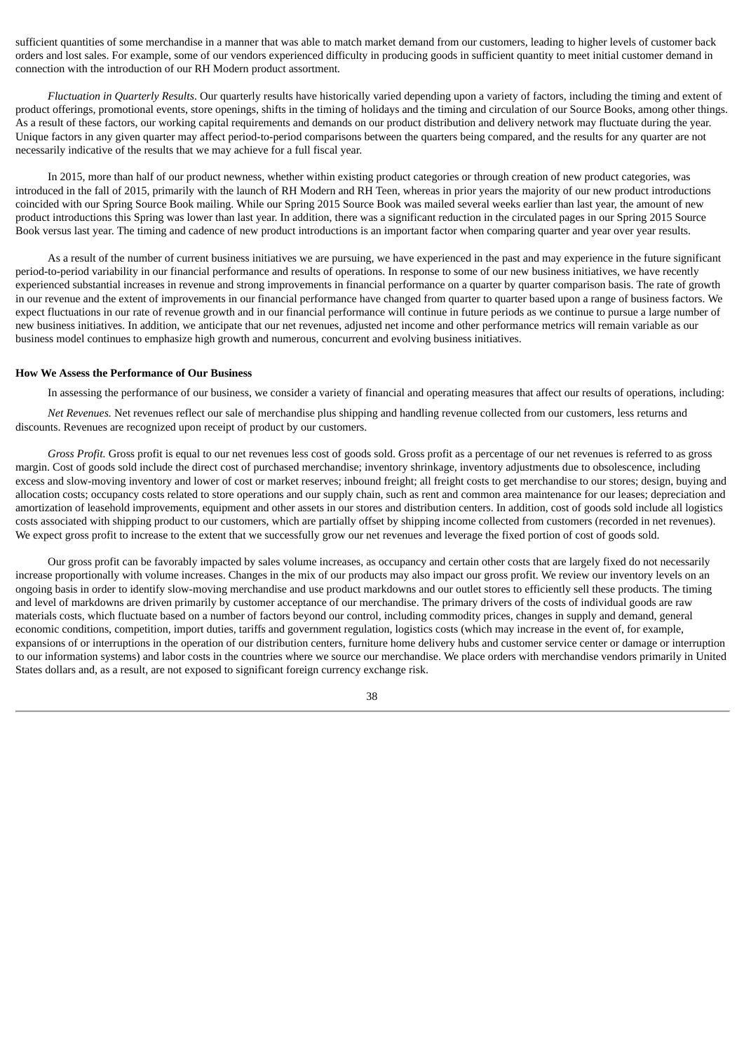sufficient quantities of some merchandise in a manner that was able to match market demand from our customers, leading to higher levels of customer back orders and lost sales. For example, some of our vendors experienced difficulty in producing goods in sufficient quantity to meet initial customer demand in connection with the introduction of our RH Modern product assortment.

*Fluctuation in Quarterly Results*. Our quarterly results have historically varied depending upon a variety of factors, including the timing and extent of product offerings, promotional events, store openings, shifts in the timing of holidays and the timing and circulation of our Source Books, among other things. As a result of these factors, our working capital requirements and demands on our product distribution and delivery network may fluctuate during the year. Unique factors in any given quarter may affect period-to-period comparisons between the quarters being compared, and the results for any quarter are not necessarily indicative of the results that we may achieve for a full fiscal year.

In 2015, more than half of our product newness, whether within existing product categories or through creation of new product categories, was introduced in the fall of 2015, primarily with the launch of RH Modern and RH Teen, whereas in prior years the majority of our new product introductions coincided with our Spring Source Book mailing. While our Spring 2015 Source Book was mailed several weeks earlier than last year, the amount of new product introductions this Spring was lower than last year. In addition, there was a significant reduction in the circulated pages in our Spring 2015 Source Book versus last year. The timing and cadence of new product introductions is an important factor when comparing quarter and year over year results.

As a result of the number of current business initiatives we are pursuing, we have experienced in the past and may experience in the future significant period-to-period variability in our financial performance and results of operations. In response to some of our new business initiatives, we have recently experienced substantial increases in revenue and strong improvements in financial performance on a quarter by quarter comparison basis. The rate of growth in our revenue and the extent of improvements in our financial performance have changed from quarter to quarter based upon a range of business factors. We expect fluctuations in our rate of revenue growth and in our financial performance will continue in future periods as we continue to pursue a large number of new business initiatives. In addition, we anticipate that our net revenues, adjusted net income and other performance metrics will remain variable as our business model continues to emphasize high growth and numerous, concurrent and evolving business initiatives.

#### **How We Assess the Performance of Our Business**

In assessing the performance of our business, we consider a variety of financial and operating measures that affect our results of operations, including:

*Net Revenues.* Net revenues reflect our sale of merchandise plus shipping and handling revenue collected from our customers, less returns and discounts. Revenues are recognized upon receipt of product by our customers.

*Gross Profit.* Gross profit is equal to our net revenues less cost of goods sold. Gross profit as a percentage of our net revenues is referred to as gross margin. Cost of goods sold include the direct cost of purchased merchandise; inventory shrinkage, inventory adjustments due to obsolescence, including excess and slow-moving inventory and lower of cost or market reserves; inbound freight; all freight costs to get merchandise to our stores; design, buying and allocation costs; occupancy costs related to store operations and our supply chain, such as rent and common area maintenance for our leases; depreciation and amortization of leasehold improvements, equipment and other assets in our stores and distribution centers. In addition, cost of goods sold include all logistics costs associated with shipping product to our customers, which are partially offset by shipping income collected from customers (recorded in net revenues). We expect gross profit to increase to the extent that we successfully grow our net revenues and leverage the fixed portion of cost of goods sold.

Our gross profit can be favorably impacted by sales volume increases, as occupancy and certain other costs that are largely fixed do not necessarily increase proportionally with volume increases. Changes in the mix of our products may also impact our gross profit. We review our inventory levels on an ongoing basis in order to identify slow-moving merchandise and use product markdowns and our outlet stores to efficiently sell these products. The timing and level of markdowns are driven primarily by customer acceptance of our merchandise. The primary drivers of the costs of individual goods are raw materials costs, which fluctuate based on a number of factors beyond our control, including commodity prices, changes in supply and demand, general economic conditions, competition, import duties, tariffs and government regulation, logistics costs (which may increase in the event of, for example, expansions of or interruptions in the operation of our distribution centers, furniture home delivery hubs and customer service center or damage or interruption to our information systems) and labor costs in the countries where we source our merchandise. We place orders with merchandise vendors primarily in United States dollars and, as a result, are not exposed to significant foreign currency exchange risk.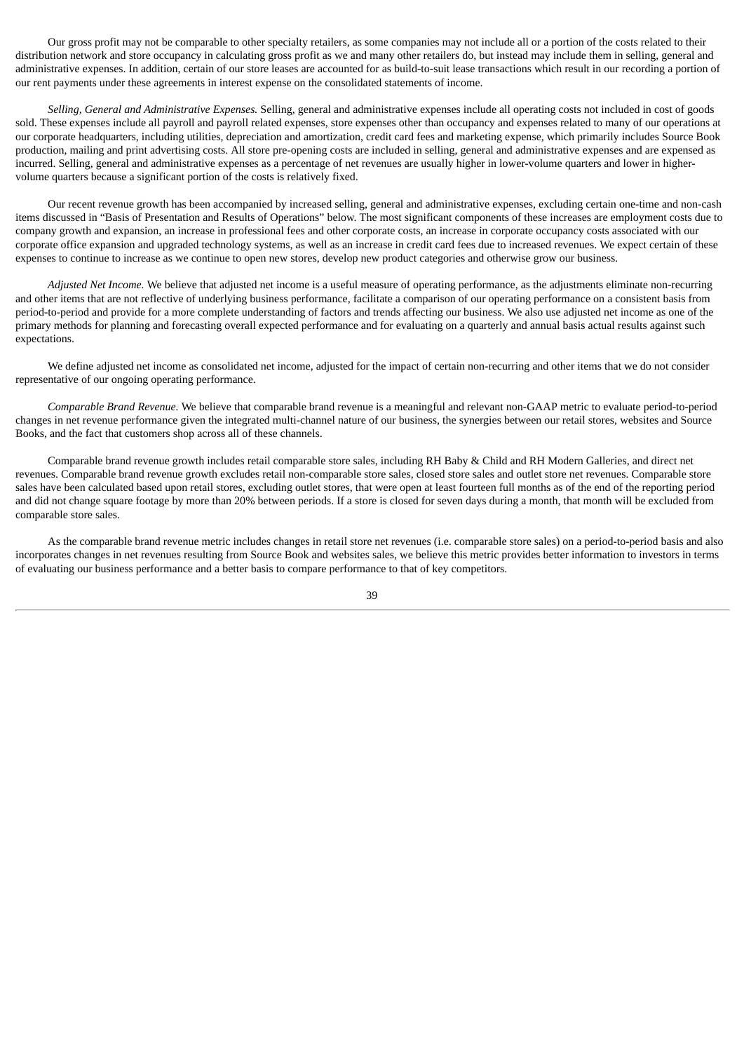Our gross profit may not be comparable to other specialty retailers, as some companies may not include all or a portion of the costs related to their distribution network and store occupancy in calculating gross profit as we and many other retailers do, but instead may include them in selling, general and administrative expenses. In addition, certain of our store leases are accounted for as build-to-suit lease transactions which result in our recording a portion of our rent payments under these agreements in interest expense on the consolidated statements of income.

*Selling, General and Administrative Expenses.* Selling, general and administrative expenses include all operating costs not included in cost of goods sold. These expenses include all payroll and payroll related expenses, store expenses other than occupancy and expenses related to many of our operations at our corporate headquarters, including utilities, depreciation and amortization, credit card fees and marketing expense, which primarily includes Source Book production, mailing and print advertising costs. All store pre-opening costs are included in selling, general and administrative expenses and are expensed as incurred. Selling, general and administrative expenses as a percentage of net revenues are usually higher in lower-volume quarters and lower in highervolume quarters because a significant portion of the costs is relatively fixed.

Our recent revenue growth has been accompanied by increased selling, general and administrative expenses, excluding certain one-time and non-cash items discussed in "Basis of Presentation and Results of Operations" below. The most significant components of these increases are employment costs due to company growth and expansion, an increase in professional fees and other corporate costs, an increase in corporate occupancy costs associated with our corporate office expansion and upgraded technology systems, as well as an increase in credit card fees due to increased revenues. We expect certain of these expenses to continue to increase as we continue to open new stores, develop new product categories and otherwise grow our business.

*Adjusted Net Income.* We believe that adjusted net income is a useful measure of operating performance, as the adjustments eliminate non-recurring and other items that are not reflective of underlying business performance, facilitate a comparison of our operating performance on a consistent basis from period-to-period and provide for a more complete understanding of factors and trends affecting our business. We also use adjusted net income as one of the primary methods for planning and forecasting overall expected performance and for evaluating on a quarterly and annual basis actual results against such expectations.

We define adjusted net income as consolidated net income, adjusted for the impact of certain non-recurring and other items that we do not consider representative of our ongoing operating performance.

*Comparable Brand Revenue.* We believe that comparable brand revenue is a meaningful and relevant non-GAAP metric to evaluate period-to-period changes in net revenue performance given the integrated multi-channel nature of our business, the synergies between our retail stores, websites and Source Books, and the fact that customers shop across all of these channels.

Comparable brand revenue growth includes retail comparable store sales, including RH Baby & Child and RH Modern Galleries, and direct net revenues. Comparable brand revenue growth excludes retail non-comparable store sales, closed store sales and outlet store net revenues. Comparable store sales have been calculated based upon retail stores, excluding outlet stores, that were open at least fourteen full months as of the end of the reporting period and did not change square footage by more than 20% between periods. If a store is closed for seven days during a month, that month will be excluded from comparable store sales.

As the comparable brand revenue metric includes changes in retail store net revenues (i.e. comparable store sales) on a period-to-period basis and also incorporates changes in net revenues resulting from Source Book and websites sales, we believe this metric provides better information to investors in terms of evaluating our business performance and a better basis to compare performance to that of key competitors.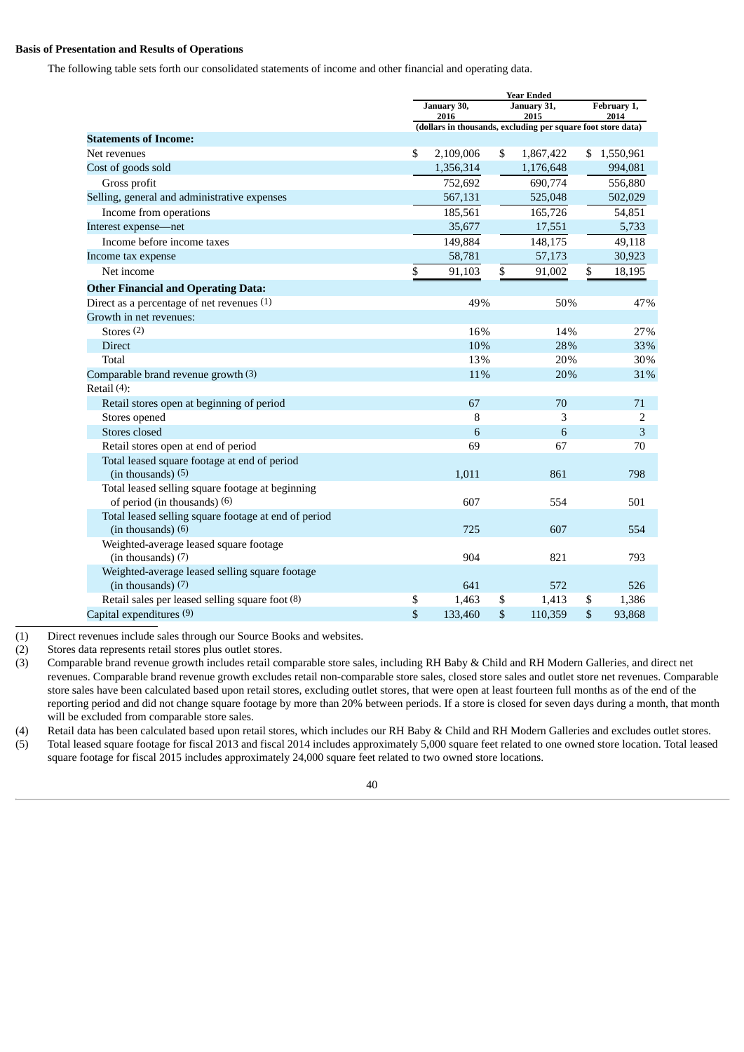# **Basis of Presentation and Results of Operations**

The following table sets forth our consolidated statements of income and other financial and operating data.

|                                                                                  | <b>Year Ended</b> |                     |    |                                                                                     |    |                     |  |  |  |
|----------------------------------------------------------------------------------|-------------------|---------------------|----|-------------------------------------------------------------------------------------|----|---------------------|--|--|--|
|                                                                                  |                   | January 30,<br>2016 |    | January 31,<br>2015<br>(dollars in thousands, excluding per square foot store data) |    | February 1,<br>2014 |  |  |  |
| <b>Statements of Income:</b>                                                     |                   |                     |    |                                                                                     |    |                     |  |  |  |
| Net revenues                                                                     | \$                | 2,109,006           | \$ | 1,867,422                                                                           | S  | 1,550,961           |  |  |  |
| Cost of goods sold                                                               |                   | 1,356,314           |    | 1,176,648                                                                           |    | 994,081             |  |  |  |
| Gross profit                                                                     |                   | 752,692             |    | 690,774                                                                             |    | 556,880             |  |  |  |
| Selling, general and administrative expenses                                     |                   | 567,131             |    | 525,048                                                                             |    | 502,029             |  |  |  |
| Income from operations                                                           |                   | 185,561             |    | 165,726                                                                             |    | 54,851              |  |  |  |
| Interest expense-net                                                             |                   | 35,677              |    | 17,551                                                                              |    | 5,733               |  |  |  |
| Income before income taxes                                                       |                   | 149,884             |    | 148,175                                                                             |    | 49,118              |  |  |  |
| Income tax expense                                                               |                   | 58,781              |    | 57,173                                                                              |    | 30,923              |  |  |  |
| Net income                                                                       | \$                | 91,103              | \$ | 91,002                                                                              | \$ | 18,195              |  |  |  |
| <b>Other Financial and Operating Data:</b>                                       |                   |                     |    |                                                                                     |    |                     |  |  |  |
| Direct as a percentage of net revenues $(1)$                                     |                   | 49%                 |    | 50%                                                                                 |    | 47%                 |  |  |  |
| Growth in net revenues:                                                          |                   |                     |    |                                                                                     |    |                     |  |  |  |
| Stores $(2)$                                                                     |                   | 16%                 |    | 14%                                                                                 |    | 27%                 |  |  |  |
| <b>Direct</b>                                                                    |                   | 10%                 |    | 28%                                                                                 |    | 33%                 |  |  |  |
| Total                                                                            |                   | 13%                 |    | 20%                                                                                 |    | 30%                 |  |  |  |
| Comparable brand revenue growth (3)                                              |                   | 11%                 |    | 20%                                                                                 |    | 31%                 |  |  |  |
| Retail (4):                                                                      |                   |                     |    |                                                                                     |    |                     |  |  |  |
| Retail stores open at beginning of period                                        |                   | 67                  |    | 70                                                                                  |    | 71                  |  |  |  |
| Stores opened                                                                    |                   | 8                   |    | 3                                                                                   |    | 2                   |  |  |  |
| Stores closed                                                                    |                   | 6                   |    | 6                                                                                   |    | 3                   |  |  |  |
| Retail stores open at end of period                                              |                   | 69                  |    | 67                                                                                  |    | 70                  |  |  |  |
| Total leased square footage at end of period                                     |                   |                     |    |                                                                                     |    |                     |  |  |  |
| (in thousands) (5)                                                               |                   | 1,011               |    | 861                                                                                 |    | 798                 |  |  |  |
| Total leased selling square footage at beginning<br>of period (in thousands) (6) |                   | 607                 |    | 554                                                                                 |    | 501                 |  |  |  |
| Total leased selling square footage at end of period<br>$(in thousands)$ (6)     |                   | 725                 |    | 607                                                                                 |    | 554                 |  |  |  |
| Weighted-average leased square footage<br>$(in thousands)$ (7)                   |                   | 904                 |    | 821                                                                                 |    | 793                 |  |  |  |
| Weighted-average leased selling square footage<br>$(in thousands)$ (7)           |                   | 641                 |    | 572                                                                                 |    | 526                 |  |  |  |
| Retail sales per leased selling square foot (8)                                  | \$                | 1,463               | \$ | 1,413                                                                               | \$ | 1,386               |  |  |  |
| Capital expenditures (9)                                                         | \$                | 133,460             | \$ | 110,359                                                                             | \$ | 93,868              |  |  |  |

(1) Direct revenues include sales through our Source Books and websites.<br>
(2) Stores data represents retail stores plus outlet stores.

Stores data represents retail stores plus outlet stores.

(3) Comparable brand revenue growth includes retail comparable store sales, including RH Baby & Child and RH Modern Galleries, and direct net revenues. Comparable brand revenue growth excludes retail non-comparable store sales, closed store sales and outlet store net revenues. Comparable store sales have been calculated based upon retail stores, excluding outlet stores, that were open at least fourteen full months as of the end of the reporting period and did not change square footage by more than 20% between periods. If a store is closed for seven days during a month, that month will be excluded from comparable store sales.

(4) Retail data has been calculated based upon retail stores, which includes our RH Baby & Child and RH Modern Galleries and excludes outlet stores.

(5) Total leased square footage for fiscal 2013 and fiscal 2014 includes approximately 5,000 square feet related to one owned store location. Total leased square footage for fiscal 2015 includes approximately 24,000 square feet related to two owned store locations.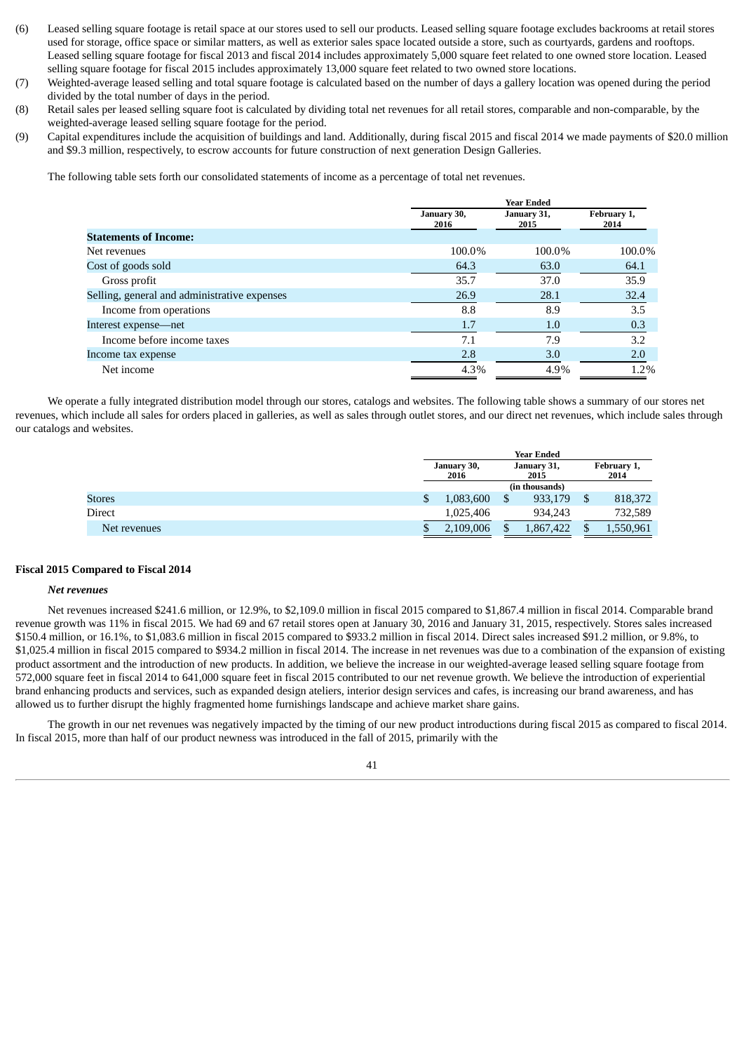- (6) Leased selling square footage is retail space at our stores used to sell our products. Leased selling square footage excludes backrooms at retail stores used for storage, office space or similar matters, as well as exterior sales space located outside a store, such as courtyards, gardens and rooftops. Leased selling square footage for fiscal 2013 and fiscal 2014 includes approximately 5,000 square feet related to one owned store location. Leased selling square footage for fiscal 2015 includes approximately 13,000 square feet related to two owned store locations.
- (7) Weighted-average leased selling and total square footage is calculated based on the number of days a gallery location was opened during the period divided by the total number of days in the period.
- (8) Retail sales per leased selling square foot is calculated by dividing total net revenues for all retail stores, comparable and non-comparable, by the weighted-average leased selling square footage for the period.
- (9) Capital expenditures include the acquisition of buildings and land. Additionally, during fiscal 2015 and fiscal 2014 we made payments of \$20.0 million and \$9.3 million, respectively, to escrow accounts for future construction of next generation Design Galleries.

The following table sets forth our consolidated statements of income as a percentage of total net revenues.

|                                              |                     | <b>Year Ended</b>   |                     |
|----------------------------------------------|---------------------|---------------------|---------------------|
|                                              | January 30,<br>2016 | January 31,<br>2015 | February 1,<br>2014 |
| <b>Statements of Income:</b>                 |                     |                     |                     |
| Net revenues                                 | 100.0%              | 100.0%              | 100.0%              |
| Cost of goods sold                           | 64.3                | 63.0                | 64.1                |
| Gross profit                                 | 35.7                | 37.0                | 35.9                |
| Selling, general and administrative expenses | 26.9                | 28.1                | 32.4                |
| Income from operations                       | 8.8                 | 8.9                 | 3.5                 |
| Interest expense—net                         | 1.7                 | 1.0                 | 0.3                 |
| Income before income taxes                   | 7.1                 | 7.9                 | 3.2                 |
| Income tax expense                           | 2.8                 | 3.0                 | 2.0                 |
| Net income                                   | 4.3%                | 4.9%                | $1.2\%$             |

We operate a fully integrated distribution model through our stores, catalogs and websites. The following table shows a summary of our stores net revenues, which include all sales for orders placed in galleries, as well as sales through outlet stores, and our direct net revenues, which include sales through our catalogs and websites.

|               |                                            |           |   | <b>Year Ended</b> |                     |           |
|---------------|--------------------------------------------|-----------|---|-------------------|---------------------|-----------|
|               | January 30,<br>January 31,<br>2016<br>2015 |           |   |                   | February 1,<br>2014 |           |
|               |                                            |           |   | (in thousands)    |                     |           |
| <b>Stores</b> | ۵D                                         | 1,083,600 |   | 933,179           | $\mathfrak{S}$      | 818,372   |
| Direct        |                                            | 1,025,406 |   | 934.243           |                     | 732,589   |
| Net revenues  | لا                                         | 2,109,006 | ¢ | 1,867,422         | D                   | 1,550,961 |

## **Fiscal 2015 Compared to Fiscal 2014**

## *Net revenues*

Net revenues increased \$241.6 million, or 12.9%, to \$2,109.0 million in fiscal 2015 compared to \$1,867.4 million in fiscal 2014. Comparable brand revenue growth was 11% in fiscal 2015. We had 69 and 67 retail stores open at January 30, 2016 and January 31, 2015, respectively. Stores sales increased \$150.4 million, or 16.1%, to \$1,083.6 million in fiscal 2015 compared to \$933.2 million in fiscal 2014. Direct sales increased \$91.2 million, or 9.8%, to \$1,025.4 million in fiscal 2015 compared to \$934.2 million in fiscal 2014. The increase in net revenues was due to a combination of the expansion of existing product assortment and the introduction of new products. In addition, we believe the increase in our weighted-average leased selling square footage from 572,000 square feet in fiscal 2014 to 641,000 square feet in fiscal 2015 contributed to our net revenue growth. We believe the introduction of experiential brand enhancing products and services, such as expanded design ateliers, interior design services and cafes, is increasing our brand awareness, and has allowed us to further disrupt the highly fragmented home furnishings landscape and achieve market share gains.

The growth in our net revenues was negatively impacted by the timing of our new product introductions during fiscal 2015 as compared to fiscal 2014. In fiscal 2015, more than half of our product newness was introduced in the fall of 2015, primarily with the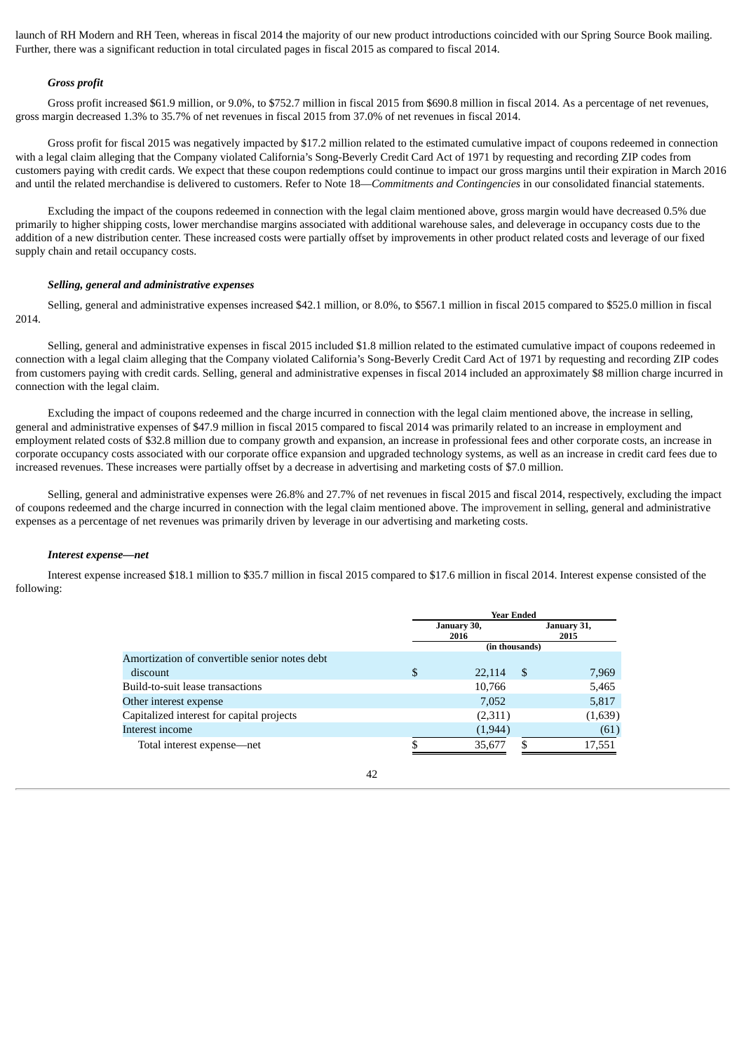launch of RH Modern and RH Teen, whereas in fiscal 2014 the majority of our new product introductions coincided with our Spring Source Book mailing. Further, there was a significant reduction in total circulated pages in fiscal 2015 as compared to fiscal 2014.

## *Gross profit*

Gross profit increased \$61.9 million, or 9.0%, to \$752.7 million in fiscal 2015 from \$690.8 million in fiscal 2014. As a percentage of net revenues, gross margin decreased 1.3% to 35.7% of net revenues in fiscal 2015 from 37.0% of net revenues in fiscal 2014.

Gross profit for fiscal 2015 was negatively impacted by \$17.2 million related to the estimated cumulative impact of coupons redeemed in connection with a legal claim alleging that the Company violated California's Song-Beverly Credit Card Act of 1971 by requesting and recording ZIP codes from customers paying with credit cards. We expect that these coupon redemptions could continue to impact our gross margins until their expiration in March 2016 and until the related merchandise is delivered to customers. Refer to Note 18—*Commitments and Contingencies* in our consolidated financial statements.

Excluding the impact of the coupons redeemed in connection with the legal claim mentioned above, gross margin would have decreased 0.5% due primarily to higher shipping costs, lower merchandise margins associated with additional warehouse sales, and deleverage in occupancy costs due to the addition of a new distribution center. These increased costs were partially offset by improvements in other product related costs and leverage of our fixed supply chain and retail occupancy costs.

#### *Selling, general and administrative expenses*

Selling, general and administrative expenses increased \$42.1 million, or 8.0%, to \$567.1 million in fiscal 2015 compared to \$525.0 million in fiscal 2014.

Selling, general and administrative expenses in fiscal 2015 included \$1.8 million related to the estimated cumulative impact of coupons redeemed in connection with a legal claim alleging that the Company violated California's Song-Beverly Credit Card Act of 1971 by requesting and recording ZIP codes from customers paying with credit cards. Selling, general and administrative expenses in fiscal 2014 included an approximately \$8 million charge incurred in connection with the legal claim.

Excluding the impact of coupons redeemed and the charge incurred in connection with the legal claim mentioned above, the increase in selling, general and administrative expenses of \$47.9 million in fiscal 2015 compared to fiscal 2014 was primarily related to an increase in employment and employment related costs of \$32.8 million due to company growth and expansion, an increase in professional fees and other corporate costs, an increase in corporate occupancy costs associated with our corporate office expansion and upgraded technology systems, as well as an increase in credit card fees due to increased revenues. These increases were partially offset by a decrease in advertising and marketing costs of \$7.0 million.

Selling, general and administrative expenses were 26.8% and 27.7% of net revenues in fiscal 2015 and fiscal 2014, respectively, excluding the impact of coupons redeemed and the charge incurred in connection with the legal claim mentioned above. The improvement in selling, general and administrative expenses as a percentage of net revenues was primarily driven by leverage in our advertising and marketing costs.

#### *Interest expense—net*

Interest expense increased \$18.1 million to \$35.7 million in fiscal 2015 compared to \$17.6 million in fiscal 2014. Interest expense consisted of the following:

|                                               | <b>Year Ended</b>                  |     |         |  |  |  |  |  |  |  |  |
|-----------------------------------------------|------------------------------------|-----|---------|--|--|--|--|--|--|--|--|
|                                               | January 31,<br>January 30,<br>2016 |     |         |  |  |  |  |  |  |  |  |
|                                               | 2015<br>(in thousands)             |     |         |  |  |  |  |  |  |  |  |
| Amortization of convertible senior notes debt |                                    |     |         |  |  |  |  |  |  |  |  |
| discount                                      | \$<br>22,114                       | -\$ | 7,969   |  |  |  |  |  |  |  |  |
| Build-to-suit lease transactions              | 10,766                             |     | 5,465   |  |  |  |  |  |  |  |  |
| Other interest expense                        | 7,052                              |     | 5,817   |  |  |  |  |  |  |  |  |
| Capitalized interest for capital projects     | (2,311)                            |     | (1,639) |  |  |  |  |  |  |  |  |
| Interest income                               | (1, 944)                           |     | (61)    |  |  |  |  |  |  |  |  |
| Total interest expense-net                    | 35,677                             | \$  | 17,551  |  |  |  |  |  |  |  |  |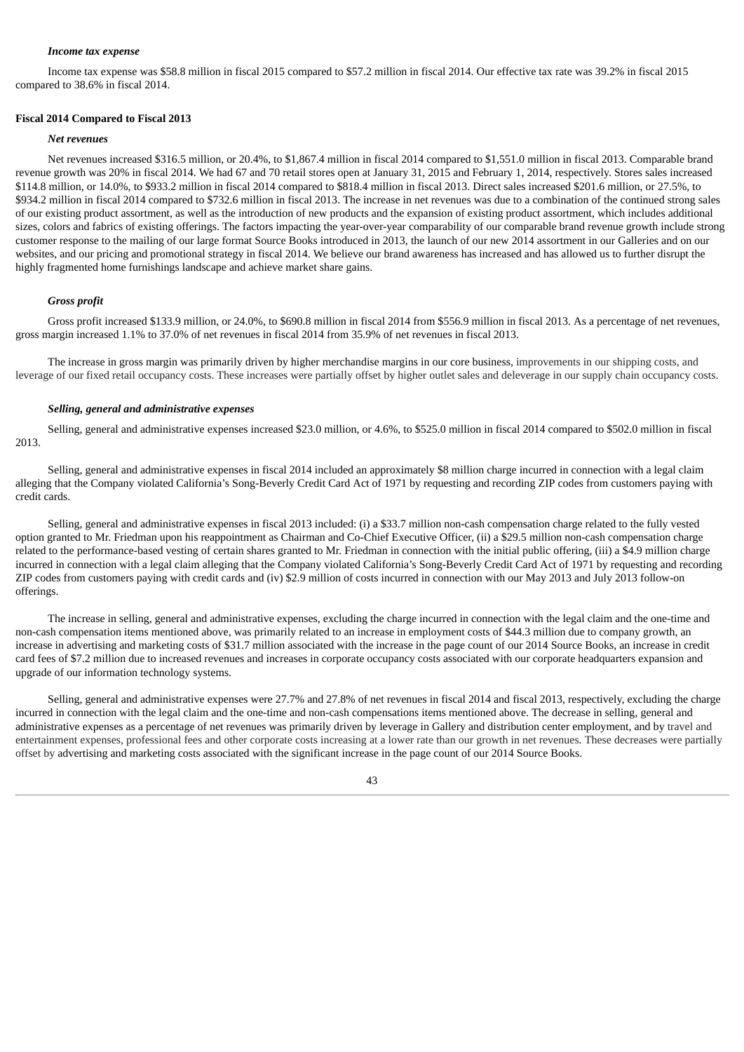## *Income tax expense*

Income tax expense was \$58.8 million in fiscal 2015 compared to \$57.2 million in fiscal 2014. Our effective tax rate was 39.2% in fiscal 2015 compared to 38.6% in fiscal 2014.

# **Fiscal 2014 Compared to Fiscal 2013**

#### *Net revenues*

Net revenues increased \$316.5 million, or 20.4%, to \$1,867.4 million in fiscal 2014 compared to \$1,551.0 million in fiscal 2013. Comparable brand revenue growth was 20% in fiscal 2014. We had 67 and 70 retail stores open at January 31, 2015 and February 1, 2014, respectively. Stores sales increased \$114.8 million, or 14.0%, to \$933.2 million in fiscal 2014 compared to \$818.4 million in fiscal 2013. Direct sales increased \$201.6 million, or 27.5%, to \$934.2 million in fiscal 2014 compared to \$732.6 million in fiscal 2013. The increase in net revenues was due to a combination of the continued strong sales of our existing product assortment, as well as the introduction of new products and the expansion of existing product assortment, which includes additional sizes, colors and fabrics of existing offerings. The factors impacting the year-over-year comparability of our comparable brand revenue growth include strong customer response to the mailing of our large format Source Books introduced in 2013, the launch of our new 2014 assortment in our Galleries and on our websites, and our pricing and promotional strategy in fiscal 2014. We believe our brand awareness has increased and has allowed us to further disrupt the highly fragmented home furnishings landscape and achieve market share gains.

#### *Gross profit*

Gross profit increased \$133.9 million, or 24.0%, to \$690.8 million in fiscal 2014 from \$556.9 million in fiscal 2013. As a percentage of net revenues, gross margin increased 1.1% to 37.0% of net revenues in fiscal 2014 from 35.9% of net revenues in fiscal 2013.

The increase in gross margin was primarily driven by higher merchandise margins in our core business, improvements in our shipping costs, and leverage of our fixed retail occupancy costs. These increases were partially offset by higher outlet sales and deleverage in our supply chain occupancy costs.

#### *Selling, general and administrative expenses*

Selling, general and administrative expenses increased \$23.0 million, or 4.6%, to \$525.0 million in fiscal 2014 compared to \$502.0 million in fiscal 2013.

Selling, general and administrative expenses in fiscal 2014 included an approximately \$8 million charge incurred in connection with a legal claim alleging that the Company violated California's Song-Beverly Credit Card Act of 1971 by requesting and recording ZIP codes from customers paying with credit cards.

Selling, general and administrative expenses in fiscal 2013 included: (i) a \$33.7 million non-cash compensation charge related to the fully vested option granted to Mr. Friedman upon his reappointment as Chairman and Co-Chief Executive Officer, (ii) a \$29.5 million non-cash compensation charge related to the performance-based vesting of certain shares granted to Mr. Friedman in connection with the initial public offering, (iii) a \$4.9 million charge incurred in connection with a legal claim alleging that the Company violated California's Song-Beverly Credit Card Act of 1971 by requesting and recording ZIP codes from customers paying with credit cards and (iv) \$2.9 million of costs incurred in connection with our May 2013 and July 2013 follow-on offerings.

The increase in selling, general and administrative expenses, excluding the charge incurred in connection with the legal claim and the one-time and non-cash compensation items mentioned above, was primarily related to an increase in employment costs of \$44.3 million due to company growth, an increase in advertising and marketing costs of \$31.7 million associated with the increase in the page count of our 2014 Source Books, an increase in credit card fees of \$7.2 million due to increased revenues and increases in corporate occupancy costs associated with our corporate headquarters expansion and upgrade of our information technology systems.

Selling, general and administrative expenses were 27.7% and 27.8% of net revenues in fiscal 2014 and fiscal 2013, respectively, excluding the charge incurred in connection with the legal claim and the one-time and non-cash compensations items mentioned above. The decrease in selling, general and administrative expenses as a percentage of net revenues was primarily driven by leverage in Gallery and distribution center employment, and by travel and entertainment expenses, professional fees and other corporate costs increasing at a lower rate than our growth in net revenues. These decreases were partially offset by advertising and marketing costs associated with the significant increase in the page count of our 2014 Source Books.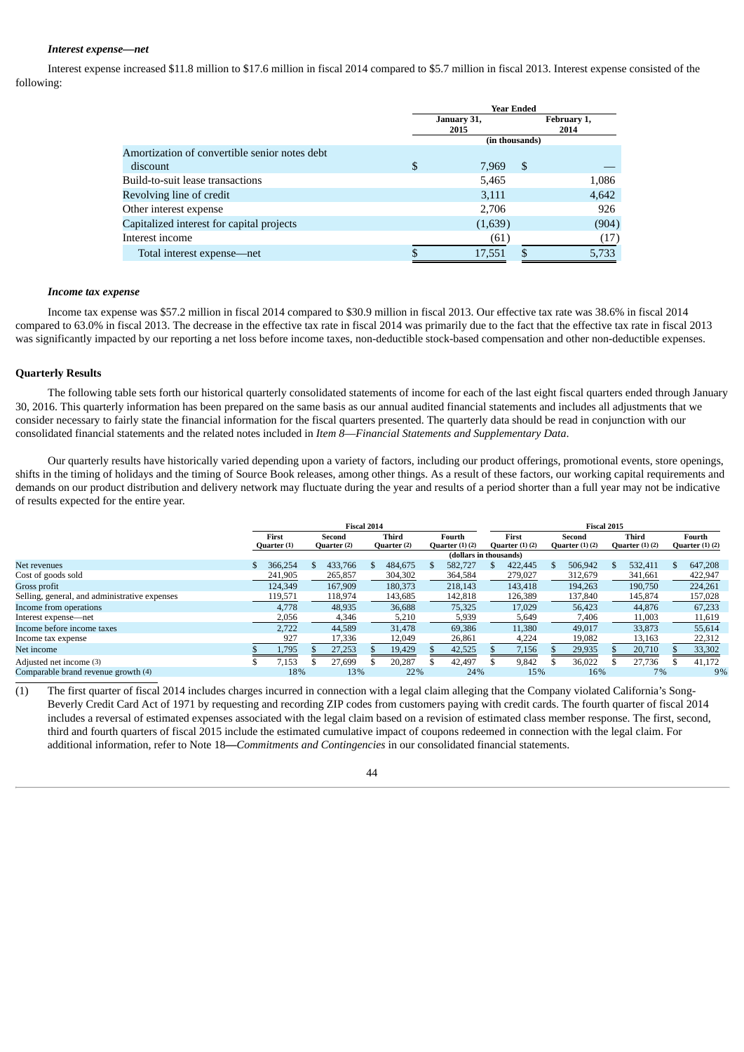#### *Interest expense—net*

Interest expense increased \$11.8 million to \$17.6 million in fiscal 2014 compared to \$5.7 million in fiscal 2013. Interest expense consisted of the following:

|                                               | <b>Year Ended</b>                  |    |       |  |  |  |  |  |  |  |  |
|-----------------------------------------------|------------------------------------|----|-------|--|--|--|--|--|--|--|--|
|                                               | February 1,<br>January 31,<br>2015 |    |       |  |  |  |  |  |  |  |  |
|                                               | 2014<br>(in thousands)             |    |       |  |  |  |  |  |  |  |  |
| Amortization of convertible senior notes debt |                                    |    |       |  |  |  |  |  |  |  |  |
| discount                                      | \$<br>7,969                        | \$ |       |  |  |  |  |  |  |  |  |
| Build-to-suit lease transactions              | 5,465                              |    | 1,086 |  |  |  |  |  |  |  |  |
| Revolving line of credit                      | 3,111                              |    | 4,642 |  |  |  |  |  |  |  |  |
| Other interest expense                        | 2,706                              |    | 926   |  |  |  |  |  |  |  |  |
| Capitalized interest for capital projects     | (1,639)                            |    | (904) |  |  |  |  |  |  |  |  |
| Interest income                               | (61)                               |    | (17)  |  |  |  |  |  |  |  |  |
| Total interest expense—net                    | \$<br>17.551                       | \$ | 5.733 |  |  |  |  |  |  |  |  |

#### *Income tax expense*

Income tax expense was \$57.2 million in fiscal 2014 compared to \$30.9 million in fiscal 2013. Our effective tax rate was 38.6% in fiscal 2014 compared to 63.0% in fiscal 2013. The decrease in the effective tax rate in fiscal 2014 was primarily due to the fact that the effective tax rate in fiscal 2013 was significantly impacted by our reporting a net loss before income taxes, non-deductible stock-based compensation and other non-deductible expenses.

## **Quarterly Results**

The following table sets forth our historical quarterly consolidated statements of income for each of the last eight fiscal quarters ended through January 30, 2016. This quarterly information has been prepared on the same basis as our annual audited financial statements and includes all adjustments that we consider necessary to fairly state the financial information for the fiscal quarters presented. The quarterly data should be read in conjunction with our consolidated financial statements and the related notes included in *Item 8*—*Financial Statements and Supplementary Data*.

Our quarterly results have historically varied depending upon a variety of factors, including our product offerings, promotional events, store openings, shifts in the timing of holidays and the timing of Source Book releases, among other things. As a result of these factors, our working capital requirements and demands on our product distribution and delivery network may fluctuate during the year and results of a period shorter than a full year may not be indicative of results expected for the entire year.

|                                               | Fiscal 2014          |   |                       |    |                      |  | Fiscal 2015               |  |                              |                               |         |                              |         |  |                               |
|-----------------------------------------------|----------------------|---|-----------------------|----|----------------------|--|---------------------------|--|------------------------------|-------------------------------|---------|------------------------------|---------|--|-------------------------------|
|                                               | First<br>Quarter (1) |   | Second<br>Quarter (2) |    | Third<br>Quarter (2) |  | Fourth<br>Quarter (1) (2) |  | First<br>Quarter $(1)$ $(2)$ | Second<br>Quarter $(1)$ $(2)$ |         | Third<br>Quarter $(1)$ $(2)$ |         |  | Fourth<br>Quarter $(1)$ $(2)$ |
|                                               |                      |   |                       |    |                      |  | (dollars in thousands)    |  |                              |                               |         |                              |         |  |                               |
| Net revenues                                  | 366.254              | S | 433,766               | £. | 484,675              |  | 582,727                   |  | 422,445                      | S.                            | 506,942 |                              | 532.411 |  | 647,208                       |
| Cost of goods sold                            | 241,905              |   | 265,857               |    | 304,302              |  | 364,584                   |  | 279,027                      |                               | 312,679 |                              | 341,661 |  | 422,947                       |
| Gross profit                                  | 124,349              |   | 167,909               |    | 180,373              |  | 218,143                   |  | 143,418                      |                               | 194,263 |                              | 190.750 |  | 224,261                       |
| Selling, general, and administrative expenses | 119,571              |   | 118,974               |    | 143,685              |  | 142,818                   |  | 126,389                      |                               | 137,840 |                              | 145,874 |  | 157,028                       |
| Income from operations                        | 4.778                |   | 48,935                |    | 36,688               |  | 75,325                    |  | 17,029                       |                               | 56,423  |                              | 44,876  |  | 67,233                        |
| Interest expense—net                          | 2,056                |   | 4,346                 |    | 5,210                |  | 5,939                     |  | 5,649                        |                               | 7,406   |                              | 11,003  |  | 11,619                        |
| Income before income taxes                    | 2,722                |   | 44,589                |    | 31,478               |  | 69,386                    |  | 11,380                       |                               | 49,017  |                              | 33,873  |  | 55,614                        |
| Income tax expense                            | 927                  |   | 17,336                |    | 12,049               |  | 26,861                    |  | 4,224                        |                               | 19,082  |                              | 13,163  |  | 22,312                        |
| Net income                                    | 1,795                |   | 27,253                |    | 19,429               |  | 42,525                    |  | 7,156                        |                               | 29,935  |                              | 20,710  |  | 33,302                        |
| Adjusted net income (3)                       | 7,153                |   | 27.699                |    | 20,287               |  | 42,497                    |  | 9,842                        |                               | 36,022  |                              | 27,736  |  | 41,172                        |
| Comparable brand revenue growth (4)           | 18%                  |   | 13%                   |    | 22%                  |  | 24%                       |  | 15%                          |                               | 16%     |                              | 7%      |  | 9%                            |

(1) The first quarter of fiscal 2014 includes charges incurred in connection with a legal claim alleging that the Company violated California's Song-Beverly Credit Card Act of 1971 by requesting and recording ZIP codes from customers paying with credit cards. The fourth quarter of fiscal 2014 includes a reversal of estimated expenses associated with the legal claim based on a revision of estimated class member response. The first, second, third and fourth quarters of fiscal 2015 include the estimated cumulative impact of coupons redeemed in connection with the legal claim. For additional information, refer to Note 18**—***Commitments and Contingencies* in our consolidated financial statements.

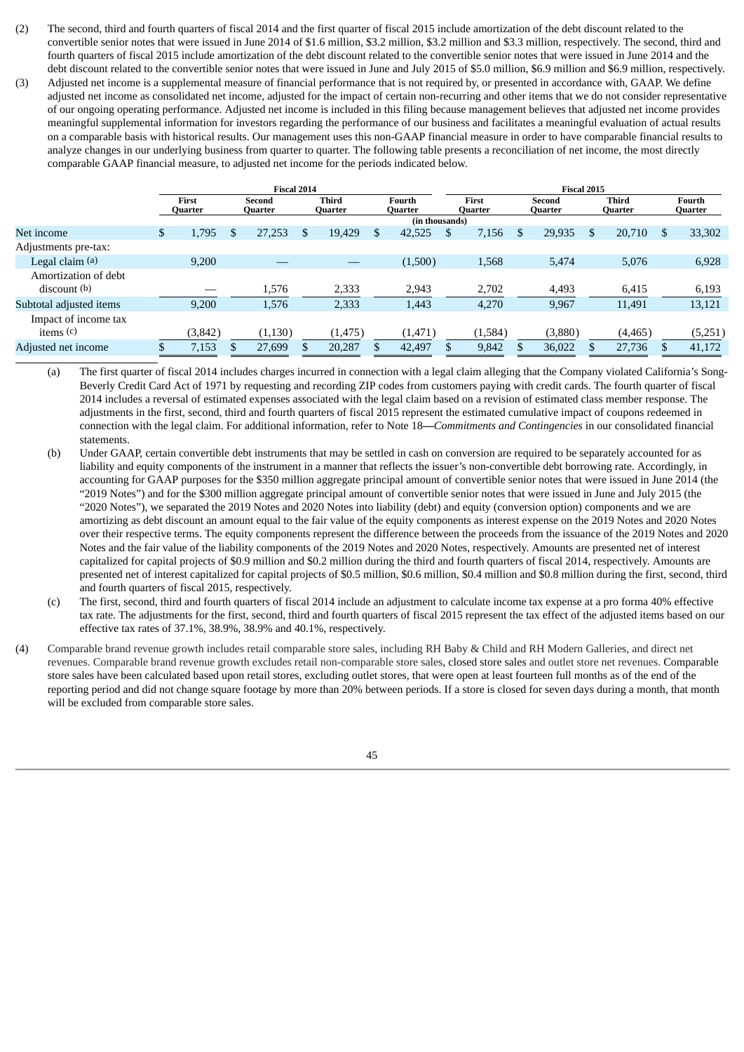- (2) The second, third and fourth quarters of fiscal 2014 and the first quarter of fiscal 2015 include amortization of the debt discount related to the convertible senior notes that were issued in June 2014 of \$1.6 million, \$3.2 million, \$3.2 million and \$3.3 million, respectively. The second, third and fourth quarters of fiscal 2015 include amortization of the debt discount related to the convertible senior notes that were issued in June 2014 and the debt discount related to the convertible senior notes that were issued in June and July 2015 of \$5.0 million, \$6.9 million and \$6.9 million, respectively.
- (3) Adjusted net income is a supplemental measure of financial performance that is not required by, or presented in accordance with, GAAP. We define adjusted net income as consolidated net income, adjusted for the impact of certain non-recurring and other items that we do not consider representative of our ongoing operating performance. Adjusted net income is included in this filing because management believes that adjusted net income provides meaningful supplemental information for investors regarding the performance of our business and facilitates a meaningful evaluation of actual results on a comparable basis with historical results. Our management uses this non-GAAP financial measure in order to have comparable financial results to analyze changes in our underlying business from quarter to quarter. The following table presents a reconciliation of net income, the most directly comparable GAAP financial measure, to adjusted net income for the periods indicated below.

|                         | Fiscal 2014                           |    |         |                                                     |          |  | <b>Fiscal 2015</b> |  |         |                   |         |                                |          |                   |         |
|-------------------------|---------------------------------------|----|---------|-----------------------------------------------------|----------|--|--------------------|--|---------|-------------------|---------|--------------------------------|----------|-------------------|---------|
|                         | First<br>Second<br>Ouarter<br>Ouarter |    |         | <b>Third</b><br>Fourth<br><b>Quarter</b><br>Ouarter |          |  | First<br>Quarter   |  |         | Second<br>Ouarter |         | <b>Third</b><br><b>Quarter</b> |          | Fourth<br>Quarter |         |
|                         |                                       |    |         |                                                     |          |  | (in thousands)     |  |         |                   |         |                                |          |                   |         |
| Net income              | \$<br>1,795                           | \$ | 27,253  | S                                                   | 19,429   |  | 42,525             |  | 7,156   |                   | 29,935  | S                              | 20,710   | \$.               | 33,302  |
| Adjustments pre-tax:    |                                       |    |         |                                                     |          |  |                    |  |         |                   |         |                                |          |                   |         |
| Legal claim (a)         | 9,200                                 |    |         |                                                     |          |  | (1,500)            |  | 1,568   |                   | 5,474   |                                | 5,076    |                   | 6,928   |
| Amortization of debt    |                                       |    |         |                                                     |          |  |                    |  |         |                   |         |                                |          |                   |         |
| discount (b)            |                                       |    | 1,576   |                                                     | 2,333    |  | 2,943              |  | 2,702   |                   | 4,493   |                                | 6,415    |                   | 6,193   |
| Subtotal adjusted items | 9,200                                 |    | 1,576   |                                                     | 2,333    |  | 1,443              |  | 4,270   |                   | 9,967   |                                | 11,491   |                   | 13,121  |
| Impact of income tax    |                                       |    |         |                                                     |          |  |                    |  |         |                   |         |                                |          |                   |         |
| items $(c)$             | (3, 842)                              |    | (1,130) |                                                     | (1, 475) |  | (1, 471)           |  | (1,584) |                   | (3,880) |                                | (4, 465) |                   | (5,251) |
| Adjusted net income     | 7,153                                 |    | 27,699  |                                                     | 20,287   |  | 42,497             |  | 9,842   |                   | 36,022  |                                | 27,736   |                   | 41,172  |

(a) The first quarter of fiscal 2014 includes charges incurred in connection with a legal claim alleging that the Company violated California's Song-Beverly Credit Card Act of 1971 by requesting and recording ZIP codes from customers paying with credit cards. The fourth quarter of fiscal 2014 includes a reversal of estimated expenses associated with the legal claim based on a revision of estimated class member response. The adjustments in the first, second, third and fourth quarters of fiscal 2015 represent the estimated cumulative impact of coupons redeemed in connection with the legal claim. For additional information, refer to Note 18**—***Commitments and Contingencies* in our consolidated financial statements.

- (b) Under GAAP, certain convertible debt instruments that may be settled in cash on conversion are required to be separately accounted for as liability and equity components of the instrument in a manner that reflects the issuer's non-convertible debt borrowing rate. Accordingly, in accounting for GAAP purposes for the \$350 million aggregate principal amount of convertible senior notes that were issued in June 2014 (the "2019 Notes") and for the \$300 million aggregate principal amount of convertible senior notes that were issued in June and July 2015 (the "2020 Notes"), we separated the 2019 Notes and 2020 Notes into liability (debt) and equity (conversion option) components and we are amortizing as debt discount an amount equal to the fair value of the equity components as interest expense on the 2019 Notes and 2020 Notes over their respective terms. The equity components represent the difference between the proceeds from the issuance of the 2019 Notes and 2020 Notes and the fair value of the liability components of the 2019 Notes and 2020 Notes, respectively. Amounts are presented net of interest capitalized for capital projects of \$0.9 million and \$0.2 million during the third and fourth quarters of fiscal 2014, respectively. Amounts are presented net of interest capitalized for capital projects of \$0.5 million, \$0.6 million, \$0.4 million and \$0.8 million during the first, second, third and fourth quarters of fiscal 2015, respectively.
- (c) The first, second, third and fourth quarters of fiscal 2014 include an adjustment to calculate income tax expense at a pro forma 40% effective tax rate. The adjustments for the first, second, third and fourth quarters of fiscal 2015 represent the tax effect of the adjusted items based on our effective tax rates of 37.1%, 38.9%, 38.9% and 40.1%, respectively.
- (4) Comparable brand revenue growth includes retail comparable store sales, including RH Baby & Child and RH Modern Galleries, and direct net revenues. Comparable brand revenue growth excludes retail non-comparable store sales, closed store sales and outlet store net revenues. Comparable store sales have been calculated based upon retail stores, excluding outlet stores, that were open at least fourteen full months as of the end of the reporting period and did not change square footage by more than 20% between periods. If a store is closed for seven days during a month, that month will be excluded from comparable store sales.

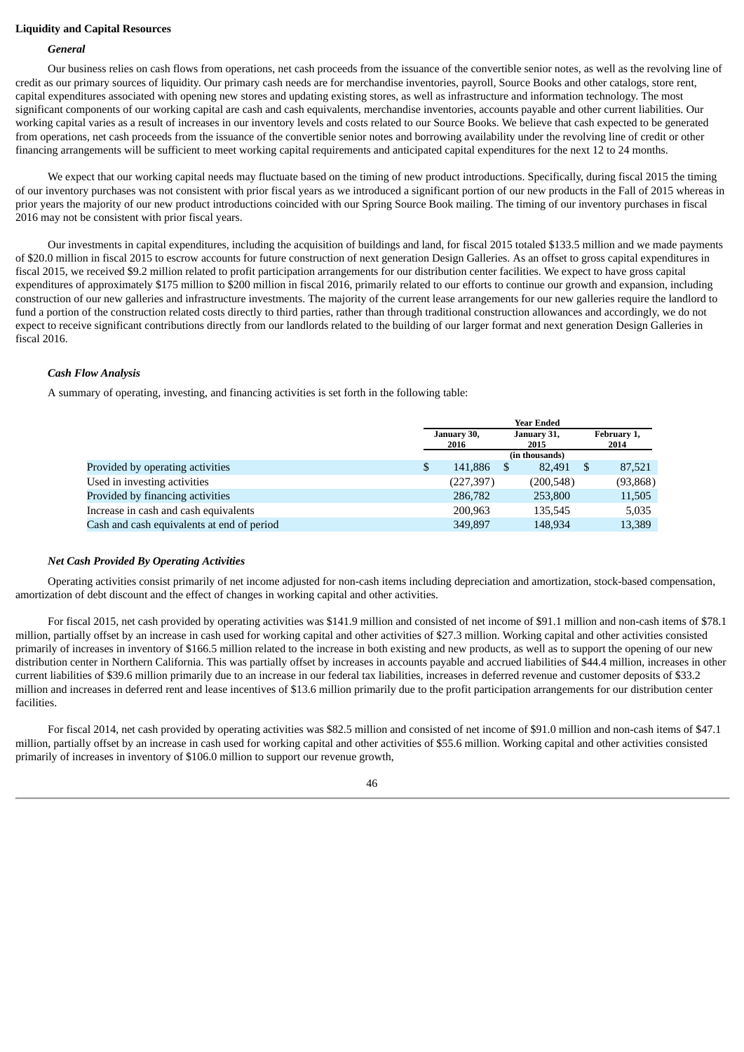## **Liquidity and Capital Resources**

# *General*

Our business relies on cash flows from operations, net cash proceeds from the issuance of the convertible senior notes, as well as the revolving line of credit as our primary sources of liquidity. Our primary cash needs are for merchandise inventories, payroll, Source Books and other catalogs, store rent, capital expenditures associated with opening new stores and updating existing stores, as well as infrastructure and information technology. The most significant components of our working capital are cash and cash equivalents, merchandise inventories, accounts payable and other current liabilities. Our working capital varies as a result of increases in our inventory levels and costs related to our Source Books. We believe that cash expected to be generated from operations, net cash proceeds from the issuance of the convertible senior notes and borrowing availability under the revolving line of credit or other financing arrangements will be sufficient to meet working capital requirements and anticipated capital expenditures for the next 12 to 24 months.

We expect that our working capital needs may fluctuate based on the timing of new product introductions. Specifically, during fiscal 2015 the timing of our inventory purchases was not consistent with prior fiscal years as we introduced a significant portion of our new products in the Fall of 2015 whereas in prior years the majority of our new product introductions coincided with our Spring Source Book mailing. The timing of our inventory purchases in fiscal 2016 may not be consistent with prior fiscal years.

Our investments in capital expenditures, including the acquisition of buildings and land, for fiscal 2015 totaled \$133.5 million and we made payments of \$20.0 million in fiscal 2015 to escrow accounts for future construction of next generation Design Galleries. As an offset to gross capital expenditures in fiscal 2015, we received \$9.2 million related to profit participation arrangements for our distribution center facilities. We expect to have gross capital expenditures of approximately \$175 million to \$200 million in fiscal 2016, primarily related to our efforts to continue our growth and expansion, including construction of our new galleries and infrastructure investments. The majority of the current lease arrangements for our new galleries require the landlord to fund a portion of the construction related costs directly to third parties, rather than through traditional construction allowances and accordingly, we do not expect to receive significant contributions directly from our landlords related to the building of our larger format and next generation Design Galleries in fiscal 2016.

# *Cash Flow Analysis*

A summary of operating, investing, and financing activities is set forth in the following table:

|                                            |                     | <b>Year Ended</b>   |   |                     |
|--------------------------------------------|---------------------|---------------------|---|---------------------|
|                                            | January 30,<br>2016 | January 31,<br>2015 |   | February 1,<br>2014 |
|                                            |                     | (in thousands)      |   |                     |
| Provided by operating activities           | \$<br>141,886       | 82,491              | S | 87,521              |
| Used in investing activities               | (227, 397)          | (200,548)           |   | (93, 868)           |
| Provided by financing activities           | 286,782             | 253,800             |   | 11,505              |
| Increase in cash and cash equivalents      | 200.963             | 135.545             |   | 5,035               |
| Cash and cash equivalents at end of period | 349,897             | 148.934             |   | 13,389              |

# *Net Cash Provided By Operating Activities*

Operating activities consist primarily of net income adjusted for non-cash items including depreciation and amortization, stock-based compensation, amortization of debt discount and the effect of changes in working capital and other activities.

For fiscal 2015, net cash provided by operating activities was \$141.9 million and consisted of net income of \$91.1 million and non-cash items of \$78.1 million, partially offset by an increase in cash used for working capital and other activities of \$27.3 million. Working capital and other activities consisted primarily of increases in inventory of \$166.5 million related to the increase in both existing and new products, as well as to support the opening of our new distribution center in Northern California. This was partially offset by increases in accounts payable and accrued liabilities of \$44.4 million, increases in other current liabilities of \$39.6 million primarily due to an increase in our federal tax liabilities, increases in deferred revenue and customer deposits of \$33.2 million and increases in deferred rent and lease incentives of \$13.6 million primarily due to the profit participation arrangements for our distribution center facilities.

For fiscal 2014, net cash provided by operating activities was \$82.5 million and consisted of net income of \$91.0 million and non-cash items of \$47.1 million, partially offset by an increase in cash used for working capital and other activities of \$55.6 million. Working capital and other activities consisted primarily of increases in inventory of \$106.0 million to support our revenue growth,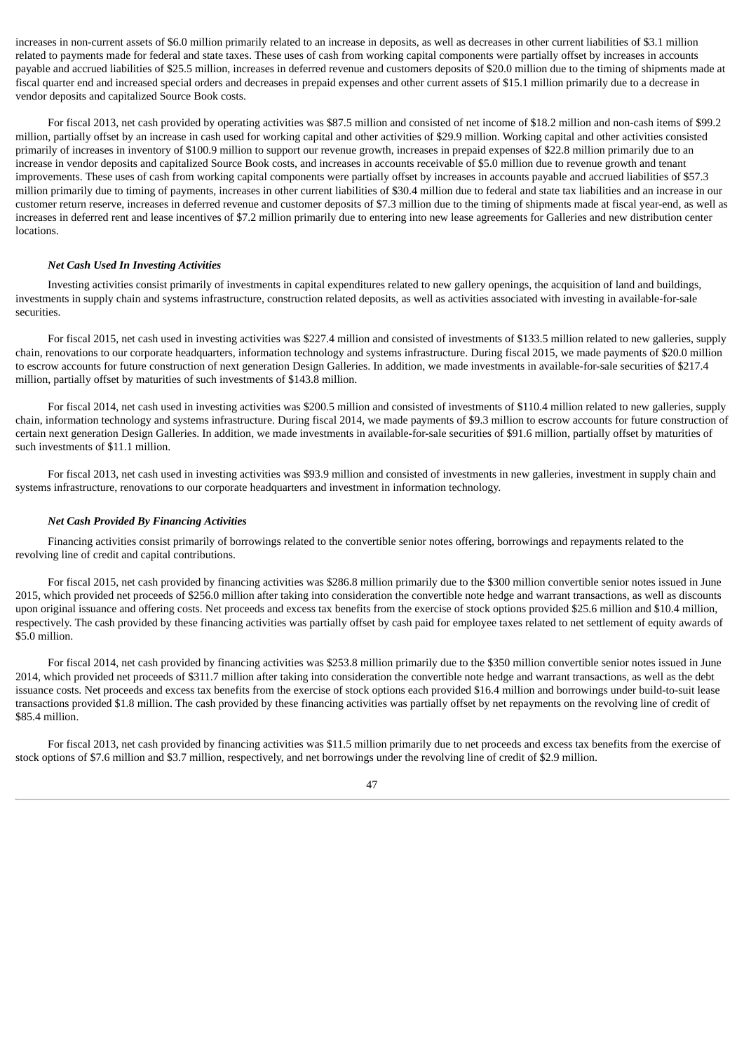increases in non-current assets of \$6.0 million primarily related to an increase in deposits, as well as decreases in other current liabilities of \$3.1 million related to payments made for federal and state taxes. These uses of cash from working capital components were partially offset by increases in accounts payable and accrued liabilities of \$25.5 million, increases in deferred revenue and customers deposits of \$20.0 million due to the timing of shipments made at fiscal quarter end and increased special orders and decreases in prepaid expenses and other current assets of \$15.1 million primarily due to a decrease in vendor deposits and capitalized Source Book costs.

For fiscal 2013, net cash provided by operating activities was \$87.5 million and consisted of net income of \$18.2 million and non-cash items of \$99.2 million, partially offset by an increase in cash used for working capital and other activities of \$29.9 million. Working capital and other activities consisted primarily of increases in inventory of \$100.9 million to support our revenue growth, increases in prepaid expenses of \$22.8 million primarily due to an increase in vendor deposits and capitalized Source Book costs, and increases in accounts receivable of \$5.0 million due to revenue growth and tenant improvements. These uses of cash from working capital components were partially offset by increases in accounts payable and accrued liabilities of \$57.3 million primarily due to timing of payments, increases in other current liabilities of \$30.4 million due to federal and state tax liabilities and an increase in our customer return reserve, increases in deferred revenue and customer deposits of \$7.3 million due to the timing of shipments made at fiscal year-end, as well as increases in deferred rent and lease incentives of \$7.2 million primarily due to entering into new lease agreements for Galleries and new distribution center locations.

#### *Net Cash Used In Investing Activities*

Investing activities consist primarily of investments in capital expenditures related to new gallery openings, the acquisition of land and buildings, investments in supply chain and systems infrastructure, construction related deposits, as well as activities associated with investing in available-for-sale securities.

For fiscal 2015, net cash used in investing activities was \$227.4 million and consisted of investments of \$133.5 million related to new galleries, supply chain, renovations to our corporate headquarters, information technology and systems infrastructure. During fiscal 2015, we made payments of \$20.0 million to escrow accounts for future construction of next generation Design Galleries. In addition, we made investments in available-for-sale securities of \$217.4 million, partially offset by maturities of such investments of \$143.8 million.

For fiscal 2014, net cash used in investing activities was \$200.5 million and consisted of investments of \$110.4 million related to new galleries, supply chain, information technology and systems infrastructure. During fiscal 2014, we made payments of \$9.3 million to escrow accounts for future construction of certain next generation Design Galleries. In addition, we made investments in available-for-sale securities of \$91.6 million, partially offset by maturities of such investments of \$11.1 million.

For fiscal 2013, net cash used in investing activities was \$93.9 million and consisted of investments in new galleries, investment in supply chain and systems infrastructure, renovations to our corporate headquarters and investment in information technology.

#### *Net Cash Provided By Financing Activities*

Financing activities consist primarily of borrowings related to the convertible senior notes offering, borrowings and repayments related to the revolving line of credit and capital contributions.

For fiscal 2015, net cash provided by financing activities was \$286.8 million primarily due to the \$300 million convertible senior notes issued in June 2015, which provided net proceeds of \$256.0 million after taking into consideration the convertible note hedge and warrant transactions, as well as discounts upon original issuance and offering costs. Net proceeds and excess tax benefits from the exercise of stock options provided \$25.6 million and \$10.4 million, respectively. The cash provided by these financing activities was partially offset by cash paid for employee taxes related to net settlement of equity awards of \$5.0 million.

For fiscal 2014, net cash provided by financing activities was \$253.8 million primarily due to the \$350 million convertible senior notes issued in June 2014, which provided net proceeds of \$311.7 million after taking into consideration the convertible note hedge and warrant transactions, as well as the debt issuance costs. Net proceeds and excess tax benefits from the exercise of stock options each provided \$16.4 million and borrowings under build-to-suit lease transactions provided \$1.8 million. The cash provided by these financing activities was partially offset by net repayments on the revolving line of credit of \$85.4 million.

For fiscal 2013, net cash provided by financing activities was \$11.5 million primarily due to net proceeds and excess tax benefits from the exercise of stock options of \$7.6 million and \$3.7 million, respectively, and net borrowings under the revolving line of credit of \$2.9 million.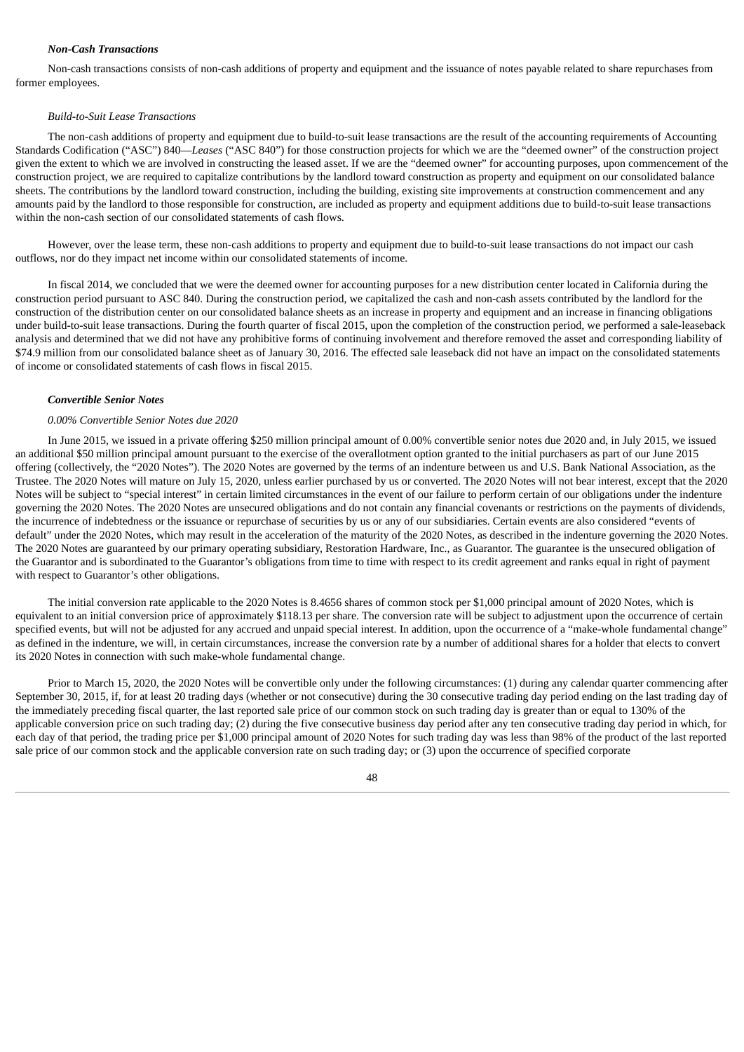# *Non-Cash Transactions*

Non-cash transactions consists of non-cash additions of property and equipment and the issuance of notes payable related to share repurchases from former employees.

## *Build-to-Suit Lease Transactions*

The non-cash additions of property and equipment due to build-to-suit lease transactions are the result of the accounting requirements of Accounting Standards Codification ("ASC") 840—*Leases* ("ASC 840") for those construction projects for which we are the "deemed owner" of the construction project given the extent to which we are involved in constructing the leased asset. If we are the "deemed owner" for accounting purposes, upon commencement of the construction project, we are required to capitalize contributions by the landlord toward construction as property and equipment on our consolidated balance sheets. The contributions by the landlord toward construction, including the building, existing site improvements at construction commencement and any amounts paid by the landlord to those responsible for construction, are included as property and equipment additions due to build-to-suit lease transactions within the non-cash section of our consolidated statements of cash flows.

However, over the lease term, these non-cash additions to property and equipment due to build-to-suit lease transactions do not impact our cash outflows, nor do they impact net income within our consolidated statements of income.

In fiscal 2014, we concluded that we were the deemed owner for accounting purposes for a new distribution center located in California during the construction period pursuant to ASC 840. During the construction period, we capitalized the cash and non-cash assets contributed by the landlord for the construction of the distribution center on our consolidated balance sheets as an increase in property and equipment and an increase in financing obligations under build-to-suit lease transactions. During the fourth quarter of fiscal 2015, upon the completion of the construction period, we performed a sale-leaseback analysis and determined that we did not have any prohibitive forms of continuing involvement and therefore removed the asset and corresponding liability of \$74.9 million from our consolidated balance sheet as of January 30, 2016. The effected sale leaseback did not have an impact on the consolidated statements of income or consolidated statements of cash flows in fiscal 2015.

#### *Convertible Senior Notes*

#### *0.00% Convertible Senior Notes due 2020*

In June 2015, we issued in a private offering \$250 million principal amount of 0.00% convertible senior notes due 2020 and, in July 2015, we issued an additional \$50 million principal amount pursuant to the exercise of the overallotment option granted to the initial purchasers as part of our June 2015 offering (collectively, the "2020 Notes"). The 2020 Notes are governed by the terms of an indenture between us and U.S. Bank National Association, as the Trustee. The 2020 Notes will mature on July 15, 2020, unless earlier purchased by us or converted. The 2020 Notes will not bear interest, except that the 2020 Notes will be subject to "special interest" in certain limited circumstances in the event of our failure to perform certain of our obligations under the indenture governing the 2020 Notes. The 2020 Notes are unsecured obligations and do not contain any financial covenants or restrictions on the payments of dividends, the incurrence of indebtedness or the issuance or repurchase of securities by us or any of our subsidiaries. Certain events are also considered "events of default" under the 2020 Notes, which may result in the acceleration of the maturity of the 2020 Notes, as described in the indenture governing the 2020 Notes. The 2020 Notes are guaranteed by our primary operating subsidiary, Restoration Hardware, Inc., as Guarantor. The guarantee is the unsecured obligation of the Guarantor and is subordinated to the Guarantor's obligations from time to time with respect to its credit agreement and ranks equal in right of payment with respect to Guarantor's other obligations.

The initial conversion rate applicable to the 2020 Notes is 8.4656 shares of common stock per \$1,000 principal amount of 2020 Notes, which is equivalent to an initial conversion price of approximately \$118.13 per share. The conversion rate will be subject to adjustment upon the occurrence of certain specified events, but will not be adjusted for any accrued and unpaid special interest. In addition, upon the occurrence of a "make-whole fundamental change" as defined in the indenture, we will, in certain circumstances, increase the conversion rate by a number of additional shares for a holder that elects to convert its 2020 Notes in connection with such make-whole fundamental change.

Prior to March 15, 2020, the 2020 Notes will be convertible only under the following circumstances: (1) during any calendar quarter commencing after September 30, 2015, if, for at least 20 trading days (whether or not consecutive) during the 30 consecutive trading day period ending on the last trading day of the immediately preceding fiscal quarter, the last reported sale price of our common stock on such trading day is greater than or equal to 130% of the applicable conversion price on such trading day; (2) during the five consecutive business day period after any ten consecutive trading day period in which, for each day of that period, the trading price per \$1,000 principal amount of 2020 Notes for such trading day was less than 98% of the product of the last reported sale price of our common stock and the applicable conversion rate on such trading day; or (3) upon the occurrence of specified corporate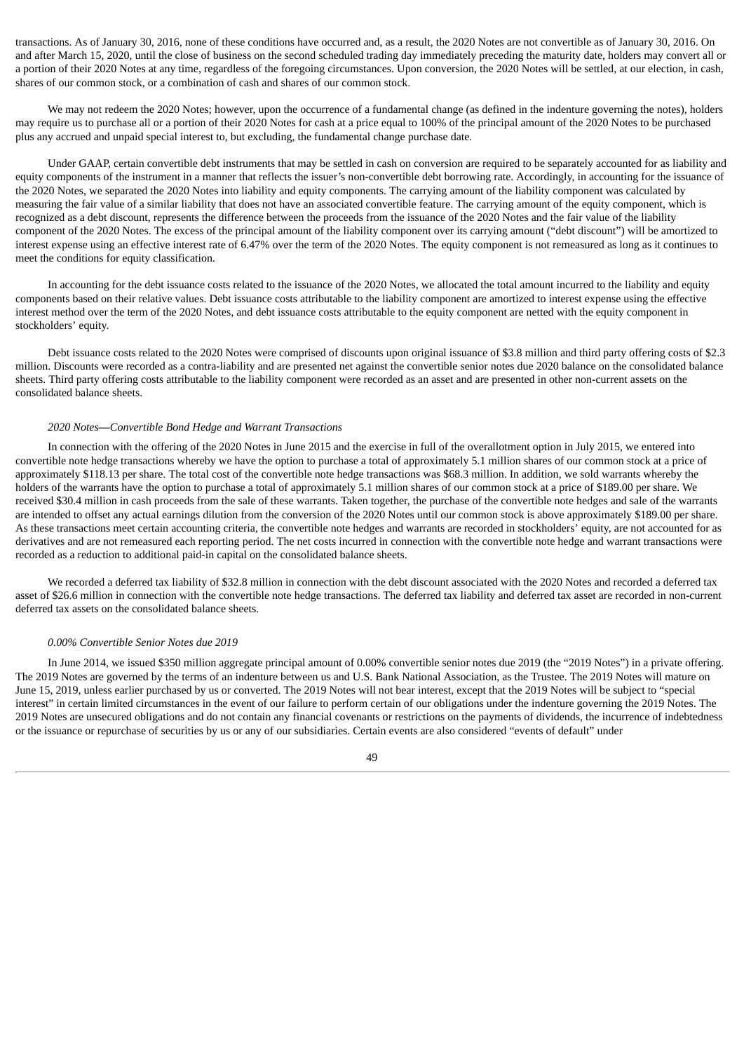transactions. As of January 30, 2016, none of these conditions have occurred and, as a result, the 2020 Notes are not convertible as of January 30, 2016. On and after March 15, 2020, until the close of business on the second scheduled trading day immediately preceding the maturity date, holders may convert all or a portion of their 2020 Notes at any time, regardless of the foregoing circumstances. Upon conversion, the 2020 Notes will be settled, at our election, in cash, shares of our common stock, or a combination of cash and shares of our common stock.

We may not redeem the 2020 Notes; however, upon the occurrence of a fundamental change (as defined in the indenture governing the notes), holders may require us to purchase all or a portion of their 2020 Notes for cash at a price equal to 100% of the principal amount of the 2020 Notes to be purchased plus any accrued and unpaid special interest to, but excluding, the fundamental change purchase date.

Under GAAP, certain convertible debt instruments that may be settled in cash on conversion are required to be separately accounted for as liability and equity components of the instrument in a manner that reflects the issuer's non-convertible debt borrowing rate. Accordingly, in accounting for the issuance of the 2020 Notes, we separated the 2020 Notes into liability and equity components. The carrying amount of the liability component was calculated by measuring the fair value of a similar liability that does not have an associated convertible feature. The carrying amount of the equity component, which is recognized as a debt discount, represents the difference between the proceeds from the issuance of the 2020 Notes and the fair value of the liability component of the 2020 Notes. The excess of the principal amount of the liability component over its carrying amount ("debt discount") will be amortized to interest expense using an effective interest rate of 6.47% over the term of the 2020 Notes. The equity component is not remeasured as long as it continues to meet the conditions for equity classification.

In accounting for the debt issuance costs related to the issuance of the 2020 Notes, we allocated the total amount incurred to the liability and equity components based on their relative values. Debt issuance costs attributable to the liability component are amortized to interest expense using the effective interest method over the term of the 2020 Notes, and debt issuance costs attributable to the equity component are netted with the equity component in stockholders' equity.

Debt issuance costs related to the 2020 Notes were comprised of discounts upon original issuance of \$3.8 million and third party offering costs of \$2.3 million. Discounts were recorded as a contra-liability and are presented net against the convertible senior notes due 2020 balance on the consolidated balance sheets. Third party offering costs attributable to the liability component were recorded as an asset and are presented in other non-current assets on the consolidated balance sheets.

#### *2020 Notes—Convertible Bond Hedge and Warrant Transactions*

In connection with the offering of the 2020 Notes in June 2015 and the exercise in full of the overallotment option in July 2015, we entered into convertible note hedge transactions whereby we have the option to purchase a total of approximately 5.1 million shares of our common stock at a price of approximately \$118.13 per share. The total cost of the convertible note hedge transactions was \$68.3 million. In addition, we sold warrants whereby the holders of the warrants have the option to purchase a total of approximately 5.1 million shares of our common stock at a price of \$189.00 per share. We received \$30.4 million in cash proceeds from the sale of these warrants. Taken together, the purchase of the convertible note hedges and sale of the warrants are intended to offset any actual earnings dilution from the conversion of the 2020 Notes until our common stock is above approximately \$189.00 per share. As these transactions meet certain accounting criteria, the convertible note hedges and warrants are recorded in stockholders' equity, are not accounted for as derivatives and are not remeasured each reporting period. The net costs incurred in connection with the convertible note hedge and warrant transactions were recorded as a reduction to additional paid-in capital on the consolidated balance sheets.

We recorded a deferred tax liability of \$32.8 million in connection with the debt discount associated with the 2020 Notes and recorded a deferred tax asset of \$26.6 million in connection with the convertible note hedge transactions. The deferred tax liability and deferred tax asset are recorded in non-current deferred tax assets on the consolidated balance sheets.

### *0.00% Convertible Senior Notes due 2019*

In June 2014, we issued \$350 million aggregate principal amount of 0.00% convertible senior notes due 2019 (the "2019 Notes") in a private offering. The 2019 Notes are governed by the terms of an indenture between us and U.S. Bank National Association, as the Trustee. The 2019 Notes will mature on June 15, 2019, unless earlier purchased by us or converted. The 2019 Notes will not bear interest, except that the 2019 Notes will be subject to "special interest" in certain limited circumstances in the event of our failure to perform certain of our obligations under the indenture governing the 2019 Notes. The 2019 Notes are unsecured obligations and do not contain any financial covenants or restrictions on the payments of dividends, the incurrence of indebtedness or the issuance or repurchase of securities by us or any of our subsidiaries. Certain events are also considered "events of default" under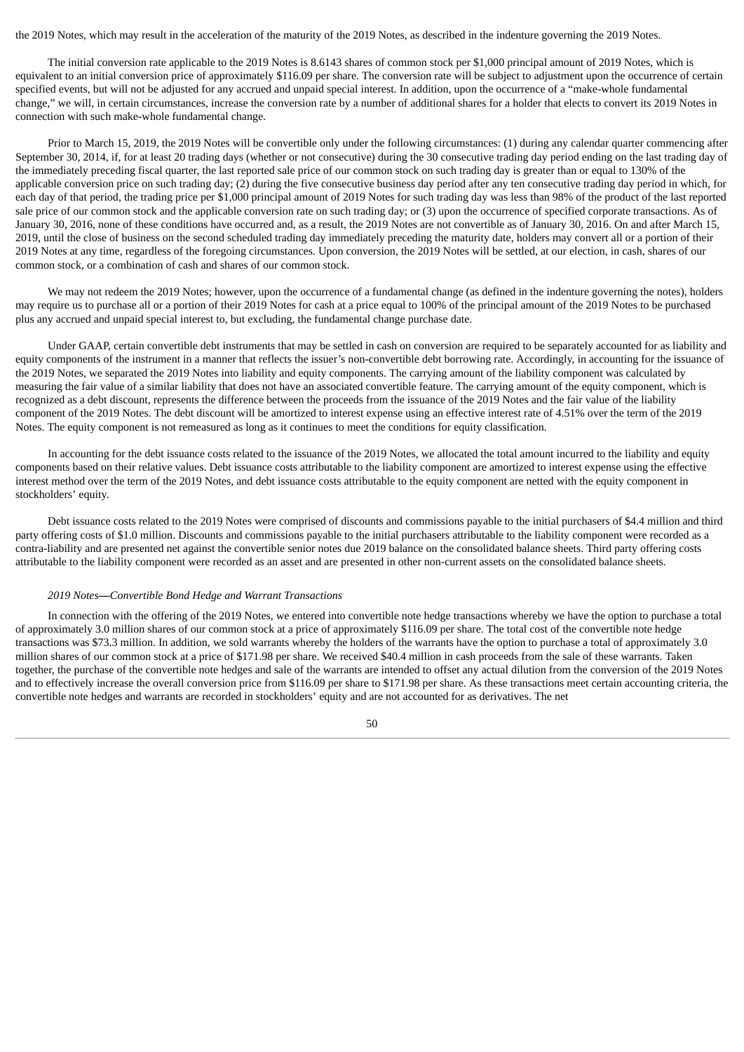the 2019 Notes, which may result in the acceleration of the maturity of the 2019 Notes, as described in the indenture governing the 2019 Notes.

The initial conversion rate applicable to the 2019 Notes is 8.6143 shares of common stock per \$1,000 principal amount of 2019 Notes, which is equivalent to an initial conversion price of approximately \$116.09 per share. The conversion rate will be subject to adjustment upon the occurrence of certain specified events, but will not be adjusted for any accrued and unpaid special interest. In addition, upon the occurrence of a "make-whole fundamental change," we will, in certain circumstances, increase the conversion rate by a number of additional shares for a holder that elects to convert its 2019 Notes in connection with such make-whole fundamental change.

Prior to March 15, 2019, the 2019 Notes will be convertible only under the following circumstances: (1) during any calendar quarter commencing after September 30, 2014, if, for at least 20 trading days (whether or not consecutive) during the 30 consecutive trading day period ending on the last trading day of the immediately preceding fiscal quarter, the last reported sale price of our common stock on such trading day is greater than or equal to 130% of the applicable conversion price on such trading day; (2) during the five consecutive business day period after any ten consecutive trading day period in which, for each day of that period, the trading price per \$1,000 principal amount of 2019 Notes for such trading day was less than 98% of the product of the last reported sale price of our common stock and the applicable conversion rate on such trading day; or (3) upon the occurrence of specified corporate transactions. As of January 30, 2016, none of these conditions have occurred and, as a result, the 2019 Notes are not convertible as of January 30, 2016. On and after March 15, 2019, until the close of business on the second scheduled trading day immediately preceding the maturity date, holders may convert all or a portion of their 2019 Notes at any time, regardless of the foregoing circumstances. Upon conversion, the 2019 Notes will be settled, at our election, in cash, shares of our common stock, or a combination of cash and shares of our common stock.

We may not redeem the 2019 Notes; however, upon the occurrence of a fundamental change (as defined in the indenture governing the notes), holders may require us to purchase all or a portion of their 2019 Notes for cash at a price equal to 100% of the principal amount of the 2019 Notes to be purchased plus any accrued and unpaid special interest to, but excluding, the fundamental change purchase date.

Under GAAP, certain convertible debt instruments that may be settled in cash on conversion are required to be separately accounted for as liability and equity components of the instrument in a manner that reflects the issuer's non-convertible debt borrowing rate. Accordingly, in accounting for the issuance of the 2019 Notes, we separated the 2019 Notes into liability and equity components. The carrying amount of the liability component was calculated by measuring the fair value of a similar liability that does not have an associated convertible feature. The carrying amount of the equity component, which is recognized as a debt discount, represents the difference between the proceeds from the issuance of the 2019 Notes and the fair value of the liability component of the 2019 Notes. The debt discount will be amortized to interest expense using an effective interest rate of 4.51% over the term of the 2019 Notes. The equity component is not remeasured as long as it continues to meet the conditions for equity classification.

In accounting for the debt issuance costs related to the issuance of the 2019 Notes, we allocated the total amount incurred to the liability and equity components based on their relative values. Debt issuance costs attributable to the liability component are amortized to interest expense using the effective interest method over the term of the 2019 Notes, and debt issuance costs attributable to the equity component are netted with the equity component in stockholders' equity.

Debt issuance costs related to the 2019 Notes were comprised of discounts and commissions payable to the initial purchasers of \$4.4 million and third party offering costs of \$1.0 million. Discounts and commissions payable to the initial purchasers attributable to the liability component were recorded as a contra-liability and are presented net against the convertible senior notes due 2019 balance on the consolidated balance sheets. Third party offering costs attributable to the liability component were recorded as an asset and are presented in other non-current assets on the consolidated balance sheets.

## *2019 Notes—Convertible Bond Hedge and Warrant Transactions*

In connection with the offering of the 2019 Notes, we entered into convertible note hedge transactions whereby we have the option to purchase a total of approximately 3.0 million shares of our common stock at a price of approximately \$116.09 per share. The total cost of the convertible note hedge transactions was \$73.3 million. In addition, we sold warrants whereby the holders of the warrants have the option to purchase a total of approximately 3.0 million shares of our common stock at a price of \$171.98 per share. We received \$40.4 million in cash proceeds from the sale of these warrants. Taken together, the purchase of the convertible note hedges and sale of the warrants are intended to offset any actual dilution from the conversion of the 2019 Notes and to effectively increase the overall conversion price from \$116.09 per share to \$171.98 per share. As these transactions meet certain accounting criteria, the convertible note hedges and warrants are recorded in stockholders' equity and are not accounted for as derivatives. The net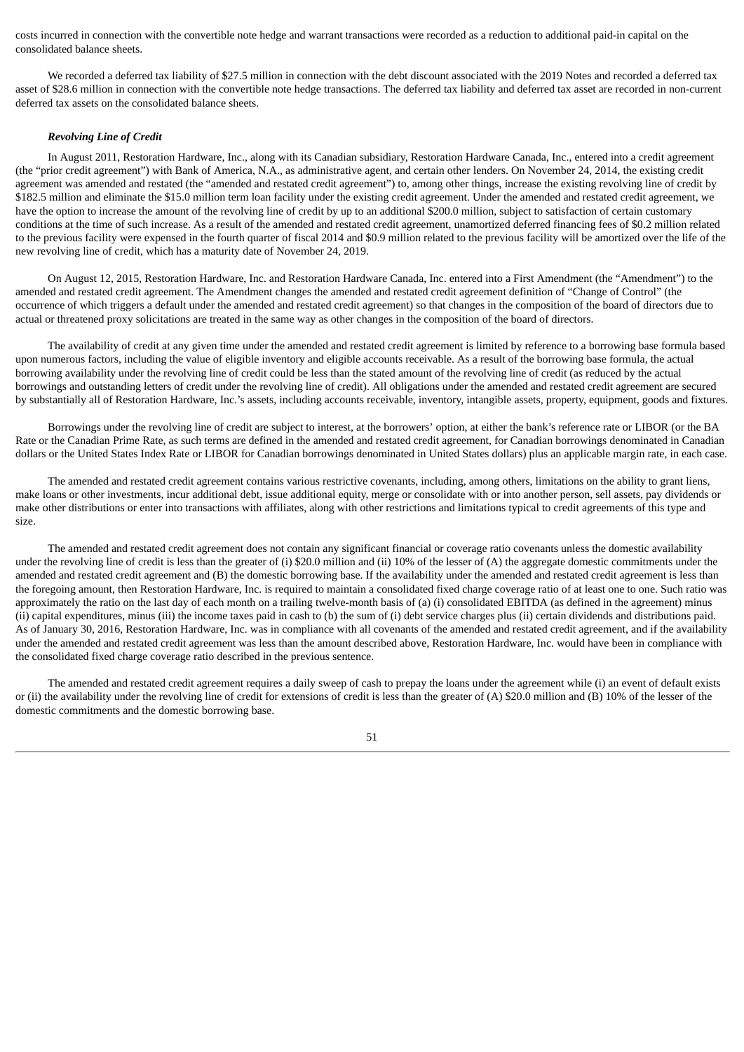costs incurred in connection with the convertible note hedge and warrant transactions were recorded as a reduction to additional paid-in capital on the consolidated balance sheets.

We recorded a deferred tax liability of \$27.5 million in connection with the debt discount associated with the 2019 Notes and recorded a deferred tax asset of \$28.6 million in connection with the convertible note hedge transactions. The deferred tax liability and deferred tax asset are recorded in non-current deferred tax assets on the consolidated balance sheets.

## *Revolving Line of Credit*

In August 2011, Restoration Hardware, Inc., along with its Canadian subsidiary, Restoration Hardware Canada, Inc., entered into a credit agreement (the "prior credit agreement") with Bank of America, N.A., as administrative agent, and certain other lenders. On November 24, 2014, the existing credit agreement was amended and restated (the "amended and restated credit agreement") to, among other things, increase the existing revolving line of credit by \$182.5 million and eliminate the \$15.0 million term loan facility under the existing credit agreement. Under the amended and restated credit agreement, we have the option to increase the amount of the revolving line of credit by up to an additional \$200.0 million, subject to satisfaction of certain customary conditions at the time of such increase. As a result of the amended and restated credit agreement, unamortized deferred financing fees of \$0.2 million related to the previous facility were expensed in the fourth quarter of fiscal 2014 and \$0.9 million related to the previous facility will be amortized over the life of the new revolving line of credit, which has a maturity date of November 24, 2019.

On August 12, 2015, Restoration Hardware, Inc. and Restoration Hardware Canada, Inc. entered into a First Amendment (the "Amendment") to the amended and restated credit agreement. The Amendment changes the amended and restated credit agreement definition of "Change of Control" (the occurrence of which triggers a default under the amended and restated credit agreement) so that changes in the composition of the board of directors due to actual or threatened proxy solicitations are treated in the same way as other changes in the composition of the board of directors.

The availability of credit at any given time under the amended and restated credit agreement is limited by reference to a borrowing base formula based upon numerous factors, including the value of eligible inventory and eligible accounts receivable. As a result of the borrowing base formula, the actual borrowing availability under the revolving line of credit could be less than the stated amount of the revolving line of credit (as reduced by the actual borrowings and outstanding letters of credit under the revolving line of credit). All obligations under the amended and restated credit agreement are secured by substantially all of Restoration Hardware, Inc.'s assets, including accounts receivable, inventory, intangible assets, property, equipment, goods and fixtures.

Borrowings under the revolving line of credit are subject to interest, at the borrowers' option, at either the bank's reference rate or LIBOR (or the BA Rate or the Canadian Prime Rate, as such terms are defined in the amended and restated credit agreement, for Canadian borrowings denominated in Canadian dollars or the United States Index Rate or LIBOR for Canadian borrowings denominated in United States dollars) plus an applicable margin rate, in each case.

The amended and restated credit agreement contains various restrictive covenants, including, among others, limitations on the ability to grant liens, make loans or other investments, incur additional debt, issue additional equity, merge or consolidate with or into another person, sell assets, pay dividends or make other distributions or enter into transactions with affiliates, along with other restrictions and limitations typical to credit agreements of this type and size.

The amended and restated credit agreement does not contain any significant financial or coverage ratio covenants unless the domestic availability under the revolving line of credit is less than the greater of (i) \$20.0 million and (ii) 10% of the lesser of (A) the aggregate domestic commitments under the amended and restated credit agreement and (B) the domestic borrowing base. If the availability under the amended and restated credit agreement is less than the foregoing amount, then Restoration Hardware, Inc. is required to maintain a consolidated fixed charge coverage ratio of at least one to one. Such ratio was approximately the ratio on the last day of each month on a trailing twelve-month basis of (a) (i) consolidated EBITDA (as defined in the agreement) minus (ii) capital expenditures, minus (iii) the income taxes paid in cash to (b) the sum of (i) debt service charges plus (ii) certain dividends and distributions paid. As of January 30, 2016, Restoration Hardware, Inc. was in compliance with all covenants of the amended and restated credit agreement, and if the availability under the amended and restated credit agreement was less than the amount described above, Restoration Hardware, Inc. would have been in compliance with the consolidated fixed charge coverage ratio described in the previous sentence.

The amended and restated credit agreement requires a daily sweep of cash to prepay the loans under the agreement while (i) an event of default exists or (ii) the availability under the revolving line of credit for extensions of credit is less than the greater of (A) \$20.0 million and (B) 10% of the lesser of the domestic commitments and the domestic borrowing base.

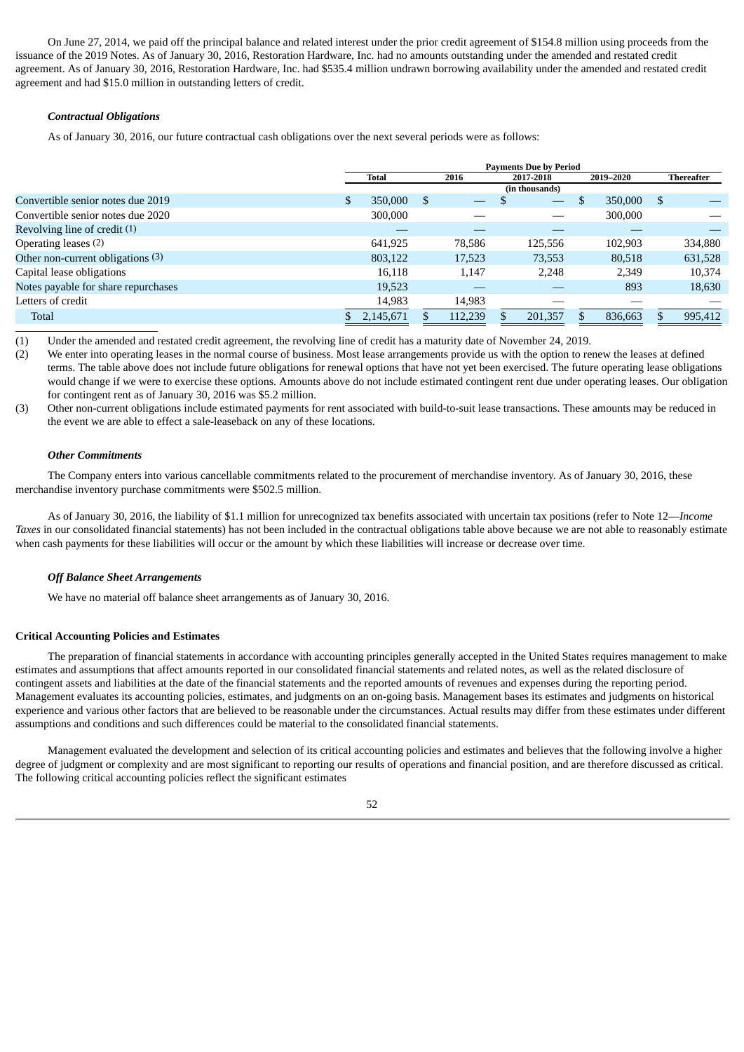On June 27, 2014, we paid off the principal balance and related interest under the prior credit agreement of \$154.8 million using proceeds from the issuance of the 2019 Notes. As of January 30, 2016, Restoration Hardware, Inc. had no amounts outstanding under the amended and restated credit agreement. As of January 30, 2016, Restoration Hardware, Inc. had \$535.4 million undrawn borrowing availability under the amended and restated credit agreement and had \$15.0 million in outstanding letters of credit.

# *Contractual Obligations*

As of January 30, 2016, our future contractual cash obligations over the next several periods were as follows:

|                                     |           |      |         |           | <b>Payments Due by Period</b>  |           |         |      |            |
|-------------------------------------|-----------|------|---------|-----------|--------------------------------|-----------|---------|------|------------|
|                                     | Total     | 2016 |         | 2017-2018 |                                | 2019-2020 |         |      | Thereafter |
|                                     |           |      |         |           | (in thousands)                 |           |         |      |            |
| Convertible senior notes due 2019   | 350,000   | \$   |         |           | $\qquad \qquad \longleftarrow$ | S         | 350,000 | - \$ |            |
| Convertible senior notes due 2020   | 300,000   |      |         |           |                                |           | 300,000 |      |            |
| Revolving line of credit (1)        |           |      |         |           |                                |           |         |      |            |
| Operating leases (2)                | 641,925   |      | 78,586  |           | 125,556                        |           | 102,903 |      | 334,880    |
| Other non-current obligations (3)   | 803,122   |      | 17,523  |           | 73,553                         |           | 80.518  |      | 631,528    |
| Capital lease obligations           | 16,118    |      | 1.147   |           | 2,248                          |           | 2.349   |      | 10,374     |
| Notes payable for share repurchases | 19,523    |      |         |           |                                |           | 893     |      | 18,630     |
| Letters of credit                   | 14,983    |      | 14,983  |           |                                |           |         |      |            |
| <b>Total</b>                        | 2,145,671 |      | 112,239 |           | 201,357                        |           | 836.663 |      | 995,412    |

(1) Under the amended and restated credit agreement, the revolving line of credit has a maturity date of November 24, 2019.

(2) We enter into operating leases in the normal course of business. Most lease arrangements provide us with the option to renew the leases at defined terms. The table above does not include future obligations for renewal options that have not yet been exercised. The future operating lease obligations would change if we were to exercise these options. Amounts above do not include estimated contingent rent due under operating leases. Our obligation for contingent rent as of January 30, 2016 was \$5.2 million.

(3) Other non-current obligations include estimated payments for rent associated with build-to-suit lease transactions. These amounts may be reduced in the event we are able to effect a sale-leaseback on any of these locations.

#### *Other Commitments*

The Company enters into various cancellable commitments related to the procurement of merchandise inventory. As of January 30, 2016, these merchandise inventory purchase commitments were \$502.5 million.

As of January 30, 2016, the liability of \$1.1 million for unrecognized tax benefits associated with uncertain tax positions (refer to Note 12—*Income Taxes* in our consolidated financial statements) has not been included in the contractual obligations table above because we are not able to reasonably estimate when cash payments for these liabilities will occur or the amount by which these liabilities will increase or decrease over time.

## *Off Balance Sheet Arrangements*

We have no material off balance sheet arrangements as of January 30, 2016.

## **Critical Accounting Policies and Estimates**

The preparation of financial statements in accordance with accounting principles generally accepted in the United States requires management to make estimates and assumptions that affect amounts reported in our consolidated financial statements and related notes, as well as the related disclosure of contingent assets and liabilities at the date of the financial statements and the reported amounts of revenues and expenses during the reporting period. Management evaluates its accounting policies, estimates, and judgments on an on-going basis. Management bases its estimates and judgments on historical experience and various other factors that are believed to be reasonable under the circumstances. Actual results may differ from these estimates under different assumptions and conditions and such differences could be material to the consolidated financial statements.

Management evaluated the development and selection of its critical accounting policies and estimates and believes that the following involve a higher degree of judgment or complexity and are most significant to reporting our results of operations and financial position, and are therefore discussed as critical. The following critical accounting policies reflect the significant estimates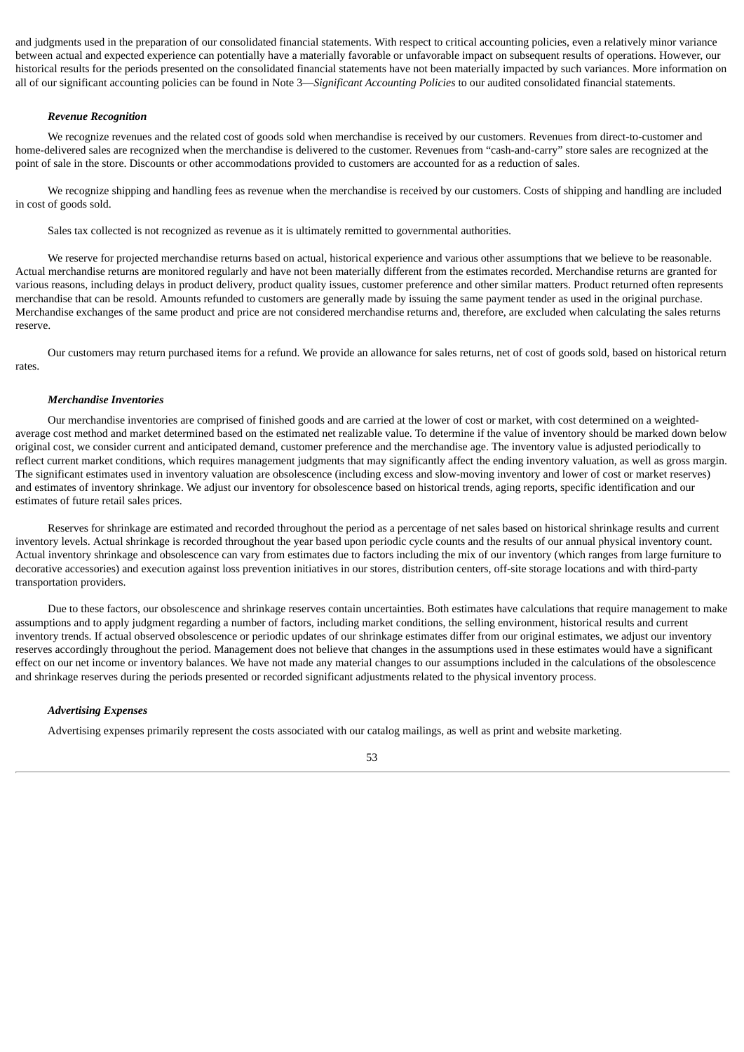and judgments used in the preparation of our consolidated financial statements. With respect to critical accounting policies, even a relatively minor variance between actual and expected experience can potentially have a materially favorable or unfavorable impact on subsequent results of operations. However, our historical results for the periods presented on the consolidated financial statements have not been materially impacted by such variances. More information on all of our significant accounting policies can be found in Note 3—*Significant Accounting Policies* to our audited consolidated financial statements.

#### *Revenue Recognition*

We recognize revenues and the related cost of goods sold when merchandise is received by our customers. Revenues from direct-to-customer and home-delivered sales are recognized when the merchandise is delivered to the customer. Revenues from "cash-and-carry" store sales are recognized at the point of sale in the store. Discounts or other accommodations provided to customers are accounted for as a reduction of sales.

We recognize shipping and handling fees as revenue when the merchandise is received by our customers. Costs of shipping and handling are included in cost of goods sold.

Sales tax collected is not recognized as revenue as it is ultimately remitted to governmental authorities.

We reserve for projected merchandise returns based on actual, historical experience and various other assumptions that we believe to be reasonable. Actual merchandise returns are monitored regularly and have not been materially different from the estimates recorded. Merchandise returns are granted for various reasons, including delays in product delivery, product quality issues, customer preference and other similar matters. Product returned often represents merchandise that can be resold. Amounts refunded to customers are generally made by issuing the same payment tender as used in the original purchase. Merchandise exchanges of the same product and price are not considered merchandise returns and, therefore, are excluded when calculating the sales returns reserve.

Our customers may return purchased items for a refund. We provide an allowance for sales returns, net of cost of goods sold, based on historical return rates.

### *Merchandise Inventories*

Our merchandise inventories are comprised of finished goods and are carried at the lower of cost or market, with cost determined on a weightedaverage cost method and market determined based on the estimated net realizable value. To determine if the value of inventory should be marked down below original cost, we consider current and anticipated demand, customer preference and the merchandise age. The inventory value is adjusted periodically to reflect current market conditions, which requires management judgments that may significantly affect the ending inventory valuation, as well as gross margin. The significant estimates used in inventory valuation are obsolescence (including excess and slow-moving inventory and lower of cost or market reserves) and estimates of inventory shrinkage. We adjust our inventory for obsolescence based on historical trends, aging reports, specific identification and our estimates of future retail sales prices.

Reserves for shrinkage are estimated and recorded throughout the period as a percentage of net sales based on historical shrinkage results and current inventory levels. Actual shrinkage is recorded throughout the year based upon periodic cycle counts and the results of our annual physical inventory count. Actual inventory shrinkage and obsolescence can vary from estimates due to factors including the mix of our inventory (which ranges from large furniture to decorative accessories) and execution against loss prevention initiatives in our stores, distribution centers, off-site storage locations and with third-party transportation providers.

Due to these factors, our obsolescence and shrinkage reserves contain uncertainties. Both estimates have calculations that require management to make assumptions and to apply judgment regarding a number of factors, including market conditions, the selling environment, historical results and current inventory trends. If actual observed obsolescence or periodic updates of our shrinkage estimates differ from our original estimates, we adjust our inventory reserves accordingly throughout the period. Management does not believe that changes in the assumptions used in these estimates would have a significant effect on our net income or inventory balances. We have not made any material changes to our assumptions included in the calculations of the obsolescence and shrinkage reserves during the periods presented or recorded significant adjustments related to the physical inventory process.

#### *Advertising Expenses*

Advertising expenses primarily represent the costs associated with our catalog mailings, as well as print and website marketing.

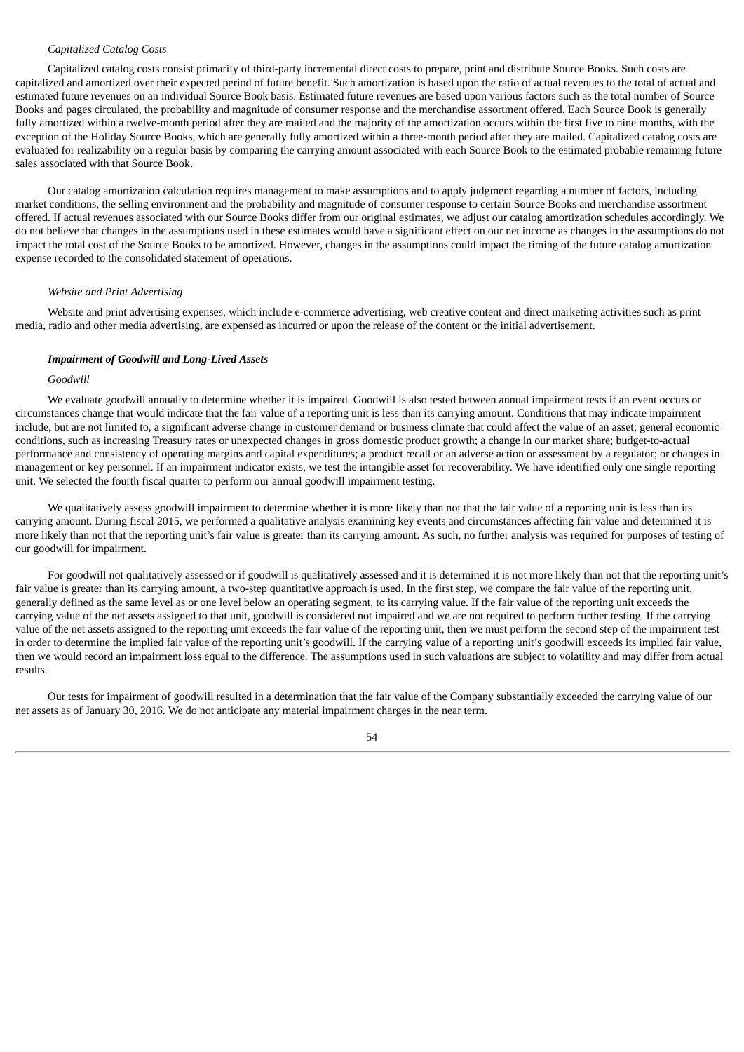# *Capitalized Catalog Costs*

Capitalized catalog costs consist primarily of third-party incremental direct costs to prepare, print and distribute Source Books. Such costs are capitalized and amortized over their expected period of future benefit. Such amortization is based upon the ratio of actual revenues to the total of actual and estimated future revenues on an individual Source Book basis. Estimated future revenues are based upon various factors such as the total number of Source Books and pages circulated, the probability and magnitude of consumer response and the merchandise assortment offered. Each Source Book is generally fully amortized within a twelve-month period after they are mailed and the majority of the amortization occurs within the first five to nine months, with the exception of the Holiday Source Books, which are generally fully amortized within a three-month period after they are mailed. Capitalized catalog costs are evaluated for realizability on a regular basis by comparing the carrying amount associated with each Source Book to the estimated probable remaining future sales associated with that Source Book.

Our catalog amortization calculation requires management to make assumptions and to apply judgment regarding a number of factors, including market conditions, the selling environment and the probability and magnitude of consumer response to certain Source Books and merchandise assortment offered. If actual revenues associated with our Source Books differ from our original estimates, we adjust our catalog amortization schedules accordingly. We do not believe that changes in the assumptions used in these estimates would have a significant effect on our net income as changes in the assumptions do not impact the total cost of the Source Books to be amortized. However, changes in the assumptions could impact the timing of the future catalog amortization expense recorded to the consolidated statement of operations.

## *Website and Print Advertising*

Website and print advertising expenses, which include e-commerce advertising, web creative content and direct marketing activities such as print media, radio and other media advertising, are expensed as incurred or upon the release of the content or the initial advertisement.

#### *Impairment of Goodwill and Long-Lived Assets*

## *Goodwill*

We evaluate goodwill annually to determine whether it is impaired. Goodwill is also tested between annual impairment tests if an event occurs or circumstances change that would indicate that the fair value of a reporting unit is less than its carrying amount. Conditions that may indicate impairment include, but are not limited to, a significant adverse change in customer demand or business climate that could affect the value of an asset; general economic conditions, such as increasing Treasury rates or unexpected changes in gross domestic product growth; a change in our market share; budget-to-actual performance and consistency of operating margins and capital expenditures; a product recall or an adverse action or assessment by a regulator; or changes in management or key personnel. If an impairment indicator exists, we test the intangible asset for recoverability. We have identified only one single reporting unit. We selected the fourth fiscal quarter to perform our annual goodwill impairment testing.

We qualitatively assess goodwill impairment to determine whether it is more likely than not that the fair value of a reporting unit is less than its carrying amount. During fiscal 2015, we performed a qualitative analysis examining key events and circumstances affecting fair value and determined it is more likely than not that the reporting unit's fair value is greater than its carrying amount. As such, no further analysis was required for purposes of testing of our goodwill for impairment.

For goodwill not qualitatively assessed or if goodwill is qualitatively assessed and it is determined it is not more likely than not that the reporting unit's fair value is greater than its carrying amount, a two-step quantitative approach is used. In the first step, we compare the fair value of the reporting unit, generally defined as the same level as or one level below an operating segment, to its carrying value. If the fair value of the reporting unit exceeds the carrying value of the net assets assigned to that unit, goodwill is considered not impaired and we are not required to perform further testing. If the carrying value of the net assets assigned to the reporting unit exceeds the fair value of the reporting unit, then we must perform the second step of the impairment test in order to determine the implied fair value of the reporting unit's goodwill. If the carrying value of a reporting unit's goodwill exceeds its implied fair value, then we would record an impairment loss equal to the difference. The assumptions used in such valuations are subject to volatility and may differ from actual results.

Our tests for impairment of goodwill resulted in a determination that the fair value of the Company substantially exceeded the carrying value of our net assets as of January 30, 2016. We do not anticipate any material impairment charges in the near term.

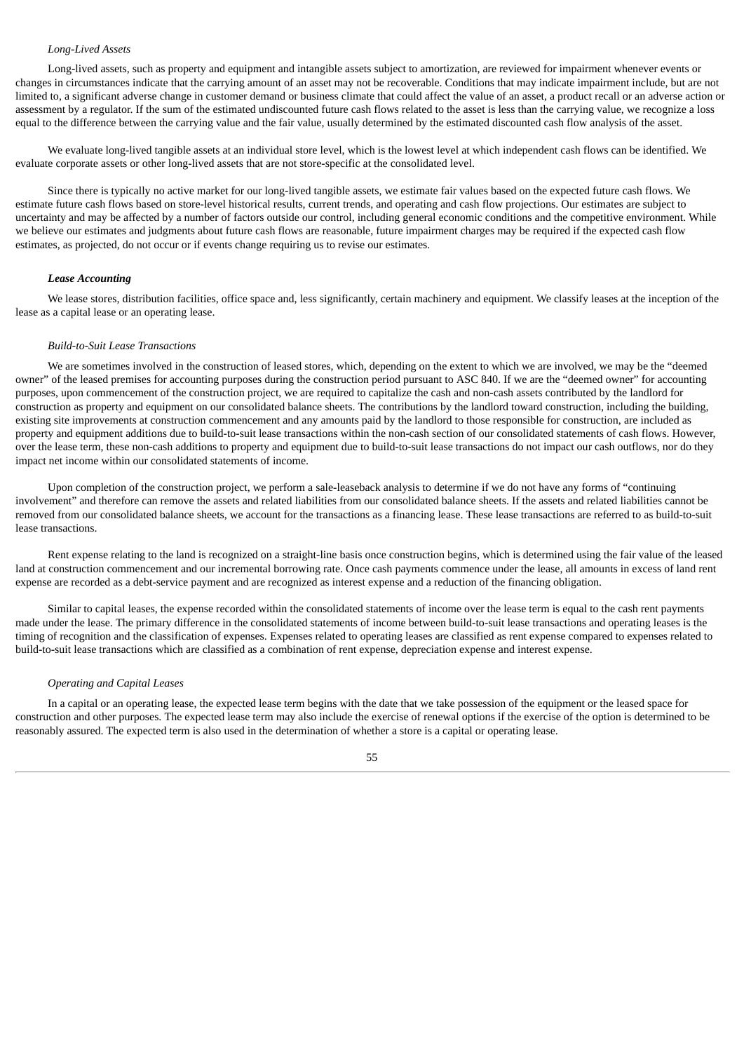# *Long-Lived Assets*

Long-lived assets, such as property and equipment and intangible assets subject to amortization, are reviewed for impairment whenever events or changes in circumstances indicate that the carrying amount of an asset may not be recoverable. Conditions that may indicate impairment include, but are not limited to, a significant adverse change in customer demand or business climate that could affect the value of an asset, a product recall or an adverse action or assessment by a regulator. If the sum of the estimated undiscounted future cash flows related to the asset is less than the carrying value, we recognize a loss equal to the difference between the carrying value and the fair value, usually determined by the estimated discounted cash flow analysis of the asset.

We evaluate long-lived tangible assets at an individual store level, which is the lowest level at which independent cash flows can be identified. We evaluate corporate assets or other long-lived assets that are not store-specific at the consolidated level.

Since there is typically no active market for our long-lived tangible assets, we estimate fair values based on the expected future cash flows. We estimate future cash flows based on store-level historical results, current trends, and operating and cash flow projections. Our estimates are subject to uncertainty and may be affected by a number of factors outside our control, including general economic conditions and the competitive environment. While we believe our estimates and judgments about future cash flows are reasonable, future impairment charges may be required if the expected cash flow estimates, as projected, do not occur or if events change requiring us to revise our estimates.

# *Lease Accounting*

We lease stores, distribution facilities, office space and, less significantly, certain machinery and equipment. We classify leases at the inception of the lease as a capital lease or an operating lease.

#### *Build-to-Suit Lease Transactions*

We are sometimes involved in the construction of leased stores, which, depending on the extent to which we are involved, we may be the "deemed owner" of the leased premises for accounting purposes during the construction period pursuant to ASC 840. If we are the "deemed owner" for accounting purposes, upon commencement of the construction project, we are required to capitalize the cash and non-cash assets contributed by the landlord for construction as property and equipment on our consolidated balance sheets. The contributions by the landlord toward construction, including the building, existing site improvements at construction commencement and any amounts paid by the landlord to those responsible for construction, are included as property and equipment additions due to build-to-suit lease transactions within the non-cash section of our consolidated statements of cash flows. However, over the lease term, these non-cash additions to property and equipment due to build-to-suit lease transactions do not impact our cash outflows, nor do they impact net income within our consolidated statements of income.

Upon completion of the construction project, we perform a sale-leaseback analysis to determine if we do not have any forms of "continuing involvement" and therefore can remove the assets and related liabilities from our consolidated balance sheets. If the assets and related liabilities cannot be removed from our consolidated balance sheets, we account for the transactions as a financing lease. These lease transactions are referred to as build-to-suit lease transactions.

Rent expense relating to the land is recognized on a straight-line basis once construction begins, which is determined using the fair value of the leased land at construction commencement and our incremental borrowing rate. Once cash payments commence under the lease, all amounts in excess of land rent expense are recorded as a debt-service payment and are recognized as interest expense and a reduction of the financing obligation.

Similar to capital leases, the expense recorded within the consolidated statements of income over the lease term is equal to the cash rent payments made under the lease. The primary difference in the consolidated statements of income between build-to-suit lease transactions and operating leases is the timing of recognition and the classification of expenses. Expenses related to operating leases are classified as rent expense compared to expenses related to build-to-suit lease transactions which are classified as a combination of rent expense, depreciation expense and interest expense.

#### *Operating and Capital Leases*

In a capital or an operating lease, the expected lease term begins with the date that we take possession of the equipment or the leased space for construction and other purposes. The expected lease term may also include the exercise of renewal options if the exercise of the option is determined to be reasonably assured. The expected term is also used in the determination of whether a store is a capital or operating lease.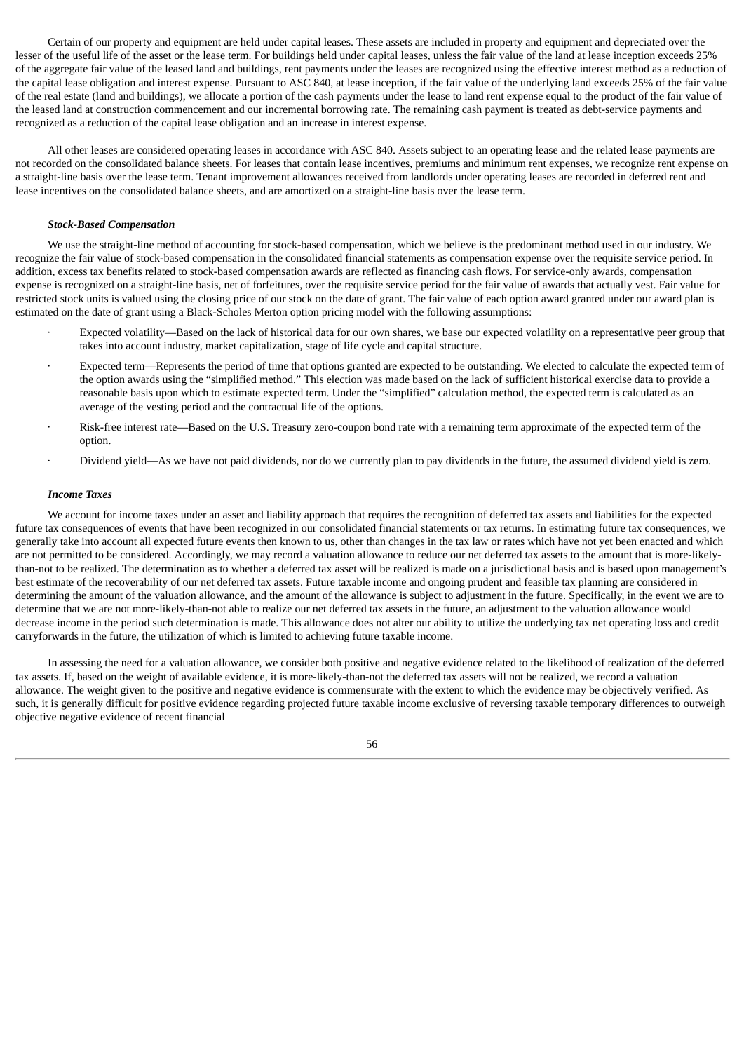Certain of our property and equipment are held under capital leases. These assets are included in property and equipment and depreciated over the lesser of the useful life of the asset or the lease term. For buildings held under capital leases, unless the fair value of the land at lease inception exceeds 25% of the aggregate fair value of the leased land and buildings, rent payments under the leases are recognized using the effective interest method as a reduction of the capital lease obligation and interest expense. Pursuant to ASC 840, at lease inception, if the fair value of the underlying land exceeds 25% of the fair value of the real estate (land and buildings), we allocate a portion of the cash payments under the lease to land rent expense equal to the product of the fair value of the leased land at construction commencement and our incremental borrowing rate. The remaining cash payment is treated as debt-service payments and recognized as a reduction of the capital lease obligation and an increase in interest expense.

All other leases are considered operating leases in accordance with ASC 840. Assets subject to an operating lease and the related lease payments are not recorded on the consolidated balance sheets. For leases that contain lease incentives, premiums and minimum rent expenses, we recognize rent expense on a straight-line basis over the lease term. Tenant improvement allowances received from landlords under operating leases are recorded in deferred rent and lease incentives on the consolidated balance sheets, and are amortized on a straight-line basis over the lease term.

## *Stock-Based Compensation*

We use the straight-line method of accounting for stock-based compensation, which we believe is the predominant method used in our industry. We recognize the fair value of stock-based compensation in the consolidated financial statements as compensation expense over the requisite service period. In addition, excess tax benefits related to stock-based compensation awards are reflected as financing cash flows. For service-only awards, compensation expense is recognized on a straight-line basis, net of forfeitures, over the requisite service period for the fair value of awards that actually vest. Fair value for restricted stock units is valued using the closing price of our stock on the date of grant. The fair value of each option award granted under our award plan is estimated on the date of grant using a Black-Scholes Merton option pricing model with the following assumptions:

- · Expected volatility—Based on the lack of historical data for our own shares, we base our expected volatility on a representative peer group that takes into account industry, market capitalization, stage of life cycle and capital structure.
- Expected term—Represents the period of time that options granted are expected to be outstanding. We elected to calculate the expected term of the option awards using the "simplified method." This election was made based on the lack of sufficient historical exercise data to provide a reasonable basis upon which to estimate expected term. Under the "simplified" calculation method, the expected term is calculated as an average of the vesting period and the contractual life of the options.
- · Risk-free interest rate—Based on the U.S. Treasury zero-coupon bond rate with a remaining term approximate of the expected term of the option.
- · Dividend yield—As we have not paid dividends, nor do we currently plan to pay dividends in the future, the assumed dividend yield is zero.

#### *Income Taxes*

We account for income taxes under an asset and liability approach that requires the recognition of deferred tax assets and liabilities for the expected future tax consequences of events that have been recognized in our consolidated financial statements or tax returns. In estimating future tax consequences, we generally take into account all expected future events then known to us, other than changes in the tax law or rates which have not yet been enacted and which are not permitted to be considered. Accordingly, we may record a valuation allowance to reduce our net deferred tax assets to the amount that is more-likelythan-not to be realized. The determination as to whether a deferred tax asset will be realized is made on a jurisdictional basis and is based upon management's best estimate of the recoverability of our net deferred tax assets. Future taxable income and ongoing prudent and feasible tax planning are considered in determining the amount of the valuation allowance, and the amount of the allowance is subject to adjustment in the future. Specifically, in the event we are to determine that we are not more-likely-than-not able to realize our net deferred tax assets in the future, an adjustment to the valuation allowance would decrease income in the period such determination is made. This allowance does not alter our ability to utilize the underlying tax net operating loss and credit carryforwards in the future, the utilization of which is limited to achieving future taxable income.

In assessing the need for a valuation allowance, we consider both positive and negative evidence related to the likelihood of realization of the deferred tax assets. If, based on the weight of available evidence, it is more-likely-than-not the deferred tax assets will not be realized, we record a valuation allowance. The weight given to the positive and negative evidence is commensurate with the extent to which the evidence may be objectively verified. As such, it is generally difficult for positive evidence regarding projected future taxable income exclusive of reversing taxable temporary differences to outweigh objective negative evidence of recent financial

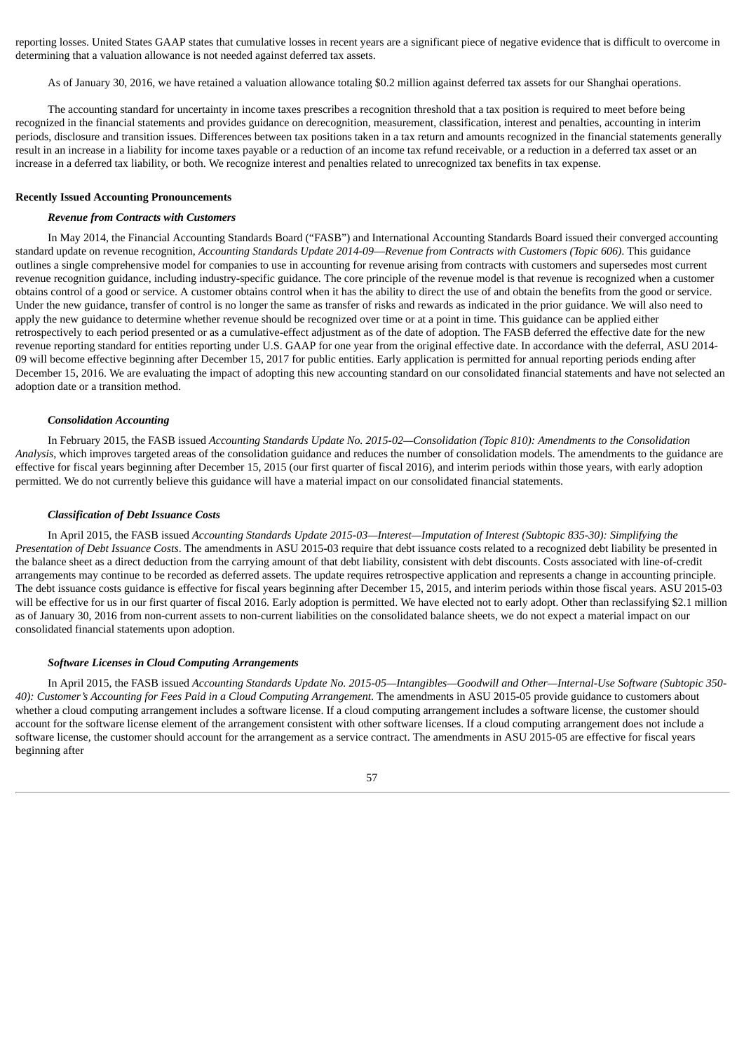reporting losses. United States GAAP states that cumulative losses in recent years are a significant piece of negative evidence that is difficult to overcome in determining that a valuation allowance is not needed against deferred tax assets.

As of January 30, 2016, we have retained a valuation allowance totaling \$0.2 million against deferred tax assets for our Shanghai operations.

The accounting standard for uncertainty in income taxes prescribes a recognition threshold that a tax position is required to meet before being recognized in the financial statements and provides guidance on derecognition, measurement, classification, interest and penalties, accounting in interim periods, disclosure and transition issues. Differences between tax positions taken in a tax return and amounts recognized in the financial statements generally result in an increase in a liability for income taxes payable or a reduction of an income tax refund receivable, or a reduction in a deferred tax asset or an increase in a deferred tax liability, or both. We recognize interest and penalties related to unrecognized tax benefits in tax expense.

#### **Recently Issued Accounting Pronouncements**

#### *Revenue from Contracts with Customers*

In May 2014, the Financial Accounting Standards Board ("FASB") and International Accounting Standards Board issued their converged accounting standard update on revenue recognition, *Accounting Standards Update 2014-09*—*Revenue from Contracts with Customers (Topic 606)*. This guidance outlines a single comprehensive model for companies to use in accounting for revenue arising from contracts with customers and supersedes most current revenue recognition guidance, including industry-specific guidance. The core principle of the revenue model is that revenue is recognized when a customer obtains control of a good or service. A customer obtains control when it has the ability to direct the use of and obtain the benefits from the good or service. Under the new guidance, transfer of control is no longer the same as transfer of risks and rewards as indicated in the prior guidance. We will also need to apply the new guidance to determine whether revenue should be recognized over time or at a point in time. This guidance can be applied either retrospectively to each period presented or as a cumulative-effect adjustment as of the date of adoption. The FASB deferred the effective date for the new revenue reporting standard for entities reporting under U.S. GAAP for one year from the original effective date. In accordance with the deferral, ASU 2014- 09 will become effective beginning after December 15, 2017 for public entities. Early application is permitted for annual reporting periods ending after December 15, 2016. We are evaluating the impact of adopting this new accounting standard on our consolidated financial statements and have not selected an adoption date or a transition method.

#### *Consolidation Accounting*

In February 2015, the FASB issued *Accounting Standards Update No. 2015-02—Consolidation (Topic 810): Amendments to the Consolidation Analysis*, which improves targeted areas of the consolidation guidance and reduces the number of consolidation models. The amendments to the guidance are effective for fiscal years beginning after December 15, 2015 (our first quarter of fiscal 2016), and interim periods within those years, with early adoption permitted. We do not currently believe this guidance will have a material impact on our consolidated financial statements.

#### *Classification of Debt Issuance Costs*

In April 2015, the FASB issued *Accounting Standards Update 2015-03—Interest—Imputation of Interest (Subtopic 835-30): Simplifying the Presentation of Debt Issuance Costs*. The amendments in ASU 2015-03 require that debt issuance costs related to a recognized debt liability be presented in the balance sheet as a direct deduction from the carrying amount of that debt liability, consistent with debt discounts. Costs associated with line-of-credit arrangements may continue to be recorded as deferred assets. The update requires retrospective application and represents a change in accounting principle. The debt issuance costs guidance is effective for fiscal years beginning after December 15, 2015, and interim periods within those fiscal years. ASU 2015-03 will be effective for us in our first quarter of fiscal 2016. Early adoption is permitted. We have elected not to early adopt. Other than reclassifying \$2.1 million as of January 30, 2016 from non-current assets to non-current liabilities on the consolidated balance sheets, we do not expect a material impact on our consolidated financial statements upon adoption.

### *Software Licenses in Cloud Computing Arrangements*

In April 2015, the FASB issued *Accounting Standards Update No. 2015-05—Intangibles—Goodwill and Other—Internal-Use Software (Subtopic 350- 40): Customer's Accounting for Fees Paid in a Cloud Computing Arrangement*. The amendments in ASU 2015-05 provide guidance to customers about whether a cloud computing arrangement includes a software license. If a cloud computing arrangement includes a software license, the customer should account for the software license element of the arrangement consistent with other software licenses. If a cloud computing arrangement does not include a software license, the customer should account for the arrangement as a service contract. The amendments in ASU 2015-05 are effective for fiscal years beginning after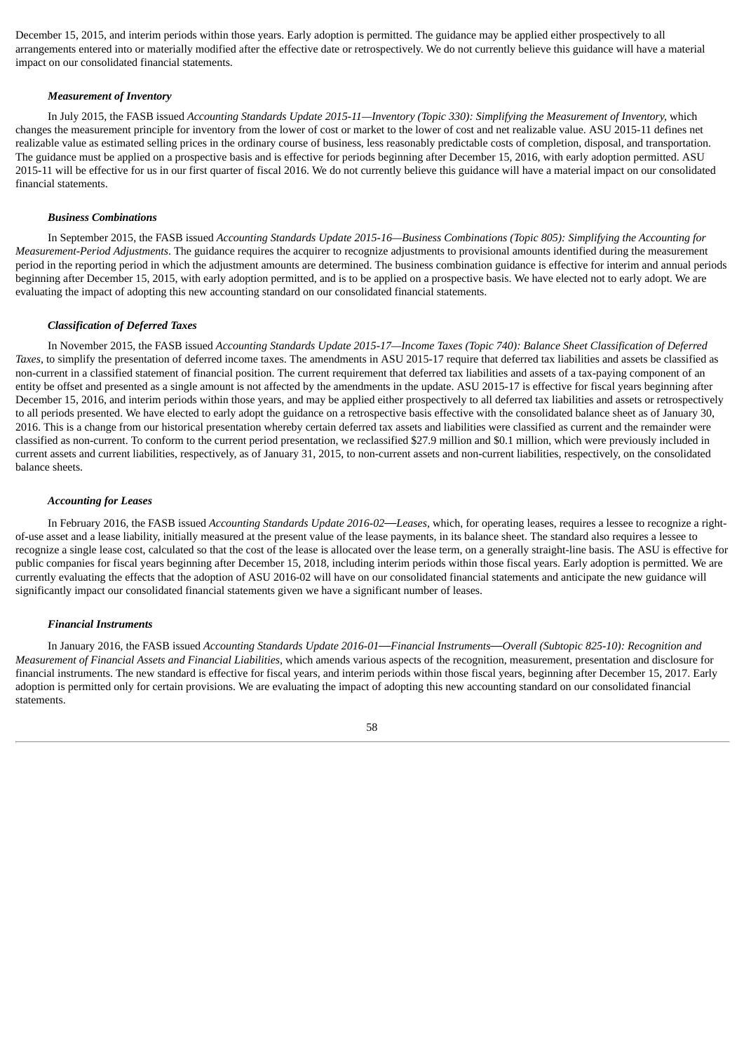December 15, 2015, and interim periods within those years. Early adoption is permitted. The guidance may be applied either prospectively to all arrangements entered into or materially modified after the effective date or retrospectively. We do not currently believe this guidance will have a material impact on our consolidated financial statements.

#### *Measurement of Inventory*

In July 2015, the FASB issued *Accounting Standards Update 2015-11—Inventory (Topic 330): Simplifying the Measurement of Inventory,* which changes the measurement principle for inventory from the lower of cost or market to the lower of cost and net realizable value. ASU 2015-11 defines net realizable value as estimated selling prices in the ordinary course of business, less reasonably predictable costs of completion, disposal, and transportation. The guidance must be applied on a prospective basis and is effective for periods beginning after December 15, 2016, with early adoption permitted. ASU 2015-11 will be effective for us in our first quarter of fiscal 2016. We do not currently believe this guidance will have a material impact on our consolidated financial statements.

## *Business Combinations*

In September 2015, the FASB issued *Accounting Standards Update 2015-16—Business Combinations (Topic 805): Simplifying the Accounting for Measurement-Period Adjustments*. The guidance requires the acquirer to recognize adjustments to provisional amounts identified during the measurement period in the reporting period in which the adjustment amounts are determined. The business combination guidance is effective for interim and annual periods beginning after December 15, 2015, with early adoption permitted, and is to be applied on a prospective basis. We have elected not to early adopt. We are evaluating the impact of adopting this new accounting standard on our consolidated financial statements.

## *Classification of Deferred Taxes*

In November 2015, the FASB issued *Accounting Standards Update 2015-17—Income Taxes (Topic 740): Balance Sheet Classification of Deferred Taxes*, to simplify the presentation of deferred income taxes. The amendments in ASU 2015-17 require that deferred tax liabilities and assets be classified as non-current in a classified statement of financial position. The current requirement that deferred tax liabilities and assets of a tax-paying component of an entity be offset and presented as a single amount is not affected by the amendments in the update. ASU 2015-17 is effective for fiscal years beginning after December 15, 2016, and interim periods within those years, and may be applied either prospectively to all deferred tax liabilities and assets or retrospectively to all periods presented. We have elected to early adopt the guidance on a retrospective basis effective with the consolidated balance sheet as of January 30, 2016. This is a change from our historical presentation whereby certain deferred tax assets and liabilities were classified as current and the remainder were classified as non-current. To conform to the current period presentation, we reclassified \$27.9 million and \$0.1 million, which were previously included in current assets and current liabilities, respectively, as of January 31, 2015, to non-current assets and non-current liabilities, respectively, on the consolidated balance sheets.

#### *Accounting for Leases*

In February 2016, the FASB issued *Accounting Standards Update 2016-02—Leases,* which, for operating leases, requires a lessee to recognize a rightof-use asset and a lease liability, initially measured at the present value of the lease payments, in its balance sheet. The standard also requires a lessee to recognize a single lease cost, calculated so that the cost of the lease is allocated over the lease term, on a generally straight-line basis. The ASU is effective for public companies for fiscal years beginning after December 15, 2018, including interim periods within those fiscal years. Early adoption is permitted. We are currently evaluating the effects that the adoption of ASU 2016-02 will have on our consolidated financial statements and anticipate the new guidance will significantly impact our consolidated financial statements given we have a significant number of leases.

## *Financial Instruments*

In January 2016, the FASB issued *Accounting Standards Update 2016-01—Financial Instruments—Overall (Subtopic 825-10): Recognition and Measurement of Financial Assets and Financial Liabilities,* which amends various aspects of the recognition, measurement, presentation and disclosure for financial instruments. The new standard is effective for fiscal years, and interim periods within those fiscal years, beginning after December 15, 2017. Early adoption is permitted only for certain provisions. We are evaluating the impact of adopting this new accounting standard on our consolidated financial statements.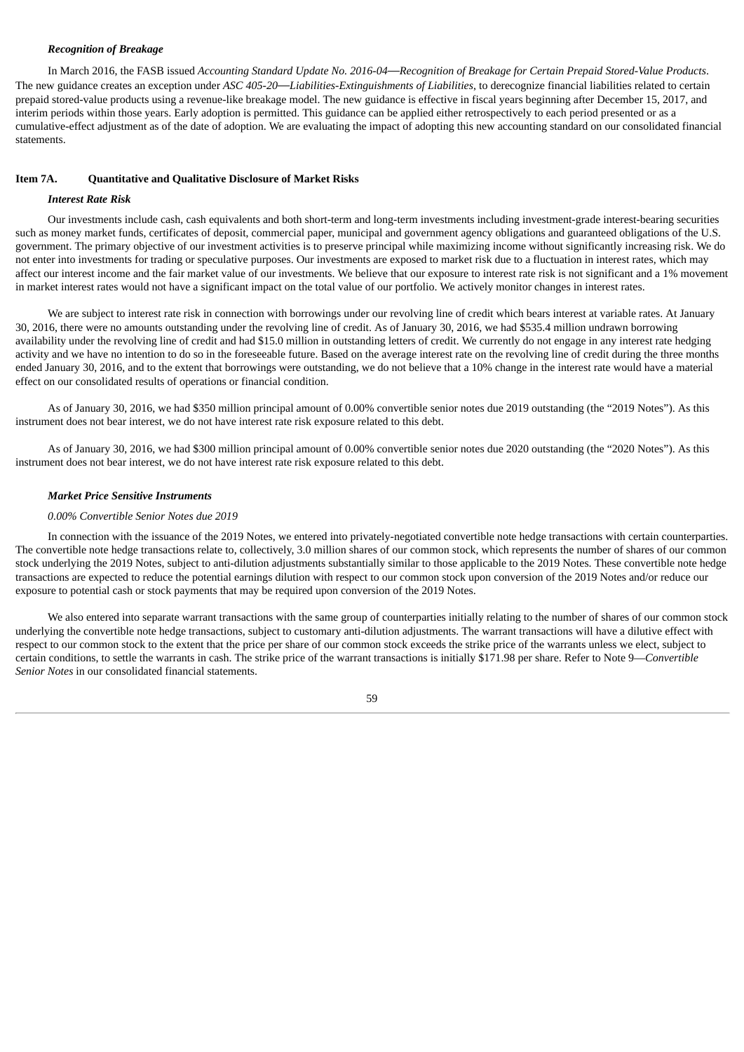# *Recognition of Breakage*

In March 2016, the FASB issued Accounting Standard Update No. 2016-04-Recognition of Breakage for Certain Prepaid Stored-Value Products. The new guidance creates an exception under *ASC 405-20—Liabilities-Extinguishments of Liabilities*, to derecognize financial liabilities related to certain prepaid stored-value products using a revenue-like breakage model. The new guidance is effective in fiscal years beginning after December 15, 2017, and interim periods within those years. Early adoption is permitted. This guidance can be applied either retrospectively to each period presented or as a cumulative-effect adjustment as of the date of adoption. We are evaluating the impact of adopting this new accounting standard on our consolidated financial statements.

# **Item 7A. Quantitative and Qualitative Disclosure of Market Risks**

## *Interest Rate Risk*

Our investments include cash, cash equivalents and both short-term and long-term investments including investment-grade interest-bearing securities such as money market funds, certificates of deposit, commercial paper, municipal and government agency obligations and guaranteed obligations of the U.S. government. The primary objective of our investment activities is to preserve principal while maximizing income without significantly increasing risk. We do not enter into investments for trading or speculative purposes. Our investments are exposed to market risk due to a fluctuation in interest rates, which may affect our interest income and the fair market value of our investments. We believe that our exposure to interest rate risk is not significant and a 1% movement in market interest rates would not have a significant impact on the total value of our portfolio. We actively monitor changes in interest rates.

We are subject to interest rate risk in connection with borrowings under our revolving line of credit which bears interest at variable rates. At January 30, 2016, there were no amounts outstanding under the revolving line of credit. As of January 30, 2016, we had \$535.4 million undrawn borrowing availability under the revolving line of credit and had \$15.0 million in outstanding letters of credit. We currently do not engage in any interest rate hedging activity and we have no intention to do so in the foreseeable future. Based on the average interest rate on the revolving line of credit during the three months ended January 30, 2016, and to the extent that borrowings were outstanding, we do not believe that a 10% change in the interest rate would have a material effect on our consolidated results of operations or financial condition.

As of January 30, 2016, we had \$350 million principal amount of 0.00% convertible senior notes due 2019 outstanding (the "2019 Notes"). As this instrument does not bear interest, we do not have interest rate risk exposure related to this debt.

As of January 30, 2016, we had \$300 million principal amount of 0.00% convertible senior notes due 2020 outstanding (the "2020 Notes"). As this instrument does not bear interest, we do not have interest rate risk exposure related to this debt.

## *Market Price Sensitive Instruments*

# *0.00% Convertible Senior Notes due 2019*

In connection with the issuance of the 2019 Notes, we entered into privately-negotiated convertible note hedge transactions with certain counterparties. The convertible note hedge transactions relate to, collectively, 3.0 million shares of our common stock, which represents the number of shares of our common stock underlying the 2019 Notes, subject to anti-dilution adjustments substantially similar to those applicable to the 2019 Notes. These convertible note hedge transactions are expected to reduce the potential earnings dilution with respect to our common stock upon conversion of the 2019 Notes and/or reduce our exposure to potential cash or stock payments that may be required upon conversion of the 2019 Notes.

We also entered into separate warrant transactions with the same group of counterparties initially relating to the number of shares of our common stock underlying the convertible note hedge transactions, subject to customary anti-dilution adjustments. The warrant transactions will have a dilutive effect with respect to our common stock to the extent that the price per share of our common stock exceeds the strike price of the warrants unless we elect, subject to certain conditions, to settle the warrants in cash. The strike price of the warrant transactions is initially \$171.98 per share. Refer to Note 9—*Convertible Senior Notes* in our consolidated financial statements.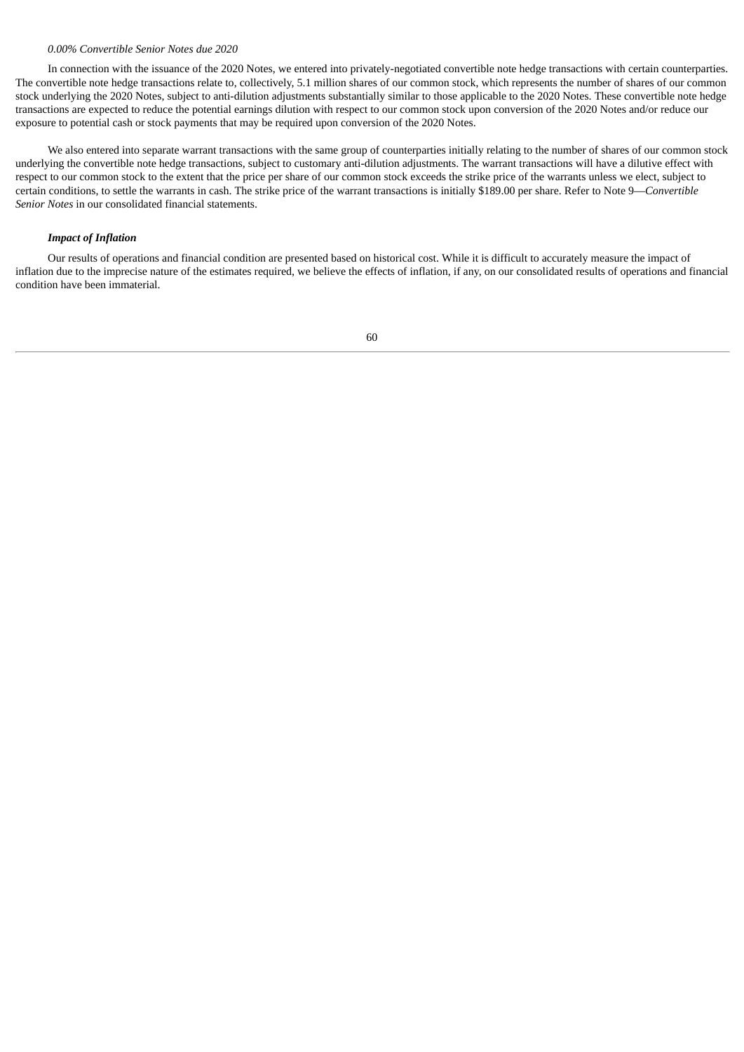## *0.00% Convertible Senior Notes due 2020*

In connection with the issuance of the 2020 Notes, we entered into privately-negotiated convertible note hedge transactions with certain counterparties. The convertible note hedge transactions relate to, collectively, 5.1 million shares of our common stock, which represents the number of shares of our common stock underlying the 2020 Notes, subject to anti-dilution adjustments substantially similar to those applicable to the 2020 Notes. These convertible note hedge transactions are expected to reduce the potential earnings dilution with respect to our common stock upon conversion of the 2020 Notes and/or reduce our exposure to potential cash or stock payments that may be required upon conversion of the 2020 Notes.

We also entered into separate warrant transactions with the same group of counterparties initially relating to the number of shares of our common stock underlying the convertible note hedge transactions, subject to customary anti-dilution adjustments. The warrant transactions will have a dilutive effect with respect to our common stock to the extent that the price per share of our common stock exceeds the strike price of the warrants unless we elect, subject to certain conditions, to settle the warrants in cash. The strike price of the warrant transactions is initially \$189.00 per share. Refer to Note 9—*Convertible Senior Notes* in our consolidated financial statements.

## *Impact of Inflation*

Our results of operations and financial condition are presented based on historical cost. While it is difficult to accurately measure the impact of inflation due to the imprecise nature of the estimates required, we believe the effects of inflation, if any, on our consolidated results of operations and financial condition have been immaterial.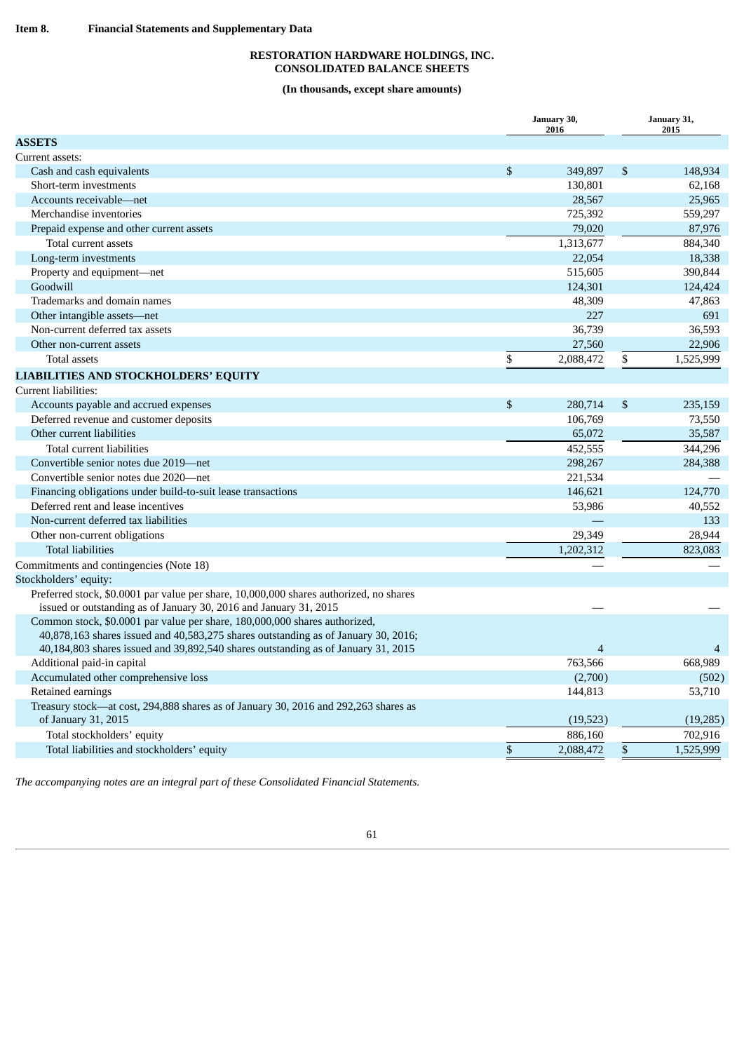# **RESTORATION HARDWARE HOLDINGS, INC. CONSOLIDATED BALANCE SHEETS**

# **(In thousands, except share amounts)**

|                                                                                        | January 30,<br>2016 | January 31,<br>2015 |
|----------------------------------------------------------------------------------------|---------------------|---------------------|
| <b>ASSETS</b>                                                                          |                     |                     |
| Current assets:                                                                        |                     |                     |
| Cash and cash equivalents                                                              | \$<br>349,897       | \$<br>148,934       |
| Short-term investments                                                                 | 130,801             | 62,168              |
| Accounts receivable-net                                                                | 28,567              | 25,965              |
| Merchandise inventories                                                                | 725,392             | 559,297             |
| Prepaid expense and other current assets                                               | 79,020              | 87,976              |
| Total current assets                                                                   | 1,313,677           | 884,340             |
| Long-term investments                                                                  | 22,054              | 18,338              |
| Property and equipment—net                                                             | 515,605             | 390,844             |
| Goodwill                                                                               | 124,301             | 124,424             |
| Trademarks and domain names                                                            | 48,309              | 47,863              |
| Other intangible assets-net                                                            | 227                 | 691                 |
| Non-current deferred tax assets                                                        | 36,739              | 36,593              |
| Other non-current assets                                                               | 27,560              | 22.906              |
| <b>Total assets</b>                                                                    | \$<br>2,088,472     | \$<br>1,525,999     |
| <b>LIABILITIES AND STOCKHOLDERS' EQUITY</b>                                            |                     |                     |
| Current liabilities:                                                                   |                     |                     |
| Accounts payable and accrued expenses                                                  | \$<br>280,714       | \$<br>235,159       |
| Deferred revenue and customer deposits                                                 | 106,769             | 73,550              |
| Other current liabilities                                                              | 65,072              | 35,587              |
| Total current liabilities                                                              | 452,555             | 344,296             |
| Convertible senior notes due 2019-net                                                  | 298,267             | 284,388             |
| Convertible senior notes due 2020-net                                                  | 221,534             |                     |
| Financing obligations under build-to-suit lease transactions                           | 146,621             | 124,770             |
| Deferred rent and lease incentives                                                     | 53,986              | 40,552              |
| Non-current deferred tax liabilities                                                   |                     | 133                 |
| Other non-current obligations                                                          | 29,349              | 28,944              |
| <b>Total liabilities</b>                                                               | 1,202,312           | 823,083             |
| Commitments and contingencies (Note 18)                                                |                     |                     |
| Stockholders' equity:                                                                  |                     |                     |
| Preferred stock, \$0.0001 par value per share, 10,000,000 shares authorized, no shares |                     |                     |
| issued or outstanding as of January 30, 2016 and January 31, 2015                      |                     |                     |
| Common stock, \$0.0001 par value per share, 180,000,000 shares authorized,             |                     |                     |
| 40,878,163 shares issued and 40,583,275 shares outstanding as of January 30, 2016;     |                     |                     |
| 40,184,803 shares issued and 39,892,540 shares outstanding as of January 31, 2015      | $\overline{4}$      | $\overline{4}$      |
| Additional paid-in capital                                                             | 763,566             | 668,989             |
| Accumulated other comprehensive loss                                                   | (2,700)             | (502)               |
| Retained earnings                                                                      | 144,813             | 53,710              |
| Treasury stock-at cost, 294,888 shares as of January 30, 2016 and 292,263 shares as    |                     |                     |
| of January 31, 2015                                                                    | (19, 523)           | (19,285)            |
| Total stockholders' equity                                                             | 886,160             | 702,916             |
| Total liabilities and stockholders' equity                                             | \$<br>2,088,472     | \$<br>1,525,999     |

*The accompanying notes are an integral part of these Consolidated Financial Statements.*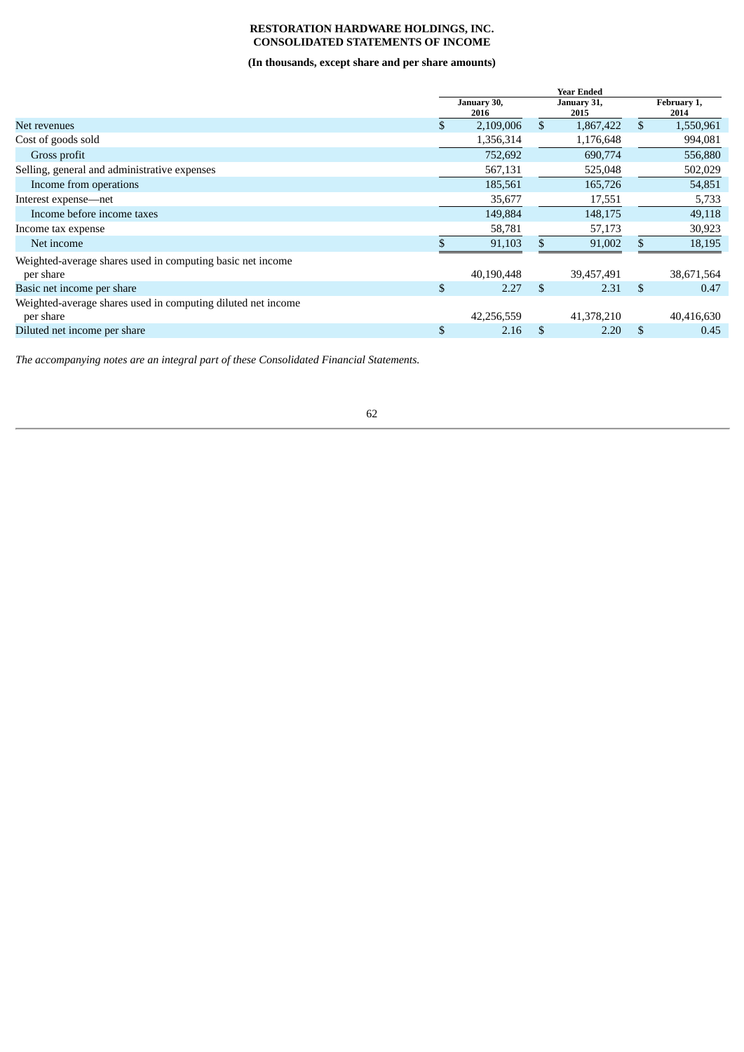# **RESTORATION HARDWARE HOLDINGS, INC. CONSOLIDATED STATEMENTS OF INCOME**

# **(In thousands, except share and per share amounts)**

|                                                              | <b>Year Ended</b>   |    |                     |     |                     |  |  |  |
|--------------------------------------------------------------|---------------------|----|---------------------|-----|---------------------|--|--|--|
|                                                              | January 30,<br>2016 |    | January 31,<br>2015 |     | February 1,<br>2014 |  |  |  |
| Net revenues                                                 | 2,109,006           | \$ | 1,867,422           | \$  | 1,550,961           |  |  |  |
| Cost of goods sold                                           | 1,356,314           |    | 1,176,648           |     | 994,081             |  |  |  |
| Gross profit                                                 | 752,692             |    | 690,774             |     | 556,880             |  |  |  |
| Selling, general and administrative expenses                 | 567,131             |    | 525,048             |     | 502,029             |  |  |  |
| Income from operations                                       | 185,561             |    | 165,726             |     | 54,851              |  |  |  |
| Interest expense—net                                         | 35,677              |    | 17,551              |     | 5,733               |  |  |  |
| Income before income taxes                                   | 149,884             |    | 148,175             |     | 49,118              |  |  |  |
| Income tax expense                                           | 58,781              |    | 57,173              |     | 30,923              |  |  |  |
| Net income                                                   | 91,103              | \$ | 91,002              | \$  | 18,195              |  |  |  |
| Weighted-average shares used in computing basic net income   |                     |    |                     |     |                     |  |  |  |
| per share                                                    | 40,190,448          |    | 39,457,491          |     | 38,671,564          |  |  |  |
| Basic net income per share                                   | \$<br>2.27          | \$ | 2.31                | \$. | 0.47                |  |  |  |
| Weighted-average shares used in computing diluted net income |                     |    |                     |     |                     |  |  |  |
| per share                                                    | 42,256,559          |    | 41,378,210          |     | 40,416,630          |  |  |  |
| Diluted net income per share                                 | \$<br>2.16          | \$ | 2.20                | \$  | 0.45                |  |  |  |
|                                                              |                     |    |                     |     |                     |  |  |  |

*The accompanying notes are an integral part of these Consolidated Financial Statements.*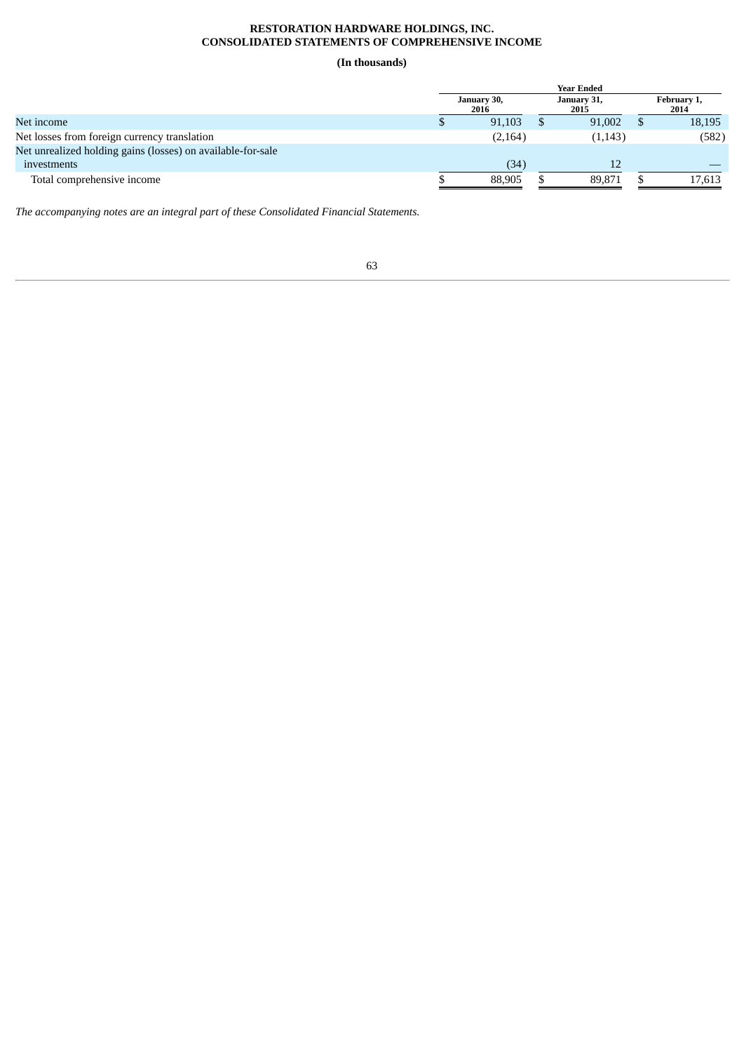# **RESTORATION HARDWARE HOLDINGS, INC. CONSOLIDATED STATEMENTS OF COMPREHENSIVE INCOME**

# **(In thousands)**

|                                                             | <b>Year Ended</b>   |  |                     |  |                     |
|-------------------------------------------------------------|---------------------|--|---------------------|--|---------------------|
|                                                             | January 30,<br>2016 |  | January 31,<br>2015 |  | February 1,<br>2014 |
| Net income                                                  | 91,103              |  | 91,002              |  | 18,195              |
| Net losses from foreign currency translation                | (2, 164)            |  | (1, 143)            |  | (582)               |
| Net unrealized holding gains (losses) on available-for-sale |                     |  |                     |  |                     |
| investments                                                 | (34)                |  |                     |  |                     |
| Total comprehensive income                                  | 88,905              |  | 89.871              |  | 17.613              |

*The accompanying notes are an integral part of these Consolidated Financial Statements.*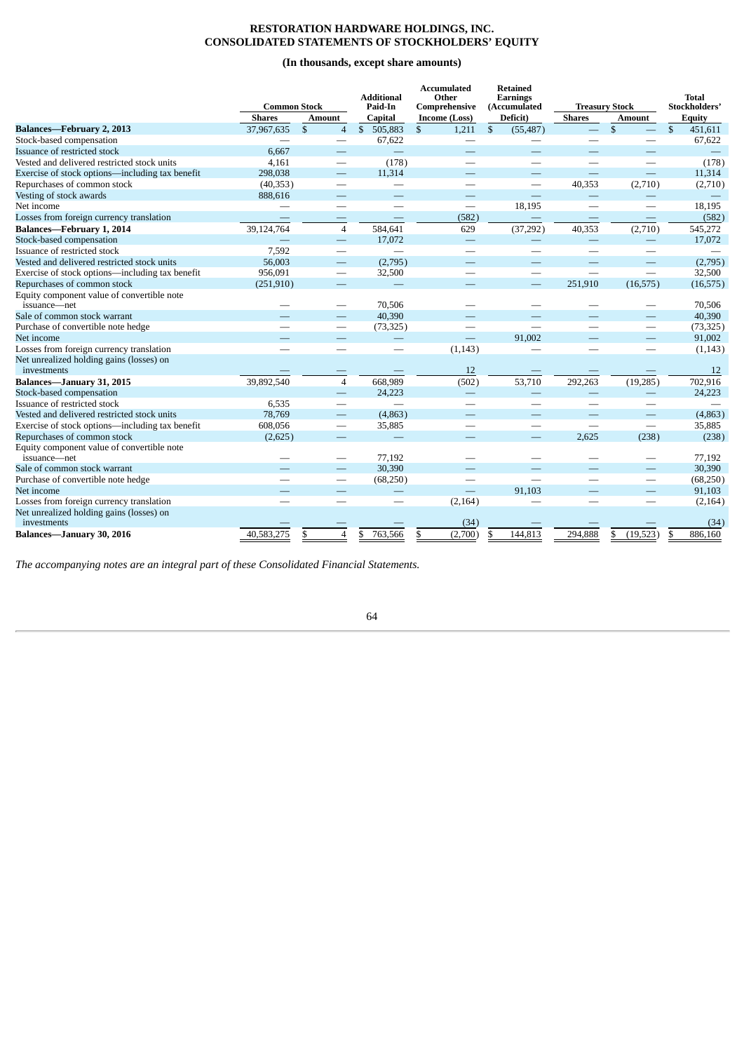# **RESTORATION HARDWARE HOLDINGS, INC. CONSOLIDATED STATEMENTS OF STOCKHOLDERS' EQUITY**

# **(In thousands, except share amounts)**

|                                                 |               | <b>Common Stock</b>            |                          | <b>Accumulated</b><br>Other<br>Comprehensive | <b>Retained</b><br><b>Earnings</b><br>(Accumulated | <b>Treasury Stock</b> |                               | Total<br>Stockholders'  |  |
|-------------------------------------------------|---------------|--------------------------------|--------------------------|----------------------------------------------|----------------------------------------------------|-----------------------|-------------------------------|-------------------------|--|
|                                                 | <b>Shares</b> | <b>Amount</b>                  | <b>Capital</b>           | <b>Income (Loss)</b>                         | Deficit)                                           | <b>Shares</b>         | <b>Amount</b>                 | <b>Equity</b>           |  |
| Balances-February 2, 2013                       | 37,967,635    | $\mathbb{S}$<br>$\overline{4}$ | 505,883<br>\$            | $\mathbf{s}$<br>1,211                        | $\mathbb{S}$<br>(55, 487)                          |                       | $\mathcal{S}$                 | $\mathbb{S}$<br>451,611 |  |
| Stock-based compensation                        |               | $\overline{\phantom{0}}$       | 67,622                   |                                              | $\overline{\phantom{0}}$                           |                       |                               | 67,622                  |  |
| Issuance of restricted stock                    | 6.667         |                                |                          |                                              |                                                    |                       |                               |                         |  |
| Vested and delivered restricted stock units     | 4,161         |                                | (178)                    |                                              |                                                    |                       |                               | (178)                   |  |
| Exercise of stock options-including tax benefit | 298,038       |                                | 11,314                   | –                                            |                                                    |                       |                               | 11,314                  |  |
| Repurchases of common stock                     | (40, 353)     | $\overline{\phantom{0}}$       | $\overline{\phantom{0}}$ |                                              | $\overline{\phantom{0}}$                           | 40,353                | (2,710)                       | (2,710)                 |  |
| Vesting of stock awards                         | 888,616       |                                |                          |                                              |                                                    |                       |                               |                         |  |
| Net income                                      |               |                                |                          |                                              | 18,195                                             |                       |                               | 18,195                  |  |
| Losses from foreign currency translation        |               |                                |                          | (582)                                        |                                                    |                       |                               | (582)                   |  |
| Balances-February 1, 2014                       | 39,124,764    | $\overline{4}$                 | 584,641                  | 629                                          | (37, 292)                                          | 40,353                | (2,710)                       | 545,272                 |  |
| Stock-based compensation                        |               | $\qquad \qquad -$              | 17,072                   |                                              |                                                    |                       | $\qquad \qquad -$             | 17,072                  |  |
| Issuance of restricted stock                    | 7,592         | $\overline{\phantom{0}}$       | $\overline{\phantom{0}}$ |                                              |                                                    | -                     | $\overline{\phantom{0}}$      |                         |  |
| Vested and delivered restricted stock units     | 56,003        | —                              | (2,795)                  |                                              |                                                    |                       |                               | (2,795)                 |  |
| Exercise of stock options-including tax benefit | 956,091       | $\overline{\phantom{0}}$       | 32,500                   |                                              |                                                    |                       | $\overline{\phantom{0}}$      | 32,500                  |  |
| Repurchases of common stock                     | (251, 910)    |                                |                          |                                              | $\overline{\phantom{0}}$                           | 251,910               | (16, 575)                     | (16, 575)               |  |
| Equity component value of convertible note      |               |                                |                          |                                              |                                                    |                       |                               |                         |  |
| issuance-net                                    |               |                                | 70,506                   |                                              |                                                    |                       |                               | 70,506                  |  |
| Sale of common stock warrant                    |               | $\overline{\phantom{0}}$       | 40,390                   |                                              |                                                    |                       |                               | 40,390                  |  |
| Purchase of convertible note hedge              |               | $\overline{\phantom{0}}$       | (73, 325)                |                                              |                                                    |                       | $\overbrace{\phantom{12332}}$ | (73, 325)               |  |
| Net income                                      |               |                                |                          |                                              | 91,002                                             |                       |                               | 91,002                  |  |
| Losses from foreign currency translation        |               | -                              |                          | (1, 143)                                     |                                                    |                       |                               | (1, 143)                |  |
| Net unrealized holding gains (losses) on        |               |                                |                          |                                              |                                                    |                       |                               |                         |  |
| investments                                     |               |                                |                          | 12                                           |                                                    |                       |                               | 12                      |  |
| Balances-January 31, 2015                       | 39,892,540    | $\overline{4}$                 | 668,989                  | (502)                                        | 53,710                                             | 292,263               | (19, 285)                     | 702,916                 |  |
| Stock-based compensation                        |               |                                | 24,223                   |                                              |                                                    |                       |                               | 24,223                  |  |
| Issuance of restricted stock                    | 6,535         |                                |                          |                                              |                                                    |                       |                               |                         |  |
| Vested and delivered restricted stock units     | 78,769        |                                | (4, 863)                 |                                              |                                                    |                       |                               | (4,863)                 |  |
| Exercise of stock options-including tax benefit | 608,056       |                                | 35,885                   |                                              |                                                    |                       | $\overbrace{\phantom{12333}}$ | 35,885                  |  |
| Repurchases of common stock                     | (2,625)       | –                              |                          |                                              |                                                    | 2.625                 | (238)                         | (238)                   |  |
| Equity component value of convertible note      |               |                                |                          |                                              |                                                    |                       |                               |                         |  |
| issuance-net                                    |               |                                | 77,192                   |                                              |                                                    |                       |                               | 77,192                  |  |
| Sale of common stock warrant                    |               | $\qquad \qquad -$              | 30,390                   |                                              |                                                    |                       |                               | 30,390                  |  |
| Purchase of convertible note hedge              |               | $\overline{\phantom{0}}$       | (68, 250)                | -                                            |                                                    |                       | $\overline{\phantom{0}}$      | (68,250)                |  |
| Net income                                      |               |                                |                          |                                              | 91,103                                             |                       | -                             | 91,103                  |  |
| Losses from foreign currency translation        | -             | -                              |                          | (2, 164)                                     |                                                    |                       | $\overbrace{\phantom{12332}}$ | (2,164)                 |  |
| Net unrealized holding gains (losses) on        |               |                                |                          |                                              |                                                    |                       |                               |                         |  |
| investments                                     |               |                                |                          | (34)                                         |                                                    |                       |                               | (34)                    |  |
| Balances-January 30, 2016                       | 40,583,275    | \$<br>$\overline{\mathcal{A}}$ | \$<br>763,566            | \$<br>(2,700)                                | \$<br>144,813                                      | 294,888               | \$<br>(19,523)                | \$<br>886,160           |  |

*The accompanying notes are an integral part of these Consolidated Financial Statements.*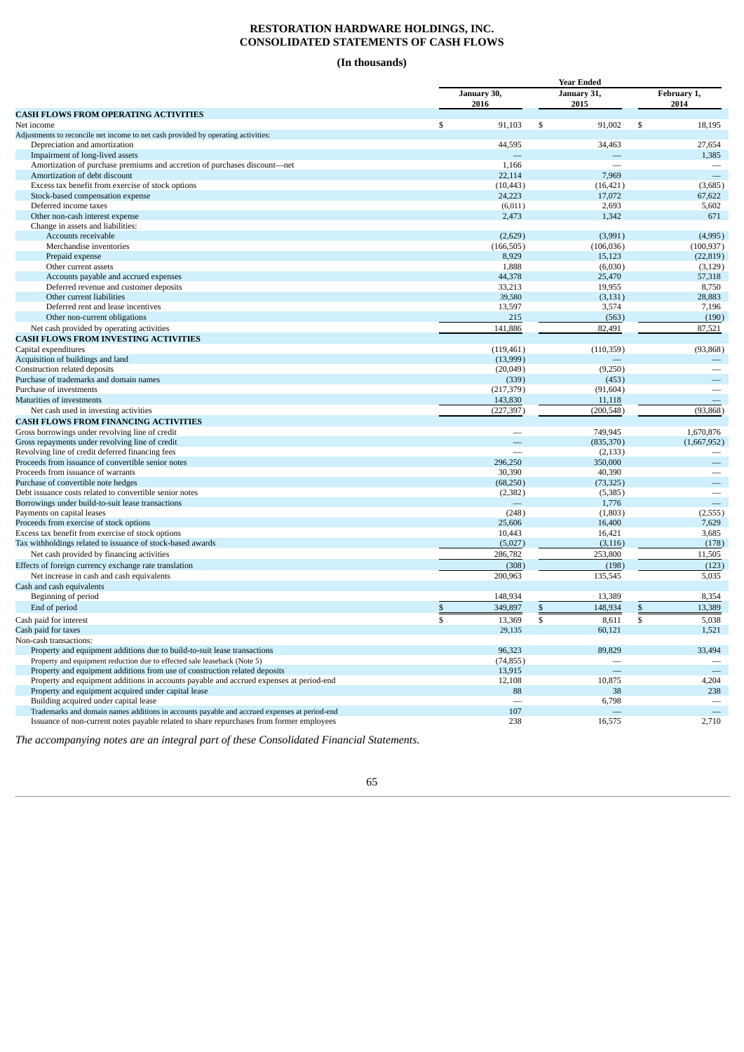# **RESTORATION HARDWARE HOLDINGS, INC. CONSOLIDATED STATEMENTS OF CASH FLOWS**

# **(In thousands)**

|                                                                                              |               | <b>Year Ended</b> |               |  |  |
|----------------------------------------------------------------------------------------------|---------------|-------------------|---------------|--|--|
|                                                                                              | January 30,   | January 31,       | February 1,   |  |  |
|                                                                                              | 2016          | 2015              | 2014          |  |  |
| <b>CASH FLOWS FROM OPERATING ACTIVITIES</b>                                                  |               |                   |               |  |  |
| Net income                                                                                   | \$<br>91,103  | \$<br>91,002      | \$<br>18,195  |  |  |
| Adjustments to reconcile net income to net cash provided by operating activities:            |               |                   |               |  |  |
| Depreciation and amortization                                                                | 44,595        | 34,463            | 27,654        |  |  |
| Impairment of long-lived assets                                                              |               |                   | 1,385         |  |  |
| Amortization of purchase premiums and accretion of purchases discount-net                    | 1.166         |                   |               |  |  |
| Amortization of debt discount                                                                | 22,114        | 7,969             |               |  |  |
| Excess tax benefit from exercise of stock options                                            | (10, 443)     | (16, 421)         | (3,685)       |  |  |
| Stock-based compensation expense                                                             | 24,223        | 17,072            | 67,622        |  |  |
| Deferred income taxes                                                                        | (6,011)       | 2,693             | 5,602         |  |  |
| Other non-cash interest expense                                                              | 2,473         | 1,342             | 671           |  |  |
| Change in assets and liabilities:                                                            |               |                   |               |  |  |
| Accounts receivable                                                                          | (2,629)       | (3,991)           | (4,995)       |  |  |
| Merchandise inventories                                                                      | (166, 505)    | (106, 036)        | (100, 937)    |  |  |
| Prepaid expense                                                                              | 8,929         | 15,123            | (22, 819)     |  |  |
| Other current assets                                                                         | 1,888         | (6,030)           | (3, 129)      |  |  |
| Accounts payable and accrued expenses                                                        | 44,378        | 25,470            | 57,318        |  |  |
| Deferred revenue and customer deposits                                                       | 33,213        | 19,955            | 8,750         |  |  |
| Other current liabilities                                                                    | 39,580        | (3, 131)          | 28,883        |  |  |
| Deferred rent and lease incentives                                                           | 13,597        | 3,574             | 7,196         |  |  |
| Other non-current obligations                                                                | 215           | (563)             | (190)         |  |  |
|                                                                                              |               |                   | 87,521        |  |  |
| Net cash provided by operating activities                                                    | 141,886       | 82,491            |               |  |  |
| <b>CASH FLOWS FROM INVESTING ACTIVITIES</b>                                                  |               |                   |               |  |  |
| Capital expenditures                                                                         | (119, 461)    | (110, 359)        | (93, 868)     |  |  |
| Acquisition of buildings and land                                                            | (13,999)      |                   |               |  |  |
| Construction related deposits                                                                | (20, 049)     | (9,250)           |               |  |  |
| Purchase of trademarks and domain names                                                      | (339)         | (453)             |               |  |  |
| Purchase of investments                                                                      | (217, 379)    | (91, 604)         |               |  |  |
| Maturities of investments                                                                    | 143,830       | 11,118            |               |  |  |
| Net cash used in investing activities                                                        | (227, 397)    | (200, 548)        | (93, 868)     |  |  |
| <b>CASH FLOWS FROM FINANCING ACTIVITIES</b>                                                  |               |                   |               |  |  |
| Gross borrowings under revolving line of credit                                              |               | 749,945           | 1,670,876     |  |  |
| Gross repayments under revolving line of credit                                              |               | (835, 370)        | (1,667,952)   |  |  |
| Revolving line of credit deferred financing fees                                             |               | (2, 133)          |               |  |  |
| Proceeds from issuance of convertible senior notes                                           | 296,250       | 350,000           |               |  |  |
| Proceeds from issuance of warrants                                                           | 30,390        | 40,390            |               |  |  |
| Purchase of convertible note hedges                                                          | (68, 250)     | (73, 325)         |               |  |  |
| Debt issuance costs related to convertible senior notes                                      | (2, 382)      | (5, 385)          | $\frac{1}{2}$ |  |  |
| Borrowings under build-to-suit lease transactions                                            |               | 1,776             |               |  |  |
| Payments on capital leases                                                                   | (248)         | (1,803)           | (2, 555)      |  |  |
| Proceeds from exercise of stock options                                                      | 25,606        | 16,400            | 7,629         |  |  |
| Excess tax benefit from exercise of stock options                                            | 10,443        | 16,421            | 3,685         |  |  |
| Tax withholdings related to issuance of stock-based awards                                   | (5,027)       | (3, 116)          | (178)         |  |  |
| Net cash provided by financing activities                                                    | 286,782       | 253,800           | 11,505        |  |  |
| Effects of foreign currency exchange rate translation                                        | (308)         | (198)             | (123)         |  |  |
| Net increase in cash and cash equivalents                                                    | 200,963       | 135,545           | 5,035         |  |  |
| Cash and cash equivalents                                                                    |               |                   |               |  |  |
| Beginning of period                                                                          | 148,934       | 13,389            | 8,354         |  |  |
| End of period                                                                                | 349,897<br>\$ | 148,934<br>\$     | 13,389        |  |  |
|                                                                                              |               |                   |               |  |  |
| Cash paid for interest                                                                       | \$<br>13,369  | \$<br>8.611       | 5,038<br>\$   |  |  |
| Cash paid for taxes                                                                          | 29,135        | 60,121            | 1,521         |  |  |
| Non-cash transactions:                                                                       |               |                   |               |  |  |
| Property and equipment additions due to build-to-suit lease transactions                     | 96,323        | 89,829            | 33,494        |  |  |
| Property and equipment reduction due to effected sale leaseback (Note 5)                     | (74, 855)     |                   |               |  |  |
| Property and equipment additions from use of construction related deposits                   | 13,915        |                   |               |  |  |
| Property and equipment additions in accounts payable and accrued expenses at period-end      | 12,108        | 10,875            | 4,204         |  |  |
| Property and equipment acquired under capital lease                                          | 88            | 38                | 238           |  |  |
| Building acquired under capital lease                                                        |               | 6,798             |               |  |  |
| Trademarks and domain names additions in accounts payable and accrued expenses at period-end | 107           |                   |               |  |  |
| Issuance of non-current notes payable related to share repurchases from former employees     | 238           | 16,575            | 2,710         |  |  |

*The accompanying notes are an integral part of these Consolidated Financial Statements.*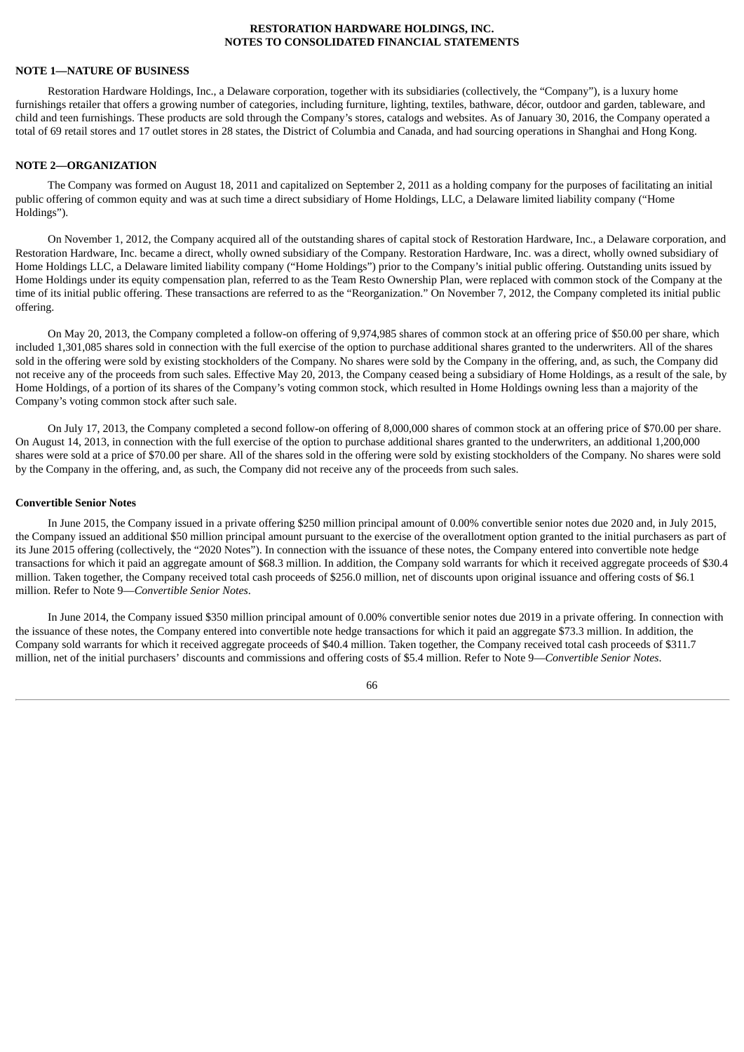# **RESTORATION HARDWARE HOLDINGS, INC. NOTES TO CONSOLIDATED FINANCIAL STATEMENTS**

# **NOTE 1—NATURE OF BUSINESS**

Restoration Hardware Holdings, Inc., a Delaware corporation, together with its subsidiaries (collectively, the "Company"), is a luxury home furnishings retailer that offers a growing number of categories, including furniture, lighting, textiles, bathware, décor, outdoor and garden, tableware, and child and teen furnishings. These products are sold through the Company's stores, catalogs and websites. As of January 30, 2016, the Company operated a total of 69 retail stores and 17 outlet stores in 28 states, the District of Columbia and Canada, and had sourcing operations in Shanghai and Hong Kong.

#### **NOTE 2—ORGANIZATION**

The Company was formed on August 18, 2011 and capitalized on September 2, 2011 as a holding company for the purposes of facilitating an initial public offering of common equity and was at such time a direct subsidiary of Home Holdings, LLC, a Delaware limited liability company ("Home Holdings").

On November 1, 2012, the Company acquired all of the outstanding shares of capital stock of Restoration Hardware, Inc., a Delaware corporation, and Restoration Hardware, Inc. became a direct, wholly owned subsidiary of the Company. Restoration Hardware, Inc. was a direct, wholly owned subsidiary of Home Holdings LLC, a Delaware limited liability company ("Home Holdings") prior to the Company's initial public offering. Outstanding units issued by Home Holdings under its equity compensation plan, referred to as the Team Resto Ownership Plan, were replaced with common stock of the Company at the time of its initial public offering. These transactions are referred to as the "Reorganization." On November 7, 2012, the Company completed its initial public offering.

On May 20, 2013, the Company completed a follow-on offering of 9,974,985 shares of common stock at an offering price of \$50.00 per share, which included 1,301,085 shares sold in connection with the full exercise of the option to purchase additional shares granted to the underwriters. All of the shares sold in the offering were sold by existing stockholders of the Company. No shares were sold by the Company in the offering, and, as such, the Company did not receive any of the proceeds from such sales. Effective May 20, 2013, the Company ceased being a subsidiary of Home Holdings, as a result of the sale, by Home Holdings, of a portion of its shares of the Company's voting common stock, which resulted in Home Holdings owning less than a majority of the Company's voting common stock after such sale.

On July 17, 2013, the Company completed a second follow-on offering of 8,000,000 shares of common stock at an offering price of \$70.00 per share. On August 14, 2013, in connection with the full exercise of the option to purchase additional shares granted to the underwriters, an additional 1,200,000 shares were sold at a price of \$70.00 per share. All of the shares sold in the offering were sold by existing stockholders of the Company. No shares were sold by the Company in the offering, and, as such, the Company did not receive any of the proceeds from such sales.

#### **Convertible Senior Notes**

In June 2015, the Company issued in a private offering \$250 million principal amount of 0.00% convertible senior notes due 2020 and, in July 2015, the Company issued an additional \$50 million principal amount pursuant to the exercise of the overallotment option granted to the initial purchasers as part of its June 2015 offering (collectively, the "2020 Notes"). In connection with the issuance of these notes, the Company entered into convertible note hedge transactions for which it paid an aggregate amount of \$68.3 million. In addition, the Company sold warrants for which it received aggregate proceeds of \$30.4 million. Taken together, the Company received total cash proceeds of \$256.0 million, net of discounts upon original issuance and offering costs of \$6.1 million. Refer to Note 9—*Convertible Senior Notes*.

In June 2014, the Company issued \$350 million principal amount of 0.00% convertible senior notes due 2019 in a private offering. In connection with the issuance of these notes, the Company entered into convertible note hedge transactions for which it paid an aggregate \$73.3 million. In addition, the Company sold warrants for which it received aggregate proceeds of \$40.4 million. Taken together, the Company received total cash proceeds of \$311.7 million, net of the initial purchasers' discounts and commissions and offering costs of \$5.4 million. Refer to Note 9—*Convertible Senior Notes*.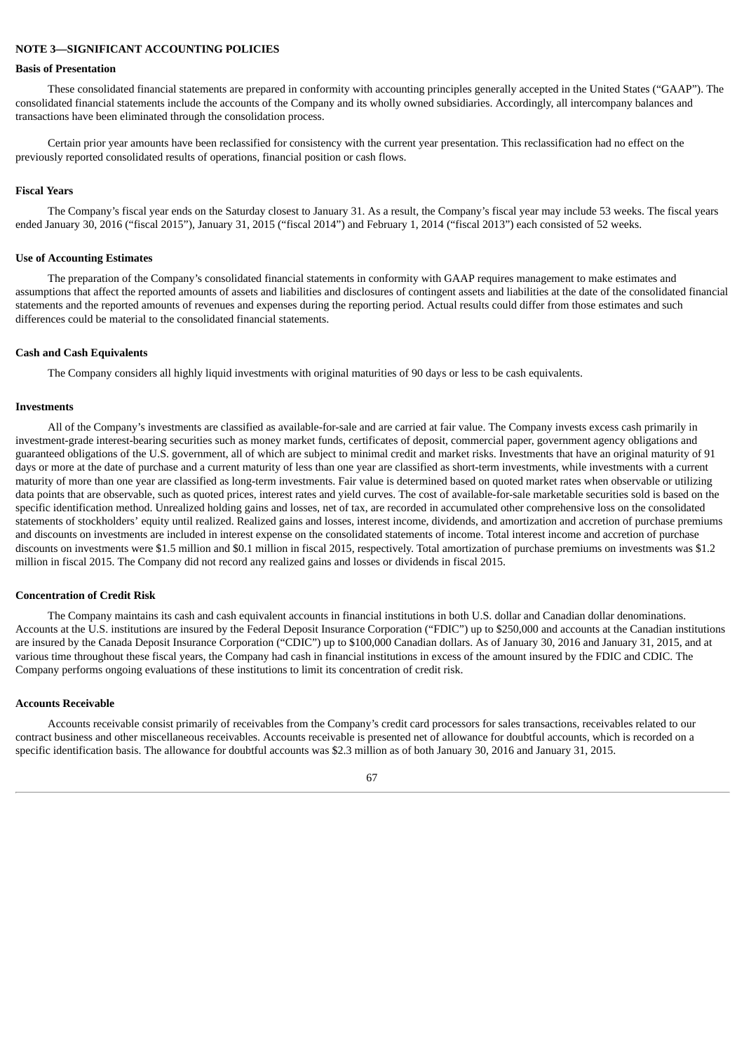# **NOTE 3—SIGNIFICANT ACCOUNTING POLICIES**

#### **Basis of Presentation**

These consolidated financial statements are prepared in conformity with accounting principles generally accepted in the United States ("GAAP"). The consolidated financial statements include the accounts of the Company and its wholly owned subsidiaries. Accordingly, all intercompany balances and transactions have been eliminated through the consolidation process.

Certain prior year amounts have been reclassified for consistency with the current year presentation. This reclassification had no effect on the previously reported consolidated results of operations, financial position or cash flows.

## **Fiscal Years**

The Company's fiscal year ends on the Saturday closest to January 31. As a result, the Company's fiscal year may include 53 weeks. The fiscal years ended January 30, 2016 ("fiscal 2015"), January 31, 2015 ("fiscal 2014") and February 1, 2014 ("fiscal 2013") each consisted of 52 weeks.

## **Use of Accounting Estimates**

The preparation of the Company's consolidated financial statements in conformity with GAAP requires management to make estimates and assumptions that affect the reported amounts of assets and liabilities and disclosures of contingent assets and liabilities at the date of the consolidated financial statements and the reported amounts of revenues and expenses during the reporting period. Actual results could differ from those estimates and such differences could be material to the consolidated financial statements.

# **Cash and Cash Equivalents**

The Company considers all highly liquid investments with original maturities of 90 days or less to be cash equivalents.

## **Investments**

All of the Company's investments are classified as available-for-sale and are carried at fair value. The Company invests excess cash primarily in investment-grade interest-bearing securities such as money market funds, certificates of deposit, commercial paper, government agency obligations and guaranteed obligations of the U.S. government, all of which are subject to minimal credit and market risks. Investments that have an original maturity of 91 days or more at the date of purchase and a current maturity of less than one year are classified as short-term investments, while investments with a current maturity of more than one year are classified as long-term investments. Fair value is determined based on quoted market rates when observable or utilizing data points that are observable, such as quoted prices, interest rates and yield curves. The cost of available-for-sale marketable securities sold is based on the specific identification method. Unrealized holding gains and losses, net of tax, are recorded in accumulated other comprehensive loss on the consolidated statements of stockholders' equity until realized. Realized gains and losses, interest income, dividends, and amortization and accretion of purchase premiums and discounts on investments are included in interest expense on the consolidated statements of income. Total interest income and accretion of purchase discounts on investments were \$1.5 million and \$0.1 million in fiscal 2015, respectively. Total amortization of purchase premiums on investments was \$1.2 million in fiscal 2015. The Company did not record any realized gains and losses or dividends in fiscal 2015.

## **Concentration of Credit Risk**

The Company maintains its cash and cash equivalent accounts in financial institutions in both U.S. dollar and Canadian dollar denominations. Accounts at the U.S. institutions are insured by the Federal Deposit Insurance Corporation ("FDIC") up to \$250,000 and accounts at the Canadian institutions are insured by the Canada Deposit Insurance Corporation ("CDIC") up to \$100,000 Canadian dollars. As of January 30, 2016 and January 31, 2015, and at various time throughout these fiscal years, the Company had cash in financial institutions in excess of the amount insured by the FDIC and CDIC. The Company performs ongoing evaluations of these institutions to limit its concentration of credit risk.

# **Accounts Receivable**

Accounts receivable consist primarily of receivables from the Company's credit card processors for sales transactions, receivables related to our contract business and other miscellaneous receivables. Accounts receivable is presented net of allowance for doubtful accounts, which is recorded on a specific identification basis. The allowance for doubtful accounts was \$2.3 million as of both January 30, 2016 and January 31, 2015.

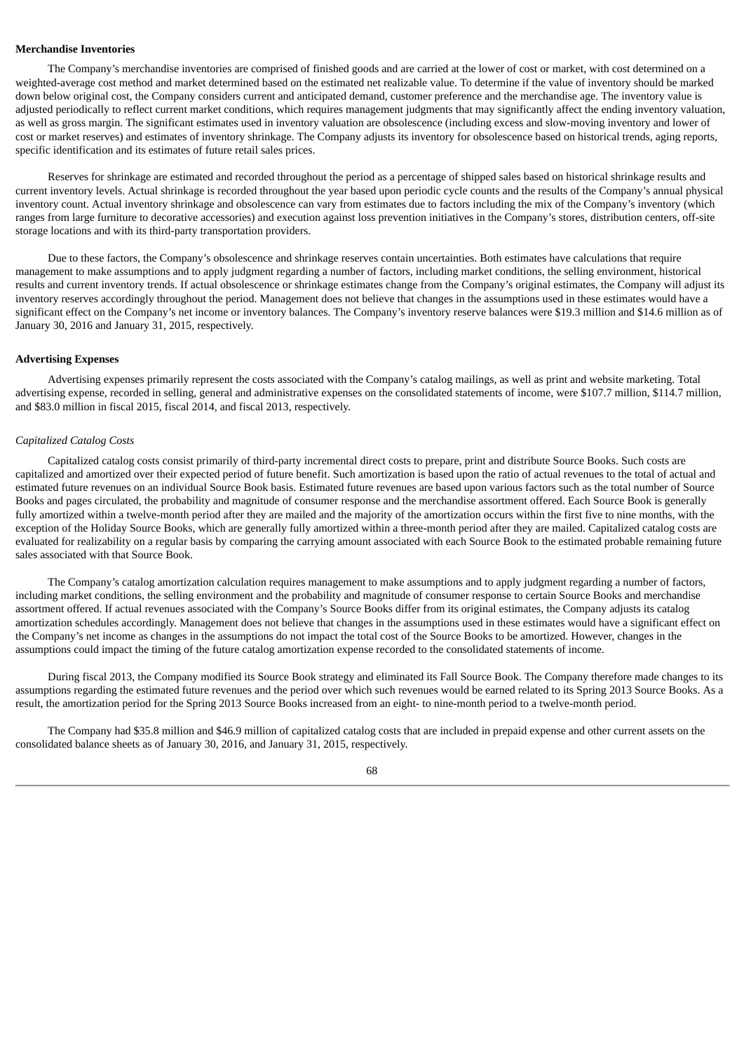## **Merchandise Inventories**

The Company's merchandise inventories are comprised of finished goods and are carried at the lower of cost or market, with cost determined on a weighted-average cost method and market determined based on the estimated net realizable value. To determine if the value of inventory should be marked down below original cost, the Company considers current and anticipated demand, customer preference and the merchandise age. The inventory value is adjusted periodically to reflect current market conditions, which requires management judgments that may significantly affect the ending inventory valuation, as well as gross margin. The significant estimates used in inventory valuation are obsolescence (including excess and slow-moving inventory and lower of cost or market reserves) and estimates of inventory shrinkage. The Company adjusts its inventory for obsolescence based on historical trends, aging reports, specific identification and its estimates of future retail sales prices.

Reserves for shrinkage are estimated and recorded throughout the period as a percentage of shipped sales based on historical shrinkage results and current inventory levels. Actual shrinkage is recorded throughout the year based upon periodic cycle counts and the results of the Company's annual physical inventory count. Actual inventory shrinkage and obsolescence can vary from estimates due to factors including the mix of the Company's inventory (which ranges from large furniture to decorative accessories) and execution against loss prevention initiatives in the Company's stores, distribution centers, off-site storage locations and with its third-party transportation providers.

Due to these factors, the Company's obsolescence and shrinkage reserves contain uncertainties. Both estimates have calculations that require management to make assumptions and to apply judgment regarding a number of factors, including market conditions, the selling environment, historical results and current inventory trends. If actual obsolescence or shrinkage estimates change from the Company's original estimates, the Company will adjust its inventory reserves accordingly throughout the period. Management does not believe that changes in the assumptions used in these estimates would have a significant effect on the Company's net income or inventory balances. The Company's inventory reserve balances were \$19.3 million and \$14.6 million as of January 30, 2016 and January 31, 2015, respectively.

## **Advertising Expenses**

Advertising expenses primarily represent the costs associated with the Company's catalog mailings, as well as print and website marketing. Total advertising expense, recorded in selling, general and administrative expenses on the consolidated statements of income, were \$107.7 million, \$114.7 million, and \$83.0 million in fiscal 2015, fiscal 2014, and fiscal 2013, respectively.

## *Capitalized Catalog Costs*

Capitalized catalog costs consist primarily of third-party incremental direct costs to prepare, print and distribute Source Books. Such costs are capitalized and amortized over their expected period of future benefit. Such amortization is based upon the ratio of actual revenues to the total of actual and estimated future revenues on an individual Source Book basis. Estimated future revenues are based upon various factors such as the total number of Source Books and pages circulated, the probability and magnitude of consumer response and the merchandise assortment offered. Each Source Book is generally fully amortized within a twelve-month period after they are mailed and the majority of the amortization occurs within the first five to nine months, with the exception of the Holiday Source Books, which are generally fully amortized within a three-month period after they are mailed. Capitalized catalog costs are evaluated for realizability on a regular basis by comparing the carrying amount associated with each Source Book to the estimated probable remaining future sales associated with that Source Book.

The Company's catalog amortization calculation requires management to make assumptions and to apply judgment regarding a number of factors, including market conditions, the selling environment and the probability and magnitude of consumer response to certain Source Books and merchandise assortment offered. If actual revenues associated with the Company's Source Books differ from its original estimates, the Company adjusts its catalog amortization schedules accordingly. Management does not believe that changes in the assumptions used in these estimates would have a significant effect on the Company's net income as changes in the assumptions do not impact the total cost of the Source Books to be amortized. However, changes in the assumptions could impact the timing of the future catalog amortization expense recorded to the consolidated statements of income.

During fiscal 2013, the Company modified its Source Book strategy and eliminated its Fall Source Book. The Company therefore made changes to its assumptions regarding the estimated future revenues and the period over which such revenues would be earned related to its Spring 2013 Source Books. As a result, the amortization period for the Spring 2013 Source Books increased from an eight- to nine-month period to a twelve-month period.

The Company had \$35.8 million and \$46.9 million of capitalized catalog costs that are included in prepaid expense and other current assets on the consolidated balance sheets as of January 30, 2016, and January 31, 2015, respectively.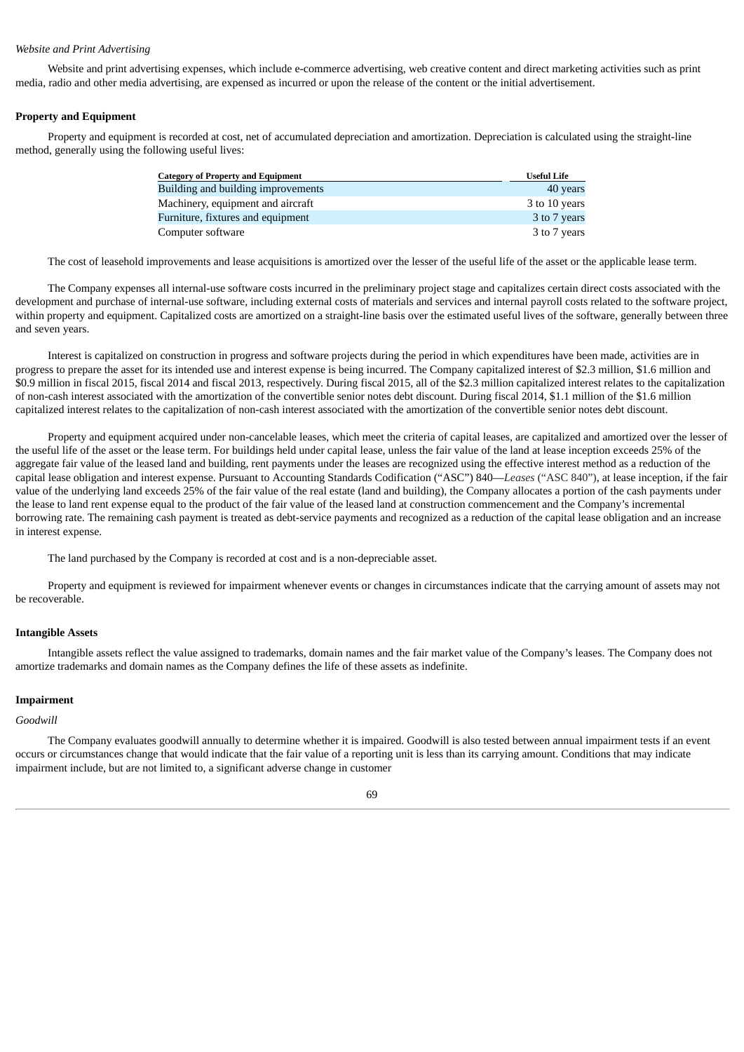# *Website and Print Advertising*

Website and print advertising expenses, which include e-commerce advertising, web creative content and direct marketing activities such as print media, radio and other media advertising, are expensed as incurred or upon the release of the content or the initial advertisement.

## **Property and Equipment**

Property and equipment is recorded at cost, net of accumulated depreciation and amortization. Depreciation is calculated using the straight-line method, generally using the following useful lives:

| <b>Category of Property and Equipment</b> | <b>Useful Life</b> |
|-------------------------------------------|--------------------|
| Building and building improvements        | 40 years           |
| Machinery, equipment and aircraft         | 3 to 10 years      |
| Furniture, fixtures and equipment         | 3 to 7 years       |
| Computer software                         | 3 to 7 years       |

The cost of leasehold improvements and lease acquisitions is amortized over the lesser of the useful life of the asset or the applicable lease term.

The Company expenses all internal-use software costs incurred in the preliminary project stage and capitalizes certain direct costs associated with the development and purchase of internal-use software, including external costs of materials and services and internal payroll costs related to the software project, within property and equipment. Capitalized costs are amortized on a straight-line basis over the estimated useful lives of the software, generally between three and seven years.

Interest is capitalized on construction in progress and software projects during the period in which expenditures have been made, activities are in progress to prepare the asset for its intended use and interest expense is being incurred. The Company capitalized interest of \$2.3 million, \$1.6 million and \$0.9 million in fiscal 2015, fiscal 2014 and fiscal 2013, respectively. During fiscal 2015, all of the \$2.3 million capitalized interest relates to the capitalization of non-cash interest associated with the amortization of the convertible senior notes debt discount. During fiscal 2014, \$1.1 million of the \$1.6 million capitalized interest relates to the capitalization of non-cash interest associated with the amortization of the convertible senior notes debt discount.

Property and equipment acquired under non-cancelable leases, which meet the criteria of capital leases, are capitalized and amortized over the lesser of the useful life of the asset or the lease term. For buildings held under capital lease, unless the fair value of the land at lease inception exceeds 25% of the aggregate fair value of the leased land and building, rent payments under the leases are recognized using the effective interest method as a reduction of the capital lease obligation and interest expense. Pursuant to Accounting Standards Codification ("ASC") 840—*Leases* ("ASC 840"), at lease inception, if the fair value of the underlying land exceeds 25% of the fair value of the real estate (land and building), the Company allocates a portion of the cash payments under the lease to land rent expense equal to the product of the fair value of the leased land at construction commencement and the Company's incremental borrowing rate. The remaining cash payment is treated as debt-service payments and recognized as a reduction of the capital lease obligation and an increase in interest expense.

The land purchased by the Company is recorded at cost and is a non-depreciable asset.

Property and equipment is reviewed for impairment whenever events or changes in circumstances indicate that the carrying amount of assets may not be recoverable.

## **Intangible Assets**

Intangible assets reflect the value assigned to trademarks, domain names and the fair market value of the Company's leases. The Company does not amortize trademarks and domain names as the Company defines the life of these assets as indefinite.

## **Impairment**

# *Goodwill*

The Company evaluates goodwill annually to determine whether it is impaired. Goodwill is also tested between annual impairment tests if an event occurs or circumstances change that would indicate that the fair value of a reporting unit is less than its carrying amount. Conditions that may indicate impairment include, but are not limited to, a significant adverse change in customer

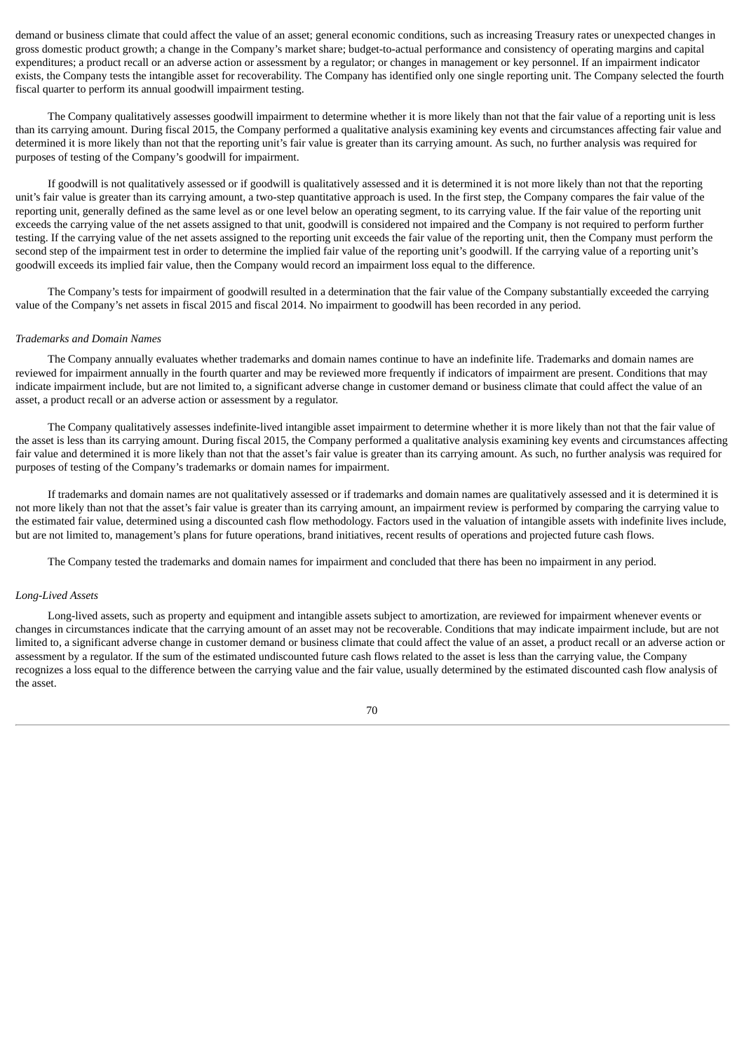demand or business climate that could affect the value of an asset; general economic conditions, such as increasing Treasury rates or unexpected changes in gross domestic product growth; a change in the Company's market share; budget-to-actual performance and consistency of operating margins and capital expenditures; a product recall or an adverse action or assessment by a regulator; or changes in management or key personnel. If an impairment indicator exists, the Company tests the intangible asset for recoverability. The Company has identified only one single reporting unit. The Company selected the fourth fiscal quarter to perform its annual goodwill impairment testing.

The Company qualitatively assesses goodwill impairment to determine whether it is more likely than not that the fair value of a reporting unit is less than its carrying amount. During fiscal 2015, the Company performed a qualitative analysis examining key events and circumstances affecting fair value and determined it is more likely than not that the reporting unit's fair value is greater than its carrying amount. As such, no further analysis was required for purposes of testing of the Company's goodwill for impairment.

If goodwill is not qualitatively assessed or if goodwill is qualitatively assessed and it is determined it is not more likely than not that the reporting unit's fair value is greater than its carrying amount, a two-step quantitative approach is used. In the first step, the Company compares the fair value of the reporting unit, generally defined as the same level as or one level below an operating segment, to its carrying value. If the fair value of the reporting unit exceeds the carrying value of the net assets assigned to that unit, goodwill is considered not impaired and the Company is not required to perform further testing. If the carrying value of the net assets assigned to the reporting unit exceeds the fair value of the reporting unit, then the Company must perform the second step of the impairment test in order to determine the implied fair value of the reporting unit's goodwill. If the carrying value of a reporting unit's goodwill exceeds its implied fair value, then the Company would record an impairment loss equal to the difference.

The Company's tests for impairment of goodwill resulted in a determination that the fair value of the Company substantially exceeded the carrying value of the Company's net assets in fiscal 2015 and fiscal 2014. No impairment to goodwill has been recorded in any period.

#### *Trademarks and Domain Names*

The Company annually evaluates whether trademarks and domain names continue to have an indefinite life. Trademarks and domain names are reviewed for impairment annually in the fourth quarter and may be reviewed more frequently if indicators of impairment are present. Conditions that may indicate impairment include, but are not limited to, a significant adverse change in customer demand or business climate that could affect the value of an asset, a product recall or an adverse action or assessment by a regulator.

The Company qualitatively assesses indefinite-lived intangible asset impairment to determine whether it is more likely than not that the fair value of the asset is less than its carrying amount. During fiscal 2015, the Company performed a qualitative analysis examining key events and circumstances affecting fair value and determined it is more likely than not that the asset's fair value is greater than its carrying amount. As such, no further analysis was required for purposes of testing of the Company's trademarks or domain names for impairment.

If trademarks and domain names are not qualitatively assessed or if trademarks and domain names are qualitatively assessed and it is determined it is not more likely than not that the asset's fair value is greater than its carrying amount, an impairment review is performed by comparing the carrying value to the estimated fair value, determined using a discounted cash flow methodology. Factors used in the valuation of intangible assets with indefinite lives include, but are not limited to, management's plans for future operations, brand initiatives, recent results of operations and projected future cash flows.

The Company tested the trademarks and domain names for impairment and concluded that there has been no impairment in any period.

# *Long-Lived Assets*

Long-lived assets, such as property and equipment and intangible assets subject to amortization, are reviewed for impairment whenever events or changes in circumstances indicate that the carrying amount of an asset may not be recoverable. Conditions that may indicate impairment include, but are not limited to, a significant adverse change in customer demand or business climate that could affect the value of an asset, a product recall or an adverse action or assessment by a regulator. If the sum of the estimated undiscounted future cash flows related to the asset is less than the carrying value, the Company recognizes a loss equal to the difference between the carrying value and the fair value, usually determined by the estimated discounted cash flow analysis of the asset.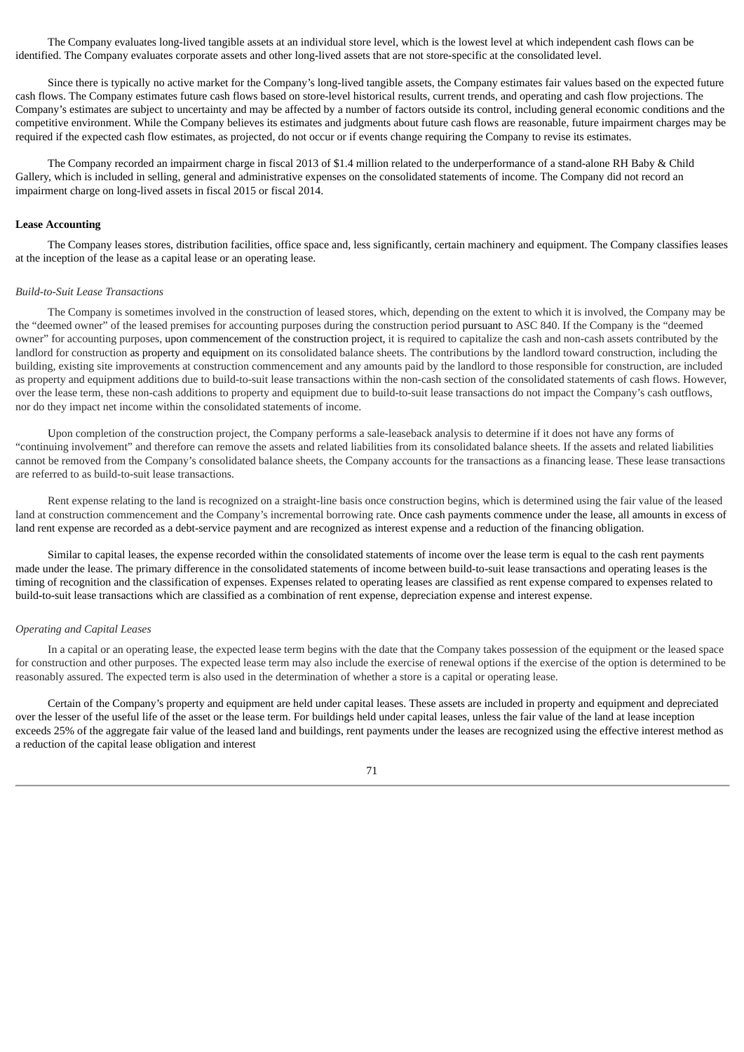The Company evaluates long-lived tangible assets at an individual store level, which is the lowest level at which independent cash flows can be identified. The Company evaluates corporate assets and other long-lived assets that are not store-specific at the consolidated level.

Since there is typically no active market for the Company's long-lived tangible assets, the Company estimates fair values based on the expected future cash flows. The Company estimates future cash flows based on store-level historical results, current trends, and operating and cash flow projections. The Company's estimates are subject to uncertainty and may be affected by a number of factors outside its control, including general economic conditions and the competitive environment. While the Company believes its estimates and judgments about future cash flows are reasonable, future impairment charges may be required if the expected cash flow estimates, as projected, do not occur or if events change requiring the Company to revise its estimates.

The Company recorded an impairment charge in fiscal 2013 of \$1.4 million related to the underperformance of a stand-alone RH Baby & Child Gallery, which is included in selling, general and administrative expenses on the consolidated statements of income. The Company did not record an impairment charge on long-lived assets in fiscal 2015 or fiscal 2014.

# **Lease Accounting**

The Company leases stores, distribution facilities, office space and, less significantly, certain machinery and equipment. The Company classifies leases at the inception of the lease as a capital lease or an operating lease.

### *Build-to-Suit Lease Transactions*

The Company is sometimes involved in the construction of leased stores, which, depending on the extent to which it is involved, the Company may be the "deemed owner" of the leased premises for accounting purposes during the construction period pursuant to ASC 840. If the Company is the "deemed owner" for accounting purposes, upon commencement of the construction project, it is required to capitalize the cash and non-cash assets contributed by the landlord for construction as property and equipment on its consolidated balance sheets. The contributions by the landlord toward construction, including the building, existing site improvements at construction commencement and any amounts paid by the landlord to those responsible for construction, are included as property and equipment additions due to build-to-suit lease transactions within the non-cash section of the consolidated statements of cash flows. However, over the lease term, these non-cash additions to property and equipment due to build-to-suit lease transactions do not impact the Company's cash outflows, nor do they impact net income within the consolidated statements of income.

Upon completion of the construction project, the Company performs a sale-leaseback analysis to determine if it does not have any forms of "continuing involvement" and therefore can remove the assets and related liabilities from its consolidated balance sheets. If the assets and related liabilities cannot be removed from the Company's consolidated balance sheets, the Company accounts for the transactions as a financing lease. These lease transactions are referred to as build-to-suit lease transactions.

Rent expense relating to the land is recognized on a straight-line basis once construction begins, which is determined using the fair value of the leased land at construction commencement and the Company's incremental borrowing rate. Once cash payments commence under the lease, all amounts in excess of land rent expense are recorded as a debt-service payment and are recognized as interest expense and a reduction of the financing obligation.

Similar to capital leases, the expense recorded within the consolidated statements of income over the lease term is equal to the cash rent payments made under the lease. The primary difference in the consolidated statements of income between build-to-suit lease transactions and operating leases is the timing of recognition and the classification of expenses. Expenses related to operating leases are classified as rent expense compared to expenses related to build-to-suit lease transactions which are classified as a combination of rent expense, depreciation expense and interest expense.

#### *Operating and Capital Leases*

In a capital or an operating lease, the expected lease term begins with the date that the Company takes possession of the equipment or the leased space for construction and other purposes. The expected lease term may also include the exercise of renewal options if the exercise of the option is determined to be reasonably assured. The expected term is also used in the determination of whether a store is a capital or operating lease.

Certain of the Company's property and equipment are held under capital leases. These assets are included in property and equipment and depreciated over the lesser of the useful life of the asset or the lease term. For buildings held under capital leases, unless the fair value of the land at lease inception exceeds 25% of the aggregate fair value of the leased land and buildings, rent payments under the leases are recognized using the effective interest method as a reduction of the capital lease obligation and interest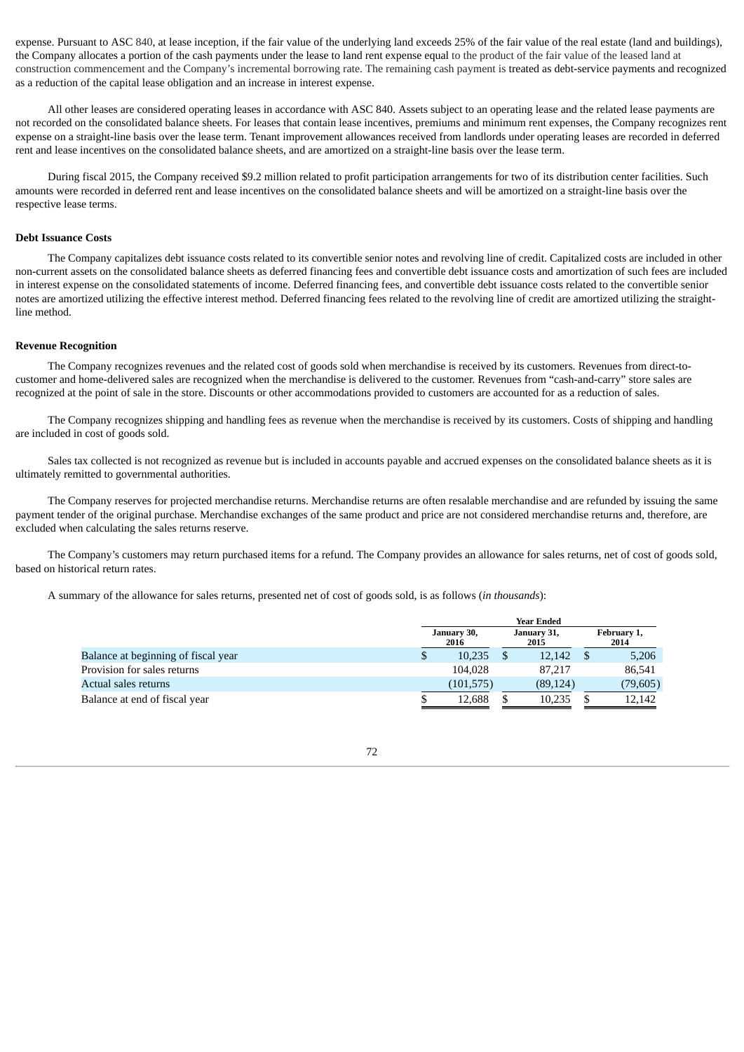expense. Pursuant to ASC 840, at lease inception, if the fair value of the underlying land exceeds 25% of the fair value of the real estate (land and buildings), the Company allocates a portion of the cash payments under the lease to land rent expense equal to the product of the fair value of the leased land at construction commencement and the Company's incremental borrowing rate. The remaining cash payment is treated as debt-service payments and recognized as a reduction of the capital lease obligation and an increase in interest expense.

All other leases are considered operating leases in accordance with ASC 840. Assets subject to an operating lease and the related lease payments are not recorded on the consolidated balance sheets. For leases that contain lease incentives, premiums and minimum rent expenses, the Company recognizes rent expense on a straight-line basis over the lease term. Tenant improvement allowances received from landlords under operating leases are recorded in deferred rent and lease incentives on the consolidated balance sheets, and are amortized on a straight-line basis over the lease term.

During fiscal 2015, the Company received \$9.2 million related to profit participation arrangements for two of its distribution center facilities. Such amounts were recorded in deferred rent and lease incentives on the consolidated balance sheets and will be amortized on a straight-line basis over the respective lease terms.

## **Debt Issuance Costs**

The Company capitalizes debt issuance costs related to its convertible senior notes and revolving line of credit. Capitalized costs are included in other non-current assets on the consolidated balance sheets as deferred financing fees and convertible debt issuance costs and amortization of such fees are included in interest expense on the consolidated statements of income. Deferred financing fees, and convertible debt issuance costs related to the convertible senior notes are amortized utilizing the effective interest method. Deferred financing fees related to the revolving line of credit are amortized utilizing the straightline method.

#### **Revenue Recognition**

The Company recognizes revenues and the related cost of goods sold when merchandise is received by its customers. Revenues from direct-tocustomer and home-delivered sales are recognized when the merchandise is delivered to the customer. Revenues from "cash-and-carry" store sales are recognized at the point of sale in the store. Discounts or other accommodations provided to customers are accounted for as a reduction of sales.

The Company recognizes shipping and handling fees as revenue when the merchandise is received by its customers. Costs of shipping and handling are included in cost of goods sold.

Sales tax collected is not recognized as revenue but is included in accounts payable and accrued expenses on the consolidated balance sheets as it is ultimately remitted to governmental authorities.

The Company reserves for projected merchandise returns. Merchandise returns are often resalable merchandise and are refunded by issuing the same payment tender of the original purchase. Merchandise exchanges of the same product and price are not considered merchandise returns and, therefore, are excluded when calculating the sales returns reserve.

The Company's customers may return purchased items for a refund. The Company provides an allowance for sales returns, net of cost of goods sold, based on historical return rates.

A summary of the allowance for sales returns, presented net of cost of goods sold, is as follows (*in thousands*):

|                                     |                     |            |  | <b>Year Ended</b>   |                     |
|-------------------------------------|---------------------|------------|--|---------------------|---------------------|
|                                     | January 30,<br>2016 |            |  | January 31,<br>2015 | February 1,<br>2014 |
| Balance at beginning of fiscal year | \$                  | 10.235     |  | 12,142              | 5,206               |
| Provision for sales returns         |                     | 104.028    |  | 87,217              | 86,541              |
| Actual sales returns                |                     | (101, 575) |  | (89, 124)           | (79,605)            |
| Balance at end of fiscal year       |                     | 12.688     |  | 10.235              | 12,142              |

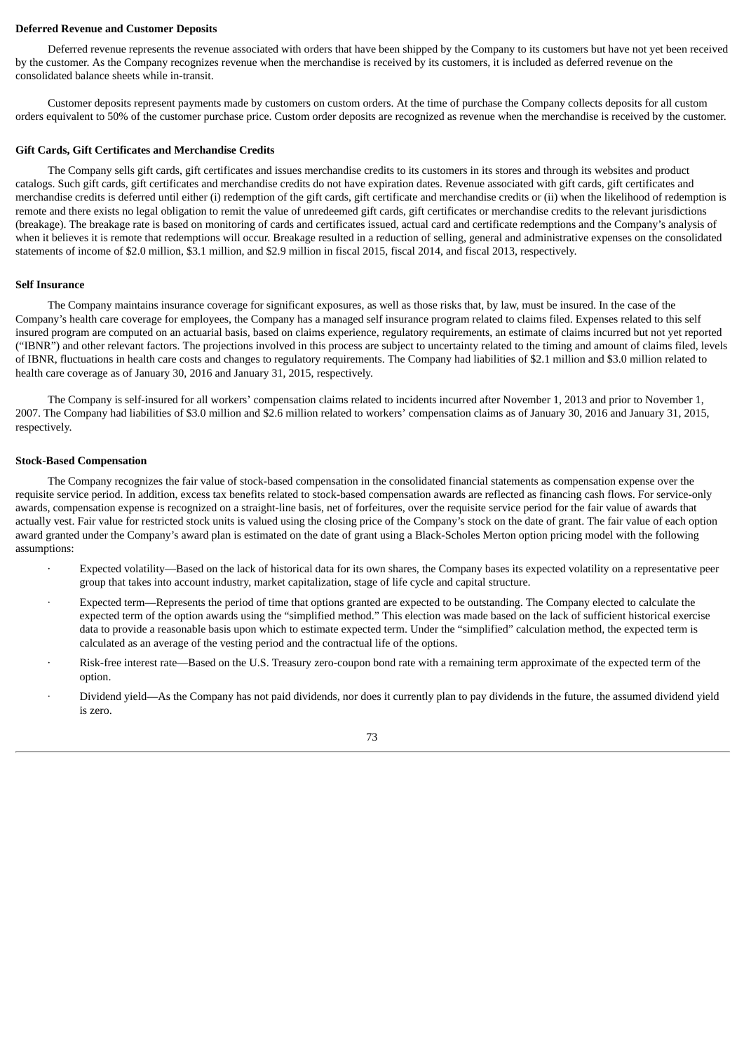### **Deferred Revenue and Customer Deposits**

Deferred revenue represents the revenue associated with orders that have been shipped by the Company to its customers but have not yet been received by the customer. As the Company recognizes revenue when the merchandise is received by its customers, it is included as deferred revenue on the consolidated balance sheets while in-transit.

Customer deposits represent payments made by customers on custom orders. At the time of purchase the Company collects deposits for all custom orders equivalent to 50% of the customer purchase price. Custom order deposits are recognized as revenue when the merchandise is received by the customer.

# **Gift Cards, Gift Certificates and Merchandise Credits**

The Company sells gift cards, gift certificates and issues merchandise credits to its customers in its stores and through its websites and product catalogs. Such gift cards, gift certificates and merchandise credits do not have expiration dates. Revenue associated with gift cards, gift certificates and merchandise credits is deferred until either (i) redemption of the gift cards, gift certificate and merchandise credits or (ii) when the likelihood of redemption is remote and there exists no legal obligation to remit the value of unredeemed gift cards, gift certificates or merchandise credits to the relevant jurisdictions (breakage). The breakage rate is based on monitoring of cards and certificates issued, actual card and certificate redemptions and the Company's analysis of when it believes it is remote that redemptions will occur. Breakage resulted in a reduction of selling, general and administrative expenses on the consolidated statements of income of \$2.0 million, \$3.1 million, and \$2.9 million in fiscal 2015, fiscal 2014, and fiscal 2013, respectively.

# **Self Insurance**

The Company maintains insurance coverage for significant exposures, as well as those risks that, by law, must be insured. In the case of the Company's health care coverage for employees, the Company has a managed self insurance program related to claims filed. Expenses related to this self insured program are computed on an actuarial basis, based on claims experience, regulatory requirements, an estimate of claims incurred but not yet reported ("IBNR") and other relevant factors. The projections involved in this process are subject to uncertainty related to the timing and amount of claims filed, levels of IBNR, fluctuations in health care costs and changes to regulatory requirements. The Company had liabilities of \$2.1 million and \$3.0 million related to health care coverage as of January 30, 2016 and January 31, 2015, respectively.

The Company is self-insured for all workers' compensation claims related to incidents incurred after November 1, 2013 and prior to November 1, 2007. The Company had liabilities of \$3.0 million and \$2.6 million related to workers' compensation claims as of January 30, 2016 and January 31, 2015, respectively.

# **Stock-Based Compensation**

The Company recognizes the fair value of stock-based compensation in the consolidated financial statements as compensation expense over the requisite service period. In addition, excess tax benefits related to stock-based compensation awards are reflected as financing cash flows. For service-only awards, compensation expense is recognized on a straight-line basis, net of forfeitures, over the requisite service period for the fair value of awards that actually vest. Fair value for restricted stock units is valued using the closing price of the Company's stock on the date of grant. The fair value of each option award granted under the Company's award plan is estimated on the date of grant using a Black-Scholes Merton option pricing model with the following assumptions:

- · Expected volatility—Based on the lack of historical data for its own shares, the Company bases its expected volatility on a representative peer group that takes into account industry, market capitalization, stage of life cycle and capital structure.
- Expected term—Represents the period of time that options granted are expected to be outstanding. The Company elected to calculate the expected term of the option awards using the "simplified method." This election was made based on the lack of sufficient historical exercise data to provide a reasonable basis upon which to estimate expected term. Under the "simplified" calculation method, the expected term is calculated as an average of the vesting period and the contractual life of the options.
- · Risk-free interest rate—Based on the U.S. Treasury zero-coupon bond rate with a remaining term approximate of the expected term of the option.
- · Dividend yield—As the Company has not paid dividends, nor does it currently plan to pay dividends in the future, the assumed dividend yield is zero.

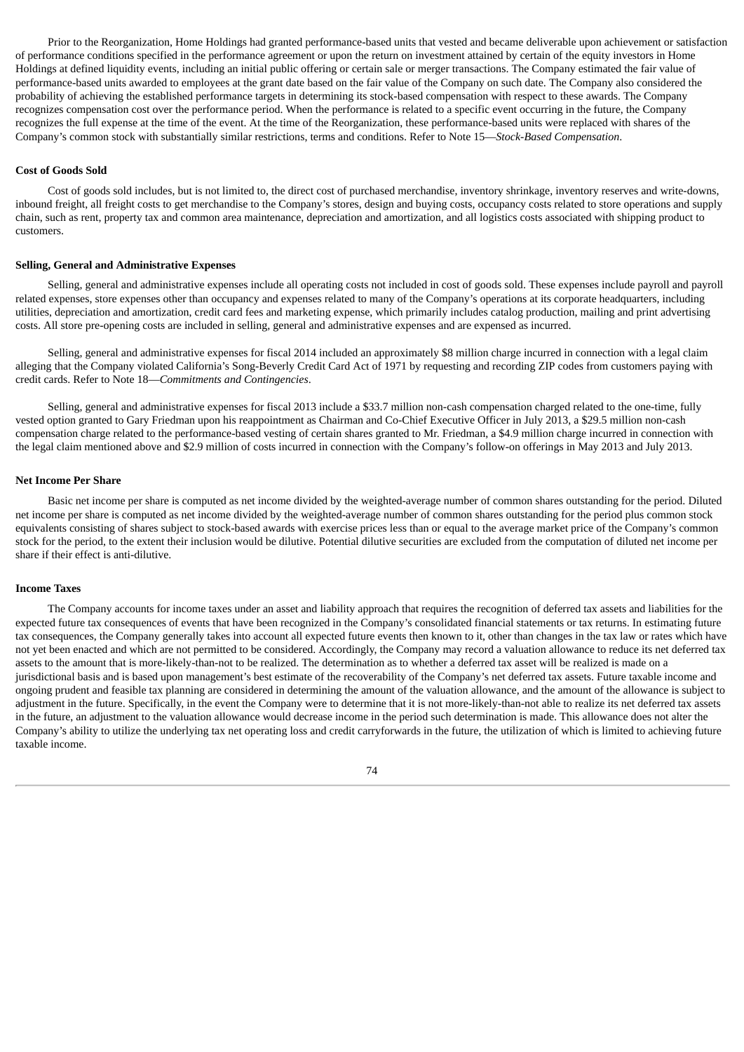Prior to the Reorganization, Home Holdings had granted performance-based units that vested and became deliverable upon achievement or satisfaction of performance conditions specified in the performance agreement or upon the return on investment attained by certain of the equity investors in Home Holdings at defined liquidity events, including an initial public offering or certain sale or merger transactions. The Company estimated the fair value of performance-based units awarded to employees at the grant date based on the fair value of the Company on such date. The Company also considered the probability of achieving the established performance targets in determining its stock-based compensation with respect to these awards. The Company recognizes compensation cost over the performance period. When the performance is related to a specific event occurring in the future, the Company recognizes the full expense at the time of the event. At the time of the Reorganization, these performance-based units were replaced with shares of the Company's common stock with substantially similar restrictions, terms and conditions. Refer to Note 15—*Stock-Based Compensation*.

#### **Cost of Goods Sold**

Cost of goods sold includes, but is not limited to, the direct cost of purchased merchandise, inventory shrinkage, inventory reserves and write-downs, inbound freight, all freight costs to get merchandise to the Company's stores, design and buying costs, occupancy costs related to store operations and supply chain, such as rent, property tax and common area maintenance, depreciation and amortization, and all logistics costs associated with shipping product to customers.

#### **Selling, General and Administrative Expenses**

Selling, general and administrative expenses include all operating costs not included in cost of goods sold. These expenses include payroll and payroll related expenses, store expenses other than occupancy and expenses related to many of the Company's operations at its corporate headquarters, including utilities, depreciation and amortization, credit card fees and marketing expense, which primarily includes catalog production, mailing and print advertising costs. All store pre-opening costs are included in selling, general and administrative expenses and are expensed as incurred.

Selling, general and administrative expenses for fiscal 2014 included an approximately \$8 million charge incurred in connection with a legal claim alleging that the Company violated California's Song-Beverly Credit Card Act of 1971 by requesting and recording ZIP codes from customers paying with credit cards. Refer to Note 18—*Commitments and Contingencies*.

Selling, general and administrative expenses for fiscal 2013 include a \$33.7 million non-cash compensation charged related to the one-time, fully vested option granted to Gary Friedman upon his reappointment as Chairman and Co-Chief Executive Officer in July 2013, a \$29.5 million non-cash compensation charge related to the performance-based vesting of certain shares granted to Mr. Friedman, a \$4.9 million charge incurred in connection with the legal claim mentioned above and \$2.9 million of costs incurred in connection with the Company's follow-on offerings in May 2013 and July 2013.

#### **Net Income Per Share**

Basic net income per share is computed as net income divided by the weighted-average number of common shares outstanding for the period. Diluted net income per share is computed as net income divided by the weighted-average number of common shares outstanding for the period plus common stock equivalents consisting of shares subject to stock-based awards with exercise prices less than or equal to the average market price of the Company's common stock for the period, to the extent their inclusion would be dilutive. Potential dilutive securities are excluded from the computation of diluted net income per share if their effect is anti-dilutive.

#### **Income Taxes**

The Company accounts for income taxes under an asset and liability approach that requires the recognition of deferred tax assets and liabilities for the expected future tax consequences of events that have been recognized in the Company's consolidated financial statements or tax returns. In estimating future tax consequences, the Company generally takes into account all expected future events then known to it, other than changes in the tax law or rates which have not yet been enacted and which are not permitted to be considered. Accordingly, the Company may record a valuation allowance to reduce its net deferred tax assets to the amount that is more-likely-than-not to be realized. The determination as to whether a deferred tax asset will be realized is made on a jurisdictional basis and is based upon management's best estimate of the recoverability of the Company's net deferred tax assets. Future taxable income and ongoing prudent and feasible tax planning are considered in determining the amount of the valuation allowance, and the amount of the allowance is subject to adjustment in the future. Specifically, in the event the Company were to determine that it is not more-likely-than-not able to realize its net deferred tax assets in the future, an adjustment to the valuation allowance would decrease income in the period such determination is made. This allowance does not alter the Company's ability to utilize the underlying tax net operating loss and credit carryforwards in the future, the utilization of which is limited to achieving future taxable income.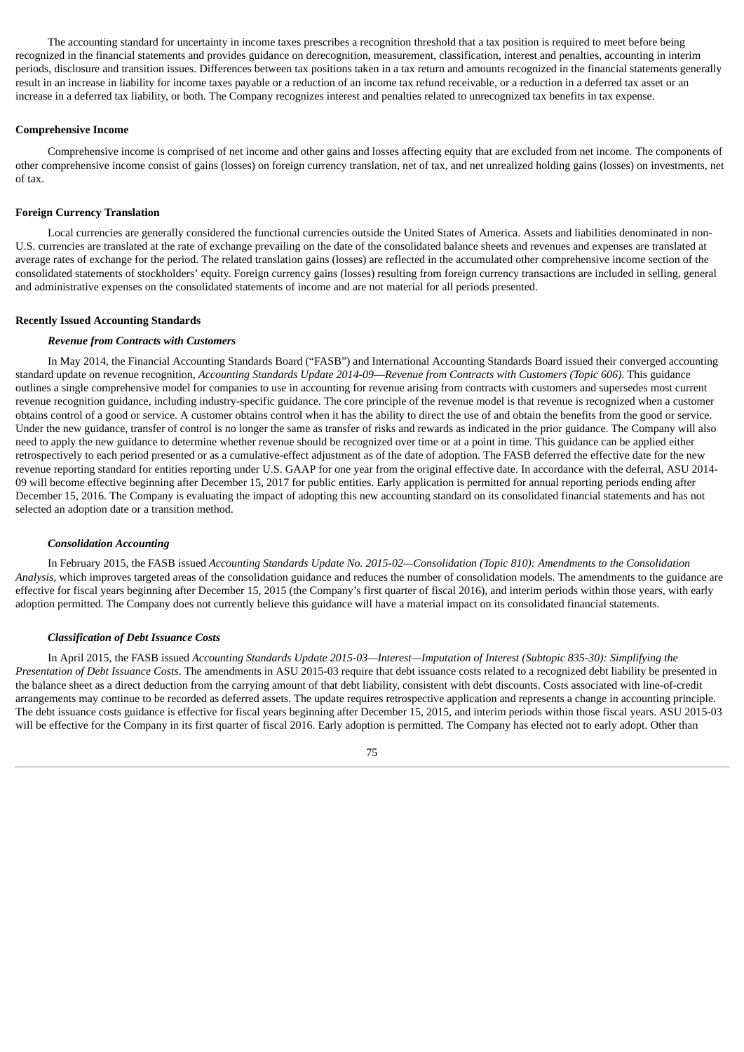The accounting standard for uncertainty in income taxes prescribes a recognition threshold that a tax position is required to meet before being recognized in the financial statements and provides guidance on derecognition, measurement, classification, interest and penalties, accounting in interim periods, disclosure and transition issues. Differences between tax positions taken in a tax return and amounts recognized in the financial statements generally result in an increase in liability for income taxes payable or a reduction of an income tax refund receivable, or a reduction in a deferred tax asset or an increase in a deferred tax liability, or both. The Company recognizes interest and penalties related to unrecognized tax benefits in tax expense.

# **Comprehensive Income**

Comprehensive income is comprised of net income and other gains and losses affecting equity that are excluded from net income. The components of other comprehensive income consist of gains (losses) on foreign currency translation, net of tax, and net unrealized holding gains (losses) on investments, net of tax.

### **Foreign Currency Translation**

Local currencies are generally considered the functional currencies outside the United States of America. Assets and liabilities denominated in non-U.S. currencies are translated at the rate of exchange prevailing on the date of the consolidated balance sheets and revenues and expenses are translated at average rates of exchange for the period. The related translation gains (losses) are reflected in the accumulated other comprehensive income section of the consolidated statements of stockholders' equity. Foreign currency gains (losses) resulting from foreign currency transactions are included in selling, general and administrative expenses on the consolidated statements of income and are not material for all periods presented.

### **Recently Issued Accounting Standards**

#### *Revenue from Contracts with Customers*

In May 2014, the Financial Accounting Standards Board ("FASB") and International Accounting Standards Board issued their converged accounting standard update on revenue recognition, *Accounting Standards Update 2014-09*—*Revenue from Contracts with Customers (Topic 606)*. This guidance outlines a single comprehensive model for companies to use in accounting for revenue arising from contracts with customers and supersedes most current revenue recognition guidance, including industry-specific guidance. The core principle of the revenue model is that revenue is recognized when a customer obtains control of a good or service. A customer obtains control when it has the ability to direct the use of and obtain the benefits from the good or service. Under the new guidance, transfer of control is no longer the same as transfer of risks and rewards as indicated in the prior guidance. The Company will also need to apply the new guidance to determine whether revenue should be recognized over time or at a point in time. This guidance can be applied either retrospectively to each period presented or as a cumulative-effect adjustment as of the date of adoption. The FASB deferred the effective date for the new revenue reporting standard for entities reporting under U.S. GAAP for one year from the original effective date. In accordance with the deferral, ASU 2014- 09 will become effective beginning after December 15, 2017 for public entities. Early application is permitted for annual reporting periods ending after December 15, 2016. The Company is evaluating the impact of adopting this new accounting standard on its consolidated financial statements and has not selected an adoption date or a transition method.

### *Consolidation Accounting*

In February 2015, the FASB issued *Accounting Standards Update No. 2015-02—Consolidation (Topic 810): Amendments to the Consolidation Analysis*, which improves targeted areas of the consolidation guidance and reduces the number of consolidation models. The amendments to the guidance are effective for fiscal years beginning after December 15, 2015 (the Company's first quarter of fiscal 2016), and interim periods within those years, with early adoption permitted. The Company does not currently believe this guidance will have a material impact on its consolidated financial statements.

### *Classification of Debt Issuance Costs*

In April 2015, the FASB issued *Accounting Standards Update 2015-03—Interest—Imputation of Interest (Subtopic 835-30): Simplifying the Presentation of Debt Issuance Costs*. The amendments in ASU 2015-03 require that debt issuance costs related to a recognized debt liability be presented in the balance sheet as a direct deduction from the carrying amount of that debt liability, consistent with debt discounts. Costs associated with line-of-credit arrangements may continue to be recorded as deferred assets. The update requires retrospective application and represents a change in accounting principle. The debt issuance costs guidance is effective for fiscal years beginning after December 15, 2015, and interim periods within those fiscal years. ASU 2015-03 will be effective for the Company in its first quarter of fiscal 2016. Early adoption is permitted. The Company has elected not to early adopt. Other than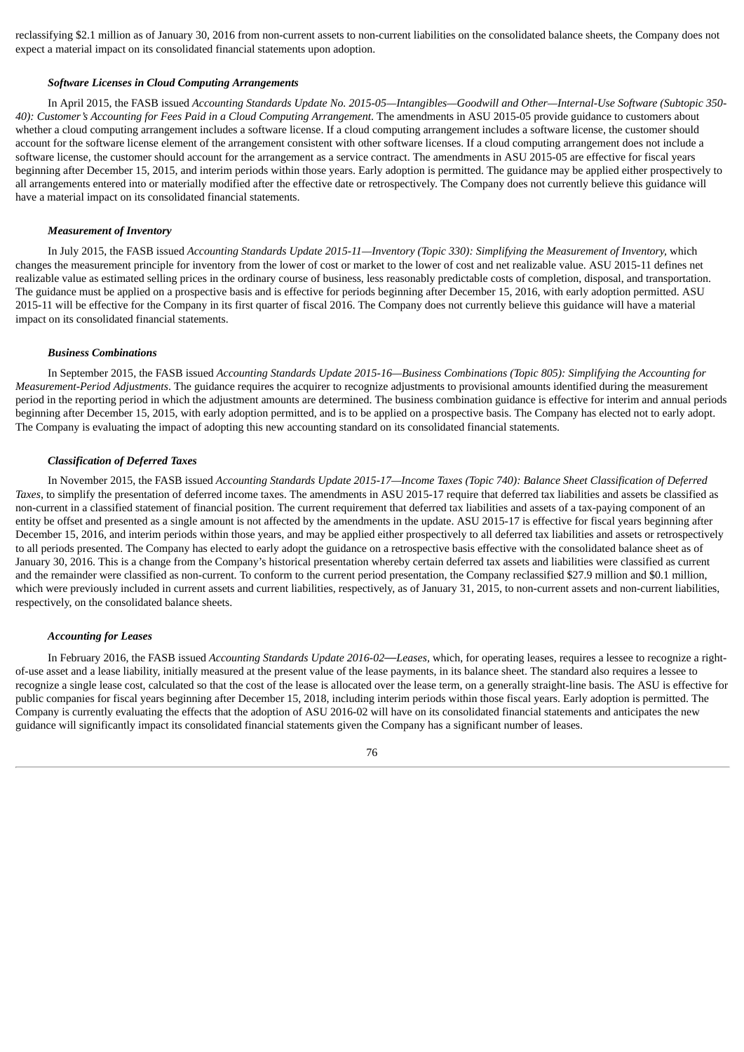reclassifying \$2.1 million as of January 30, 2016 from non-current assets to non-current liabilities on the consolidated balance sheets, the Company does not expect a material impact on its consolidated financial statements upon adoption.

#### *Software Licenses in Cloud Computing Arrangements*

In April 2015, the FASB issued *Accounting Standards Update No. 2015-05—Intangibles—Goodwill and Other—Internal-Use Software (Subtopic 350- 40): Customer's Accounting for Fees Paid in a Cloud Computing Arrangement*. The amendments in ASU 2015-05 provide guidance to customers about whether a cloud computing arrangement includes a software license. If a cloud computing arrangement includes a software license, the customer should account for the software license element of the arrangement consistent with other software licenses. If a cloud computing arrangement does not include a software license, the customer should account for the arrangement as a service contract. The amendments in ASU 2015-05 are effective for fiscal years beginning after December 15, 2015, and interim periods within those years. Early adoption is permitted. The guidance may be applied either prospectively to all arrangements entered into or materially modified after the effective date or retrospectively. The Company does not currently believe this guidance will have a material impact on its consolidated financial statements.

#### *Measurement of Inventory*

In July 2015, the FASB issued *Accounting Standards Update 2015-11—Inventory (Topic 330): Simplifying the Measurement of Inventory,* which changes the measurement principle for inventory from the lower of cost or market to the lower of cost and net realizable value. ASU 2015-11 defines net realizable value as estimated selling prices in the ordinary course of business, less reasonably predictable costs of completion, disposal, and transportation. The guidance must be applied on a prospective basis and is effective for periods beginning after December 15, 2016, with early adoption permitted. ASU 2015-11 will be effective for the Company in its first quarter of fiscal 2016. The Company does not currently believe this guidance will have a material impact on its consolidated financial statements.

### *Business Combinations*

In September 2015, the FASB issued *Accounting Standards Update 2015-16—Business Combinations (Topic 805): Simplifying the Accounting for Measurement-Period Adjustments*. The guidance requires the acquirer to recognize adjustments to provisional amounts identified during the measurement period in the reporting period in which the adjustment amounts are determined. The business combination guidance is effective for interim and annual periods beginning after December 15, 2015, with early adoption permitted, and is to be applied on a prospective basis. The Company has elected not to early adopt. The Company is evaluating the impact of adopting this new accounting standard on its consolidated financial statements.

#### *Classification of Deferred Taxes*

In November 2015, the FASB issued *Accounting Standards Update 2015-17—Income Taxes (Topic 740): Balance Sheet Classification of Deferred Taxes*, to simplify the presentation of deferred income taxes. The amendments in ASU 2015-17 require that deferred tax liabilities and assets be classified as non-current in a classified statement of financial position. The current requirement that deferred tax liabilities and assets of a tax-paying component of an entity be offset and presented as a single amount is not affected by the amendments in the update. ASU 2015-17 is effective for fiscal years beginning after December 15, 2016, and interim periods within those years, and may be applied either prospectively to all deferred tax liabilities and assets or retrospectively to all periods presented. The Company has elected to early adopt the guidance on a retrospective basis effective with the consolidated balance sheet as of January 30, 2016. This is a change from the Company's historical presentation whereby certain deferred tax assets and liabilities were classified as current and the remainder were classified as non-current. To conform to the current period presentation, the Company reclassified \$27.9 million and \$0.1 million, which were previously included in current assets and current liabilities, respectively, as of January 31, 2015, to non-current assets and non-current liabilities, respectively, on the consolidated balance sheets.

#### *Accounting for Leases*

In February 2016, the FASB issued *Accounting Standards Update 2016-02—Leases,* which, for operating leases, requires a lessee to recognize a rightof-use asset and a lease liability, initially measured at the present value of the lease payments, in its balance sheet. The standard also requires a lessee to recognize a single lease cost, calculated so that the cost of the lease is allocated over the lease term, on a generally straight-line basis. The ASU is effective for public companies for fiscal years beginning after December 15, 2018, including interim periods within those fiscal years. Early adoption is permitted. The Company is currently evaluating the effects that the adoption of ASU 2016-02 will have on its consolidated financial statements and anticipates the new guidance will significantly impact its consolidated financial statements given the Company has a significant number of leases.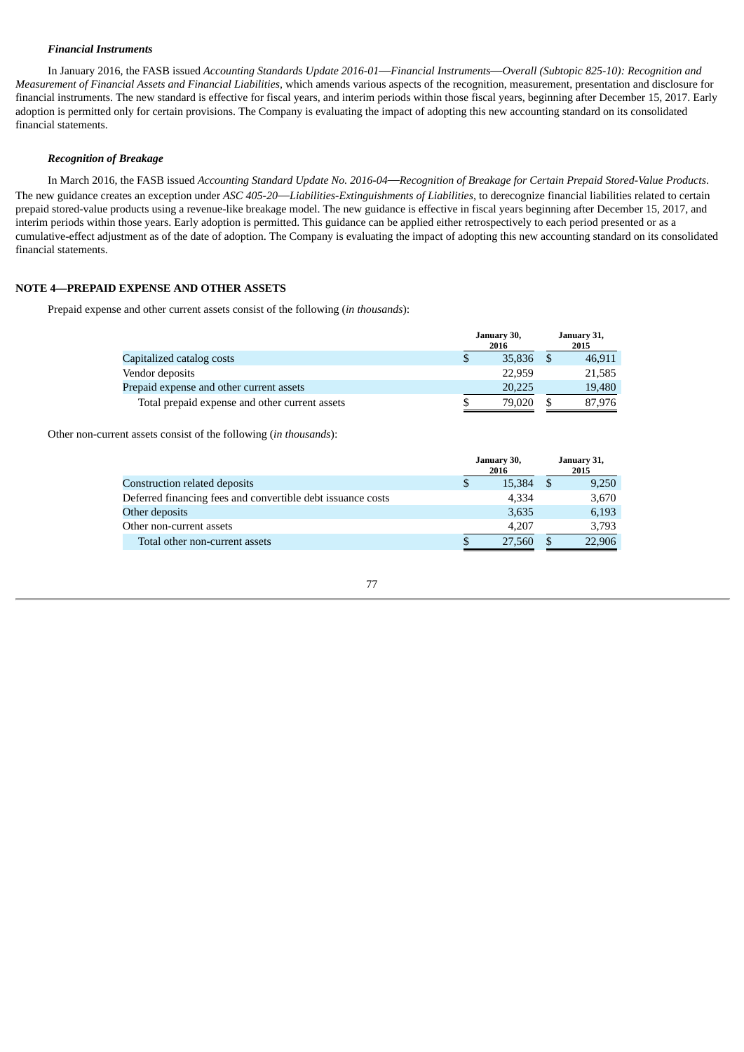# *Financial Instruments*

In January 2016, the FASB issued *Accounting Standards Update 2016-01—Financial Instruments—Overall (Subtopic 825-10): Recognition and Measurement of Financial Assets and Financial Liabilities,* which amends various aspects of the recognition, measurement, presentation and disclosure for financial instruments. The new standard is effective for fiscal years, and interim periods within those fiscal years, beginning after December 15, 2017. Early adoption is permitted only for certain provisions. The Company is evaluating the impact of adopting this new accounting standard on its consolidated financial statements.

### *Recognition of Breakage*

In March 2016, the FASB issued Accounting Standard Update No. 2016-04-Recognition of Breakage for Certain Prepaid Stored-Value Products. The new guidance creates an exception under *ASC 405-20—Liabilities-Extinguishments of Liabilities*, to derecognize financial liabilities related to certain prepaid stored-value products using a revenue-like breakage model. The new guidance is effective in fiscal years beginning after December 15, 2017, and interim periods within those years. Early adoption is permitted. This guidance can be applied either retrospectively to each period presented or as a cumulative-effect adjustment as of the date of adoption. The Company is evaluating the impact of adopting this new accounting standard on its consolidated financial statements.

### **NOTE 4—PREPAID EXPENSE AND OTHER ASSETS**

Prepaid expense and other current assets consist of the following (*in thousands*):

|                                                | January 30,<br>2016 | January 31,<br>2015 |
|------------------------------------------------|---------------------|---------------------|
| Capitalized catalog costs                      | \$<br>35,836        | 46,911              |
| Vendor deposits                                | 22,959              | 21,585              |
| Prepaid expense and other current assets       | 20,225              | 19,480              |
| Total prepaid expense and other current assets | 79.020              | 87,976              |

Other non-current assets consist of the following (*in thousands*):

|                                                             | January 30,<br>2016 | January 31,<br>2015 |
|-------------------------------------------------------------|---------------------|---------------------|
| Construction related deposits                               | \$<br>15.384        | 9,250               |
| Deferred financing fees and convertible debt issuance costs | 4.334               | 3,670               |
| Other deposits                                              | 3,635               | 6,193               |
| Other non-current assets                                    | 4.207               | 3,793               |
| Total other non-current assets                              | 27,560              | 22,906              |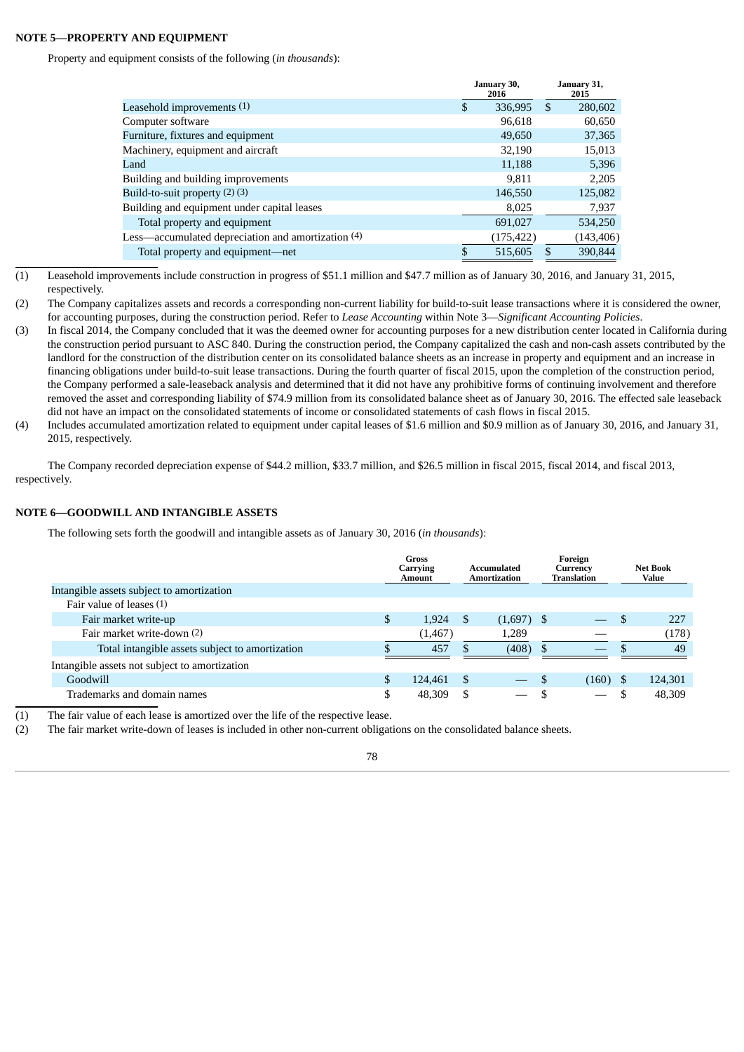## **NOTE 5—PROPERTY AND EQUIPMENT**

Property and equipment consists of the following (*in thousands*):

|                                                    | January 30,<br>2016 | January 31,<br>2015 |
|----------------------------------------------------|---------------------|---------------------|
| Leasehold improvements (1)                         | \$<br>336,995       | \$<br>280,602       |
| Computer software                                  | 96,618              | 60,650              |
| Furniture, fixtures and equipment                  | 49,650              | 37,365              |
| Machinery, equipment and aircraft                  | 32,190              | 15,013              |
| Land                                               | 11,188              | 5,396               |
| Building and building improvements                 | 9.811               | 2,205               |
| Build-to-suit property $(2)$ $(3)$                 | 146,550             | 125,082             |
| Building and equipment under capital leases        | 8,025               | 7,937               |
| Total property and equipment                       | 691,027             | 534,250             |
| Less-accumulated depreciation and amortization (4) | (175, 422)          | (143, 406)          |
| Total property and equipment-net                   | 515,605             | \$<br>390,844       |

(1) Leasehold improvements include construction in progress of \$51.1 million and \$47.7 million as of January 30, 2016, and January 31, 2015, respectively.

- (3) In fiscal 2014, the Company concluded that it was the deemed owner for accounting purposes for a new distribution center located in California during the construction period pursuant to ASC 840. During the construction period, the Company capitalized the cash and non-cash assets contributed by the landlord for the construction of the distribution center on its consolidated balance sheets as an increase in property and equipment and an increase in financing obligations under build-to-suit lease transactions. During the fourth quarter of fiscal 2015, upon the completion of the construction period, the Company performed a sale-leaseback analysis and determined that it did not have any prohibitive forms of continuing involvement and therefore removed the asset and corresponding liability of \$74.9 million from its consolidated balance sheet as of January 30, 2016. The effected sale leaseback did not have an impact on the consolidated statements of income or consolidated statements of cash flows in fiscal 2015.
- (4) Includes accumulated amortization related to equipment under capital leases of \$1.6 million and \$0.9 million as of January 30, 2016, and January 31, 2015, respectively.

The Company recorded depreciation expense of \$44.2 million, \$33.7 million, and \$26.5 million in fiscal 2015, fiscal 2014, and fiscal 2013, respectively.

# **NOTE 6—GOODWILL AND INTANGIBLE ASSETS**

The following sets forth the goodwill and intangible assets as of January 30, 2016 (*in thousands*):

|                                                 | Gross<br>Carrying<br>Amount |          | Accumulated<br><b>Amortization</b> |              | Foreign<br>Currency<br><b>Translation</b> | <b>Net Book</b><br>Value |
|-------------------------------------------------|-----------------------------|----------|------------------------------------|--------------|-------------------------------------------|--------------------------|
| Intangible assets subject to amortization       |                             |          |                                    |              |                                           |                          |
| Fair value of leases $(1)$                      |                             |          |                                    |              |                                           |                          |
| Fair market write-up                            | S                           | 1,924    | -S                                 | $(1,697)$ \$ |                                           | 227                      |
| Fair market write-down (2)                      |                             | (1, 467) |                                    | 1,289        |                                           | (178)                    |
| Total intangible assets subject to amortization |                             | 457      |                                    | (408)        |                                           | 49                       |
| Intangible assets not subject to amortization   |                             |          |                                    |              |                                           |                          |
| Goodwill                                        | \$                          | 124,461  | -S                                 |              | $(160)$ \$                                | 124,301                  |
| Trademarks and domain names                     | \$                          | 48,309   |                                    |              |                                           | 48,309                   |

(1) The fair value of each lease is amortized over the life of the respective lease.

(2) The fair market write-down of leases is included in other non-current obligations on the consolidated balance sheets.

<sup>(2)</sup> The Company capitalizes assets and records a corresponding non-current liability for build-to-suit lease transactions where it is considered the owner, for accounting purposes, during the construction period. Refer to *Lease Accounting* within Note 3—*Significant Accounting Policies*.

<sup>78</sup>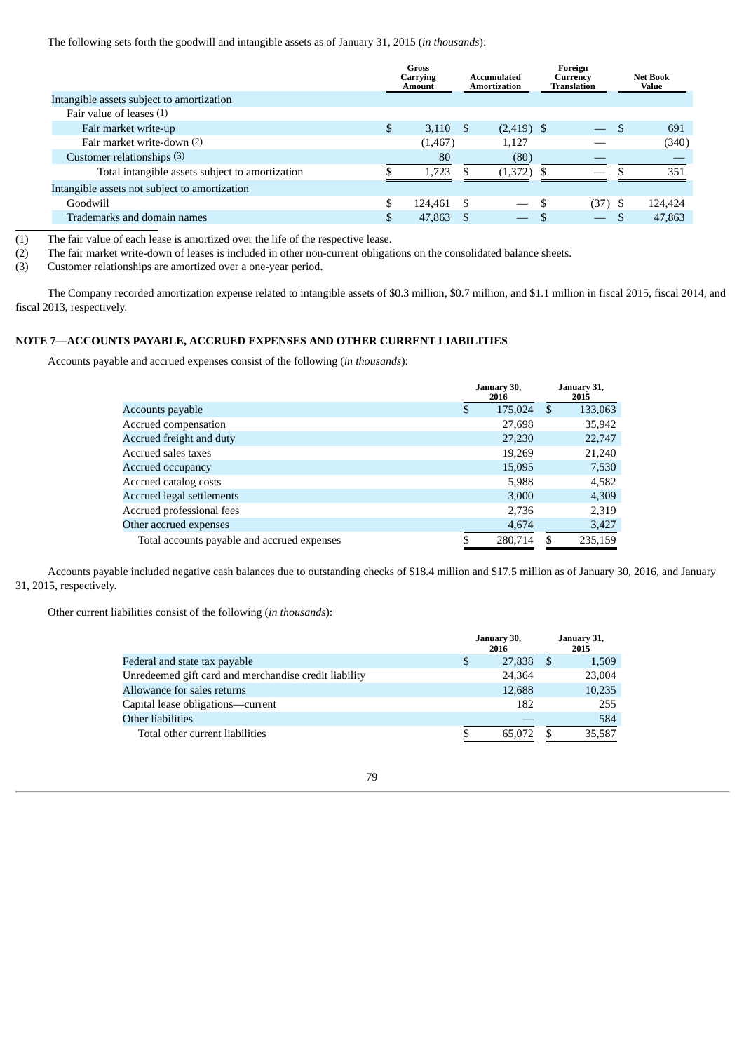The following sets forth the goodwill and intangible assets as of January 31, 2015 (*in thousands*):

|                                                 |    | <b>Gross</b><br>Carrying<br>Amount | Accumulated<br><b>Amortization</b> |    | Foreign<br>Currency<br><b>Translation</b> | <b>Net Book</b><br>Value |
|-------------------------------------------------|----|------------------------------------|------------------------------------|----|-------------------------------------------|--------------------------|
| Intangible assets subject to amortization       |    |                                    |                                    |    |                                           |                          |
| Fair value of leases (1)                        |    |                                    |                                    |    |                                           |                          |
| Fair market write-up                            | S  | 3,110                              | $(2,419)$ \$<br>- \$               |    |                                           | 691                      |
| Fair market write-down (2)                      |    | (1, 467)                           | 1,127                              |    |                                           | (340)                    |
| Customer relationships (3)                      |    | 80                                 | (80)                               |    |                                           |                          |
| Total intangible assets subject to amortization |    | 1.723                              | $(1,372)$ \$                       |    |                                           | 351                      |
| Intangible assets not subject to amortization   |    |                                    |                                    |    |                                           |                          |
| Goodwill                                        | \$ | 124.461                            |                                    | -S | $(37)$ \$                                 | 124,424                  |
| Trademarks and domain names                     |    | 47,863                             |                                    |    | $\overbrace{\phantom{13333}}$             | 47,863                   |

(1) The fair value of each lease is amortized over the life of the respective lease.

(2) The fair market write-down of leases is included in other non-current obligations on the consolidated balance sheets.

(3) Customer relationships are amortized over a one-year period.

The Company recorded amortization expense related to intangible assets of \$0.3 million, \$0.7 million, and \$1.1 million in fiscal 2015, fiscal 2014, and fiscal 2013, respectively.

# **NOTE 7—ACCOUNTS PAYABLE, ACCRUED EXPENSES AND OTHER CURRENT LIABILITIES**

Accounts payable and accrued expenses consist of the following (*in thousands*):

|                                             | January 30,<br>2016 |    | January 31,<br>2015 |
|---------------------------------------------|---------------------|----|---------------------|
| Accounts payable                            | \$<br>175,024       | \$ | 133,063             |
| Accrued compensation                        | 27,698              |    | 35,942              |
| Accrued freight and duty                    | 27,230              |    | 22,747              |
| Accrued sales taxes                         | 19,269              |    | 21,240              |
| Accrued occupancy                           | 15,095              |    | 7,530               |
| Accrued catalog costs                       | 5,988               |    | 4,582               |
| Accrued legal settlements                   | 3,000               |    | 4,309               |
| Accrued professional fees                   | 2,736               |    | 2,319               |
| Other accrued expenses                      | 4,674               |    | 3,427               |
| Total accounts payable and accrued expenses | \$<br>280.714       | S  | 235.159             |

Accounts payable included negative cash balances due to outstanding checks of \$18.4 million and \$17.5 million as of January 30, 2016, and January 31, 2015, respectively.

Other current liabilities consist of the following (*in thousands*):

|                                                       |   | January 30,<br>2016 |      | January 31,<br>2015 |
|-------------------------------------------------------|---|---------------------|------|---------------------|
| Federal and state tax payable                         | S | 27,838              | - \$ | 1,509               |
| Unredeemed gift card and merchandise credit liability |   | 24.364              |      | 23,004              |
| Allowance for sales returns                           |   | 12,688              |      | 10,235              |
| Capital lease obligations—current                     |   | 182                 |      | 255                 |
| Other liabilities                                     |   |                     |      | 584                 |
| Total other current liabilities                       |   | 65.072              |      | 35,587              |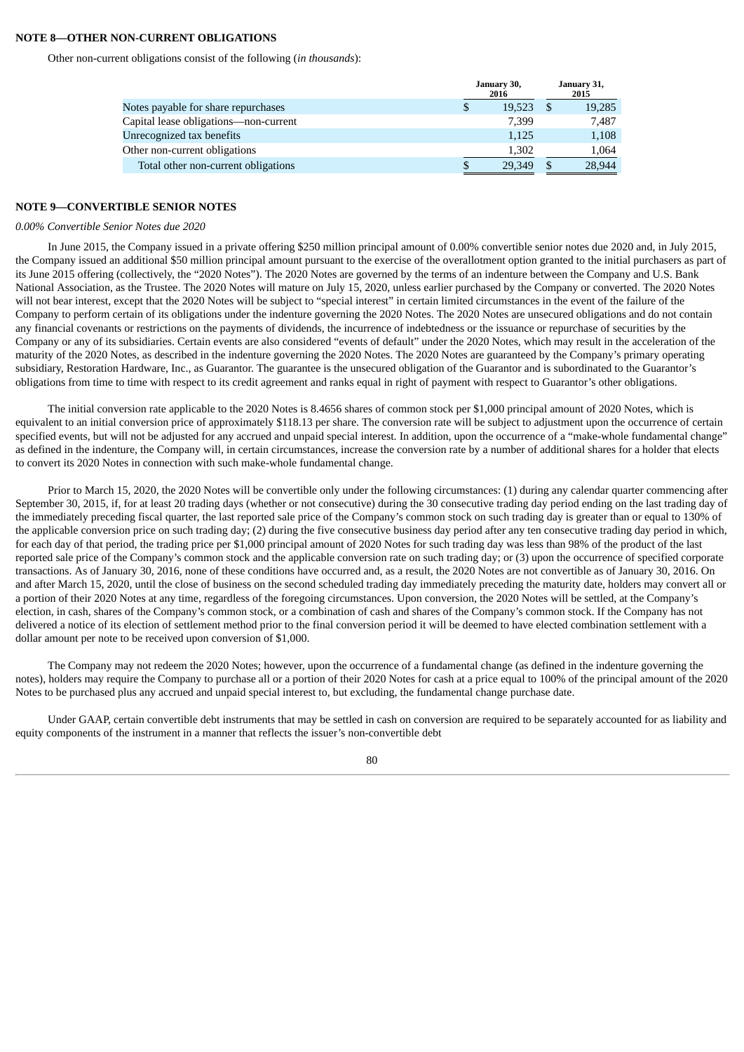# **NOTE 8—OTHER NON-CURRENT OBLIGATIONS**

Other non-current obligations consist of the following (*in thousands*):

|                                       | January 30,<br>2016 | January 31,<br>2015 |
|---------------------------------------|---------------------|---------------------|
| Notes payable for share repurchases   | \$<br>19.523        | 19,285              |
| Capital lease obligations-non-current | 7.399               | 7,487               |
| Unrecognized tax benefits             | 1,125               | 1,108               |
| Other non-current obligations         | 1,302               | 1,064               |
| Total other non-current obligations   | \$<br>29,349        | 28,944              |

## **NOTE 9—CONVERTIBLE SENIOR NOTES**

#### *0.00% Convertible Senior Notes due 2020*

In June 2015, the Company issued in a private offering \$250 million principal amount of 0.00% convertible senior notes due 2020 and, in July 2015, the Company issued an additional \$50 million principal amount pursuant to the exercise of the overallotment option granted to the initial purchasers as part of its June 2015 offering (collectively, the "2020 Notes"). The 2020 Notes are governed by the terms of an indenture between the Company and U.S. Bank National Association, as the Trustee. The 2020 Notes will mature on July 15, 2020, unless earlier purchased by the Company or converted. The 2020 Notes will not bear interest, except that the 2020 Notes will be subject to "special interest" in certain limited circumstances in the event of the failure of the Company to perform certain of its obligations under the indenture governing the 2020 Notes. The 2020 Notes are unsecured obligations and do not contain any financial covenants or restrictions on the payments of dividends, the incurrence of indebtedness or the issuance or repurchase of securities by the Company or any of its subsidiaries. Certain events are also considered "events of default" under the 2020 Notes, which may result in the acceleration of the maturity of the 2020 Notes, as described in the indenture governing the 2020 Notes. The 2020 Notes are guaranteed by the Company's primary operating subsidiary, Restoration Hardware, Inc., as Guarantor. The guarantee is the unsecured obligation of the Guarantor and is subordinated to the Guarantor's obligations from time to time with respect to its credit agreement and ranks equal in right of payment with respect to Guarantor's other obligations.

The initial conversion rate applicable to the 2020 Notes is 8.4656 shares of common stock per \$1,000 principal amount of 2020 Notes, which is equivalent to an initial conversion price of approximately \$118.13 per share. The conversion rate will be subject to adjustment upon the occurrence of certain specified events, but will not be adjusted for any accrued and unpaid special interest. In addition, upon the occurrence of a "make-whole fundamental change" as defined in the indenture, the Company will, in certain circumstances, increase the conversion rate by a number of additional shares for a holder that elects to convert its 2020 Notes in connection with such make-whole fundamental change.

Prior to March 15, 2020, the 2020 Notes will be convertible only under the following circumstances: (1) during any calendar quarter commencing after September 30, 2015, if, for at least 20 trading days (whether or not consecutive) during the 30 consecutive trading day period ending on the last trading day of the immediately preceding fiscal quarter, the last reported sale price of the Company's common stock on such trading day is greater than or equal to 130% of the applicable conversion price on such trading day; (2) during the five consecutive business day period after any ten consecutive trading day period in which, for each day of that period, the trading price per \$1,000 principal amount of 2020 Notes for such trading day was less than 98% of the product of the last reported sale price of the Company's common stock and the applicable conversion rate on such trading day; or (3) upon the occurrence of specified corporate transactions. As of January 30, 2016, none of these conditions have occurred and, as a result, the 2020 Notes are not convertible as of January 30, 2016. On and after March 15, 2020, until the close of business on the second scheduled trading day immediately preceding the maturity date, holders may convert all or a portion of their 2020 Notes at any time, regardless of the foregoing circumstances. Upon conversion, the 2020 Notes will be settled, at the Company's election, in cash, shares of the Company's common stock, or a combination of cash and shares of the Company's common stock. If the Company has not delivered a notice of its election of settlement method prior to the final conversion period it will be deemed to have elected combination settlement with a dollar amount per note to be received upon conversion of \$1,000.

The Company may not redeem the 2020 Notes; however, upon the occurrence of a fundamental change (as defined in the indenture governing the notes), holders may require the Company to purchase all or a portion of their 2020 Notes for cash at a price equal to 100% of the principal amount of the 2020 Notes to be purchased plus any accrued and unpaid special interest to, but excluding, the fundamental change purchase date.

Under GAAP, certain convertible debt instruments that may be settled in cash on conversion are required to be separately accounted for as liability and equity components of the instrument in a manner that reflects the issuer's non-convertible debt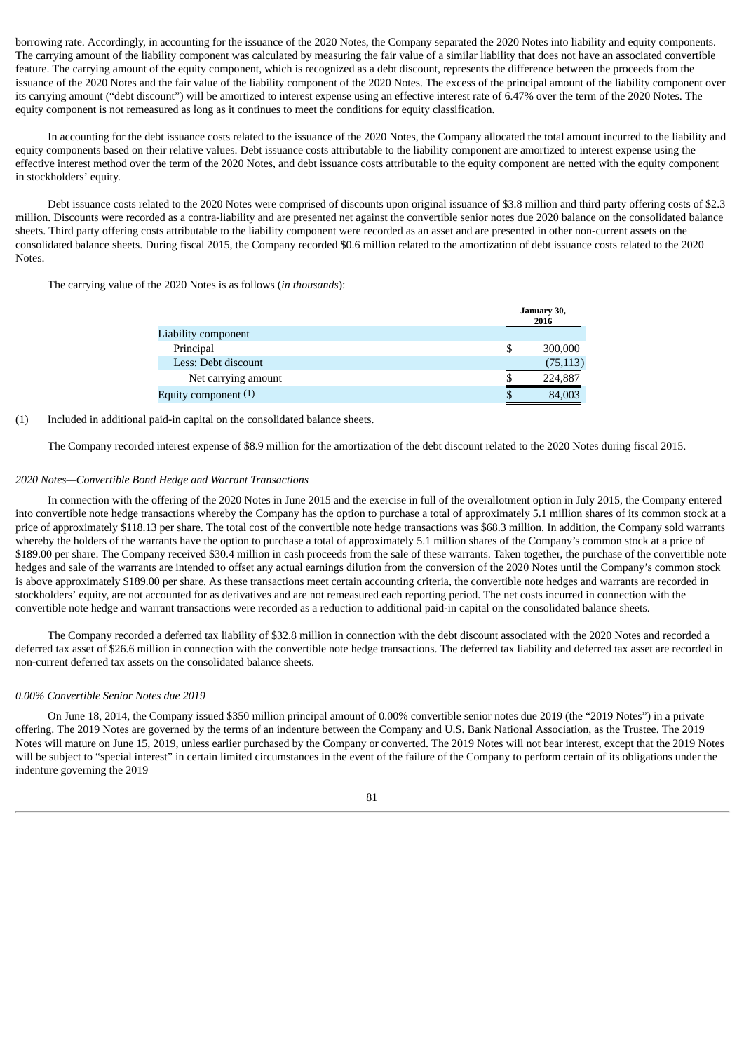borrowing rate. Accordingly, in accounting for the issuance of the 2020 Notes, the Company separated the 2020 Notes into liability and equity components. The carrying amount of the liability component was calculated by measuring the fair value of a similar liability that does not have an associated convertible feature. The carrying amount of the equity component, which is recognized as a debt discount, represents the difference between the proceeds from the issuance of the 2020 Notes and the fair value of the liability component of the 2020 Notes. The excess of the principal amount of the liability component over its carrying amount ("debt discount") will be amortized to interest expense using an effective interest rate of 6.47% over the term of the 2020 Notes. The equity component is not remeasured as long as it continues to meet the conditions for equity classification.

In accounting for the debt issuance costs related to the issuance of the 2020 Notes, the Company allocated the total amount incurred to the liability and equity components based on their relative values. Debt issuance costs attributable to the liability component are amortized to interest expense using the effective interest method over the term of the 2020 Notes, and debt issuance costs attributable to the equity component are netted with the equity component in stockholders' equity.

Debt issuance costs related to the 2020 Notes were comprised of discounts upon original issuance of \$3.8 million and third party offering costs of \$2.3 million. Discounts were recorded as a contra-liability and are presented net against the convertible senior notes due 2020 balance on the consolidated balance sheets. Third party offering costs attributable to the liability component were recorded as an asset and are presented in other non-current assets on the consolidated balance sheets. During fiscal 2015, the Company recorded \$0.6 million related to the amortization of debt issuance costs related to the 2020 Notes.

The carrying value of the 2020 Notes is as follows (*in thousands*):

|                        | January 30,<br>2016 |
|------------------------|---------------------|
| Liability component    |                     |
| Principal              | \$<br>300,000       |
| Less: Debt discount    | (75, 113)           |
| Net carrying amount    | 224,887             |
| Equity component $(1)$ | 84,003              |

(1) Included in additional paid-in capital on the consolidated balance sheets.

The Company recorded interest expense of \$8.9 million for the amortization of the debt discount related to the 2020 Notes during fiscal 2015.

#### *2020 Notes—Convertible Bond Hedge and Warrant Transactions*

In connection with the offering of the 2020 Notes in June 2015 and the exercise in full of the overallotment option in July 2015, the Company entered into convertible note hedge transactions whereby the Company has the option to purchase a total of approximately 5.1 million shares of its common stock at a price of approximately \$118.13 per share. The total cost of the convertible note hedge transactions was \$68.3 million. In addition, the Company sold warrants whereby the holders of the warrants have the option to purchase a total of approximately 5.1 million shares of the Company's common stock at a price of \$189.00 per share. The Company received \$30.4 million in cash proceeds from the sale of these warrants. Taken together, the purchase of the convertible note hedges and sale of the warrants are intended to offset any actual earnings dilution from the conversion of the 2020 Notes until the Company's common stock is above approximately \$189.00 per share. As these transactions meet certain accounting criteria, the convertible note hedges and warrants are recorded in stockholders' equity, are not accounted for as derivatives and are not remeasured each reporting period. The net costs incurred in connection with the convertible note hedge and warrant transactions were recorded as a reduction to additional paid-in capital on the consolidated balance sheets.

The Company recorded a deferred tax liability of \$32.8 million in connection with the debt discount associated with the 2020 Notes and recorded a deferred tax asset of \$26.6 million in connection with the convertible note hedge transactions. The deferred tax liability and deferred tax asset are recorded in non-current deferred tax assets on the consolidated balance sheets.

## *0.00% Convertible Senior Notes due 2019*

On June 18, 2014, the Company issued \$350 million principal amount of 0.00% convertible senior notes due 2019 (the "2019 Notes") in a private offering. The 2019 Notes are governed by the terms of an indenture between the Company and U.S. Bank National Association, as the Trustee. The 2019 Notes will mature on June 15, 2019, unless earlier purchased by the Company or converted. The 2019 Notes will not bear interest, except that the 2019 Notes will be subject to "special interest" in certain limited circumstances in the event of the failure of the Company to perform certain of its obligations under the indenture governing the 2019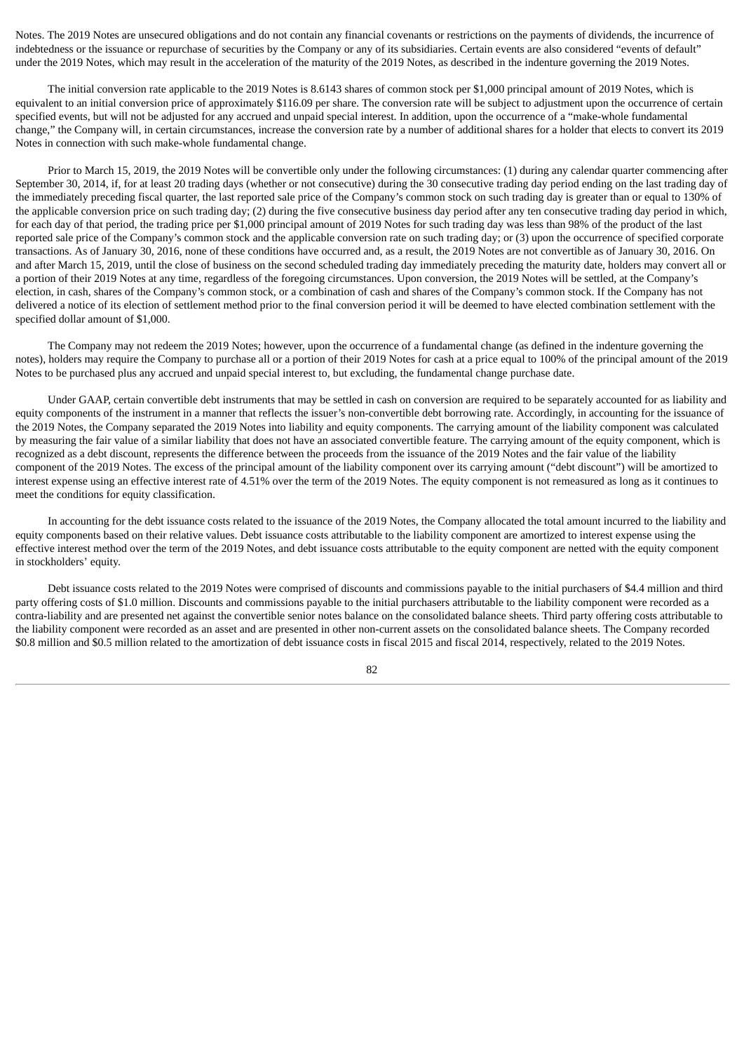Notes. The 2019 Notes are unsecured obligations and do not contain any financial covenants or restrictions on the payments of dividends, the incurrence of indebtedness or the issuance or repurchase of securities by the Company or any of its subsidiaries. Certain events are also considered "events of default" under the 2019 Notes, which may result in the acceleration of the maturity of the 2019 Notes, as described in the indenture governing the 2019 Notes.

The initial conversion rate applicable to the 2019 Notes is 8.6143 shares of common stock per \$1,000 principal amount of 2019 Notes, which is equivalent to an initial conversion price of approximately \$116.09 per share. The conversion rate will be subject to adjustment upon the occurrence of certain specified events, but will not be adjusted for any accrued and unpaid special interest. In addition, upon the occurrence of a "make-whole fundamental change," the Company will, in certain circumstances, increase the conversion rate by a number of additional shares for a holder that elects to convert its 2019 Notes in connection with such make-whole fundamental change.

Prior to March 15, 2019, the 2019 Notes will be convertible only under the following circumstances: (1) during any calendar quarter commencing after September 30, 2014, if, for at least 20 trading days (whether or not consecutive) during the 30 consecutive trading day period ending on the last trading day of the immediately preceding fiscal quarter, the last reported sale price of the Company's common stock on such trading day is greater than or equal to 130% of the applicable conversion price on such trading day; (2) during the five consecutive business day period after any ten consecutive trading day period in which, for each day of that period, the trading price per \$1,000 principal amount of 2019 Notes for such trading day was less than 98% of the product of the last reported sale price of the Company's common stock and the applicable conversion rate on such trading day; or (3) upon the occurrence of specified corporate transactions. As of January 30, 2016, none of these conditions have occurred and, as a result, the 2019 Notes are not convertible as of January 30, 2016. On and after March 15, 2019, until the close of business on the second scheduled trading day immediately preceding the maturity date, holders may convert all or a portion of their 2019 Notes at any time, regardless of the foregoing circumstances. Upon conversion, the 2019 Notes will be settled, at the Company's election, in cash, shares of the Company's common stock, or a combination of cash and shares of the Company's common stock. If the Company has not delivered a notice of its election of settlement method prior to the final conversion period it will be deemed to have elected combination settlement with the specified dollar amount of \$1,000.

The Company may not redeem the 2019 Notes; however, upon the occurrence of a fundamental change (as defined in the indenture governing the notes), holders may require the Company to purchase all or a portion of their 2019 Notes for cash at a price equal to 100% of the principal amount of the 2019 Notes to be purchased plus any accrued and unpaid special interest to, but excluding, the fundamental change purchase date.

Under GAAP, certain convertible debt instruments that may be settled in cash on conversion are required to be separately accounted for as liability and equity components of the instrument in a manner that reflects the issuer's non-convertible debt borrowing rate. Accordingly, in accounting for the issuance of the 2019 Notes, the Company separated the 2019 Notes into liability and equity components. The carrying amount of the liability component was calculated by measuring the fair value of a similar liability that does not have an associated convertible feature. The carrying amount of the equity component, which is recognized as a debt discount, represents the difference between the proceeds from the issuance of the 2019 Notes and the fair value of the liability component of the 2019 Notes. The excess of the principal amount of the liability component over its carrying amount ("debt discount") will be amortized to interest expense using an effective interest rate of 4.51% over the term of the 2019 Notes. The equity component is not remeasured as long as it continues to meet the conditions for equity classification.

In accounting for the debt issuance costs related to the issuance of the 2019 Notes, the Company allocated the total amount incurred to the liability and equity components based on their relative values. Debt issuance costs attributable to the liability component are amortized to interest expense using the effective interest method over the term of the 2019 Notes, and debt issuance costs attributable to the equity component are netted with the equity component in stockholders' equity.

Debt issuance costs related to the 2019 Notes were comprised of discounts and commissions payable to the initial purchasers of \$4.4 million and third party offering costs of \$1.0 million. Discounts and commissions payable to the initial purchasers attributable to the liability component were recorded as a contra-liability and are presented net against the convertible senior notes balance on the consolidated balance sheets. Third party offering costs attributable to the liability component were recorded as an asset and are presented in other non-current assets on the consolidated balance sheets. The Company recorded \$0.8 million and \$0.5 million related to the amortization of debt issuance costs in fiscal 2015 and fiscal 2014, respectively, related to the 2019 Notes.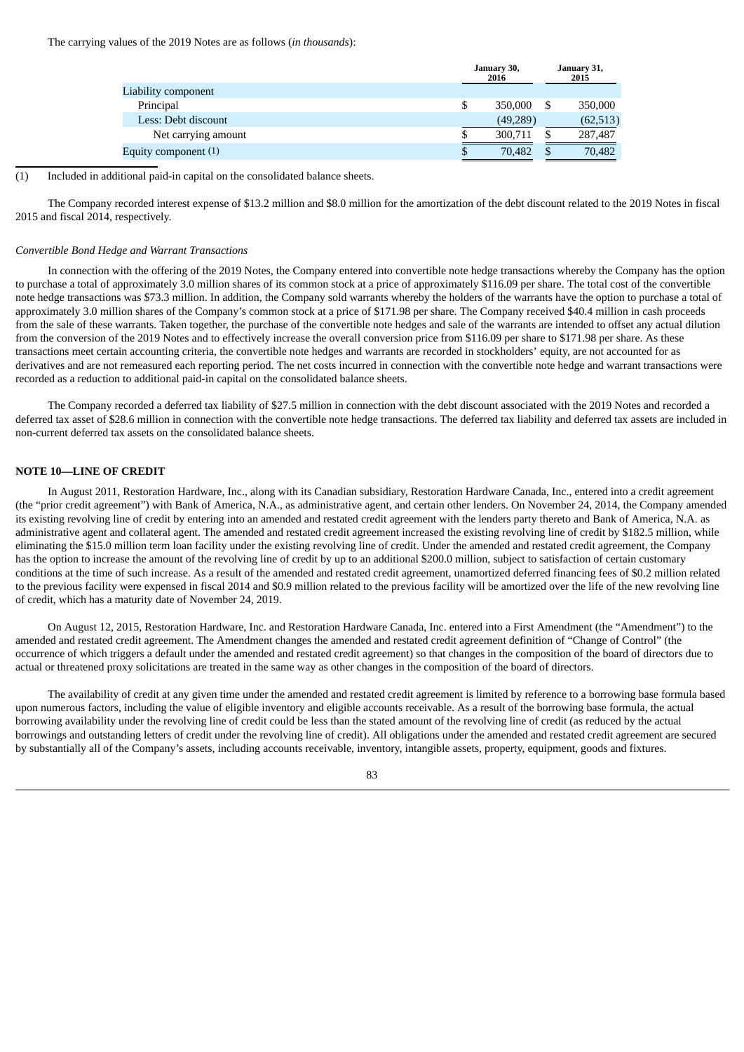The carrying values of the 2019 Notes are as follows (*in thousands*):

|                        |    | January 30,<br>2016 | January 31,<br>2015 |  |  |
|------------------------|----|---------------------|---------------------|--|--|
| Liability component    |    |                     |                     |  |  |
| Principal              | \$ | 350,000             | \$<br>350,000       |  |  |
| Less: Debt discount    |    | (49, 289)           | (62, 513)           |  |  |
| Net carrying amount    |    | 300,711             | 287,487             |  |  |
| Equity component $(1)$ | Φ  | 70.482              | \$<br>70,482        |  |  |

(1) Included in additional paid-in capital on the consolidated balance sheets.

The Company recorded interest expense of \$13.2 million and \$8.0 million for the amortization of the debt discount related to the 2019 Notes in fiscal 2015 and fiscal 2014, respectively.

#### *Convertible Bond Hedge and Warrant Transactions*

In connection with the offering of the 2019 Notes, the Company entered into convertible note hedge transactions whereby the Company has the option to purchase a total of approximately 3.0 million shares of its common stock at a price of approximately \$116.09 per share. The total cost of the convertible note hedge transactions was \$73.3 million. In addition, the Company sold warrants whereby the holders of the warrants have the option to purchase a total of approximately 3.0 million shares of the Company's common stock at a price of \$171.98 per share. The Company received \$40.4 million in cash proceeds from the sale of these warrants. Taken together, the purchase of the convertible note hedges and sale of the warrants are intended to offset any actual dilution from the conversion of the 2019 Notes and to effectively increase the overall conversion price from \$116.09 per share to \$171.98 per share. As these transactions meet certain accounting criteria, the convertible note hedges and warrants are recorded in stockholders' equity, are not accounted for as derivatives and are not remeasured each reporting period. The net costs incurred in connection with the convertible note hedge and warrant transactions were recorded as a reduction to additional paid-in capital on the consolidated balance sheets.

The Company recorded a deferred tax liability of \$27.5 million in connection with the debt discount associated with the 2019 Notes and recorded a deferred tax asset of \$28.6 million in connection with the convertible note hedge transactions. The deferred tax liability and deferred tax assets are included in non-current deferred tax assets on the consolidated balance sheets.

# **NOTE 10—LINE OF CREDIT**

In August 2011, Restoration Hardware, Inc., along with its Canadian subsidiary, Restoration Hardware Canada, Inc., entered into a credit agreement (the "prior credit agreement") with Bank of America, N.A., as administrative agent, and certain other lenders. On November 24, 2014, the Company amended its existing revolving line of credit by entering into an amended and restated credit agreement with the lenders party thereto and Bank of America, N.A. as administrative agent and collateral agent. The amended and restated credit agreement increased the existing revolving line of credit by \$182.5 million, while eliminating the \$15.0 million term loan facility under the existing revolving line of credit. Under the amended and restated credit agreement, the Company has the option to increase the amount of the revolving line of credit by up to an additional \$200.0 million, subject to satisfaction of certain customary conditions at the time of such increase. As a result of the amended and restated credit agreement, unamortized deferred financing fees of \$0.2 million related to the previous facility were expensed in fiscal 2014 and \$0.9 million related to the previous facility will be amortized over the life of the new revolving line of credit, which has a maturity date of November 24, 2019.

On August 12, 2015, Restoration Hardware, Inc. and Restoration Hardware Canada, Inc. entered into a First Amendment (the "Amendment") to the amended and restated credit agreement. The Amendment changes the amended and restated credit agreement definition of "Change of Control" (the occurrence of which triggers a default under the amended and restated credit agreement) so that changes in the composition of the board of directors due to actual or threatened proxy solicitations are treated in the same way as other changes in the composition of the board of directors.

The availability of credit at any given time under the amended and restated credit agreement is limited by reference to a borrowing base formula based upon numerous factors, including the value of eligible inventory and eligible accounts receivable. As a result of the borrowing base formula, the actual borrowing availability under the revolving line of credit could be less than the stated amount of the revolving line of credit (as reduced by the actual borrowings and outstanding letters of credit under the revolving line of credit). All obligations under the amended and restated credit agreement are secured by substantially all of the Company's assets, including accounts receivable, inventory, intangible assets, property, equipment, goods and fixtures.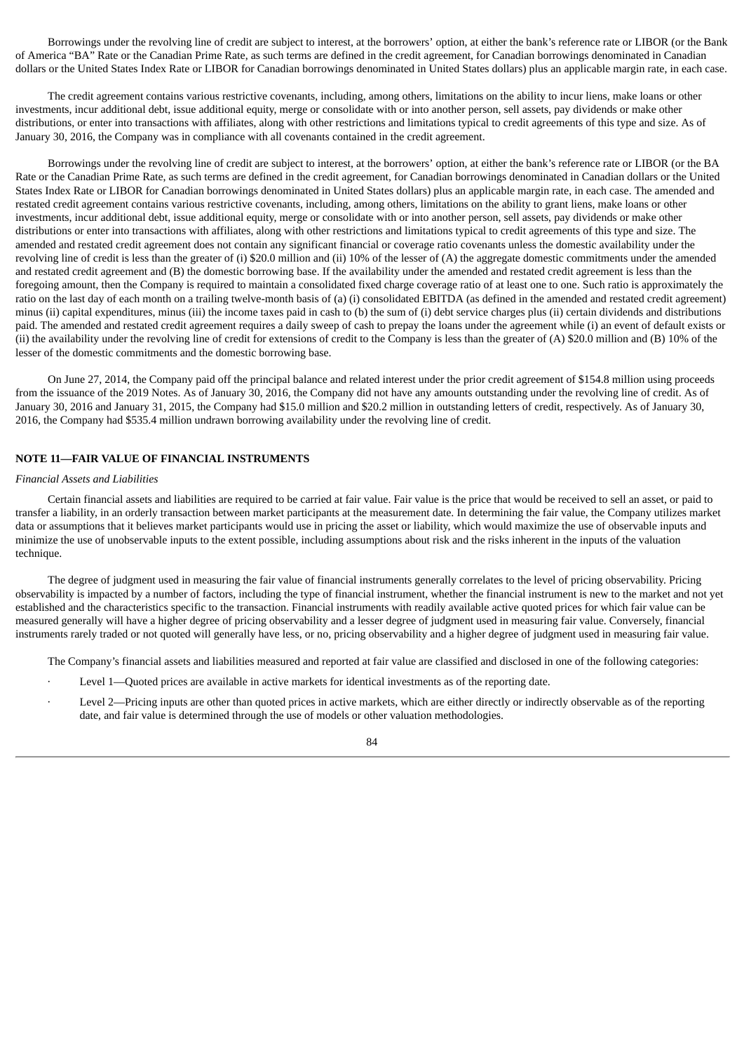Borrowings under the revolving line of credit are subject to interest, at the borrowers' option, at either the bank's reference rate or LIBOR (or the Bank of America "BA" Rate or the Canadian Prime Rate, as such terms are defined in the credit agreement, for Canadian borrowings denominated in Canadian dollars or the United States Index Rate or LIBOR for Canadian borrowings denominated in United States dollars) plus an applicable margin rate, in each case.

The credit agreement contains various restrictive covenants, including, among others, limitations on the ability to incur liens, make loans or other investments, incur additional debt, issue additional equity, merge or consolidate with or into another person, sell assets, pay dividends or make other distributions, or enter into transactions with affiliates, along with other restrictions and limitations typical to credit agreements of this type and size. As of January 30, 2016, the Company was in compliance with all covenants contained in the credit agreement.

Borrowings under the revolving line of credit are subject to interest, at the borrowers' option, at either the bank's reference rate or LIBOR (or the BA Rate or the Canadian Prime Rate, as such terms are defined in the credit agreement, for Canadian borrowings denominated in Canadian dollars or the United States Index Rate or LIBOR for Canadian borrowings denominated in United States dollars) plus an applicable margin rate, in each case. The amended and restated credit agreement contains various restrictive covenants, including, among others, limitations on the ability to grant liens, make loans or other investments, incur additional debt, issue additional equity, merge or consolidate with or into another person, sell assets, pay dividends or make other distributions or enter into transactions with affiliates, along with other restrictions and limitations typical to credit agreements of this type and size. The amended and restated credit agreement does not contain any significant financial or coverage ratio covenants unless the domestic availability under the revolving line of credit is less than the greater of (i) \$20.0 million and (ii) 10% of the lesser of (A) the aggregate domestic commitments under the amended and restated credit agreement and (B) the domestic borrowing base. If the availability under the amended and restated credit agreement is less than the foregoing amount, then the Company is required to maintain a consolidated fixed charge coverage ratio of at least one to one. Such ratio is approximately the ratio on the last day of each month on a trailing twelve-month basis of (a) (i) consolidated EBITDA (as defined in the amended and restated credit agreement) minus (ii) capital expenditures, minus (iii) the income taxes paid in cash to (b) the sum of (i) debt service charges plus (ii) certain dividends and distributions paid. The amended and restated credit agreement requires a daily sweep of cash to prepay the loans under the agreement while (i) an event of default exists or (ii) the availability under the revolving line of credit for extensions of credit to the Company is less than the greater of (A) \$20.0 million and (B) 10% of the lesser of the domestic commitments and the domestic borrowing base.

On June 27, 2014, the Company paid off the principal balance and related interest under the prior credit agreement of \$154.8 million using proceeds from the issuance of the 2019 Notes. As of January 30, 2016, the Company did not have any amounts outstanding under the revolving line of credit. As of January 30, 2016 and January 31, 2015, the Company had \$15.0 million and \$20.2 million in outstanding letters of credit, respectively. As of January 30, 2016, the Company had \$535.4 million undrawn borrowing availability under the revolving line of credit.

# **NOTE 11—FAIR VALUE OF FINANCIAL INSTRUMENTS**

### *Financial Assets and Liabilities*

Certain financial assets and liabilities are required to be carried at fair value. Fair value is the price that would be received to sell an asset, or paid to transfer a liability, in an orderly transaction between market participants at the measurement date. In determining the fair value, the Company utilizes market data or assumptions that it believes market participants would use in pricing the asset or liability, which would maximize the use of observable inputs and minimize the use of unobservable inputs to the extent possible, including assumptions about risk and the risks inherent in the inputs of the valuation technique.

The degree of judgment used in measuring the fair value of financial instruments generally correlates to the level of pricing observability. Pricing observability is impacted by a number of factors, including the type of financial instrument, whether the financial instrument is new to the market and not yet established and the characteristics specific to the transaction. Financial instruments with readily available active quoted prices for which fair value can be measured generally will have a higher degree of pricing observability and a lesser degree of judgment used in measuring fair value. Conversely, financial instruments rarely traded or not quoted will generally have less, or no, pricing observability and a higher degree of judgment used in measuring fair value.

The Company's financial assets and liabilities measured and reported at fair value are classified and disclosed in one of the following categories:

- Level 1—Quoted prices are available in active markets for identical investments as of the reporting date.
- Level 2—Pricing inputs are other than quoted prices in active markets, which are either directly or indirectly observable as of the reporting date, and fair value is determined through the use of models or other valuation methodologies.

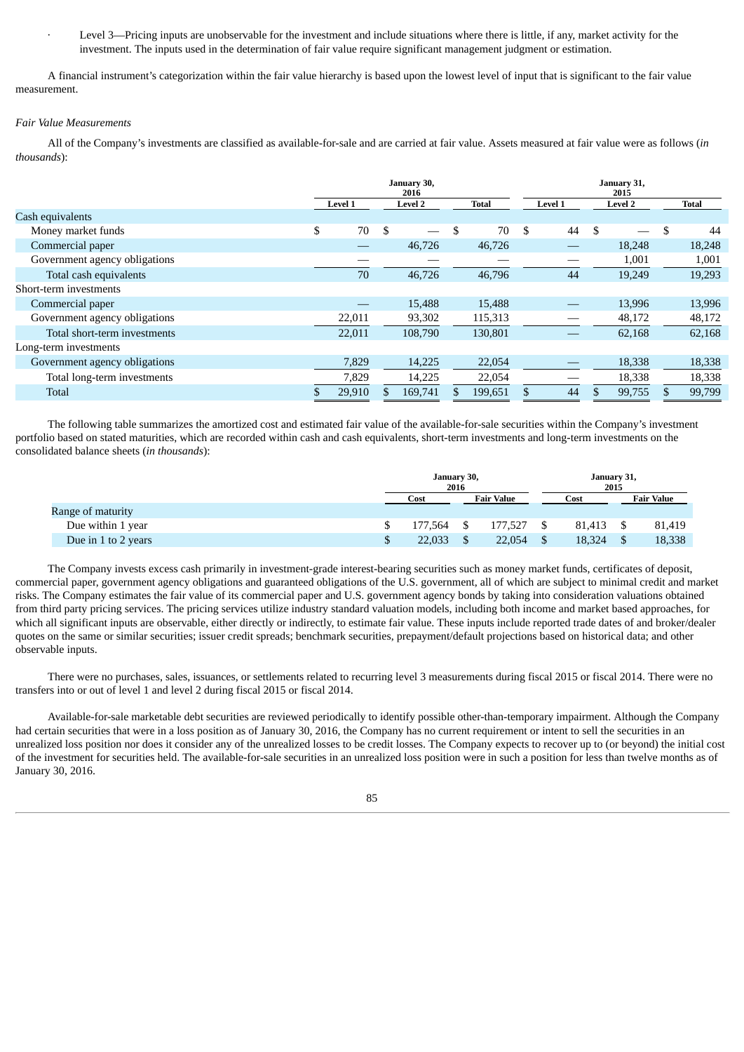Level 3—Pricing inputs are unobservable for the investment and include situations where there is little, if any, market activity for the investment. The inputs used in the determination of fair value require significant management judgment or estimation.

A financial instrument's categorization within the fair value hierarchy is based upon the lowest level of input that is significant to the fair value measurement.

### *Fair Value Measurements*

All of the Company's investments are classified as available-for-sale and are carried at fair value. Assets measured at fair value were as follows (*in thousands*):

|                               |                | January 30,<br>2016 |          |                |                |        |        |
|-------------------------------|----------------|---------------------|----------|----------------|----------------|--------|--------|
|                               | <b>Level 1</b> | Level 2             | Total    | <b>Level 1</b> | <b>Level 2</b> |        | Total  |
| Cash equivalents              |                |                     |          |                |                |        |        |
| Money market funds            | \$<br>70       | \$                  | \$<br>70 | \$<br>44       | \$.            |        | 44     |
| Commercial paper              |                | 46,726              | 46,726   |                |                | 18,248 | 18,248 |
| Government agency obligations |                |                     |          |                |                | 1,001  | 1,001  |
| Total cash equivalents        | 70             | 46,726              | 46,796   | 44             |                | 19,249 | 19,293 |
| Short-term investments        |                |                     |          |                |                |        |        |
| Commercial paper              |                | 15,488              | 15,488   |                |                | 13,996 | 13,996 |
| Government agency obligations | 22,011         | 93,302              | 115,313  |                |                | 48,172 | 48,172 |
| Total short-term investments  | 22,011         | 108,790             | 130,801  |                |                | 62,168 | 62,168 |
| Long-term investments         |                |                     |          |                |                |        |        |
| Government agency obligations | 7,829          | 14,225              | 22,054   |                |                | 18,338 | 18,338 |
| Total long-term investments   | 7,829          | 14,225              | 22,054   |                |                | 18,338 | 18,338 |
| <b>Total</b>                  | 29,910         | 169,741             | 199,651  | 44             |                | 99,755 | 99,799 |

The following table summarizes the amortized cost and estimated fair value of the available-for-sale securities within the Company's investment portfolio based on stated maturities, which are recorded within cash and cash equivalents, short-term investments and long-term investments on the consolidated balance sheets (*in thousands*):

|                     | January 30,<br>2016 |  |                   | January 31,<br>2015 |        |  |                   |  |
|---------------------|---------------------|--|-------------------|---------------------|--------|--|-------------------|--|
|                     | Cost                |  | <b>Fair Value</b> |                     | Cost   |  | <b>Fair Value</b> |  |
| Range of maturity   |                     |  |                   |                     |        |  |                   |  |
| Due within 1 year   | 177,564             |  | 177,527           |                     | 81.413 |  | 81,419            |  |
| Due in 1 to 2 years | 22,033              |  | 22,054            |                     | 18,324 |  | 18,338            |  |

The Company invests excess cash primarily in investment-grade interest-bearing securities such as money market funds, certificates of deposit, commercial paper, government agency obligations and guaranteed obligations of the U.S. government, all of which are subject to minimal credit and market risks. The Company estimates the fair value of its commercial paper and U.S. government agency bonds by taking into consideration valuations obtained from third party pricing services. The pricing services utilize industry standard valuation models, including both income and market based approaches, for which all significant inputs are observable, either directly or indirectly, to estimate fair value. These inputs include reported trade dates of and broker/dealer quotes on the same or similar securities; issuer credit spreads; benchmark securities, prepayment/default projections based on historical data; and other observable inputs.

There were no purchases, sales, issuances, or settlements related to recurring level 3 measurements during fiscal 2015 or fiscal 2014. There were no transfers into or out of level 1 and level 2 during fiscal 2015 or fiscal 2014.

Available-for-sale marketable debt securities are reviewed periodically to identify possible other-than-temporary impairment. Although the Company had certain securities that were in a loss position as of January 30, 2016, the Company has no current requirement or intent to sell the securities in an unrealized loss position nor does it consider any of the unrealized losses to be credit losses. The Company expects to recover up to (or beyond) the initial cost of the investment for securities held. The available-for-sale securities in an unrealized loss position were in such a position for less than twelve months as of January 30, 2016.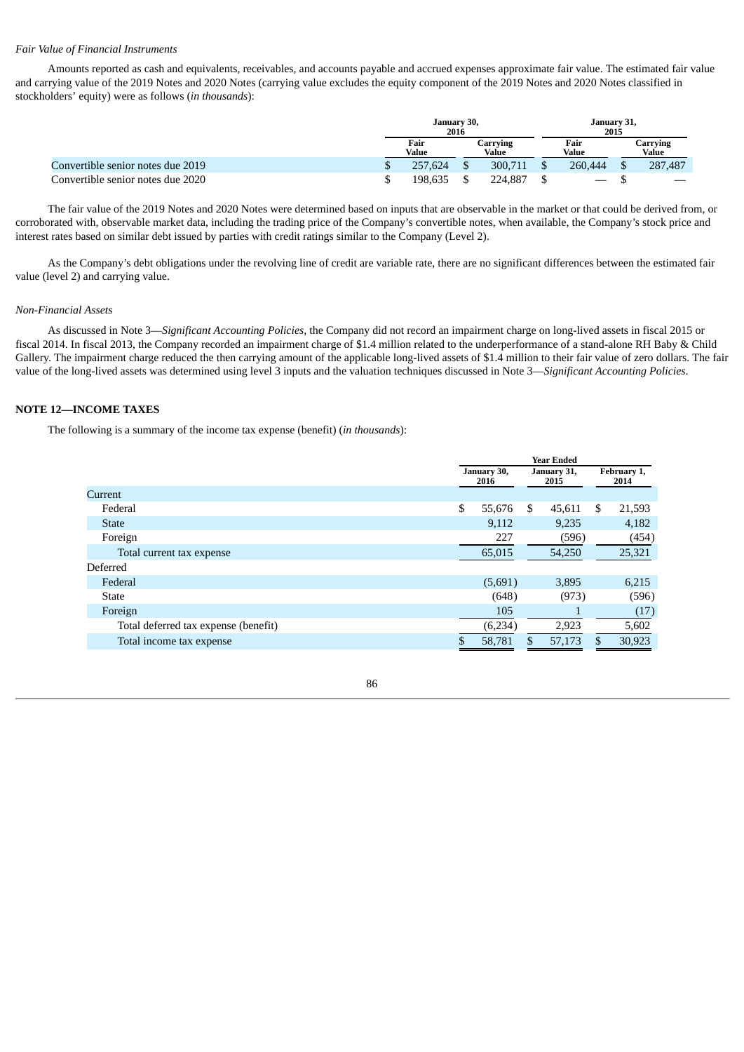## *Fair Value of Financial Instruments*

Amounts reported as cash and equivalents, receivables, and accounts payable and accrued expenses approximate fair value. The estimated fair value and carrying value of the 2019 Notes and 2020 Notes (carrying value excludes the equity component of the 2019 Notes and 2020 Notes classified in stockholders' equity) were as follows (*in thousands*):

|                                   | January 30,<br>2016 |  |                   | January 31,<br>2015 |                   |  |                 |                   |  |
|-----------------------------------|---------------------|--|-------------------|---------------------|-------------------|--|-----------------|-------------------|--|
|                                   | Fair<br>Value       |  | Carrving<br>Value |                     | Fair<br>Value     |  |                 | Carrying<br>Value |  |
| Convertible senior notes due 2019 | 257,624             |  | 300.711           |                     | 260,444           |  | 287,487         |                   |  |
| Convertible senior notes due 2020 | 198.635             |  | 224.887           |                     | $\hspace{0.05cm}$ |  | $\qquad \qquad$ |                   |  |

The fair value of the 2019 Notes and 2020 Notes were determined based on inputs that are observable in the market or that could be derived from, or corroborated with, observable market data, including the trading price of the Company's convertible notes, when available, the Company's stock price and interest rates based on similar debt issued by parties with credit ratings similar to the Company (Level 2).

As the Company's debt obligations under the revolving line of credit are variable rate, there are no significant differences between the estimated fair value (level 2) and carrying value.

## *Non-Financial Assets*

As discussed in Note 3—*Significant Accounting Policies*, the Company did not record an impairment charge on long-lived assets in fiscal 2015 or fiscal 2014. In fiscal 2013, the Company recorded an impairment charge of \$1.4 million related to the underperformance of a stand-alone RH Baby & Child Gallery. The impairment charge reduced the then carrying amount of the applicable long-lived assets of \$1.4 million to their fair value of zero dollars. The fair value of the long-lived assets was determined using level 3 inputs and the valuation techniques discussed in Note 3—*Significant Accounting Policies*.

# **NOTE 12—INCOME TAXES**

The following is a summary of the income tax expense (benefit) (*in thousands*):

| <b>Year Ended</b> |         |             |        |             |                     |
|-------------------|---------|-------------|--------|-------------|---------------------|
|                   | 2016    |             | 2015   |             | February 1,<br>2014 |
|                   |         |             |        |             |                     |
| \$                | 55,676  | \$          | 45,611 | \$          | 21,593              |
|                   | 9,112   |             | 9,235  |             | 4,182               |
|                   | 227     |             | (596)  |             | (454)               |
|                   | 65,015  |             | 54,250 |             | 25,321              |
|                   |         |             |        |             |                     |
|                   | (5,691) |             | 3,895  |             | 6,215               |
|                   | (648)   |             | (973)  |             | (596)               |
|                   | 105     |             |        |             | (17)                |
|                   | (6,234) |             | 2,923  |             | 5,602               |
|                   | 58,781  | \$          | 57,173 | \$          | 30,923              |
|                   |         | January 30, |        | January 31, |                     |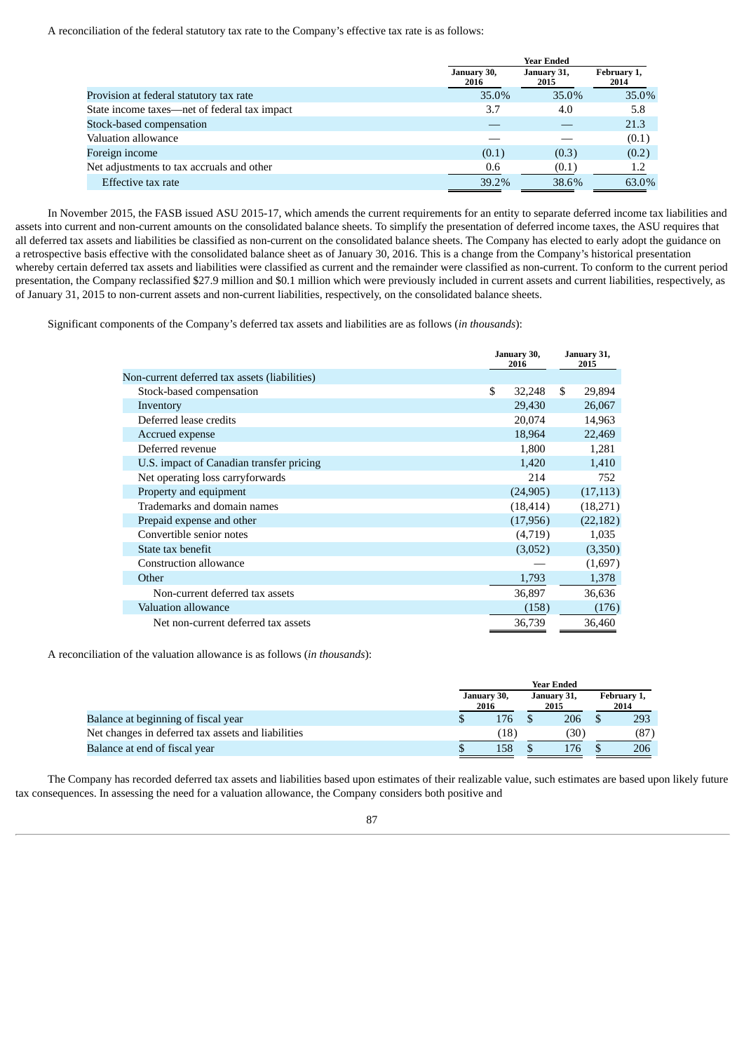A reconciliation of the federal statutory tax rate to the Company's effective tax rate is as follows:

|                                              | <b>Year Ended</b>   |                     |                     |  |  |
|----------------------------------------------|---------------------|---------------------|---------------------|--|--|
|                                              | January 30,<br>2016 | January 31,<br>2015 | February 1,<br>2014 |  |  |
| Provision at federal statutory tax rate      | 35.0%               | 35.0%               | 35.0%               |  |  |
| State income taxes—net of federal tax impact | 3.7                 | 4.0                 | 5.8                 |  |  |
| Stock-based compensation                     |                     |                     | 21.3                |  |  |
| Valuation allowance                          |                     |                     | (0.1)               |  |  |
| Foreign income                               | (0.1)               | (0.3)               | (0.2)               |  |  |
| Net adjustments to tax accruals and other    | 0.6                 | (0.1)               | 1.2                 |  |  |
| Effective tax rate                           | 39.2%               | 38.6%               | 63.0%               |  |  |

In November 2015, the FASB issued ASU 2015-17, which amends the current requirements for an entity to separate deferred income tax liabilities and assets into current and non-current amounts on the consolidated balance sheets. To simplify the presentation of deferred income taxes, the ASU requires that all deferred tax assets and liabilities be classified as non-current on the consolidated balance sheets. The Company has elected to early adopt the guidance on a retrospective basis effective with the consolidated balance sheet as of January 30, 2016. This is a change from the Company's historical presentation whereby certain deferred tax assets and liabilities were classified as current and the remainder were classified as non-current. To conform to the current period presentation, the Company reclassified \$27.9 million and \$0.1 million which were previously included in current assets and current liabilities, respectively, as of January 31, 2015 to non-current assets and non-current liabilities, respectively, on the consolidated balance sheets.

Significant components of the Company's deferred tax assets and liabilities are as follows (*in thousands*):

|                                               | January 30,<br>2016 | January 31,<br>2015 |
|-----------------------------------------------|---------------------|---------------------|
| Non-current deferred tax assets (liabilities) |                     |                     |
| Stock-based compensation                      | \$<br>32,248        | \$.<br>29,894       |
| Inventory                                     | 29,430              | 26,067              |
| Deferred lease credits                        | 20,074              | 14,963              |
| Accrued expense                               | 18,964              | 22,469              |
| Deferred revenue                              | 1,800               | 1,281               |
| U.S. impact of Canadian transfer pricing      | 1,420               | 1,410               |
| Net operating loss carryforwards              | 214                 | 752                 |
| Property and equipment                        | (24, 905)           | (17, 113)           |
| Trademarks and domain names                   | (18, 414)           | (18,271)            |
| Prepaid expense and other                     | (17,956)            | (22, 182)           |
| Convertible senior notes                      | (4,719)             | 1,035               |
| State tax benefit                             | (3,052)             | (3,350)             |
| Construction allowance                        |                     | (1,697)             |
| Other                                         | 1,793               | 1,378               |
| Non-current deferred tax assets               | 36,897              | 36,636              |
| Valuation allowance                           | (158)               | (176)               |
| Net non-current deferred tax assets           | 36,739              | 36,460              |

A reconciliation of the valuation allowance is as follows (*in thousands*):

|                                                    | <b>Year Ended</b>   |     |                     |      |                     |      |
|----------------------------------------------------|---------------------|-----|---------------------|------|---------------------|------|
|                                                    | January 30,<br>2016 |     | January 31,<br>2015 |      | February 1,<br>2014 |      |
| Balance at beginning of fiscal year                |                     | 176 |                     | 206  |                     | 293  |
| Net changes in deferred tax assets and liabilities |                     | [18 |                     | (30) |                     | (87) |
| Balance at end of fiscal year                      |                     | 158 |                     | 176  |                     | 206  |

The Company has recorded deferred tax assets and liabilities based upon estimates of their realizable value, such estimates are based upon likely future tax consequences. In assessing the need for a valuation allowance, the Company considers both positive and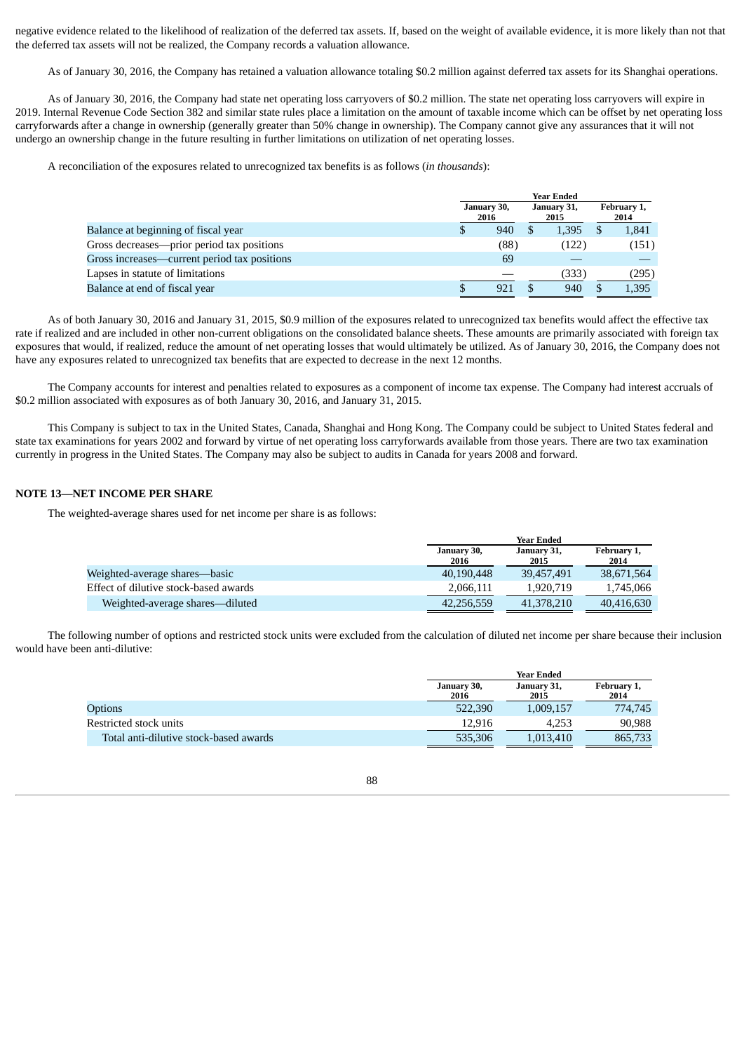negative evidence related to the likelihood of realization of the deferred tax assets. If, based on the weight of available evidence, it is more likely than not that the deferred tax assets will not be realized, the Company records a valuation allowance.

As of January 30, 2016, the Company has retained a valuation allowance totaling \$0.2 million against deferred tax assets for its Shanghai operations.

As of January 30, 2016, the Company had state net operating loss carryovers of \$0.2 million. The state net operating loss carryovers will expire in 2019. Internal Revenue Code Section 382 and similar state rules place a limitation on the amount of taxable income which can be offset by net operating loss carryforwards after a change in ownership (generally greater than 50% change in ownership). The Company cannot give any assurances that it will not undergo an ownership change in the future resulting in further limitations on utilization of net operating losses.

A reconciliation of the exposures related to unrecognized tax benefits is as follows (*in thousands*):

|                                              | <b>Year Ended</b> |      |                             |       |  |       |                     |  |
|----------------------------------------------|-------------------|------|-----------------------------|-------|--|-------|---------------------|--|
|                                              | January 30,       |      | January 31,<br>2016<br>2015 |       |  |       | February 1,<br>2014 |  |
| Balance at beginning of fiscal year          |                   | 940  |                             | 1.395 |  | 1,841 |                     |  |
| Gross decreases—prior period tax positions   |                   | (88) |                             | (122) |  | (151) |                     |  |
| Gross increases—current period tax positions |                   | 69   |                             |       |  |       |                     |  |
| Lapses in statute of limitations             |                   |      |                             | (333) |  | (295) |                     |  |
| Balance at end of fiscal year                |                   | 921  |                             | 940   |  | 1,395 |                     |  |

As of both January 30, 2016 and January 31, 2015, \$0.9 million of the exposures related to unrecognized tax benefits would affect the effective tax rate if realized and are included in other non-current obligations on the consolidated balance sheets. These amounts are primarily associated with foreign tax exposures that would, if realized, reduce the amount of net operating losses that would ultimately be utilized. As of January 30, 2016, the Company does not have any exposures related to unrecognized tax benefits that are expected to decrease in the next 12 months.

The Company accounts for interest and penalties related to exposures as a component of income tax expense. The Company had interest accruals of \$0.2 million associated with exposures as of both January 30, 2016, and January 31, 2015.

This Company is subject to tax in the United States, Canada, Shanghai and Hong Kong. The Company could be subject to United States federal and state tax examinations for years 2002 and forward by virtue of net operating loss carryforwards available from those years. There are two tax examination currently in progress in the United States. The Company may also be subject to audits in Canada for years 2008 and forward.

# **NOTE 13—NET INCOME PER SHARE**

The weighted-average shares used for net income per share is as follows:

|                                       | Year Ended          |                     |                     |  |  |
|---------------------------------------|---------------------|---------------------|---------------------|--|--|
|                                       | January 30,<br>2016 | January 31,<br>2015 | February 1,<br>2014 |  |  |
| Weighted-average shares—basic         | 40,190,448          | 39.457.491          | 38.671.564          |  |  |
| Effect of dilutive stock-based awards | 2.066.111           | 1.920.719           | 1.745.066           |  |  |
| Weighted-average shares—diluted       | 42,256,559          | 41,378,210          | 40.416.630          |  |  |

The following number of options and restricted stock units were excluded from the calculation of diluted net income per share because their inclusion would have been anti-dilutive:

|                                        | Year Ended          |                     |                     |  |  |  |
|----------------------------------------|---------------------|---------------------|---------------------|--|--|--|
|                                        | January 30,<br>2016 | January 31,<br>2015 | February 1,<br>2014 |  |  |  |
| <b>Options</b>                         | 522,390             | 1,009,157           | 774.745             |  |  |  |
| Restricted stock units                 | 12.916              | 4.253               | 90.988              |  |  |  |
| Total anti-dilutive stock-based awards | 535,306             | 1,013,410           | 865,733             |  |  |  |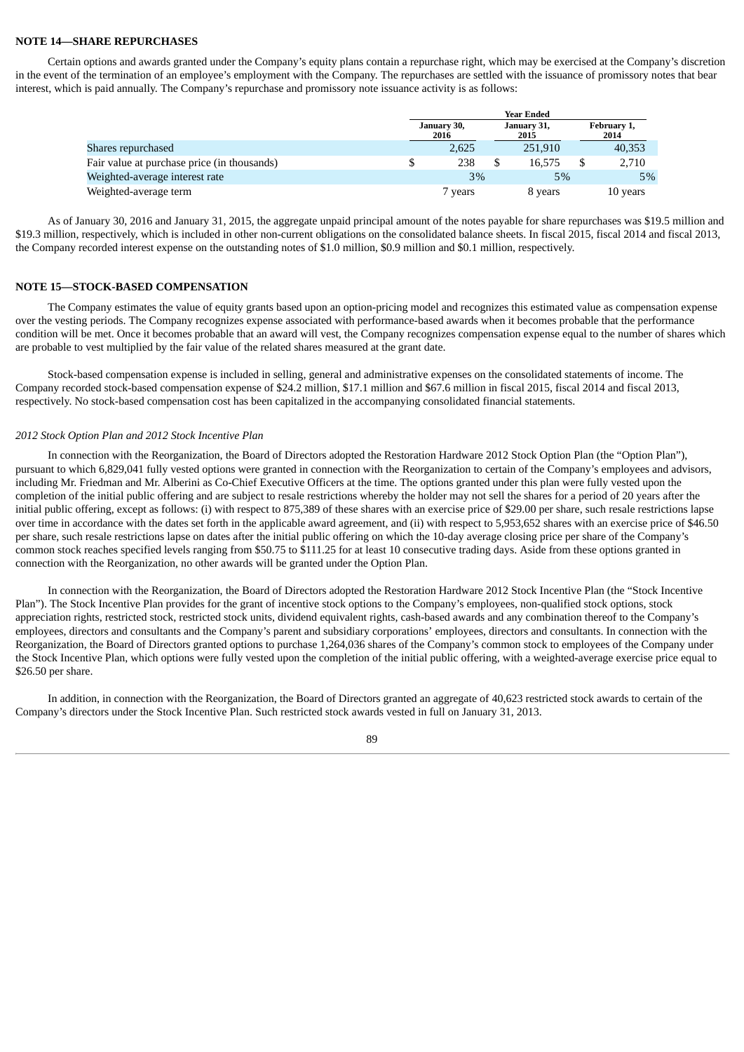## **NOTE 14—SHARE REPURCHASES**

Certain options and awards granted under the Company's equity plans contain a repurchase right, which may be exercised at the Company's discretion in the event of the termination of an employee's employment with the Company. The repurchases are settled with the issuance of promissory notes that bear interest, which is paid annually. The Company's repurchase and promissory note issuance activity is as follows:

|                                             |                     |         |                     | <b>Year Ended</b>   |  |          |  |
|---------------------------------------------|---------------------|---------|---------------------|---------------------|--|----------|--|
|                                             | January 30,<br>2016 |         | January 31,<br>2015 | February 1,<br>2014 |  |          |  |
| Shares repurchased                          |                     | 2,625   |                     | 251,910             |  | 40,353   |  |
| Fair value at purchase price (in thousands) | Φ                   | 238     |                     | 16.575              |  | 2,710    |  |
| Weighted-average interest rate              |                     |         | 3%                  |                     |  | 5%       |  |
| Weighted-average term                       |                     | 7 years |                     | 8 years             |  | 10 years |  |

As of January 30, 2016 and January 31, 2015, the aggregate unpaid principal amount of the notes payable for share repurchases was \$19.5 million and \$19.3 million, respectively, which is included in other non-current obligations on the consolidated balance sheets. In fiscal 2015, fiscal 2014 and fiscal 2013, the Company recorded interest expense on the outstanding notes of \$1.0 million, \$0.9 million and \$0.1 million, respectively.

#### **NOTE 15—STOCK-BASED COMPENSATION**

The Company estimates the value of equity grants based upon an option-pricing model and recognizes this estimated value as compensation expense over the vesting periods. The Company recognizes expense associated with performance-based awards when it becomes probable that the performance condition will be met. Once it becomes probable that an award will vest, the Company recognizes compensation expense equal to the number of shares which are probable to vest multiplied by the fair value of the related shares measured at the grant date.

Stock-based compensation expense is included in selling, general and administrative expenses on the consolidated statements of income. The Company recorded stock-based compensation expense of \$24.2 million, \$17.1 million and \$67.6 million in fiscal 2015, fiscal 2014 and fiscal 2013, respectively. No stock-based compensation cost has been capitalized in the accompanying consolidated financial statements.

## *2012 Stock Option Plan and 2012 Stock Incentive Plan*

In connection with the Reorganization, the Board of Directors adopted the Restoration Hardware 2012 Stock Option Plan (the "Option Plan"), pursuant to which 6,829,041 fully vested options were granted in connection with the Reorganization to certain of the Company's employees and advisors, including Mr. Friedman and Mr. Alberini as Co-Chief Executive Officers at the time. The options granted under this plan were fully vested upon the completion of the initial public offering and are subject to resale restrictions whereby the holder may not sell the shares for a period of 20 years after the initial public offering, except as follows: (i) with respect to 875,389 of these shares with an exercise price of \$29.00 per share, such resale restrictions lapse over time in accordance with the dates set forth in the applicable award agreement, and (ii) with respect to 5,953,652 shares with an exercise price of \$46.50 per share, such resale restrictions lapse on dates after the initial public offering on which the 10-day average closing price per share of the Company's common stock reaches specified levels ranging from \$50.75 to \$111.25 for at least 10 consecutive trading days. Aside from these options granted in connection with the Reorganization, no other awards will be granted under the Option Plan.

In connection with the Reorganization, the Board of Directors adopted the Restoration Hardware 2012 Stock Incentive Plan (the "Stock Incentive Plan"). The Stock Incentive Plan provides for the grant of incentive stock options to the Company's employees, non-qualified stock options, stock appreciation rights, restricted stock, restricted stock units, dividend equivalent rights, cash-based awards and any combination thereof to the Company's employees, directors and consultants and the Company's parent and subsidiary corporations' employees, directors and consultants. In connection with the Reorganization, the Board of Directors granted options to purchase 1,264,036 shares of the Company's common stock to employees of the Company under the Stock Incentive Plan, which options were fully vested upon the completion of the initial public offering, with a weighted-average exercise price equal to \$26.50 per share.

In addition, in connection with the Reorganization, the Board of Directors granted an aggregate of 40,623 restricted stock awards to certain of the Company's directors under the Stock Incentive Plan. Such restricted stock awards vested in full on January 31, 2013.

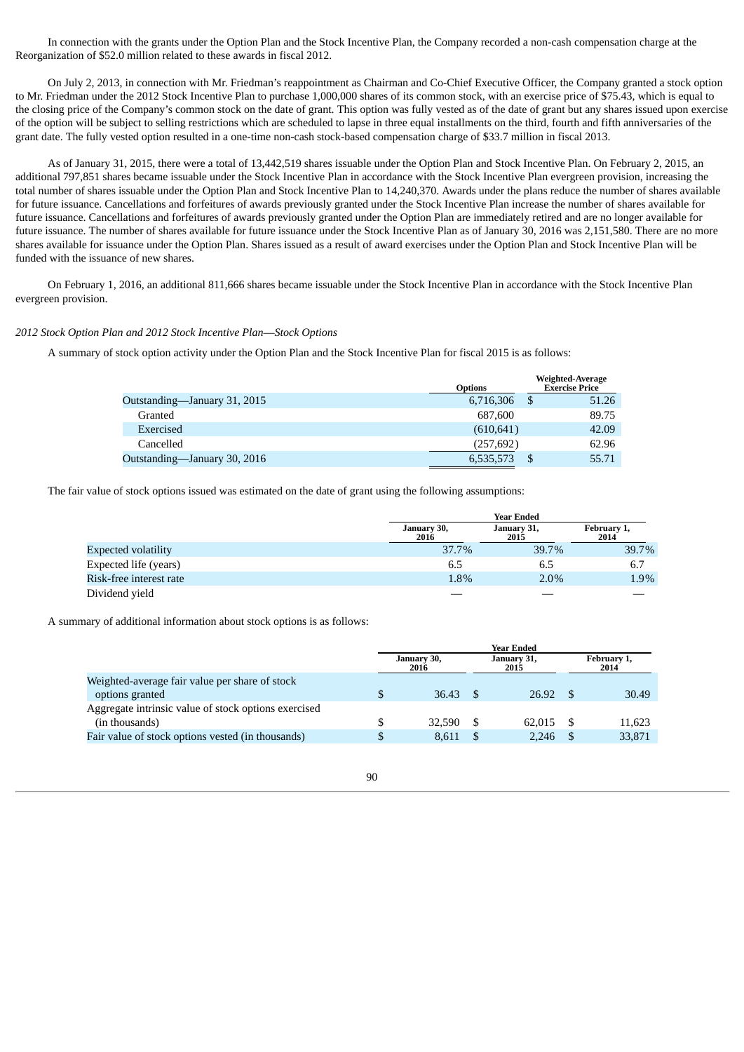In connection with the grants under the Option Plan and the Stock Incentive Plan, the Company recorded a non-cash compensation charge at the Reorganization of \$52.0 million related to these awards in fiscal 2012.

On July 2, 2013, in connection with Mr. Friedman's reappointment as Chairman and Co-Chief Executive Officer, the Company granted a stock option to Mr. Friedman under the 2012 Stock Incentive Plan to purchase 1,000,000 shares of its common stock, with an exercise price of \$75.43, which is equal to the closing price of the Company's common stock on the date of grant. This option was fully vested as of the date of grant but any shares issued upon exercise of the option will be subject to selling restrictions which are scheduled to lapse in three equal installments on the third, fourth and fifth anniversaries of the grant date. The fully vested option resulted in a one-time non-cash stock-based compensation charge of \$33.7 million in fiscal 2013.

As of January 31, 2015, there were a total of 13,442,519 shares issuable under the Option Plan and Stock Incentive Plan. On February 2, 2015, an additional 797,851 shares became issuable under the Stock Incentive Plan in accordance with the Stock Incentive Plan evergreen provision, increasing the total number of shares issuable under the Option Plan and Stock Incentive Plan to 14,240,370. Awards under the plans reduce the number of shares available for future issuance. Cancellations and forfeitures of awards previously granted under the Stock Incentive Plan increase the number of shares available for future issuance. Cancellations and forfeitures of awards previously granted under the Option Plan are immediately retired and are no longer available for future issuance. The number of shares available for future issuance under the Stock Incentive Plan as of January 30, 2016 was 2,151,580. There are no more shares available for issuance under the Option Plan. Shares issued as a result of award exercises under the Option Plan and Stock Incentive Plan will be funded with the issuance of new shares.

On February 1, 2016, an additional 811,666 shares became issuable under the Stock Incentive Plan in accordance with the Stock Incentive Plan evergreen provision.

# *2012 Stock Option Plan and 2012 Stock Incentive Plan*—*Stock Options*

A summary of stock option activity under the Option Plan and the Stock Incentive Plan for fiscal 2015 is as follows:

|                              | <b>Options</b> | Weighted-Average<br><b>Exercise Price</b> |
|------------------------------|----------------|-------------------------------------------|
| Outstanding-January 31, 2015 | 6,716,306      | 51.26                                     |
| Granted                      | 687,600        | 89.75                                     |
| Exercised                    | (610, 641)     | 42.09                                     |
| Cancelled                    | (257, 692)     | 62.96                                     |
| Outstanding-January 30, 2016 | 6,535,573      | 55.71                                     |

The fair value of stock options issued was estimated on the date of grant using the following assumptions:

|                            |                     | <b>Year Ended</b>   |                     |  |  |  |
|----------------------------|---------------------|---------------------|---------------------|--|--|--|
|                            | January 30,<br>2016 | January 31,<br>2015 | February 1,<br>2014 |  |  |  |
| <b>Expected volatility</b> | 37.7%               | 39.7%               | 39.7%               |  |  |  |
| Expected life (years)      | 6.5                 | 6.5                 | 6.7                 |  |  |  |
| Risk-free interest rate    | 1.8%                | 2.0%                | 1.9%                |  |  |  |
| Dividend yield             |                     |                     |                     |  |  |  |

A summary of additional information about stock options is as follows:

|                                                      |                     | <b>Year Ended</b> |                     |                     |  |        |  |  |  |  |  |
|------------------------------------------------------|---------------------|-------------------|---------------------|---------------------|--|--------|--|--|--|--|--|
|                                                      | January 30,<br>2016 |                   | January 31,<br>2015 | February 1,<br>2014 |  |        |  |  |  |  |  |
| Weighted-average fair value per share of stock       |                     |                   |                     |                     |  |        |  |  |  |  |  |
| options granted                                      |                     | 36.43             |                     | 26.92               |  | 30.49  |  |  |  |  |  |
| Aggregate intrinsic value of stock options exercised |                     |                   |                     |                     |  |        |  |  |  |  |  |
| (in thousands)                                       |                     | 32.590            |                     | 62.015              |  | 11,623 |  |  |  |  |  |
| Fair value of stock options vested (in thousands)    |                     | 8.611             |                     | 2.246               |  | 33,871 |  |  |  |  |  |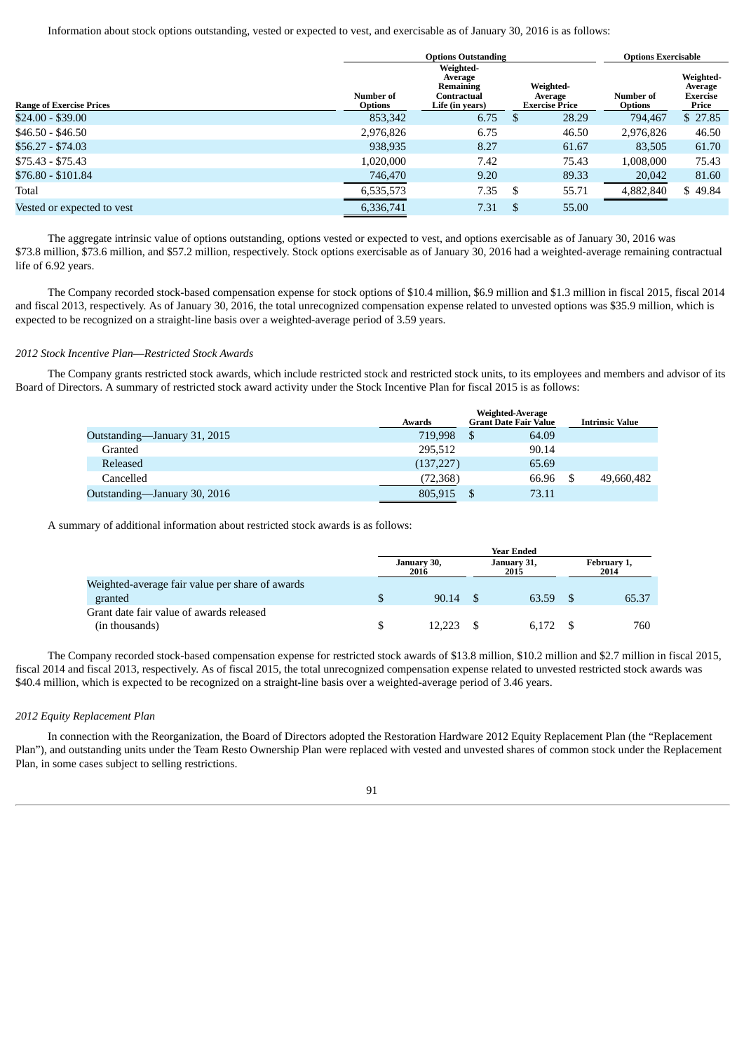Information about stock options outstanding, vested or expected to vest, and exercisable as of January 30, 2016 is as follows:

|                                 |                             |                                                                     | <b>Options Exercisable</b> |                                               |                             |                                                  |
|---------------------------------|-----------------------------|---------------------------------------------------------------------|----------------------------|-----------------------------------------------|-----------------------------|--------------------------------------------------|
| <b>Range of Exercise Prices</b> | Number of<br><b>Options</b> | Weighted-<br>Average<br>Remaining<br>Contractual<br>Life (in years) |                            | Weighted-<br>Average<br><b>Exercise Price</b> | Number of<br><b>Options</b> | Weighted-<br>Average<br><b>Exercise</b><br>Price |
| \$24.00 - \$39.00               | 853,342                     | 6.75                                                                | S                          | 28.29                                         | 794.467                     | \$27.85                                          |
| \$46.50 - \$46.50               | 2,976,826                   | 6.75                                                                |                            | 46.50                                         | 2,976,826                   | 46.50                                            |
| \$56.27 - \$74.03               | 938,935                     | 8.27                                                                |                            | 61.67                                         | 83,505                      | 61.70                                            |
| $$75.43 - $75.43$               | 1,020,000                   | 7.42                                                                |                            | 75.43                                         | 1,008,000                   | 75.43                                            |
| \$76.80 - \$101.84              | 746,470                     | 9.20                                                                |                            | 89.33                                         | 20,042                      | 81.60                                            |
| Total                           | 6,535,573                   | 7.35                                                                | \$                         | 55.71                                         | 4,882,840                   | \$49.84                                          |
| Vested or expected to vest      | 6,336,741                   | 7.31                                                                | S                          | 55.00                                         |                             |                                                  |

The aggregate intrinsic value of options outstanding, options vested or expected to vest, and options exercisable as of January 30, 2016 was \$73.8 million, \$73.6 million, and \$57.2 million, respectively. Stock options exercisable as of January 30, 2016 had a weighted-average remaining contractual life of 6.92 years.

The Company recorded stock-based compensation expense for stock options of \$10.4 million, \$6.9 million and \$1.3 million in fiscal 2015, fiscal 2014 and fiscal 2013, respectively. As of January 30, 2016, the total unrecognized compensation expense related to unvested options was \$35.9 million, which is expected to be recognized on a straight-line basis over a weighted-average period of 3.59 years.

# *2012 Stock Incentive Plan*—*Restricted Stock Awards*

The Company grants restricted stock awards, which include restricted stock and restricted stock units, to its employees and members and advisor of its Board of Directors. A summary of restricted stock award activity under the Stock Incentive Plan for fiscal 2015 is as follows:

|                              |            | Weighted-Average             |                        |
|------------------------------|------------|------------------------------|------------------------|
|                              | Awards     | <b>Grant Date Fair Value</b> | <b>Intrinsic Value</b> |
| Outstanding—January 31, 2015 | 719.998    | 64.09                        |                        |
| Granted                      | 295.512    | 90.14                        |                        |
| Released                     | (137, 227) | 65.69                        |                        |
| Cancelled                    | (72,368)   | 66.96                        | 49,660,482             |
| Outstanding—January 30, 2016 | 805.915    | 73.11                        |                        |

A summary of additional information about restricted stock awards is as follows:

|                                                 | <b>Year Ended</b>   |  |                     |                     |       |  |  |  |  |
|-------------------------------------------------|---------------------|--|---------------------|---------------------|-------|--|--|--|--|
|                                                 | January 30,<br>2016 |  | January 31,<br>2015 | February 1,<br>2014 |       |  |  |  |  |
| Weighted-average fair value per share of awards |                     |  |                     |                     |       |  |  |  |  |
| granted                                         | 90.14               |  | 63.59               |                     | 65.37 |  |  |  |  |
| Grant date fair value of awards released        |                     |  |                     |                     |       |  |  |  |  |
| (in thousands)                                  | 12.223              |  | 6.172               |                     | 760   |  |  |  |  |

The Company recorded stock-based compensation expense for restricted stock awards of \$13.8 million, \$10.2 million and \$2.7 million in fiscal 2015, fiscal 2014 and fiscal 2013, respectively. As of fiscal 2015, the total unrecognized compensation expense related to unvested restricted stock awards was \$40.4 million, which is expected to be recognized on a straight-line basis over a weighted-average period of 3.46 years.

# *2012 Equity Replacement Plan*

In connection with the Reorganization, the Board of Directors adopted the Restoration Hardware 2012 Equity Replacement Plan (the "Replacement Plan"), and outstanding units under the Team Resto Ownership Plan were replaced with vested and unvested shares of common stock under the Replacement Plan, in some cases subject to selling restrictions.

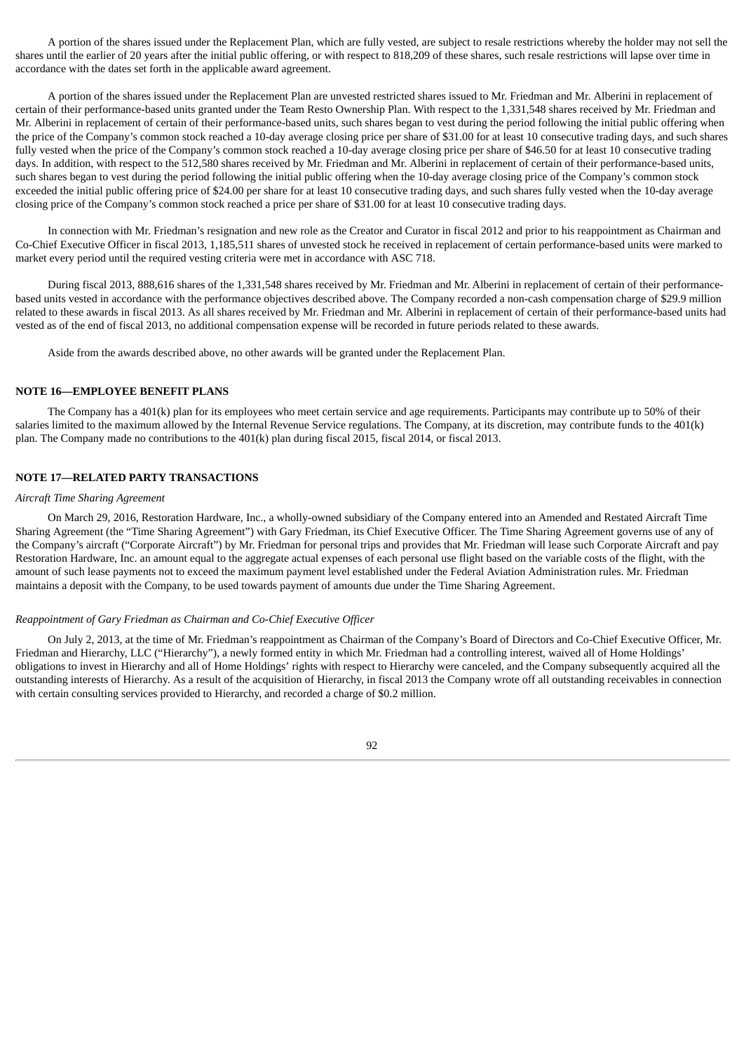A portion of the shares issued under the Replacement Plan, which are fully vested, are subject to resale restrictions whereby the holder may not sell the shares until the earlier of 20 years after the initial public offering, or with respect to 818,209 of these shares, such resale restrictions will lapse over time in accordance with the dates set forth in the applicable award agreement.

A portion of the shares issued under the Replacement Plan are unvested restricted shares issued to Mr. Friedman and Mr. Alberini in replacement of certain of their performance-based units granted under the Team Resto Ownership Plan. With respect to the 1,331,548 shares received by Mr. Friedman and Mr. Alberini in replacement of certain of their performance-based units, such shares began to vest during the period following the initial public offering when the price of the Company's common stock reached a 10-day average closing price per share of \$31.00 for at least 10 consecutive trading days, and such shares fully vested when the price of the Company's common stock reached a 10-day average closing price per share of \$46.50 for at least 10 consecutive trading days. In addition, with respect to the 512,580 shares received by Mr. Friedman and Mr. Alberini in replacement of certain of their performance-based units, such shares began to vest during the period following the initial public offering when the 10-day average closing price of the Company's common stock exceeded the initial public offering price of \$24.00 per share for at least 10 consecutive trading days, and such shares fully vested when the 10-day average closing price of the Company's common stock reached a price per share of \$31.00 for at least 10 consecutive trading days.

In connection with Mr. Friedman's resignation and new role as the Creator and Curator in fiscal 2012 and prior to his reappointment as Chairman and Co-Chief Executive Officer in fiscal 2013, 1,185,511 shares of unvested stock he received in replacement of certain performance-based units were marked to market every period until the required vesting criteria were met in accordance with ASC 718.

During fiscal 2013, 888,616 shares of the 1,331,548 shares received by Mr. Friedman and Mr. Alberini in replacement of certain of their performancebased units vested in accordance with the performance objectives described above. The Company recorded a non-cash compensation charge of \$29.9 million related to these awards in fiscal 2013. As all shares received by Mr. Friedman and Mr. Alberini in replacement of certain of their performance-based units had vested as of the end of fiscal 2013, no additional compensation expense will be recorded in future periods related to these awards.

Aside from the awards described above, no other awards will be granted under the Replacement Plan.

# **NOTE 16—EMPLOYEE BENEFIT PLANS**

The Company has a 401(k) plan for its employees who meet certain service and age requirements. Participants may contribute up to 50% of their salaries limited to the maximum allowed by the Internal Revenue Service regulations. The Company, at its discretion, may contribute funds to the 401(k) plan. The Company made no contributions to the 401(k) plan during fiscal 2015, fiscal 2014, or fiscal 2013.

# **NOTE 17—RELATED PARTY TRANSACTIONS**

# *Aircraft Time Sharing Agreement*

On March 29, 2016, Restoration Hardware, Inc., a wholly-owned subsidiary of the Company entered into an Amended and Restated Aircraft Time Sharing Agreement (the "Time Sharing Agreement") with Gary Friedman, its Chief Executive Officer. The Time Sharing Agreement governs use of any of the Company's aircraft ("Corporate Aircraft") by Mr. Friedman for personal trips and provides that Mr. Friedman will lease such Corporate Aircraft and pay Restoration Hardware, Inc. an amount equal to the aggregate actual expenses of each personal use flight based on the variable costs of the flight, with the amount of such lease payments not to exceed the maximum payment level established under the Federal Aviation Administration rules. Mr. Friedman maintains a deposit with the Company, to be used towards payment of amounts due under the Time Sharing Agreement.

#### *Reappointment of Gary Friedman as Chairman and Co-Chief Executive Officer*

On July 2, 2013, at the time of Mr. Friedman's reappointment as Chairman of the Company's Board of Directors and Co-Chief Executive Officer, Mr. Friedman and Hierarchy, LLC ("Hierarchy"), a newly formed entity in which Mr. Friedman had a controlling interest, waived all of Home Holdings' obligations to invest in Hierarchy and all of Home Holdings' rights with respect to Hierarchy were canceled, and the Company subsequently acquired all the outstanding interests of Hierarchy. As a result of the acquisition of Hierarchy, in fiscal 2013 the Company wrote off all outstanding receivables in connection with certain consulting services provided to Hierarchy, and recorded a charge of \$0.2 million.

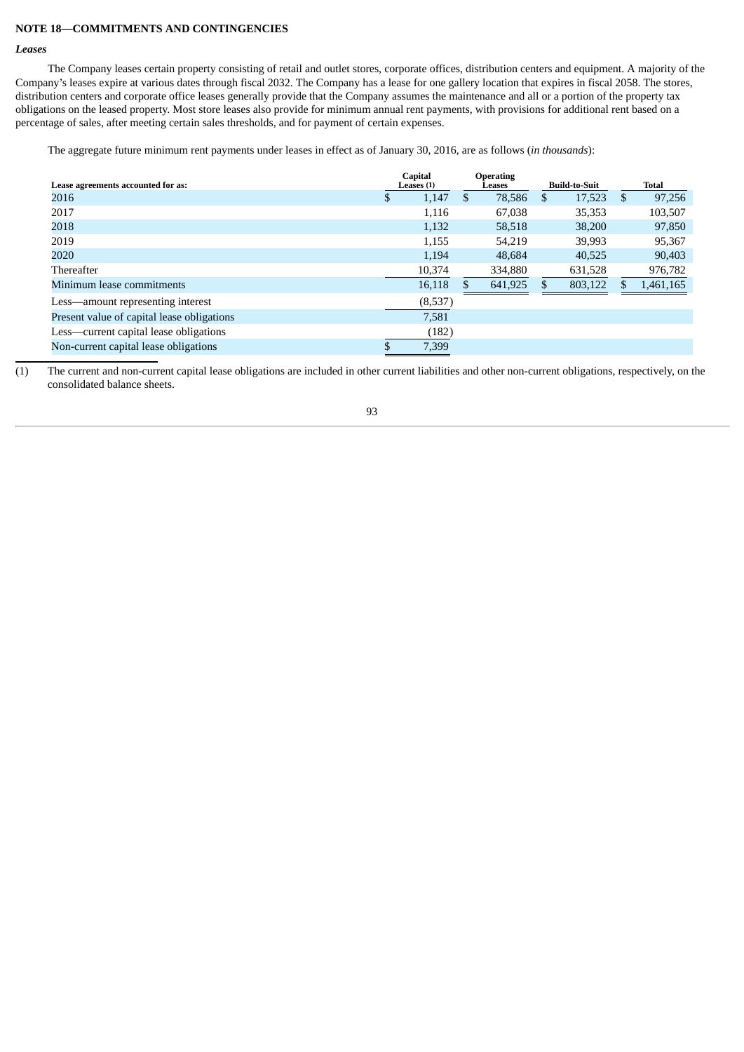# **NOTE 18—COMMITMENTS AND CONTINGENCIES**

### *Leases*

The Company leases certain property consisting of retail and outlet stores, corporate offices, distribution centers and equipment. A majority of the Company's leases expire at various dates through fiscal 2032. The Company has a lease for one gallery location that expires in fiscal 2058. The stores, distribution centers and corporate office leases generally provide that the Company assumes the maintenance and all or a portion of the property tax obligations on the leased property. Most store leases also provide for minimum annual rent payments, with provisions for additional rent based on a percentage of sales, after meeting certain sales thresholds, and for payment of certain expenses.

The aggregate future minimum rent payments under leases in effect as of January 30, 2016, are as follows (*in thousands*):

|                                            | Capital     | <b>Operating</b> |         |                      |              |
|--------------------------------------------|-------------|------------------|---------|----------------------|--------------|
| Lease agreements accounted for as:         | Leases (1)  | Leases           |         | <b>Build-to-Suit</b> | <b>Total</b> |
| 2016                                       | 1,147<br>.D | \$.              | 78,586  | \$<br>17,523         | \$<br>97,256 |
| 2017                                       | 1,116       |                  | 67,038  | 35,353               | 103,507      |
| 2018                                       | 1,132       |                  | 58,518  | 38,200               | 97,850       |
| 2019                                       | 1,155       |                  | 54.219  | 39,993               | 95,367       |
| 2020                                       | 1,194       |                  | 48,684  | 40,525               | 90,403       |
| Thereafter                                 | 10,374      |                  | 334,880 | 631,528              | 976,782      |
| Minimum lease commitments                  | 16,118      |                  | 641,925 | 803,122              | 1,461,165    |
| Less—amount representing interest          | (8,537)     |                  |         |                      |              |
| Present value of capital lease obligations | 7,581       |                  |         |                      |              |
| Less—current capital lease obligations     | (182)       |                  |         |                      |              |
| Non-current capital lease obligations      | 7,399<br>S  |                  |         |                      |              |

(1) The current and non-current capital lease obligations are included in other current liabilities and other non-current obligations, respectively, on the consolidated balance sheets.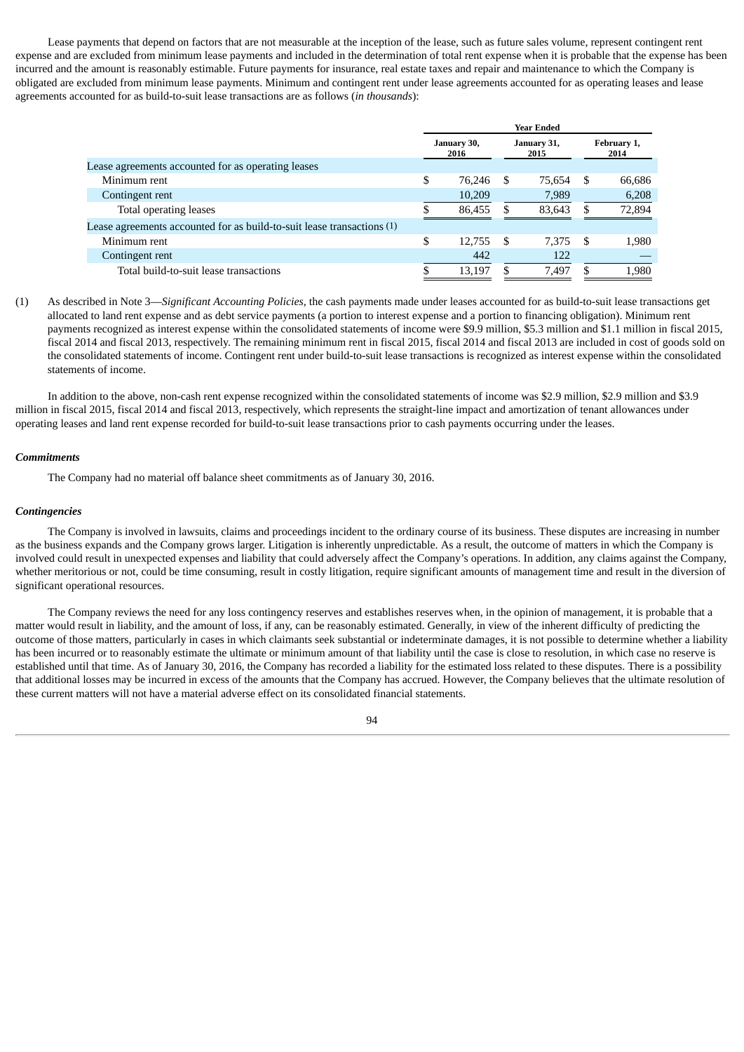Lease payments that depend on factors that are not measurable at the inception of the lease, such as future sales volume, represent contingent rent expense and are excluded from minimum lease payments and included in the determination of total rent expense when it is probable that the expense has been incurred and the amount is reasonably estimable. Future payments for insurance, real estate taxes and repair and maintenance to which the Company is obligated are excluded from minimum lease payments. Minimum and contingent rent under lease agreements accounted for as operating leases and lease agreements accounted for as build-to-suit lease transactions are as follows (*in thousands*):

|                                                                        | <b>Year Ended</b>   |        |                     |        |    |                     |  |
|------------------------------------------------------------------------|---------------------|--------|---------------------|--------|----|---------------------|--|
|                                                                        | January 30,<br>2016 |        | January 31,<br>2015 |        |    | February 1,<br>2014 |  |
| Lease agreements accounted for as operating leases                     |                     |        |                     |        |    |                     |  |
| Minimum rent                                                           | \$                  | 76,246 | S                   | 75.654 | S  | 66,686              |  |
| Contingent rent                                                        |                     | 10,209 |                     | 7,989  |    | 6,208               |  |
| Total operating leases                                                 |                     | 86,455 | S                   | 83.643 | S  | 72,894              |  |
| Lease agreements accounted for as build-to-suit lease transactions (1) |                     |        |                     |        |    |                     |  |
| Minimum rent                                                           | \$                  | 12.755 | S                   | 7.375  | -S | 1,980               |  |
| Contingent rent                                                        |                     | 442    |                     | 122    |    |                     |  |
| Total build-to-suit lease transactions                                 |                     | 13.197 |                     | 7.497  | S  | 1,980               |  |

(1) As described in Note 3—*Significant Accounting Policies*, the cash payments made under leases accounted for as build-to-suit lease transactions get allocated to land rent expense and as debt service payments (a portion to interest expense and a portion to financing obligation). Minimum rent payments recognized as interest expense within the consolidated statements of income were \$9.9 million, \$5.3 million and \$1.1 million in fiscal 2015, fiscal 2014 and fiscal 2013, respectively. The remaining minimum rent in fiscal 2015, fiscal 2014 and fiscal 2013 are included in cost of goods sold on the consolidated statements of income. Contingent rent under build-to-suit lease transactions is recognized as interest expense within the consolidated statements of income.

In addition to the above, non-cash rent expense recognized within the consolidated statements of income was \$2.9 million, \$2.9 million and \$3.9 million in fiscal 2015, fiscal 2014 and fiscal 2013, respectively, which represents the straight-line impact and amortization of tenant allowances under operating leases and land rent expense recorded for build-to-suit lease transactions prior to cash payments occurring under the leases.

### *Commitments*

The Company had no material off balance sheet commitments as of January 30, 2016.

# *Contingencies*

The Company is involved in lawsuits, claims and proceedings incident to the ordinary course of its business. These disputes are increasing in number as the business expands and the Company grows larger. Litigation is inherently unpredictable. As a result, the outcome of matters in which the Company is involved could result in unexpected expenses and liability that could adversely affect the Company's operations. In addition, any claims against the Company, whether meritorious or not, could be time consuming, result in costly litigation, require significant amounts of management time and result in the diversion of significant operational resources.

The Company reviews the need for any loss contingency reserves and establishes reserves when, in the opinion of management, it is probable that a matter would result in liability, and the amount of loss, if any, can be reasonably estimated. Generally, in view of the inherent difficulty of predicting the outcome of those matters, particularly in cases in which claimants seek substantial or indeterminate damages, it is not possible to determine whether a liability has been incurred or to reasonably estimate the ultimate or minimum amount of that liability until the case is close to resolution, in which case no reserve is established until that time. As of January 30, 2016, the Company has recorded a liability for the estimated loss related to these disputes. There is a possibility that additional losses may be incurred in excess of the amounts that the Company has accrued. However, the Company believes that the ultimate resolution of these current matters will not have a material adverse effect on its consolidated financial statements.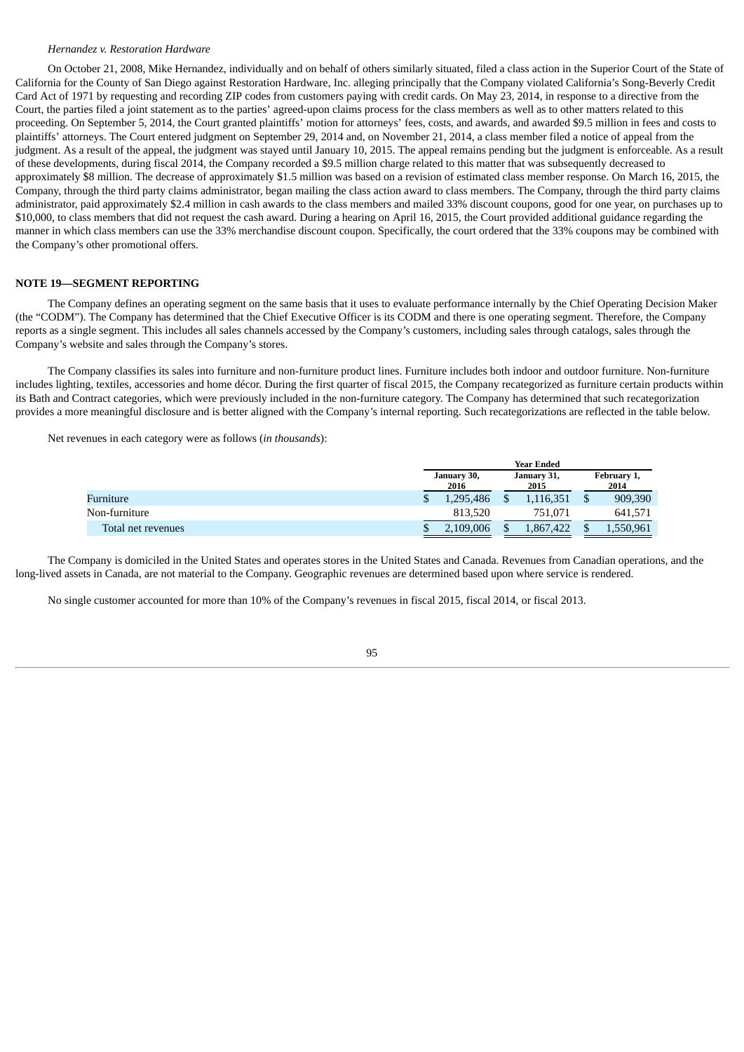## *Hernandez v. Restoration Hardware*

On October 21, 2008, Mike Hernandez, individually and on behalf of others similarly situated, filed a class action in the Superior Court of the State of California for the County of San Diego against Restoration Hardware, Inc. alleging principally that the Company violated California's Song-Beverly Credit Card Act of 1971 by requesting and recording ZIP codes from customers paying with credit cards. On May 23, 2014, in response to a directive from the Court, the parties filed a joint statement as to the parties' agreed-upon claims process for the class members as well as to other matters related to this proceeding. On September 5, 2014, the Court granted plaintiffs' motion for attorneys' fees, costs, and awards, and awarded \$9.5 million in fees and costs to plaintiffs' attorneys. The Court entered judgment on September 29, 2014 and, on November 21, 2014, a class member filed a notice of appeal from the judgment. As a result of the appeal, the judgment was stayed until January 10, 2015. The appeal remains pending but the judgment is enforceable. As a result of these developments, during fiscal 2014, the Company recorded a \$9.5 million charge related to this matter that was subsequently decreased to approximately \$8 million. The decrease of approximately \$1.5 million was based on a revision of estimated class member response. On March 16, 2015, the Company, through the third party claims administrator, began mailing the class action award to class members. The Company, through the third party claims administrator, paid approximately \$2.4 million in cash awards to the class members and mailed 33% discount coupons, good for one year, on purchases up to \$10,000, to class members that did not request the cash award. During a hearing on April 16, 2015, the Court provided additional guidance regarding the manner in which class members can use the 33% merchandise discount coupon. Specifically, the court ordered that the 33% coupons may be combined with the Company's other promotional offers.

#### **NOTE 19—SEGMENT REPORTING**

The Company defines an operating segment on the same basis that it uses to evaluate performance internally by the Chief Operating Decision Maker (the "CODM"). The Company has determined that the Chief Executive Officer is its CODM and there is one operating segment. Therefore, the Company reports as a single segment. This includes all sales channels accessed by the Company's customers, including sales through catalogs, sales through the Company's website and sales through the Company's stores.

The Company classifies its sales into furniture and non-furniture product lines. Furniture includes both indoor and outdoor furniture. Non-furniture includes lighting, textiles, accessories and home décor. During the first quarter of fiscal 2015, the Company recategorized as furniture certain products within its Bath and Contract categories, which were previously included in the non-furniture category. The Company has determined that such recategorization provides a more meaningful disclosure and is better aligned with the Company's internal reporting. Such recategorizations are reflected in the table below.

Net revenues in each category were as follows (*in thousands*):

|                    |                     | Year Ended          |                     |
|--------------------|---------------------|---------------------|---------------------|
|                    | January 30,<br>2016 | January 31,<br>2015 | February 1,<br>2014 |
| Furniture          | 1,295,486           | 1,116,351           | 909,390             |
| Non-furniture      | 813.520             | 751.071             | 641,571             |
| Total net revenues | 2,109,006           | 1,867,422           | 1,550,961           |

The Company is domiciled in the United States and operates stores in the United States and Canada. Revenues from Canadian operations, and the long-lived assets in Canada, are not material to the Company. Geographic revenues are determined based upon where service is rendered.

No single customer accounted for more than 10% of the Company's revenues in fiscal 2015, fiscal 2014, or fiscal 2013.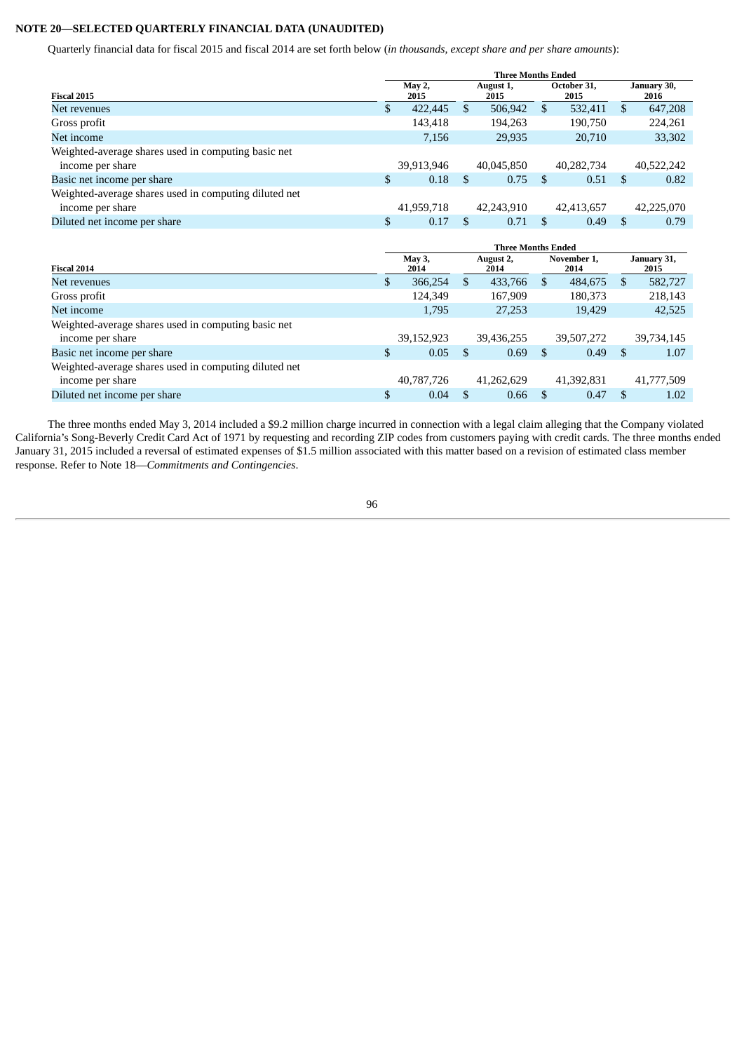# **NOTE 20—SELECTED QUARTERLY FINANCIAL DATA (UNAUDITED)**

Quarterly financial data for fiscal 2015 and fiscal 2014 are set forth below (*in thousands, except share and per share amounts*):

|                                                       | <b>Three Months Ended</b> |                |     |                   |               |                     |               |                     |
|-------------------------------------------------------|---------------------------|----------------|-----|-------------------|---------------|---------------------|---------------|---------------------|
| Fiscal 2015                                           |                           | May 2,<br>2015 |     | August 1,<br>2015 |               | October 31,<br>2015 |               | January 30,<br>2016 |
| Net revenues                                          |                           | 422,445        | S   | 506,942           | <sup>\$</sup> | 532,411             | <sup>\$</sup> | 647,208             |
| Gross profit                                          |                           | 143,418        |     | 194,263           |               | 190,750             |               | 224,261             |
| Net income                                            |                           | 7,156          |     | 29,935            |               | 20,710              |               | 33,302              |
| Weighted-average shares used in computing basic net   |                           |                |     |                   |               |                     |               |                     |
| income per share                                      |                           | 39,913,946     |     | 40,045,850        |               | 40,282,734          |               | 40,522,242          |
| Basic net income per share                            | \$                        | 0.18           | -S  | 0.75              | \$.           | 0.51                | - \$          | 0.82                |
| Weighted-average shares used in computing diluted net |                           |                |     |                   |               |                     |               |                     |
| income per share                                      |                           | 41,959,718     |     | 42,243,910        |               | 42,413,657          |               | 42,225,070          |
| Diluted net income per share                          |                           | 0.17           | \$. | 0.71              |               | 0.49                |               | 0.79                |

|                                                       |    | <b>Three Months Ended</b> |               |                   |    |                     |               |                     |
|-------------------------------------------------------|----|---------------------------|---------------|-------------------|----|---------------------|---------------|---------------------|
| Fiscal 2014                                           |    | May 3,<br>2014            |               | August 2,<br>2014 |    | November 1,<br>2014 |               | January 31,<br>2015 |
| Net revenues                                          | D  | 366,254                   | <sup>\$</sup> | 433,766           | S  | 484,675             | <sup>\$</sup> | 582,727             |
| Gross profit                                          |    | 124,349                   |               | 167,909           |    | 180,373             |               | 218,143             |
| Net income                                            |    | 1.795                     |               | 27,253            |    | 19,429              |               | 42,525              |
| Weighted-average shares used in computing basic net   |    |                           |               |                   |    |                     |               |                     |
| income per share                                      |    | 39,152,923                |               | 39,436,255        |    | 39,507,272          |               | 39,734,145          |
| Basic net income per share                            | \$ | 0.05                      | \$.           | 0.69              | \$ | 0.49                | -S            | 1.07                |
| Weighted-average shares used in computing diluted net |    |                           |               |                   |    |                     |               |                     |
| income per share                                      |    | 40,787,726                |               | 41,262,629        |    | 41,392,831          |               | 41,777,509          |
| Diluted net income per share                          | \$ | 0.04                      | \$            | 0.66              | S  | 0.47                |               | 1.02                |

The three months ended May 3, 2014 included a \$9.2 million charge incurred in connection with a legal claim alleging that the Company violated California's Song-Beverly Credit Card Act of 1971 by requesting and recording ZIP codes from customers paying with credit cards. The three months ended January 31, 2015 included a reversal of estimated expenses of \$1.5 million associated with this matter based on a revision of estimated class member response. Refer to Note 18—*Commitments and Contingencies*.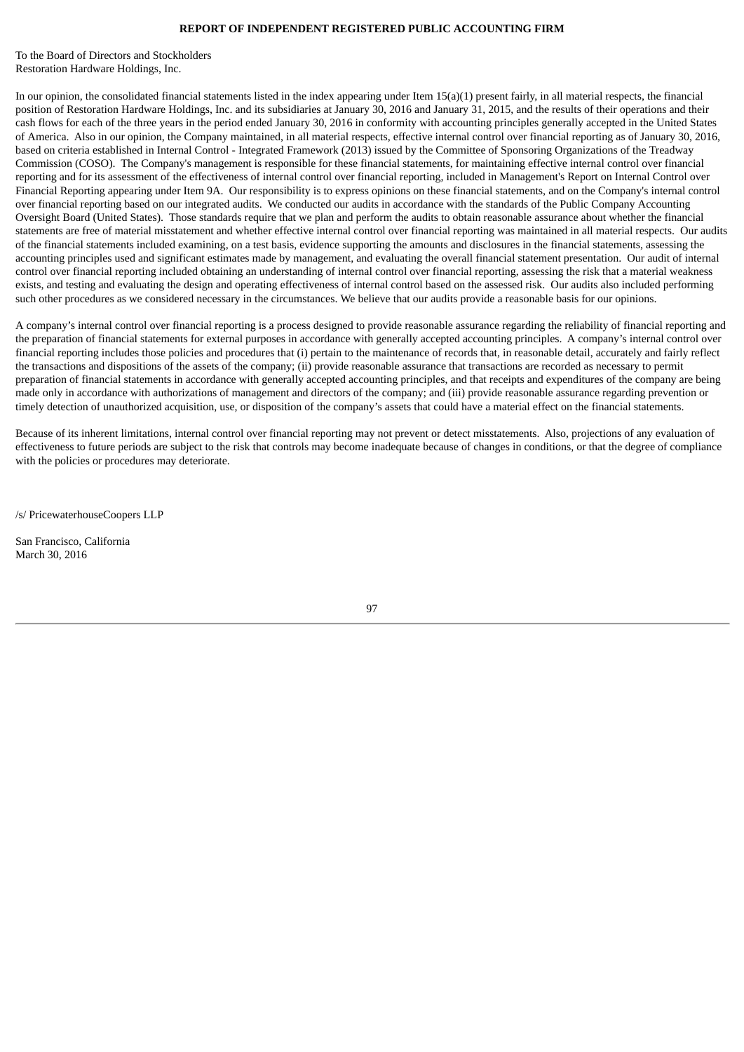# **REPORT OF INDEPENDENT REGISTERED PUBLIC ACCOUNTING FIRM**

To the Board of Directors and Stockholders Restoration Hardware Holdings, Inc.

In our opinion, the consolidated financial statements listed in the index appearing under Item 15(a)(1) present fairly, in all material respects, the financial position of Restoration Hardware Holdings, Inc. and its subsidiaries at January 30, 2016 and January 31, 2015, and the results of their operations and their cash flows for each of the three years in the period ended January 30, 2016 in conformity with accounting principles generally accepted in the United States of America. Also in our opinion, the Company maintained, in all material respects, effective internal control over financial reporting as of January 30, 2016, based on criteria established in Internal Control - Integrated Framework (2013) issued by the Committee of Sponsoring Organizations of the Treadway Commission (COSO). The Company's management is responsible for these financial statements, for maintaining effective internal control over financial reporting and for its assessment of the effectiveness of internal control over financial reporting, included in Management's Report on Internal Control over Financial Reporting appearing under Item 9A. Our responsibility is to express opinions on these financial statements, and on the Company's internal control over financial reporting based on our integrated audits. We conducted our audits in accordance with the standards of the Public Company Accounting Oversight Board (United States). Those standards require that we plan and perform the audits to obtain reasonable assurance about whether the financial statements are free of material misstatement and whether effective internal control over financial reporting was maintained in all material respects. Our audits of the financial statements included examining, on a test basis, evidence supporting the amounts and disclosures in the financial statements, assessing the accounting principles used and significant estimates made by management, and evaluating the overall financial statement presentation. Our audit of internal control over financial reporting included obtaining an understanding of internal control over financial reporting, assessing the risk that a material weakness exists, and testing and evaluating the design and operating effectiveness of internal control based on the assessed risk. Our audits also included performing such other procedures as we considered necessary in the circumstances. We believe that our audits provide a reasonable basis for our opinions.

A company's internal control over financial reporting is a process designed to provide reasonable assurance regarding the reliability of financial reporting and the preparation of financial statements for external purposes in accordance with generally accepted accounting principles. A company's internal control over financial reporting includes those policies and procedures that (i) pertain to the maintenance of records that, in reasonable detail, accurately and fairly reflect the transactions and dispositions of the assets of the company; (ii) provide reasonable assurance that transactions are recorded as necessary to permit preparation of financial statements in accordance with generally accepted accounting principles, and that receipts and expenditures of the company are being made only in accordance with authorizations of management and directors of the company; and (iii) provide reasonable assurance regarding prevention or timely detection of unauthorized acquisition, use, or disposition of the company's assets that could have a material effect on the financial statements.

Because of its inherent limitations, internal control over financial reporting may not prevent or detect misstatements. Also, projections of any evaluation of effectiveness to future periods are subject to the risk that controls may become inadequate because of changes in conditions, or that the degree of compliance with the policies or procedures may deteriorate.

/s/ PricewaterhouseCoopers LLP

San Francisco, California March 30, 2016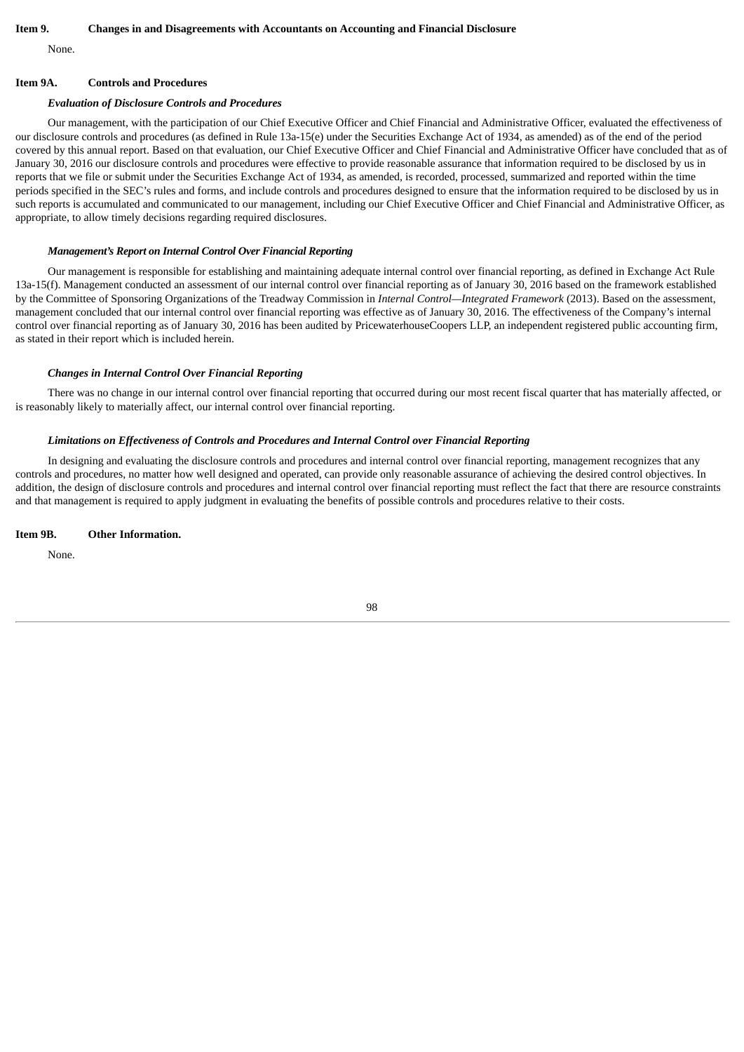None.

#### **Item 9A. Controls and Procedures**

# *Evaluation of Disclosure Controls and Procedures*

Our management, with the participation of our Chief Executive Officer and Chief Financial and Administrative Officer, evaluated the effectiveness of our disclosure controls and procedures (as defined in Rule 13a-15(e) under the Securities Exchange Act of 1934, as amended) as of the end of the period covered by this annual report. Based on that evaluation, our Chief Executive Officer and Chief Financial and Administrative Officer have concluded that as of January 30, 2016 our disclosure controls and procedures were effective to provide reasonable assurance that information required to be disclosed by us in reports that we file or submit under the Securities Exchange Act of 1934, as amended, is recorded, processed, summarized and reported within the time periods specified in the SEC's rules and forms, and include controls and procedures designed to ensure that the information required to be disclosed by us in such reports is accumulated and communicated to our management, including our Chief Executive Officer and Chief Financial and Administrative Officer, as appropriate, to allow timely decisions regarding required disclosures.

#### *Management's Report on Internal Control Over Financial Reporting*

Our management is responsible for establishing and maintaining adequate internal control over financial reporting, as defined in Exchange Act Rule 13a-15(f). Management conducted an assessment of our internal control over financial reporting as of January 30, 2016 based on the framework established by the Committee of Sponsoring Organizations of the Treadway Commission in *Internal Control—Integrated Framework* (2013). Based on the assessment, management concluded that our internal control over financial reporting was effective as of January 30, 2016. The effectiveness of the Company's internal control over financial reporting as of January 30, 2016 has been audited by PricewaterhouseCoopers LLP, an independent registered public accounting firm, as stated in their report which is included herein.

#### *Changes in Internal Control Over Financial Reporting*

There was no change in our internal control over financial reporting that occurred during our most recent fiscal quarter that has materially affected, or is reasonably likely to materially affect, our internal control over financial reporting.

#### *Limitations on Effectiveness of Controls and Procedures and Internal Control over Financial Reporting*

In designing and evaluating the disclosure controls and procedures and internal control over financial reporting, management recognizes that any controls and procedures, no matter how well designed and operated, can provide only reasonable assurance of achieving the desired control objectives. In addition, the design of disclosure controls and procedures and internal control over financial reporting must reflect the fact that there are resource constraints and that management is required to apply judgment in evaluating the benefits of possible controls and procedures relative to their costs.

# **Item 9B. Other Information.**

None.

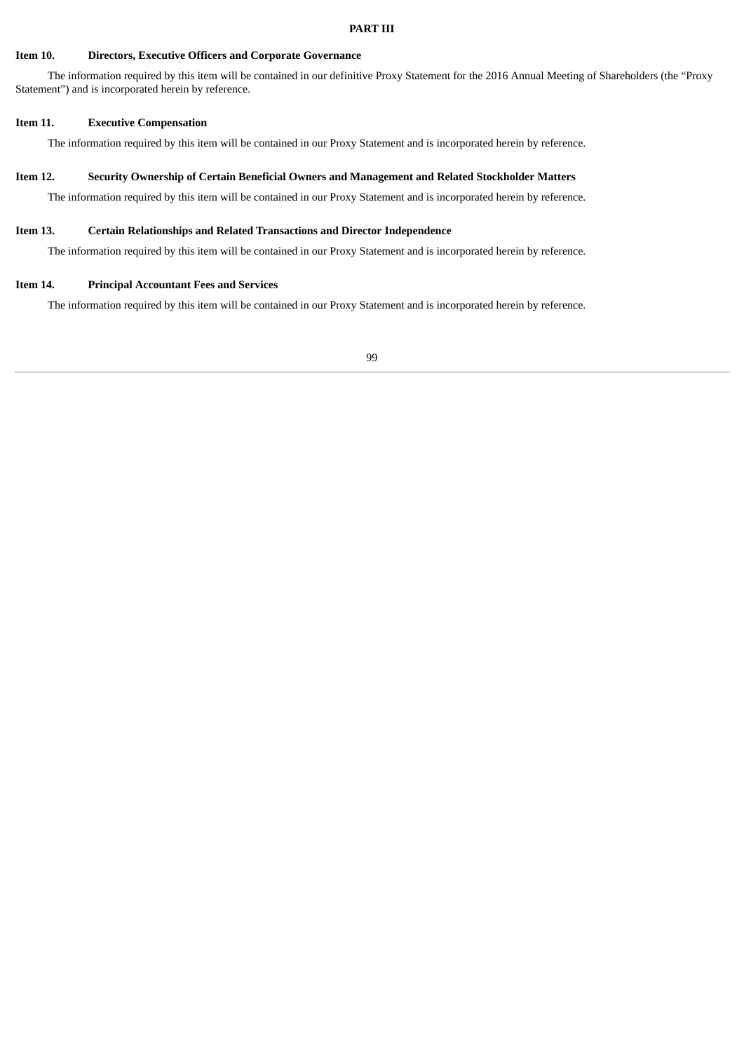#### **Item 10. Directors, Executive Officers and Corporate Governance**

The information required by this item will be contained in our definitive Proxy Statement for the 2016 Annual Meeting of Shareholders (the "Proxy Statement") and is incorporated herein by reference.

# **Item 11. Executive Compensation**

The information required by this item will be contained in our Proxy Statement and is incorporated herein by reference.

# **Item 12. Security Ownership of Certain Beneficial Owners and Management and Related Stockholder Matters**

The information required by this item will be contained in our Proxy Statement and is incorporated herein by reference.

# **Item 13. Certain Relationships and Related Transactions and Director Independence**

The information required by this item will be contained in our Proxy Statement and is incorporated herein by reference.

# **Item 14. Principal Accountant Fees and Services**

The information required by this item will be contained in our Proxy Statement and is incorporated herein by reference.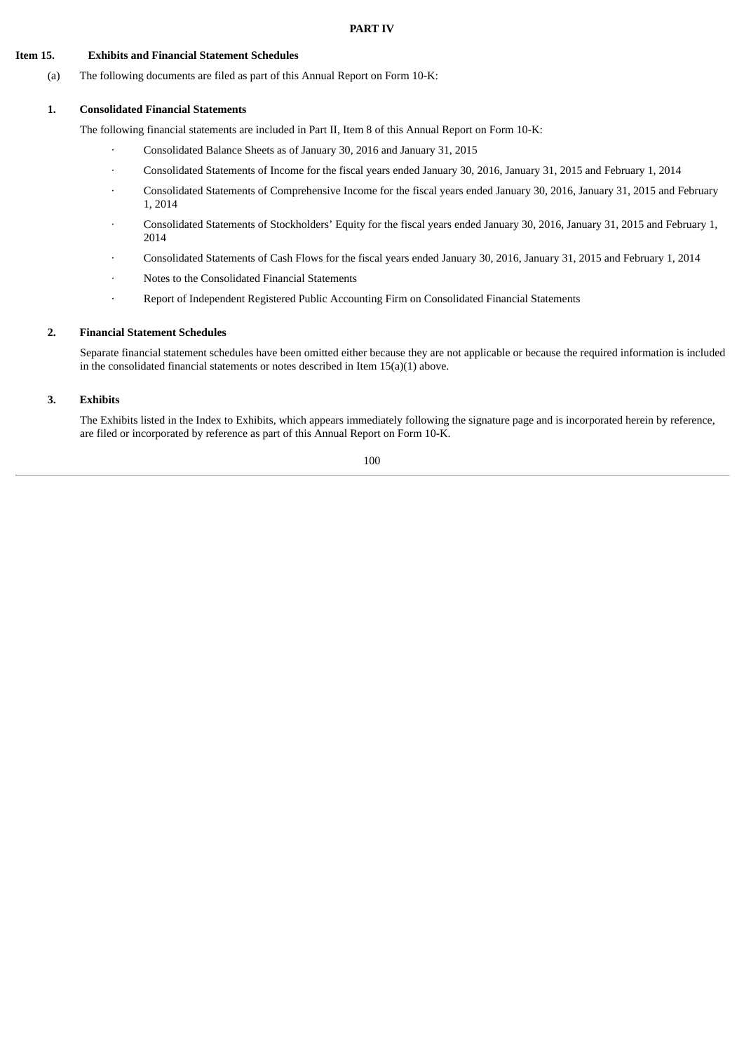#### **PART IV**

#### **Item 15. Exhibits and Financial Statement Schedules**

(a) The following documents are filed as part of this Annual Report on Form 10-K:

### **1. Consolidated Financial Statements**

The following financial statements are included in Part II, Item 8 of this Annual Report on Form 10-K:

- · Consolidated Balance Sheets as of January 30, 2016 and January 31, 2015
- · Consolidated Statements of Income for the fiscal years ended January 30, 2016, January 31, 2015 and February 1, 2014
- · Consolidated Statements of Comprehensive Income for the fiscal years ended January 30, 2016, January 31, 2015 and February 1, 2014
- · Consolidated Statements of Stockholders' Equity for the fiscal years ended January 30, 2016, January 31, 2015 and February 1, 2014
- · Consolidated Statements of Cash Flows for the fiscal years ended January 30, 2016, January 31, 2015 and February 1, 2014
- · Notes to the Consolidated Financial Statements
- · Report of Independent Registered Public Accounting Firm on Consolidated Financial Statements

#### **2. Financial Statement Schedules**

Separate financial statement schedules have been omitted either because they are not applicable or because the required information is included in the consolidated financial statements or notes described in Item 15(a)(1) above.

# **3. Exhibits**

The Exhibits listed in the Index to Exhibits, which appears immediately following the signature page and is incorporated herein by reference, are filed or incorporated by reference as part of this Annual Report on Form 10-K.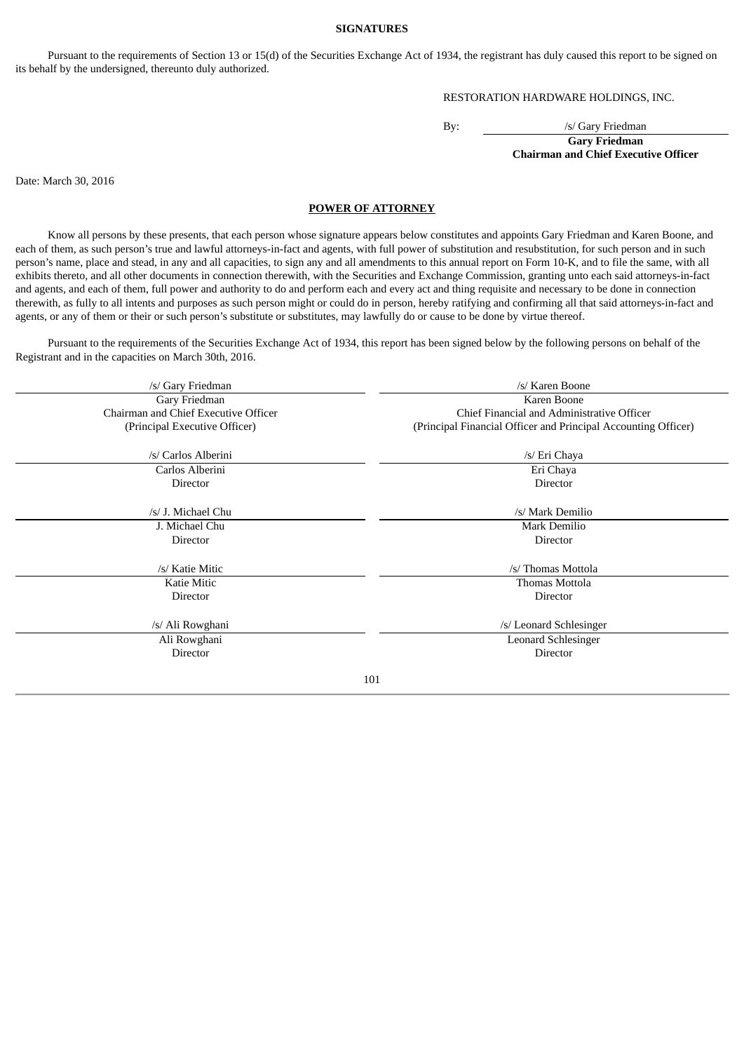### **SIGNATURES**

Pursuant to the requirements of Section 13 or 15(d) of the Securities Exchange Act of 1934, the registrant has duly caused this report to be signed on its behalf by the undersigned, thereunto duly authorized.

RESTORATION HARDWARE HOLDINGS, INC.

By: /s/ Gary Friedman

**Gary Friedman Chairman and Chief Executive Officer**

Date: March 30, 2016

# **POWER OF ATTORNEY**

Know all persons by these presents, that each person whose signature appears below constitutes and appoints Gary Friedman and Karen Boone, and each of them, as such person's true and lawful attorneys-in-fact and agents, with full power of substitution and resubstitution, for such person and in such person's name, place and stead, in any and all capacities, to sign any and all amendments to this annual report on Form 10-K, and to file the same, with all exhibits thereto, and all other documents in connection therewith, with the Securities and Exchange Commission, granting unto each said attorneys-in-fact and agents, and each of them, full power and authority to do and perform each and every act and thing requisite and necessary to be done in connection therewith, as fully to all intents and purposes as such person might or could do in person, hereby ratifying and confirming all that said attorneys-in-fact and agents, or any of them or their or such person's substitute or substitutes, may lawfully do or cause to be done by virtue thereof.

Pursuant to the requirements of the Securities Exchange Act of 1934, this report has been signed below by the following persons on behalf of the Registrant and in the capacities on March 30th, 2016.

| /s/ Gary Friedman                    | /s/ Karen Boone                                                |  |  |  |  |  |  |  |
|--------------------------------------|----------------------------------------------------------------|--|--|--|--|--|--|--|
| Gary Friedman                        | Karen Boone                                                    |  |  |  |  |  |  |  |
| Chairman and Chief Executive Officer | Chief Financial and Administrative Officer                     |  |  |  |  |  |  |  |
| (Principal Executive Officer)        | (Principal Financial Officer and Principal Accounting Officer) |  |  |  |  |  |  |  |
| /s/ Carlos Alberini                  | /s/ Eri Chaya                                                  |  |  |  |  |  |  |  |
| Carlos Alberini                      | Eri Chaya                                                      |  |  |  |  |  |  |  |
| Director                             | Director                                                       |  |  |  |  |  |  |  |
| /s/ J. Michael Chu                   | /s/ Mark Demilio                                               |  |  |  |  |  |  |  |
| J. Michael Chu                       | Mark Demilio                                                   |  |  |  |  |  |  |  |
| Director                             | Director                                                       |  |  |  |  |  |  |  |
| /s/ Katie Mitic                      | /s/ Thomas Mottola                                             |  |  |  |  |  |  |  |
| <b>Katie Mitic</b>                   | Thomas Mottola                                                 |  |  |  |  |  |  |  |
| Director                             | Director                                                       |  |  |  |  |  |  |  |
| /s/ Ali Rowghani                     | /s/ Leonard Schlesinger                                        |  |  |  |  |  |  |  |
| Ali Rowghani                         | Leonard Schlesinger                                            |  |  |  |  |  |  |  |
| Director                             | Director                                                       |  |  |  |  |  |  |  |
| 101                                  |                                                                |  |  |  |  |  |  |  |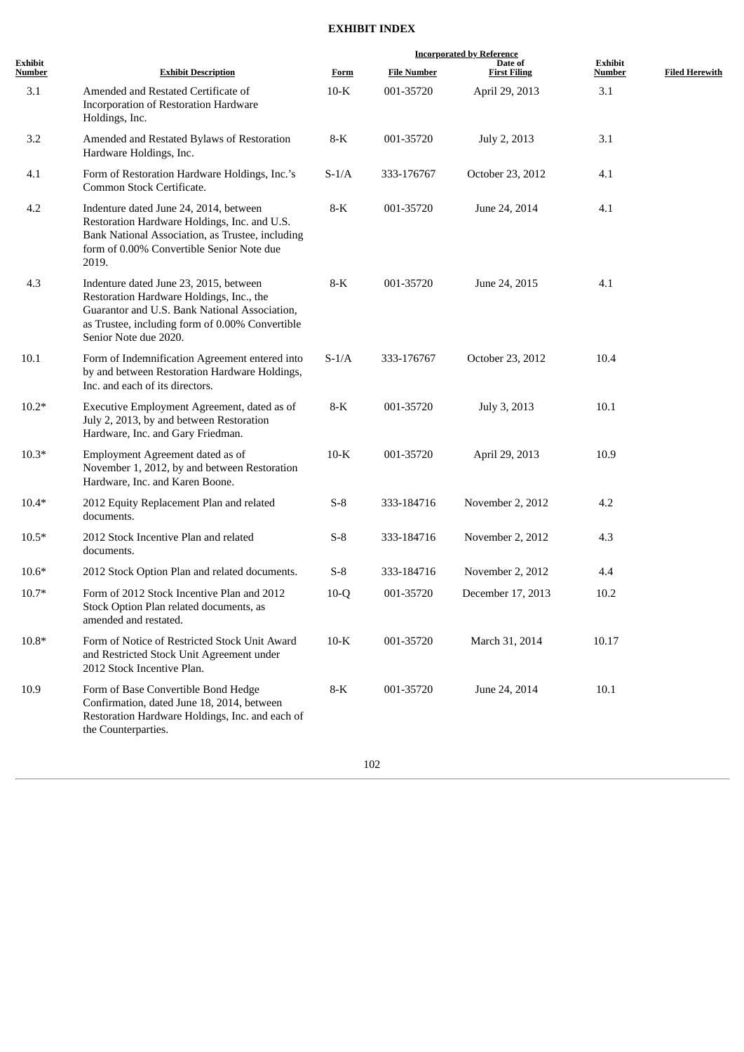# **EXHIBIT INDEX**

|                                 | <b>Incorporated by Reference</b>                                                                                                                                                                                |             |                    |                                |                          |                       |  |  |  |  |  |  |
|---------------------------------|-----------------------------------------------------------------------------------------------------------------------------------------------------------------------------------------------------------------|-------------|--------------------|--------------------------------|--------------------------|-----------------------|--|--|--|--|--|--|
| <b>Exhibit</b><br><b>Number</b> | <b>Exhibit Description</b>                                                                                                                                                                                      | <b>Form</b> | <b>File Number</b> | Date of<br><b>First Filing</b> | <b>Exhibit</b><br>Number | <b>Filed Herewith</b> |  |  |  |  |  |  |
| 3.1                             | Amended and Restated Certificate of<br>Incorporation of Restoration Hardware<br>Holdings, Inc.                                                                                                                  | $10-K$      | 001-35720          | April 29, 2013                 | 3.1                      |                       |  |  |  |  |  |  |
| 3.2                             | Amended and Restated Bylaws of Restoration<br>Hardware Holdings, Inc.                                                                                                                                           | $8-K$       | 001-35720          | July 2, 2013                   | 3.1                      |                       |  |  |  |  |  |  |
| 4.1                             | Form of Restoration Hardware Holdings, Inc.'s<br>Common Stock Certificate.                                                                                                                                      | $S-1/A$     | 333-176767         | October 23, 2012               | 4.1                      |                       |  |  |  |  |  |  |
| 4.2                             | Indenture dated June 24, 2014, between<br>Restoration Hardware Holdings, Inc. and U.S.<br>Bank National Association, as Trustee, including<br>form of 0.00% Convertible Senior Note due<br>2019.                | 8-K         | 001-35720          | June 24, 2014                  | 4.1                      |                       |  |  |  |  |  |  |
| 4.3                             | Indenture dated June 23, 2015, between<br>Restoration Hardware Holdings, Inc., the<br>Guarantor and U.S. Bank National Association,<br>as Trustee, including form of 0.00% Convertible<br>Senior Note due 2020. | 8-K         | 001-35720          | June 24, 2015                  | 4.1                      |                       |  |  |  |  |  |  |
| 10.1                            | Form of Indemnification Agreement entered into<br>by and between Restoration Hardware Holdings,<br>Inc. and each of its directors.                                                                              | $S-1/A$     | 333-176767         | October 23, 2012               | 10.4                     |                       |  |  |  |  |  |  |
| $10.2*$                         | Executive Employment Agreement, dated as of<br>July 2, 2013, by and between Restoration<br>Hardware, Inc. and Gary Friedman.                                                                                    | $8-K$       | 001-35720          | July 3, 2013                   | 10.1                     |                       |  |  |  |  |  |  |
| $10.3*$                         | Employment Agreement dated as of<br>November 1, 2012, by and between Restoration<br>Hardware, Inc. and Karen Boone.                                                                                             | $10-K$      | 001-35720          | April 29, 2013                 | 10.9                     |                       |  |  |  |  |  |  |
| $10.4*$                         | 2012 Equity Replacement Plan and related<br>documents.                                                                                                                                                          | $S-8$       | 333-184716         | November 2, 2012               | 4.2                      |                       |  |  |  |  |  |  |
| $10.5*$                         | 2012 Stock Incentive Plan and related<br>documents.                                                                                                                                                             | $S-8$       | 333-184716         | November 2, 2012               | 4.3                      |                       |  |  |  |  |  |  |
| $10.6*$                         | 2012 Stock Option Plan and related documents.                                                                                                                                                                   | $S-8$       | 333-184716         | November 2, 2012               | 4.4                      |                       |  |  |  |  |  |  |
| $10.7*$                         | Form of 2012 Stock Incentive Plan and 2012<br>Stock Option Plan related documents, as<br>amended and restated.                                                                                                  | $10-Q$      | 001-35720          | December 17, 2013              | 10.2                     |                       |  |  |  |  |  |  |
| $10.8*$                         | Form of Notice of Restricted Stock Unit Award<br>and Restricted Stock Unit Agreement under<br>2012 Stock Incentive Plan.                                                                                        | $10-K$      | 001-35720          | March 31, 2014                 | 10.17                    |                       |  |  |  |  |  |  |
| 10.9                            | Form of Base Convertible Bond Hedge<br>Confirmation, dated June 18, 2014, between<br>Restoration Hardware Holdings, Inc. and each of<br>the Counterparties.                                                     | 8-K         | 001-35720          | June 24, 2014                  | 10.1                     |                       |  |  |  |  |  |  |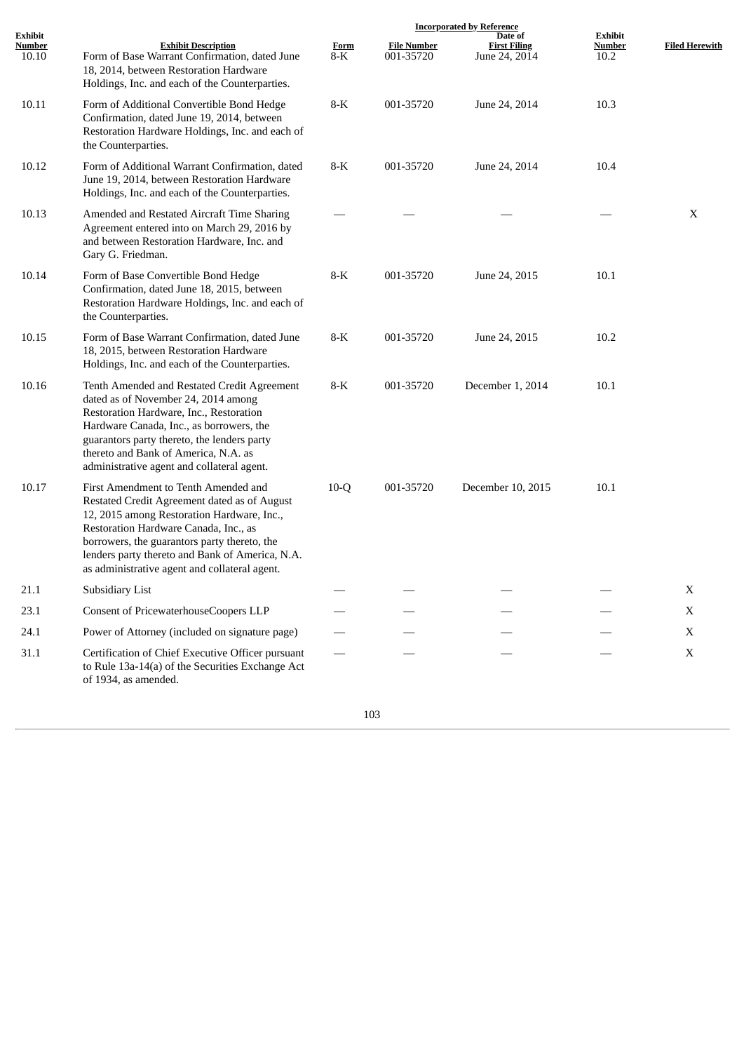|                                   |                                                                                                                                                                                                                                                                                                                                 | <b>Incorporated by Reference</b> |                                 |                                                 |                                  |                       |  |  |  |  |  |
|-----------------------------------|---------------------------------------------------------------------------------------------------------------------------------------------------------------------------------------------------------------------------------------------------------------------------------------------------------------------------------|----------------------------------|---------------------------------|-------------------------------------------------|----------------------------------|-----------------------|--|--|--|--|--|
| Exhibit<br><b>Number</b><br>10.10 | <b>Exhibit Description</b><br>Form of Base Warrant Confirmation, dated June<br>18, 2014, between Restoration Hardware<br>Holdings, Inc. and each of the Counterparties.                                                                                                                                                         | <b>Form</b><br>8-K               | <b>File Number</b><br>001-35720 | Date of<br><b>First Filing</b><br>June 24, 2014 | Exhibit<br><u>Number</u><br>10.2 | <b>Filed Herewith</b> |  |  |  |  |  |
| 10.11                             | Form of Additional Convertible Bond Hedge<br>Confirmation, dated June 19, 2014, between<br>Restoration Hardware Holdings, Inc. and each of<br>the Counterparties.                                                                                                                                                               | 8-K                              | 001-35720                       | June 24, 2014                                   | 10.3                             |                       |  |  |  |  |  |
| 10.12                             | Form of Additional Warrant Confirmation, dated<br>June 19, 2014, between Restoration Hardware<br>Holdings, Inc. and each of the Counterparties.                                                                                                                                                                                 | $8-K$                            | 001-35720                       | June 24, 2014                                   | 10.4                             |                       |  |  |  |  |  |
| 10.13                             | Amended and Restated Aircraft Time Sharing<br>Agreement entered into on March 29, 2016 by<br>and between Restoration Hardware, Inc. and<br>Gary G. Friedman.                                                                                                                                                                    |                                  |                                 |                                                 |                                  | X                     |  |  |  |  |  |
| 10.14                             | Form of Base Convertible Bond Hedge<br>Confirmation, dated June 18, 2015, between<br>Restoration Hardware Holdings, Inc. and each of<br>the Counterparties.                                                                                                                                                                     | $8-K$                            | 001-35720                       | June 24, 2015                                   | 10.1                             |                       |  |  |  |  |  |
| 10.15                             | Form of Base Warrant Confirmation, dated June<br>18, 2015, between Restoration Hardware<br>Holdings, Inc. and each of the Counterparties.                                                                                                                                                                                       | 8-K                              | 001-35720                       | June 24, 2015                                   | 10.2                             |                       |  |  |  |  |  |
| 10.16                             | Tenth Amended and Restated Credit Agreement<br>dated as of November 24, 2014 among<br>Restoration Hardware, Inc., Restoration<br>Hardware Canada, Inc., as borrowers, the<br>guarantors party thereto, the lenders party<br>thereto and Bank of America, N.A. as<br>administrative agent and collateral agent.                  | 8-K                              | 001-35720                       | December 1, 2014                                | 10.1                             |                       |  |  |  |  |  |
| 10.17                             | First Amendment to Tenth Amended and<br>Restated Credit Agreement dated as of August<br>12, 2015 among Restoration Hardware, Inc.,<br>Restoration Hardware Canada, Inc., as<br>borrowers, the guarantors party thereto, the<br>lenders party thereto and Bank of America, N.A.<br>as administrative agent and collateral agent. | $10-Q$                           | 001-35720                       | December 10, 2015                               | 10.1                             |                       |  |  |  |  |  |
| 21.1                              | Subsidiary List                                                                                                                                                                                                                                                                                                                 |                                  |                                 |                                                 |                                  | X                     |  |  |  |  |  |
| 23.1                              | Consent of PricewaterhouseCoopers LLP                                                                                                                                                                                                                                                                                           |                                  |                                 |                                                 |                                  | X                     |  |  |  |  |  |
| 24.1                              | Power of Attorney (included on signature page)                                                                                                                                                                                                                                                                                  |                                  |                                 |                                                 |                                  | X                     |  |  |  |  |  |
| 31.1                              | Certification of Chief Executive Officer pursuant<br>to Rule 13a-14(a) of the Securities Exchange Act<br>of 1934, as amended.                                                                                                                                                                                                   |                                  |                                 |                                                 |                                  | X                     |  |  |  |  |  |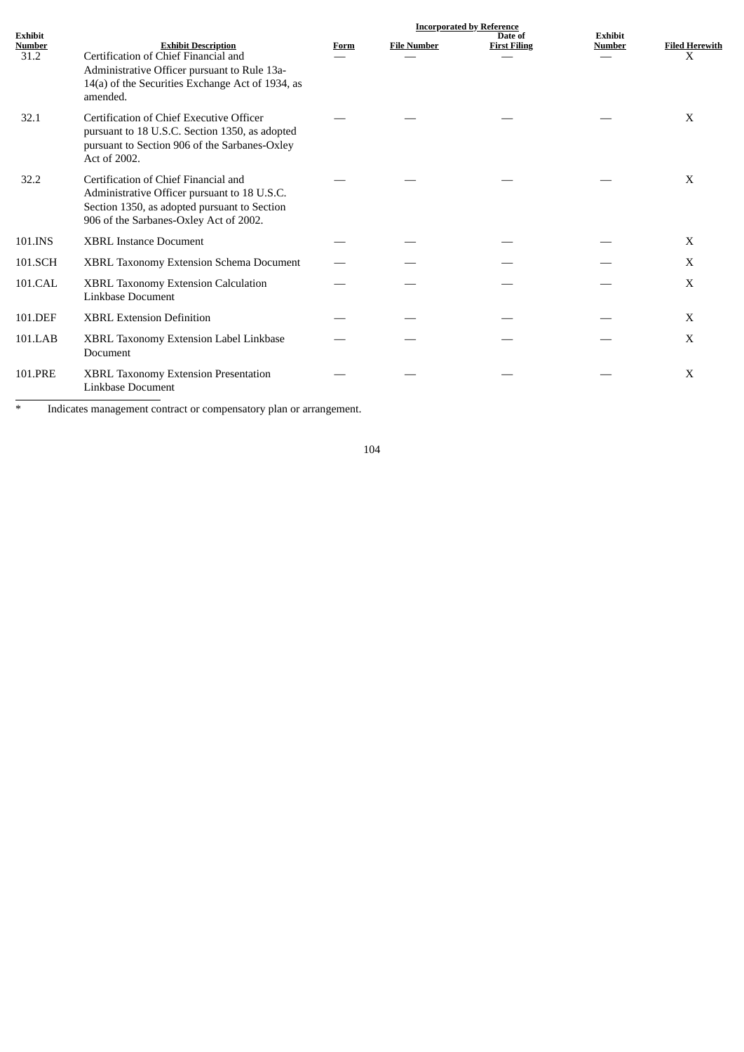|                                         |                                                                                                                                                                                    | <b>Incorporated by Reference</b> |                    |                                |                          |                            |
|-----------------------------------------|------------------------------------------------------------------------------------------------------------------------------------------------------------------------------------|----------------------------------|--------------------|--------------------------------|--------------------------|----------------------------|
| <b>Exhibit</b><br><b>Number</b><br>31.2 | <b>Exhibit Description</b><br>Certification of Chief Financial and<br>Administrative Officer pursuant to Rule 13a-<br>14(a) of the Securities Exchange Act of 1934, as<br>amended. | Form                             | <b>File Number</b> | Date of<br><b>First Filing</b> | <b>Exhibit</b><br>Number | <b>Filed Herewith</b><br>X |
| 32.1                                    | Certification of Chief Executive Officer<br>pursuant to 18 U.S.C. Section 1350, as adopted<br>pursuant to Section 906 of the Sarbanes-Oxley<br>Act of 2002.                        |                                  |                    |                                |                          | X                          |
| 32.2                                    | Certification of Chief Financial and<br>Administrative Officer pursuant to 18 U.S.C.<br>Section 1350, as adopted pursuant to Section<br>906 of the Sarbanes-Oxley Act of 2002.     |                                  |                    |                                |                          | X                          |
| 101.INS                                 | <b>XBRL Instance Document</b>                                                                                                                                                      |                                  |                    |                                |                          | X                          |
| 101.SCH                                 | XBRL Taxonomy Extension Schema Document                                                                                                                                            |                                  |                    |                                |                          | X                          |
| 101.CAL                                 | XBRL Taxonomy Extension Calculation<br>Linkbase Document                                                                                                                           |                                  |                    |                                |                          | X                          |
| 101.DEF                                 | <b>XBRL Extension Definition</b>                                                                                                                                                   |                                  |                    |                                |                          | X                          |
| 101.LAB                                 | XBRL Taxonomy Extension Label Linkbase<br>Document                                                                                                                                 |                                  |                    |                                |                          | X                          |
| 101.PRE                                 | XBRL Taxonomy Extension Presentation<br><b>Linkbase Document</b>                                                                                                                   |                                  |                    |                                |                          | X                          |

\* Indicates management contract or compensatory plan or arrangement.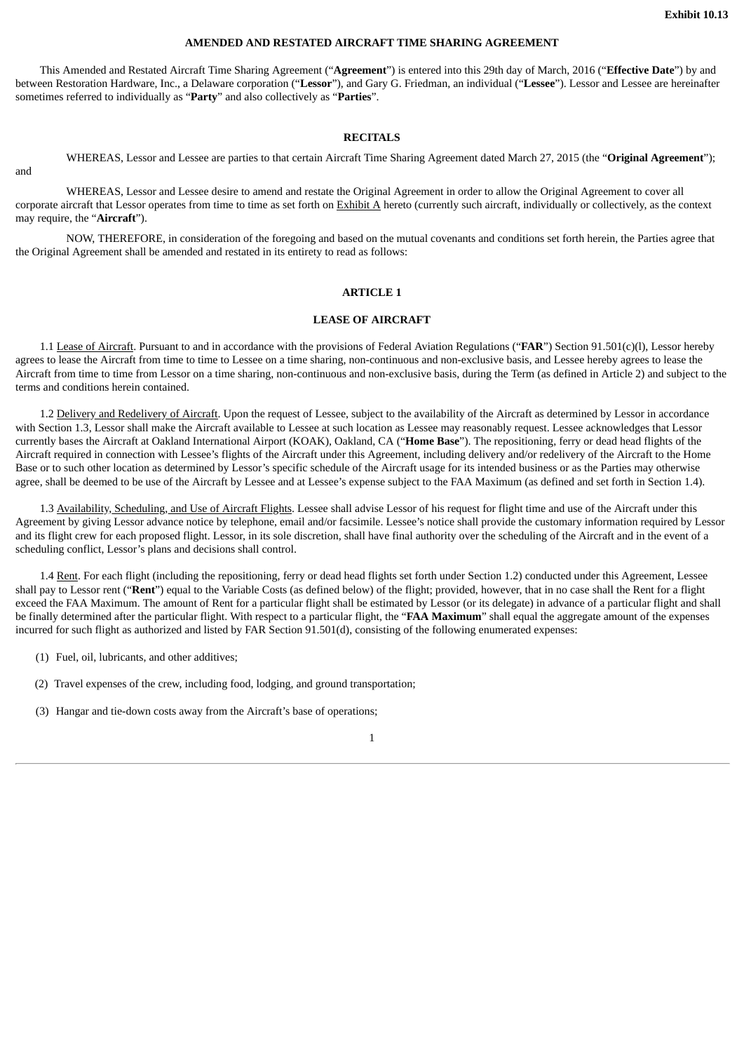#### **AMENDED AND RESTATED AIRCRAFT TIME SHARING AGREEMENT**

This Amended and Restated Aircraft Time Sharing Agreement ("**Agreement**") is entered into this 29th day of March, 2016 ("**Effective Date**") by and between Restoration Hardware, Inc., a Delaware corporation ("**Lessor**"), and Gary G. Friedman, an individual ("**Lessee**"). Lessor and Lessee are hereinafter sometimes referred to individually as "**Party**" and also collectively as "**Parties**".

# **RECITALS**

WHEREAS, Lessor and Lessee are parties to that certain Aircraft Time Sharing Agreement dated March 27, 2015 (the "**Original Agreement**");

and

WHEREAS, Lessor and Lessee desire to amend and restate the Original Agreement in order to allow the Original Agreement to cover all corporate aircraft that Lessor operates from time to time as set forth on  $Exhibit A$  hereto (currently such aircraft, individually or collectively, as the context may require, the "**Aircraft**").

NOW, THEREFORE, in consideration of the foregoing and based on the mutual covenants and conditions set forth herein, the Parties agree that the Original Agreement shall be amended and restated in its entirety to read as follows:

#### **ARTICLE 1**

### **LEASE OF AIRCRAFT**

1.1 Lease of Aircraft. Pursuant to and in accordance with the provisions of Federal Aviation Regulations ("**FAR**") Section 91.501(c)(l), Lessor hereby agrees to lease the Aircraft from time to time to Lessee on a time sharing, non-continuous and non-exclusive basis, and Lessee hereby agrees to lease the Aircraft from time to time from Lessor on a time sharing, non-continuous and non-exclusive basis, during the Term (as defined in Article 2) and subject to the terms and conditions herein contained.

1.2 Delivery and Redelivery of Aircraft. Upon the request of Lessee, subject to the availability of the Aircraft as determined by Lessor in accordance with Section 1.3, Lessor shall make the Aircraft available to Lessee at such location as Lessee may reasonably request. Lessee acknowledges that Lessor currently bases the Aircraft at Oakland International Airport (KOAK), Oakland, CA ("**Home Base**"). The repositioning, ferry or dead head flights of the Aircraft required in connection with Lessee's flights of the Aircraft under this Agreement, including delivery and/or redelivery of the Aircraft to the Home Base or to such other location as determined by Lessor's specific schedule of the Aircraft usage for its intended business or as the Parties may otherwise agree, shall be deemed to be use of the Aircraft by Lessee and at Lessee's expense subject to the FAA Maximum (as defined and set forth in Section 1.4).

1.3 Availability, Scheduling, and Use of Aircraft Flights. Lessee shall advise Lessor of his request for flight time and use of the Aircraft under this Agreement by giving Lessor advance notice by telephone, email and/or facsimile. Lessee's notice shall provide the customary information required by Lessor and its flight crew for each proposed flight. Lessor, in its sole discretion, shall have final authority over the scheduling of the Aircraft and in the event of a scheduling conflict, Lessor's plans and decisions shall control.

1.4 Rent. For each flight (including the repositioning, ferry or dead head flights set forth under Section 1.2) conducted under this Agreement, Lessee shall pay to Lessor rent ("**Rent**") equal to the Variable Costs (as defined below) of the flight; provided, however, that in no case shall the Rent for a flight exceed the FAA Maximum. The amount of Rent for a particular flight shall be estimated by Lessor (or its delegate) in advance of a particular flight and shall be finally determined after the particular flight. With respect to a particular flight, the "**FAA Maximum**" shall equal the aggregate amount of the expenses incurred for such flight as authorized and listed by FAR Section 91.501(d), consisting of the following enumerated expenses:

- (1) Fuel, oil, lubricants, and other additives;
- (2) Travel expenses of the crew, including food, lodging, and ground transportation;
- (3) Hangar and tie-down costs away from the Aircraft's base of operations;

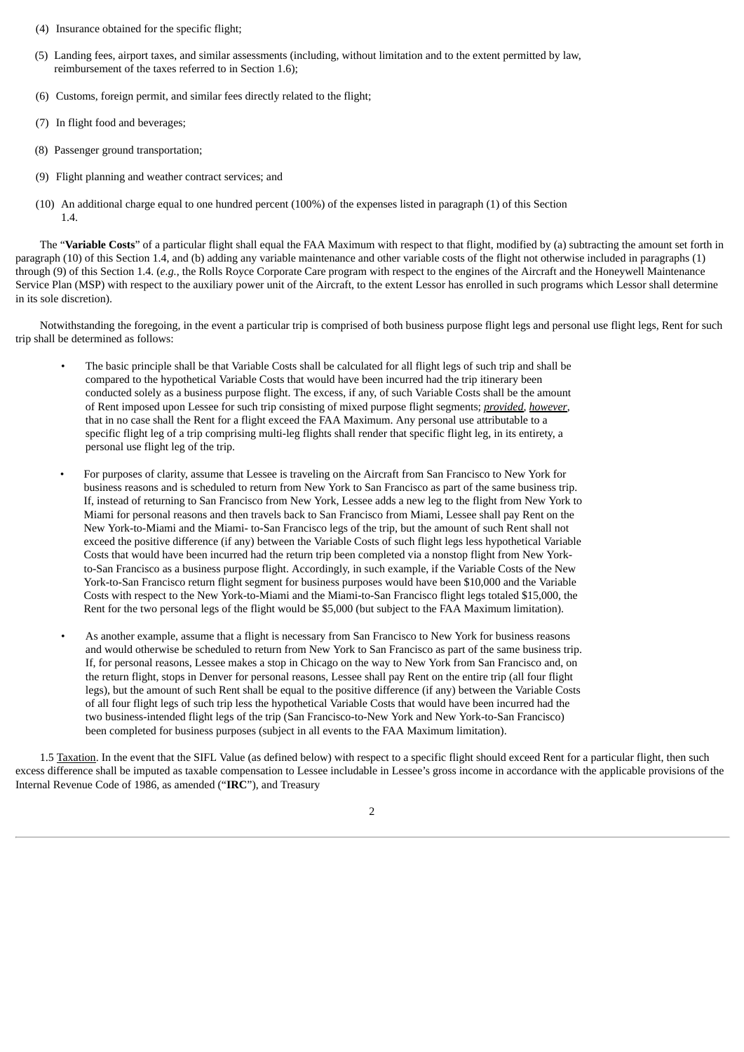- (4) Insurance obtained for the specific flight;
- (5) Landing fees, airport taxes, and similar assessments (including, without limitation and to the extent permitted by law, reimbursement of the taxes referred to in Section 1.6);
- (6) Customs, foreign permit, and similar fees directly related to the flight;
- (7) In flight food and beverages;
- (8) Passenger ground transportation;
- (9) Flight planning and weather contract services; and
- (10) An additional charge equal to one hundred percent (100%) of the expenses listed in paragraph (1) of this Section 1.4.

The "**Variable Costs**" of a particular flight shall equal the FAA Maximum with respect to that flight, modified by (a) subtracting the amount set forth in paragraph (10) of this Section 1.4, and (b) adding any variable maintenance and other variable costs of the flight not otherwise included in paragraphs (1) through (9) of this Section 1.4. (*e.g.*, the Rolls Royce Corporate Care program with respect to the engines of the Aircraft and the Honeywell Maintenance Service Plan (MSP) with respect to the auxiliary power unit of the Aircraft, to the extent Lessor has enrolled in such programs which Lessor shall determine in its sole discretion).

Notwithstanding the foregoing, in the event a particular trip is comprised of both business purpose flight legs and personal use flight legs, Rent for such trip shall be determined as follows:

- The basic principle shall be that Variable Costs shall be calculated for all flight legs of such trip and shall be compared to the hypothetical Variable Costs that would have been incurred had the trip itinerary been conducted solely as a business purpose flight. The excess, if any, of such Variable Costs shall be the amount of Rent imposed upon Lessee for such trip consisting of mixed purpose flight segments; *provided*, *however*, that in no case shall the Rent for a flight exceed the FAA Maximum. Any personal use attributable to a specific flight leg of a trip comprising multi-leg flights shall render that specific flight leg, in its entirety, a personal use flight leg of the trip.
- For purposes of clarity, assume that Lessee is traveling on the Aircraft from San Francisco to New York for business reasons and is scheduled to return from New York to San Francisco as part of the same business trip. If, instead of returning to San Francisco from New York, Lessee adds a new leg to the flight from New York to Miami for personal reasons and then travels back to San Francisco from Miami, Lessee shall pay Rent on the New York-to-Miami and the Miami- to-San Francisco legs of the trip, but the amount of such Rent shall not exceed the positive difference (if any) between the Variable Costs of such flight legs less hypothetical Variable Costs that would have been incurred had the return trip been completed via a nonstop flight from New Yorkto-San Francisco as a business purpose flight. Accordingly, in such example, if the Variable Costs of the New York-to-San Francisco return flight segment for business purposes would have been \$10,000 and the Variable Costs with respect to the New York-to-Miami and the Miami-to-San Francisco flight legs totaled \$15,000, the Rent for the two personal legs of the flight would be \$5,000 (but subject to the FAA Maximum limitation).
- As another example, assume that a flight is necessary from San Francisco to New York for business reasons and would otherwise be scheduled to return from New York to San Francisco as part of the same business trip. If, for personal reasons, Lessee makes a stop in Chicago on the way to New York from San Francisco and, on the return flight, stops in Denver for personal reasons, Lessee shall pay Rent on the entire trip (all four flight legs), but the amount of such Rent shall be equal to the positive difference (if any) between the Variable Costs of all four flight legs of such trip less the hypothetical Variable Costs that would have been incurred had the two business-intended flight legs of the trip (San Francisco-to-New York and New York-to-San Francisco) been completed for business purposes (subject in all events to the FAA Maximum limitation).

1.5 Taxation. In the event that the SIFL Value (as defined below) with respect to a specific flight should exceed Rent for a particular flight, then such excess difference shall be imputed as taxable compensation to Lessee includable in Lessee's gross income in accordance with the applicable provisions of the Internal Revenue Code of 1986, as amended ("**IRC**"), and Treasury

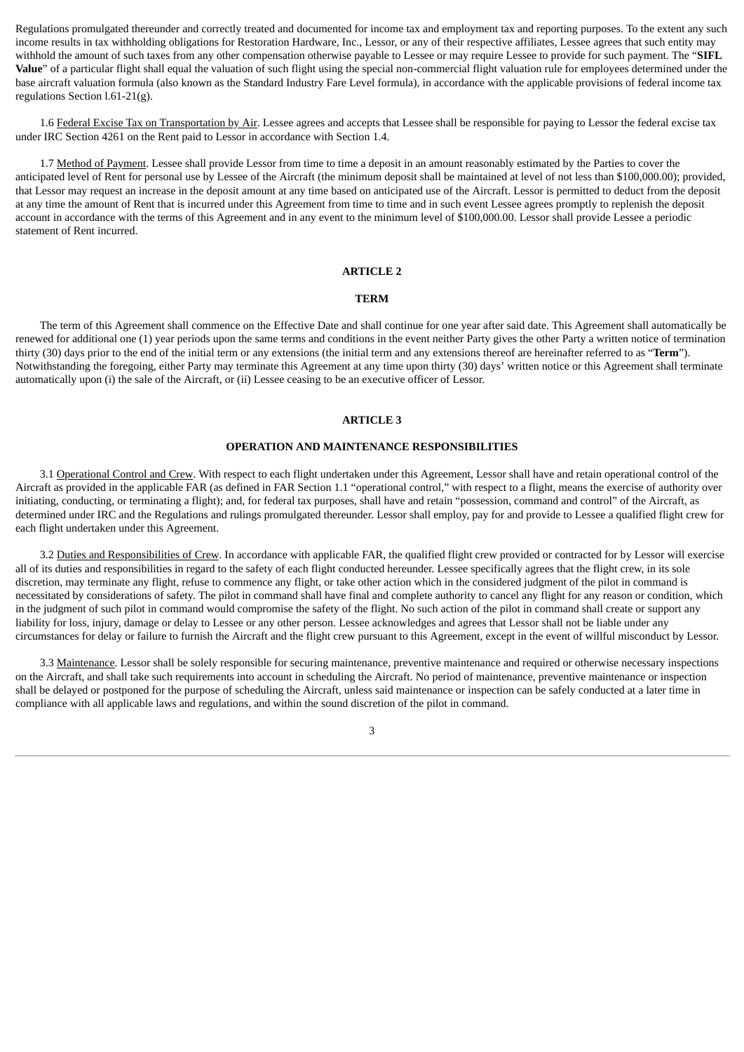Regulations promulgated thereunder and correctly treated and documented for income tax and employment tax and reporting purposes. To the extent any such income results in tax withholding obligations for Restoration Hardware, Inc., Lessor, or any of their respective affiliates, Lessee agrees that such entity may withhold the amount of such taxes from any other compensation otherwise payable to Lessee or may require Lessee to provide for such payment. The "**SIFL** Value" of a particular flight shall equal the valuation of such flight using the special non-commercial flight valuation rule for employees determined under the base aircraft valuation formula (also known as the Standard Industry Fare Level formula), in accordance with the applicable provisions of federal income tax regulations Section l.61-21(g).

1.6 Federal Excise Tax on Transportation by Air. Lessee agrees and accepts that Lessee shall be responsible for paying to Lessor the federal excise tax under IRC Section 4261 on the Rent paid to Lessor in accordance with Section 1.4.

1.7 Method of Payment. Lessee shall provide Lessor from time to time a deposit in an amount reasonably estimated by the Parties to cover the anticipated level of Rent for personal use by Lessee of the Aircraft (the minimum deposit shall be maintained at level of not less than \$100,000.00); provided, that Lessor may request an increase in the deposit amount at any time based on anticipated use of the Aircraft. Lessor is permitted to deduct from the deposit at any time the amount of Rent that is incurred under this Agreement from time to time and in such event Lessee agrees promptly to replenish the deposit account in accordance with the terms of this Agreement and in any event to the minimum level of \$100,000.00. Lessor shall provide Lessee a periodic statement of Rent incurred.

#### **ARTICLE 2**

#### **TERM**

The term of this Agreement shall commence on the Effective Date and shall continue for one year after said date. This Agreement shall automatically be renewed for additional one (1) year periods upon the same terms and conditions in the event neither Party gives the other Party a written notice of termination thirty (30) days prior to the end of the initial term or any extensions (the initial term and any extensions thereof are hereinafter referred to as "**Term**"). Notwithstanding the foregoing, either Party may terminate this Agreement at any time upon thirty (30) days' written notice or this Agreement shall terminate automatically upon (i) the sale of the Aircraft, or (ii) Lessee ceasing to be an executive officer of Lessor.

#### **ARTICLE 3**

#### **OPERATION AND MAINTENANCE RESPONSIBILITIES**

3.1 Operational Control and Crew. With respect to each flight undertaken under this Agreement, Lessor shall have and retain operational control of the Aircraft as provided in the applicable FAR (as defined in FAR Section 1.1 "operational control," with respect to a flight, means the exercise of authority over initiating, conducting, or terminating a flight); and, for federal tax purposes, shall have and retain "possession, command and control" of the Aircraft, as determined under IRC and the Regulations and rulings promulgated thereunder. Lessor shall employ, pay for and provide to Lessee a qualified flight crew for each flight undertaken under this Agreement.

3.2 Duties and Responsibilities of Crew. In accordance with applicable FAR, the qualified flight crew provided or contracted for by Lessor will exercise all of its duties and responsibilities in regard to the safety of each flight conducted hereunder. Lessee specifically agrees that the flight crew, in its sole discretion, may terminate any flight, refuse to commence any flight, or take other action which in the considered judgment of the pilot in command is necessitated by considerations of safety. The pilot in command shall have final and complete authority to cancel any flight for any reason or condition, which in the judgment of such pilot in command would compromise the safety of the flight. No such action of the pilot in command shall create or support any liability for loss, injury, damage or delay to Lessee or any other person. Lessee acknowledges and agrees that Lessor shall not be liable under any circumstances for delay or failure to furnish the Aircraft and the flight crew pursuant to this Agreement, except in the event of willful misconduct by Lessor.

3.3 Maintenance. Lessor shall be solely responsible for securing maintenance, preventive maintenance and required or otherwise necessary inspections on the Aircraft, and shall take such requirements into account in scheduling the Aircraft. No period of maintenance, preventive maintenance or inspection shall be delayed or postponed for the purpose of scheduling the Aircraft, unless said maintenance or inspection can be safely conducted at a later time in compliance with all applicable laws and regulations, and within the sound discretion of the pilot in command.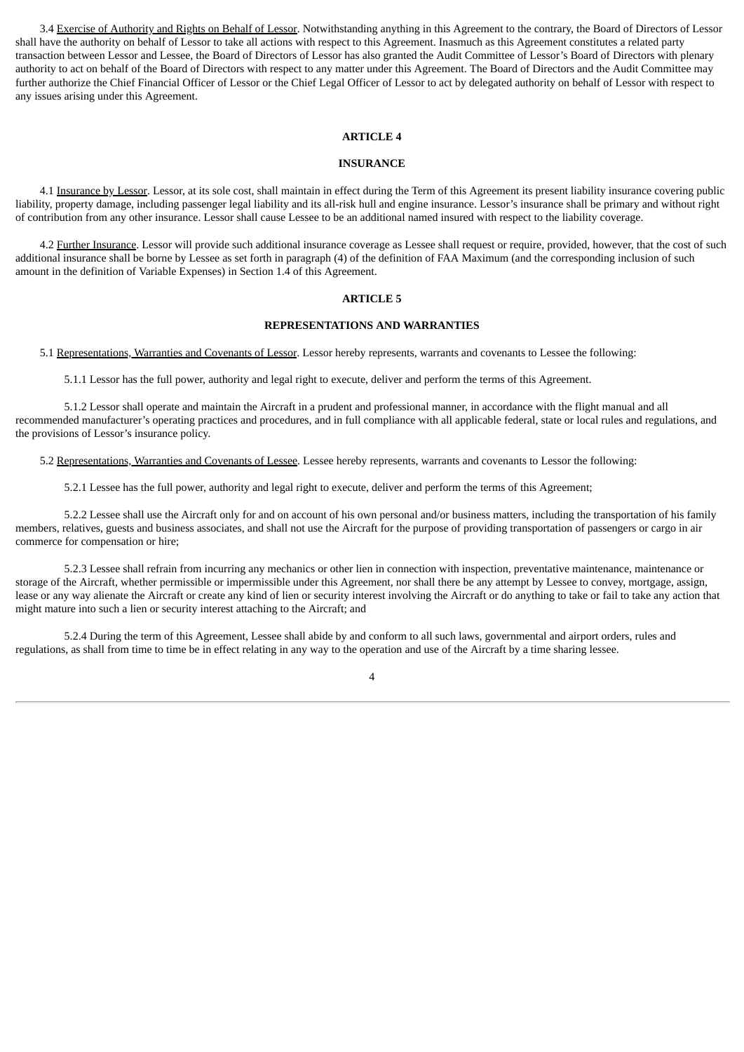3.4 Exercise of Authority and Rights on Behalf of Lessor. Notwithstanding anything in this Agreement to the contrary, the Board of Directors of Lessor shall have the authority on behalf of Lessor to take all actions with respect to this Agreement. Inasmuch as this Agreement constitutes a related party transaction between Lessor and Lessee, the Board of Directors of Lessor has also granted the Audit Committee of Lessor's Board of Directors with plenary authority to act on behalf of the Board of Directors with respect to any matter under this Agreement. The Board of Directors and the Audit Committee may further authorize the Chief Financial Officer of Lessor or the Chief Legal Officer of Lessor to act by delegated authority on behalf of Lessor with respect to any issues arising under this Agreement.

### **ARTICLE 4**

#### **INSURANCE**

4.1 Insurance by Lessor. Lessor, at its sole cost, shall maintain in effect during the Term of this Agreement its present liability insurance covering public liability, property damage, including passenger legal liability and its all-risk hull and engine insurance. Lessor's insurance shall be primary and without right of contribution from any other insurance. Lessor shall cause Lessee to be an additional named insured with respect to the liability coverage.

4.2 Further Insurance. Lessor will provide such additional insurance coverage as Lessee shall request or require, provided, however, that the cost of such additional insurance shall be borne by Lessee as set forth in paragraph (4) of the definition of FAA Maximum (and the corresponding inclusion of such amount in the definition of Variable Expenses) in Section 1.4 of this Agreement.

#### **ARTICLE 5**

#### **REPRESENTATIONS AND WARRANTIES**

5.1 Representations, Warranties and Covenants of Lessor. Lessor hereby represents, warrants and covenants to Lessee the following:

5.1.1 Lessor has the full power, authority and legal right to execute, deliver and perform the terms of this Agreement.

5.1.2 Lessor shall operate and maintain the Aircraft in a prudent and professional manner, in accordance with the flight manual and all recommended manufacturer's operating practices and procedures, and in full compliance with all applicable federal, state or local rules and regulations, and the provisions of Lessor's insurance policy.

5.2 Representations, Warranties and Covenants of Lessee. Lessee hereby represents, warrants and covenants to Lessor the following:

5.2.1 Lessee has the full power, authority and legal right to execute, deliver and perform the terms of this Agreement;

5.2.2 Lessee shall use the Aircraft only for and on account of his own personal and/or business matters, including the transportation of his family members, relatives, guests and business associates, and shall not use the Aircraft for the purpose of providing transportation of passengers or cargo in air commerce for compensation or hire;

5.2.3 Lessee shall refrain from incurring any mechanics or other lien in connection with inspection, preventative maintenance, maintenance or storage of the Aircraft, whether permissible or impermissible under this Agreement, nor shall there be any attempt by Lessee to convey, mortgage, assign, lease or any way alienate the Aircraft or create any kind of lien or security interest involving the Aircraft or do anything to take or fail to take any action that might mature into such a lien or security interest attaching to the Aircraft; and

5.2.4 During the term of this Agreement, Lessee shall abide by and conform to all such laws, governmental and airport orders, rules and regulations, as shall from time to time be in effect relating in any way to the operation and use of the Aircraft by a time sharing lessee.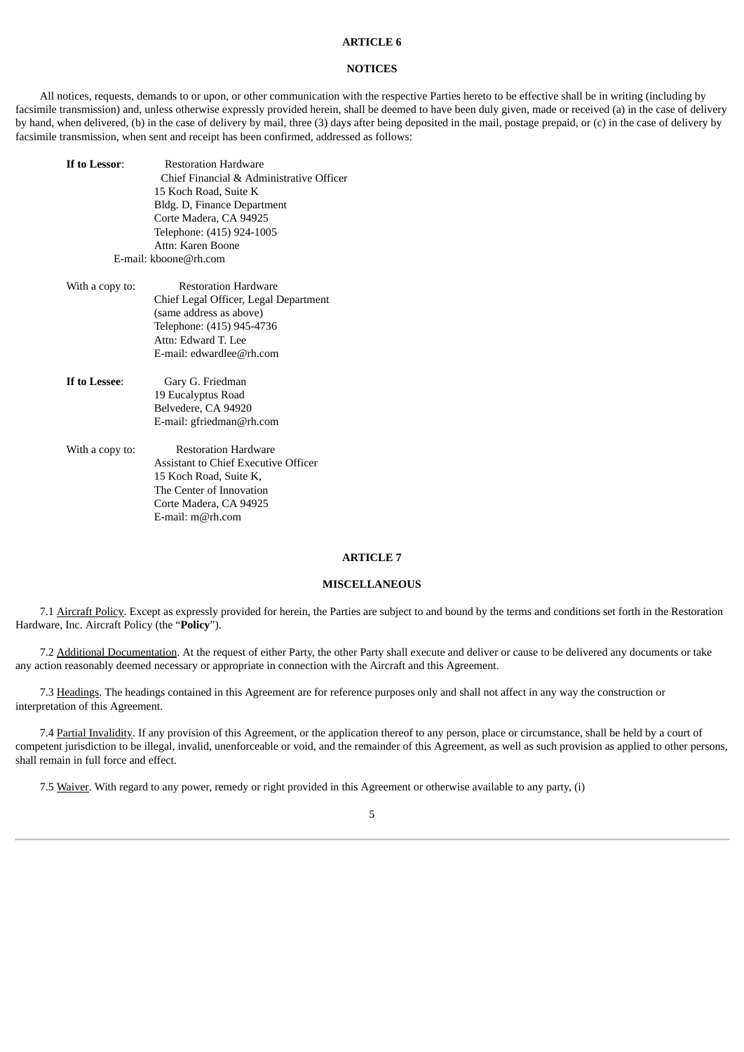# **ARTICLE 6**

#### **NOTICES**

All notices, requests, demands to or upon, or other communication with the respective Parties hereto to be effective shall be in writing (including by facsimile transmission) and, unless otherwise expressly provided herein, shall be deemed to have been duly given, made or received (a) in the case of delivery by hand, when delivered, (b) in the case of delivery by mail, three (3) days after being deposited in the mail, postage prepaid, or (c) in the case of delivery by facsimile transmission, when sent and receipt has been confirmed, addressed as follows:

- **If to Lessor**: Restoration Hardware Chief Financial & Administrative Officer 15 Koch Road, Suite K Bldg. D, Finance Department Corte Madera, CA 94925 Telephone: (415) 924-1005 Attn: Karen Boone E-mail: kboone@rh.com
- With a copy to: Restoration Hardware Chief Legal Officer, Legal Department (same address as above) Telephone: (415) 945-4736 Attn: Edward T. Lee E-mail: edwardlee@rh.com
- **If to Lessee**: Gary G. Friedman 19 Eucalyptus Road Belvedere, CA 94920 E-mail: gfriedman@rh.com
- With a copy to: Restoration Hardware Assistant to Chief Executive Officer 15 Koch Road, Suite K, The Center of Innovation Corte Madera, CA 94925 E-mail: m@rh.com

#### **ARTICLE 7**

### **MISCELLANEOUS**

7.1 Aircraft Policy. Except as expressly provided for herein, the Parties are subject to and bound by the terms and conditions set forth in the Restoration Hardware, Inc. Aircraft Policy (the "**Policy**").

7.2 Additional Documentation. At the request of either Party, the other Party shall execute and deliver or cause to be delivered any documents or take any action reasonably deemed necessary or appropriate in connection with the Aircraft and this Agreement.

7.3 Headings. The headings contained in this Agreement are for reference purposes only and shall not affect in any way the construction or interpretation of this Agreement.

7.4 Partial Invalidity. If any provision of this Agreement, or the application thereof to any person, place or circumstance, shall be held by a court of competent jurisdiction to be illegal, invalid, unenforceable or void, and the remainder of this Agreement, as well as such provision as applied to other persons, shall remain in full force and effect.

7.5 Waiver. With regard to any power, remedy or right provided in this Agreement or otherwise available to any party, (i)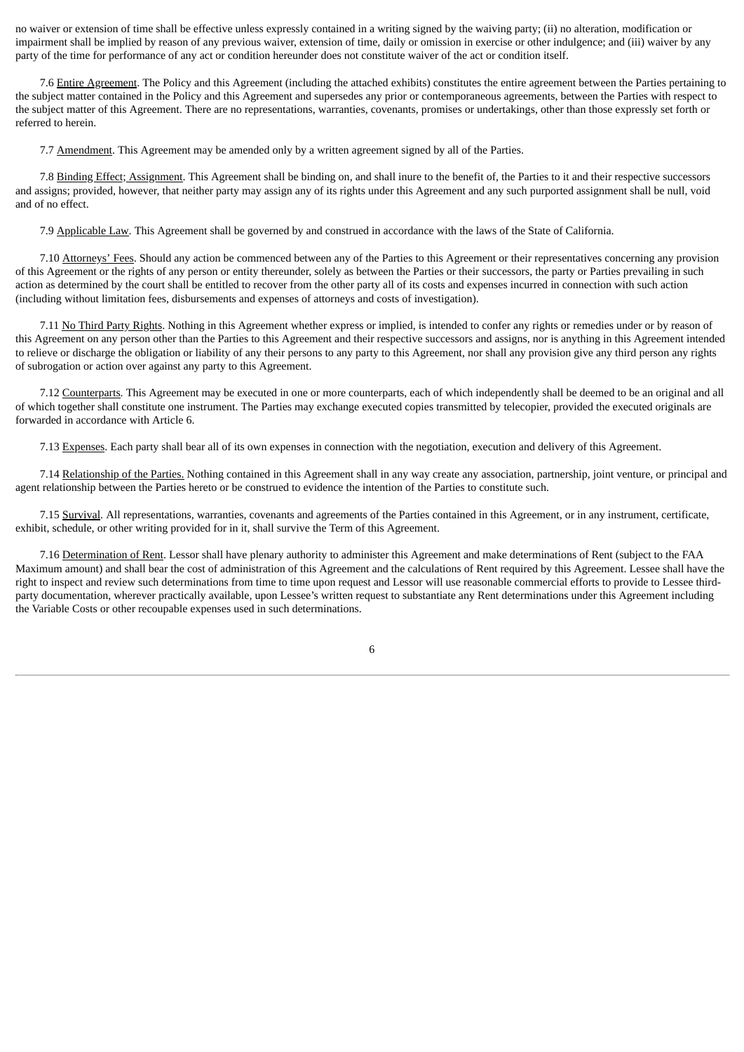no waiver or extension of time shall be effective unless expressly contained in a writing signed by the waiving party; (ii) no alteration, modification or impairment shall be implied by reason of any previous waiver, extension of time, daily or omission in exercise or other indulgence; and (iii) waiver by any party of the time for performance of any act or condition hereunder does not constitute waiver of the act or condition itself.

7.6 Entire Agreement. The Policy and this Agreement (including the attached exhibits) constitutes the entire agreement between the Parties pertaining to the subject matter contained in the Policy and this Agreement and supersedes any prior or contemporaneous agreements, between the Parties with respect to the subject matter of this Agreement. There are no representations, warranties, covenants, promises or undertakings, other than those expressly set forth or referred to herein.

7.7 Amendment. This Agreement may be amended only by a written agreement signed by all of the Parties.

7.8 Binding Effect; Assignment. This Agreement shall be binding on, and shall inure to the benefit of, the Parties to it and their respective successors and assigns; provided, however, that neither party may assign any of its rights under this Agreement and any such purported assignment shall be null, void and of no effect.

7.9 Applicable Law. This Agreement shall be governed by and construed in accordance with the laws of the State of California.

7.10 Attorneys' Fees. Should any action be commenced between any of the Parties to this Agreement or their representatives concerning any provision of this Agreement or the rights of any person or entity thereunder, solely as between the Parties or their successors, the party or Parties prevailing in such action as determined by the court shall be entitled to recover from the other party all of its costs and expenses incurred in connection with such action (including without limitation fees, disbursements and expenses of attorneys and costs of investigation).

7.11 No Third Party Rights. Nothing in this Agreement whether express or implied, is intended to confer any rights or remedies under or by reason of this Agreement on any person other than the Parties to this Agreement and their respective successors and assigns, nor is anything in this Agreement intended to relieve or discharge the obligation or liability of any their persons to any party to this Agreement, nor shall any provision give any third person any rights of subrogation or action over against any party to this Agreement.

7.12 Counterparts. This Agreement may be executed in one or more counterparts, each of which independently shall be deemed to be an original and all of which together shall constitute one instrument. The Parties may exchange executed copies transmitted by telecopier, provided the executed originals are forwarded in accordance with Article 6.

7.13 Expenses. Each party shall bear all of its own expenses in connection with the negotiation, execution and delivery of this Agreement.

7.14 Relationship of the Parties. Nothing contained in this Agreement shall in any way create any association, partnership, joint venture, or principal and agent relationship between the Parties hereto or be construed to evidence the intention of the Parties to constitute such.

7.15 Survival. All representations, warranties, covenants and agreements of the Parties contained in this Agreement, or in any instrument, certificate, exhibit, schedule, or other writing provided for in it, shall survive the Term of this Agreement.

7.16 Determination of Rent. Lessor shall have plenary authority to administer this Agreement and make determinations of Rent (subject to the FAA Maximum amount) and shall bear the cost of administration of this Agreement and the calculations of Rent required by this Agreement. Lessee shall have the right to inspect and review such determinations from time to time upon request and Lessor will use reasonable commercial efforts to provide to Lessee thirdparty documentation, wherever practically available, upon Lessee's written request to substantiate any Rent determinations under this Agreement including the Variable Costs or other recoupable expenses used in such determinations.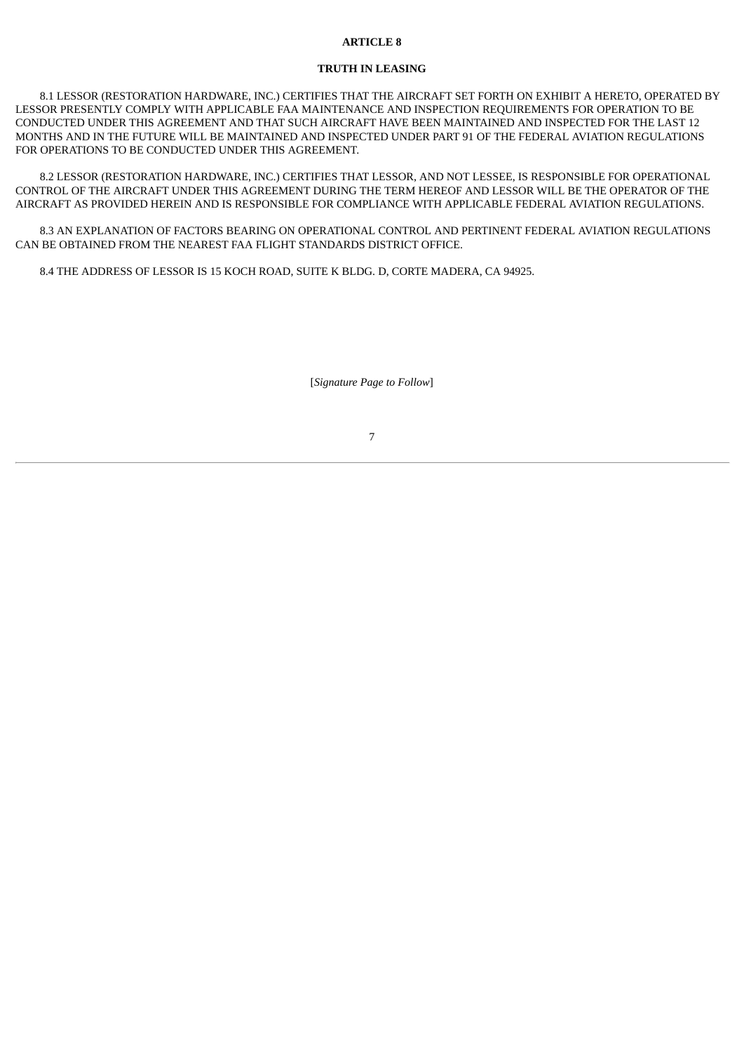# **ARTICLE 8**

## **TRUTH IN LEASING**

8.1 LESSOR (RESTORATION HARDWARE, INC.) CERTIFIES THAT THE AIRCRAFT SET FORTH ON EXHIBIT A HERETO, OPERATED BY LESSOR PRESENTLY COMPLY WITH APPLICABLE FAA MAINTENANCE AND INSPECTION REQUIREMENTS FOR OPERATION TO BE CONDUCTED UNDER THIS AGREEMENT AND THAT SUCH AIRCRAFT HAVE BEEN MAINTAINED AND INSPECTED FOR THE LAST 12 MONTHS AND IN THE FUTURE WILL BE MAINTAINED AND INSPECTED UNDER PART 91 OF THE FEDERAL AVIATION REGULATIONS FOR OPERATIONS TO BE CONDUCTED UNDER THIS AGREEMENT.

8.2 LESSOR (RESTORATION HARDWARE, INC.) CERTIFIES THAT LESSOR, AND NOT LESSEE, IS RESPONSIBLE FOR OPERATIONAL CONTROL OF THE AIRCRAFT UNDER THIS AGREEMENT DURING THE TERM HEREOF AND LESSOR WILL BE THE OPERATOR OF THE AIRCRAFT AS PROVIDED HEREIN AND IS RESPONSIBLE FOR COMPLIANCE WITH APPLICABLE FEDERAL AVIATION REGULATIONS.

8.3 AN EXPLANATION OF FACTORS BEARING ON OPERATIONAL CONTROL AND PERTINENT FEDERAL AVIATION REGULATIONS CAN BE OBTAINED FROM THE NEAREST FAA FLIGHT STANDARDS DISTRICT OFFICE.

8.4 THE ADDRESS OF LESSOR IS 15 KOCH ROAD, SUITE K BLDG. D, CORTE MADERA, CA 94925.

[*Signature Page to Follow*]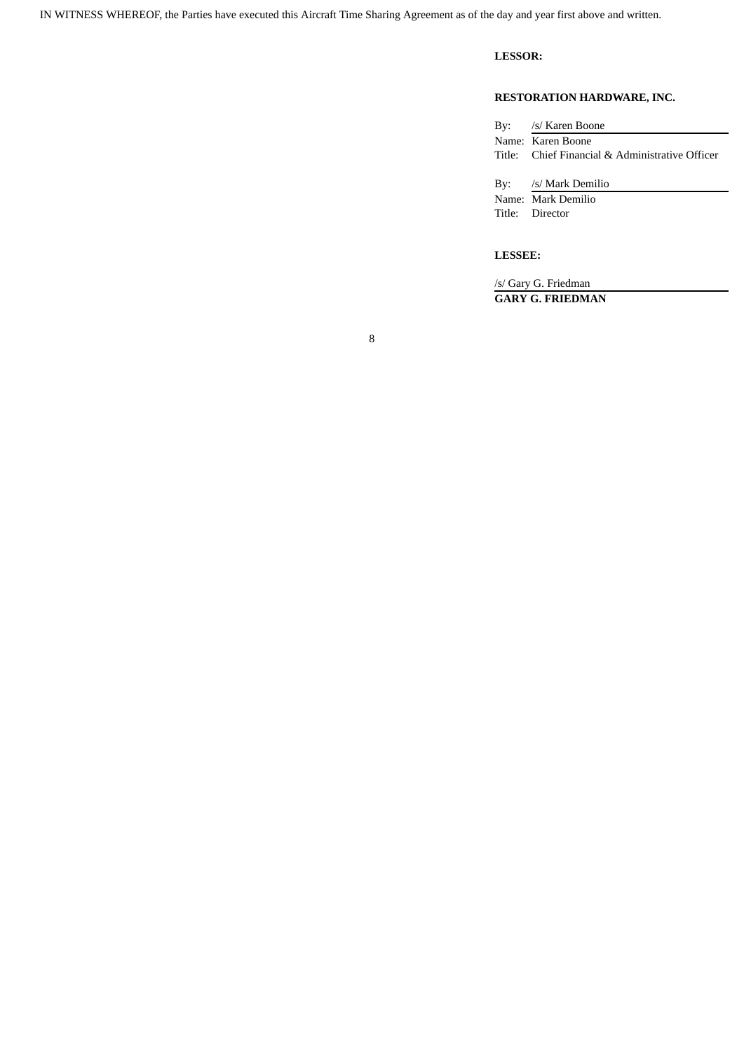IN WITNESS WHEREOF, the Parties have executed this Aircraft Time Sharing Agreement as of the day and year first above and written.

# **LESSOR:**

# **RESTORATION HARDWARE, INC.**

| By: /s/ Karen Boone                                 |
|-----------------------------------------------------|
| Name: Karen Boone                                   |
| Title:     Chief Financial & Administrative Officer |
|                                                     |
| By: /s/ Mark Demilio                                |
|                                                     |

Name: Mark Demilio Title: Director

**LESSEE:**

/s/ Gary G. Friedman **GARY G. FRIEDMAN**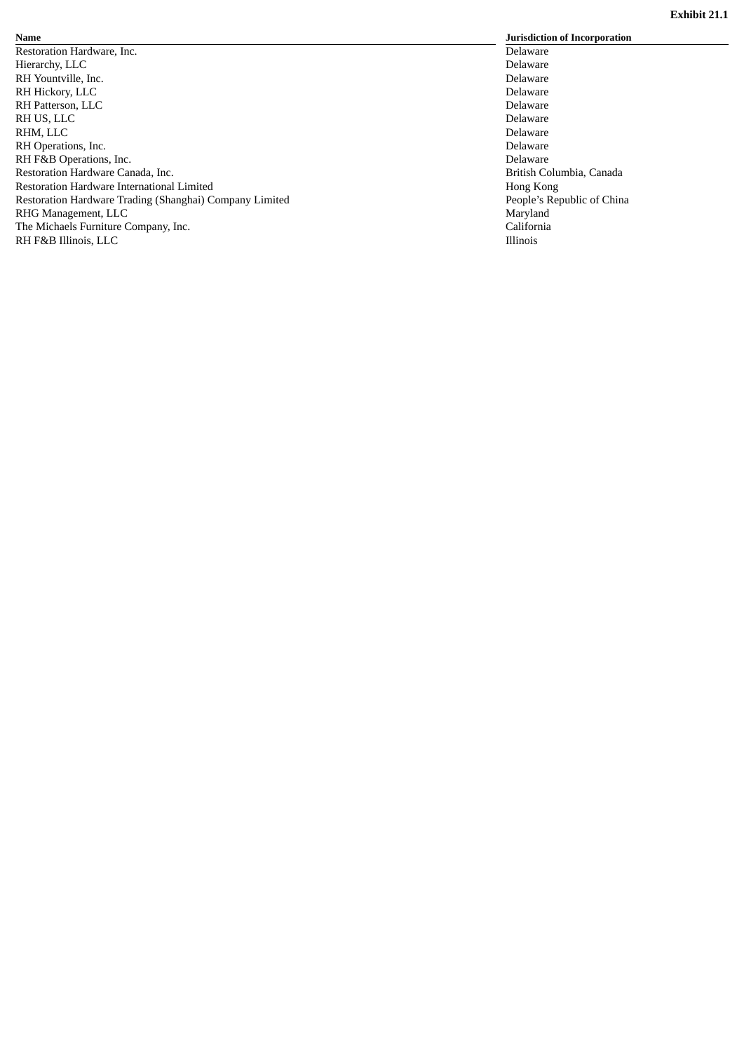Name Jurisdiction of Incorporation<br>Restoration Hardware, Inc. Delaware Delaware Delaware Delaware Delaware Delaware Delaware Delaware Delaware Delaware Delaware Delaware Delaware Delaware Delaware Delaware Delaware Delawar Restoration Hardware, Inc. **Executive Executive Constant Constant Constant Constant Constant Constant Constant Constant Constant Constant Constant Constant Constant Constant Constant Constant Constant Constant Constant Con** Hierarchy, LLC Delaware<br>RH Yountville, Inc. Delaware RH Yountville, Inc. Delaware (1999) and the set of the set of the set of the set of the Delaware (1999) and Delaware (1999) and Delaware (1999) and Delaware (1999) and Delaware (1999) and Delaware (1999) and Delaware (1999 RH Hickory, LLC RH Patterson, LLC Delaware RH US, LLC<br>RHM, LLC<br>Delaware RHM, LLC Delaware and the contract of the contract of the contract of the contract of the Delaware of the Delaware RH Operations, Inc. Delaware Contract Contract Contract Contract Contract Contract Contract Contract Contract Contract Contract Contract Contract Contract Contract Contract Contract Contract Contract Contract Contract Cont RH F&B Operations, Inc.<br>
Restoration Hardware Canada, Inc.<br>
2011 - Principle British Columbia, Canada Restoration Hardware Canada, Inc.<br>
Restoration Hardware International Limited<br>
Restoration Hardware International Limited<br>
Restoration Hardware International Limited Restoration Hardware International Limited<br>
Restoration Hardware Trading (Shanghai) Company Limited<br>
Restoration Hardware Trading (Shanghai) Company Limited<br>
Hong Kong People's Republic of China Restoration Hardware Trading (Shanghai) Company Limited RHG Management, LLC<br>
The Michaels Furniture Company, Inc.<br>
California The Michaels Furniture Company, Inc. California RH F&B Illinois, LLC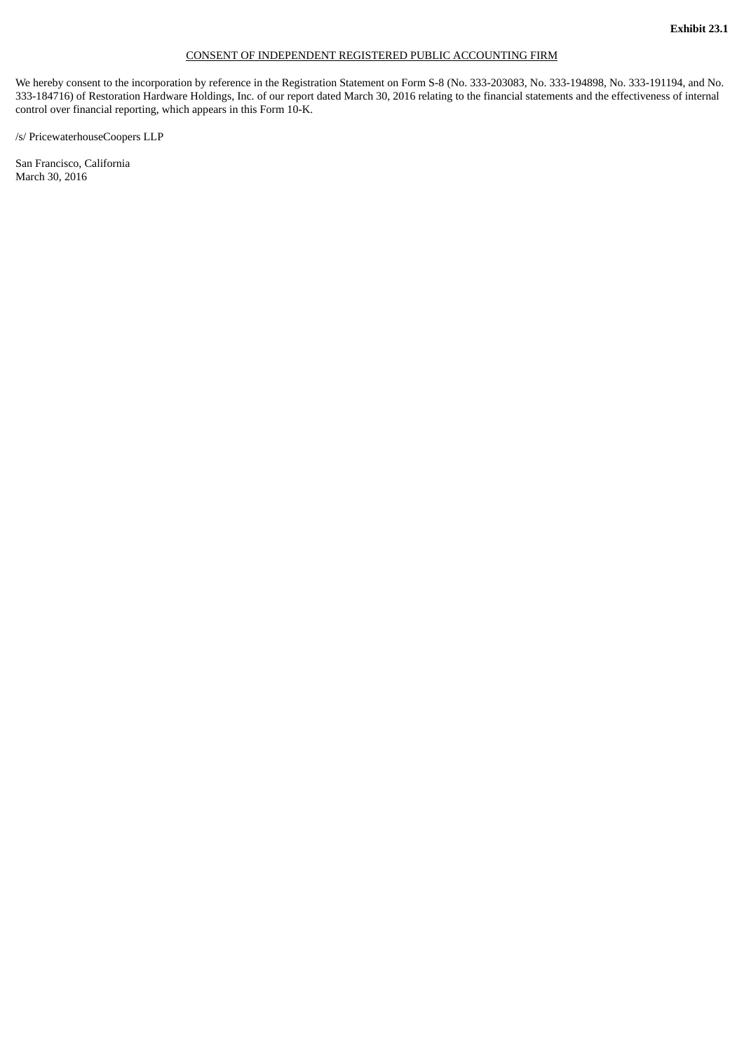## CONSENT OF INDEPENDENT REGISTERED PUBLIC ACCOUNTING FIRM

We hereby consent to the incorporation by reference in the Registration Statement on Form S‑8 (No. 333-203083, No. 333-194898, No. 333-191194, and No. 333-184716) of Restoration Hardware Holdings, Inc. of our report dated March 30, 2016 relating to the financial statements and the effectiveness of internal control over financial reporting, which appears in this Form 10‑K.

/s/ PricewaterhouseCoopers LLP

San Francisco, California March 30, 2016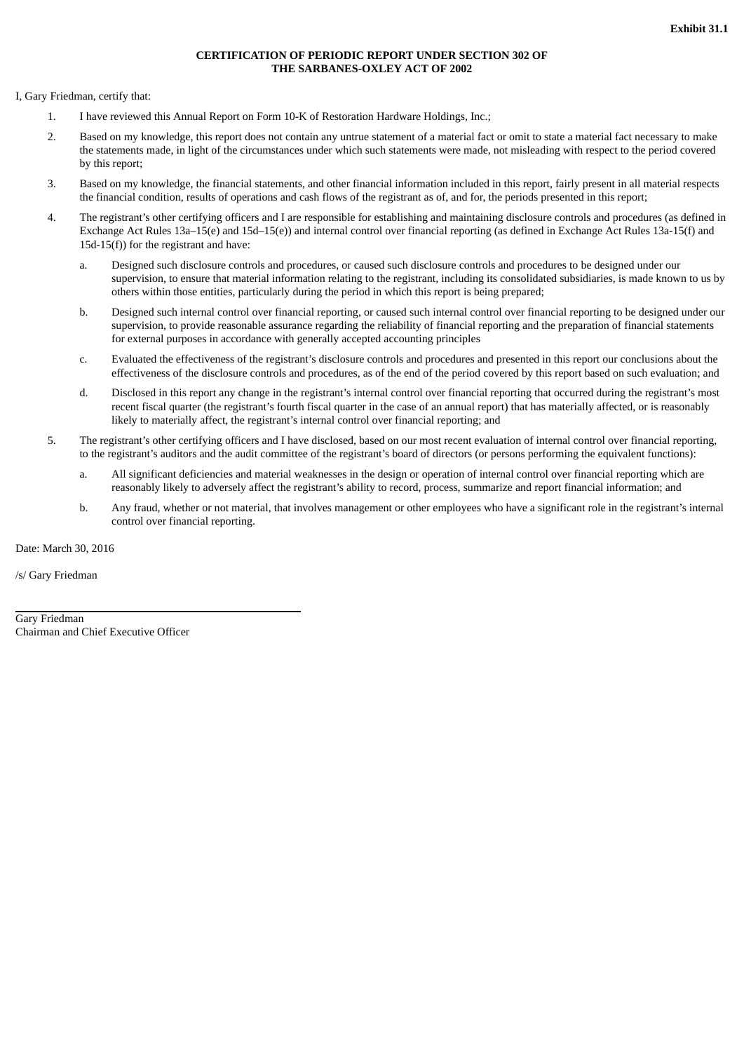# **CERTIFICATION OF PERIODIC REPORT UNDER SECTION 302 OF THE SARBANES-OXLEY ACT OF 2002**

I, Gary Friedman, certify that:

- 1. I have reviewed this Annual Report on Form 10-K of Restoration Hardware Holdings, Inc.;
- 2. Based on my knowledge, this report does not contain any untrue statement of a material fact or omit to state a material fact necessary to make the statements made, in light of the circumstances under which such statements were made, not misleading with respect to the period covered by this report;
- 3. Based on my knowledge, the financial statements, and other financial information included in this report, fairly present in all material respects the financial condition, results of operations and cash flows of the registrant as of, and for, the periods presented in this report;
- 4. The registrant's other certifying officers and I are responsible for establishing and maintaining disclosure controls and procedures (as defined in Exchange Act Rules 13a–15(e) and 15d–15(e)) and internal control over financial reporting (as defined in Exchange Act Rules 13a-15(f) and 15d-15(f)) for the registrant and have:
	- a. Designed such disclosure controls and procedures, or caused such disclosure controls and procedures to be designed under our supervision, to ensure that material information relating to the registrant, including its consolidated subsidiaries, is made known to us by others within those entities, particularly during the period in which this report is being prepared;
	- b. Designed such internal control over financial reporting, or caused such internal control over financial reporting to be designed under our supervision, to provide reasonable assurance regarding the reliability of financial reporting and the preparation of financial statements for external purposes in accordance with generally accepted accounting principles
	- c. Evaluated the effectiveness of the registrant's disclosure controls and procedures and presented in this report our conclusions about the effectiveness of the disclosure controls and procedures, as of the end of the period covered by this report based on such evaluation; and
	- d. Disclosed in this report any change in the registrant's internal control over financial reporting that occurred during the registrant's most recent fiscal quarter (the registrant's fourth fiscal quarter in the case of an annual report) that has materially affected, or is reasonably likely to materially affect, the registrant's internal control over financial reporting; and
- 5. The registrant's other certifying officers and I have disclosed, based on our most recent evaluation of internal control over financial reporting, to the registrant's auditors and the audit committee of the registrant's board of directors (or persons performing the equivalent functions):
	- a. All significant deficiencies and material weaknesses in the design or operation of internal control over financial reporting which are reasonably likely to adversely affect the registrant's ability to record, process, summarize and report financial information; and
	- b. Any fraud, whether or not material, that involves management or other employees who have a significant role in the registrant's internal control over financial reporting.

Date: March 30, 2016

/s/ Gary Friedman

Gary Friedman Chairman and Chief Executive Officer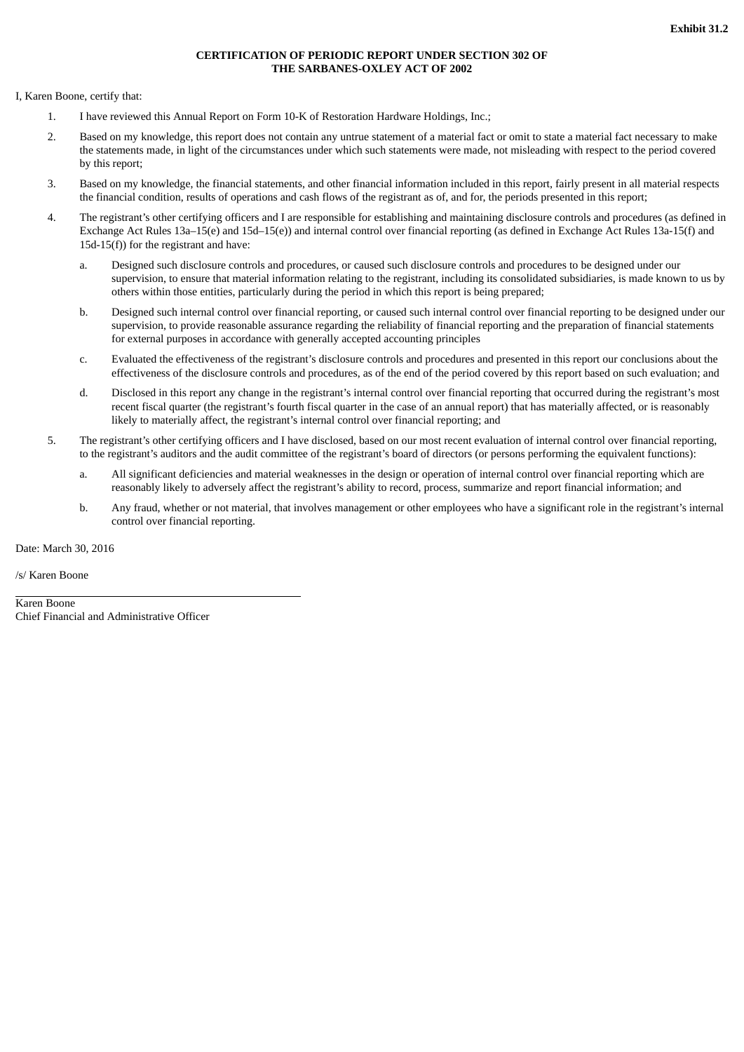# **CERTIFICATION OF PERIODIC REPORT UNDER SECTION 302 OF THE SARBANES-OXLEY ACT OF 2002**

I, Karen Boone, certify that:

- 1. I have reviewed this Annual Report on Form 10-K of Restoration Hardware Holdings, Inc.;
- 2. Based on my knowledge, this report does not contain any untrue statement of a material fact or omit to state a material fact necessary to make the statements made, in light of the circumstances under which such statements were made, not misleading with respect to the period covered by this report;
- 3. Based on my knowledge, the financial statements, and other financial information included in this report, fairly present in all material respects the financial condition, results of operations and cash flows of the registrant as of, and for, the periods presented in this report;
- 4. The registrant's other certifying officers and I are responsible for establishing and maintaining disclosure controls and procedures (as defined in Exchange Act Rules 13a–15(e) and 15d–15(e)) and internal control over financial reporting (as defined in Exchange Act Rules 13a-15(f) and 15d-15(f)) for the registrant and have:
	- a. Designed such disclosure controls and procedures, or caused such disclosure controls and procedures to be designed under our supervision, to ensure that material information relating to the registrant, including its consolidated subsidiaries, is made known to us by others within those entities, particularly during the period in which this report is being prepared;
	- b. Designed such internal control over financial reporting, or caused such internal control over financial reporting to be designed under our supervision, to provide reasonable assurance regarding the reliability of financial reporting and the preparation of financial statements for external purposes in accordance with generally accepted accounting principles
	- c. Evaluated the effectiveness of the registrant's disclosure controls and procedures and presented in this report our conclusions about the effectiveness of the disclosure controls and procedures, as of the end of the period covered by this report based on such evaluation; and
	- d. Disclosed in this report any change in the registrant's internal control over financial reporting that occurred during the registrant's most recent fiscal quarter (the registrant's fourth fiscal quarter in the case of an annual report) that has materially affected, or is reasonably likely to materially affect, the registrant's internal control over financial reporting; and
- 5. The registrant's other certifying officers and I have disclosed, based on our most recent evaluation of internal control over financial reporting, to the registrant's auditors and the audit committee of the registrant's board of directors (or persons performing the equivalent functions):
	- a. All significant deficiencies and material weaknesses in the design or operation of internal control over financial reporting which are reasonably likely to adversely affect the registrant's ability to record, process, summarize and report financial information; and
	- b. Any fraud, whether or not material, that involves management or other employees who have a significant role in the registrant's internal control over financial reporting.

Date: March 30, 2016

/s/ Karen Boone

Karen Boone Chief Financial and Administrative Officer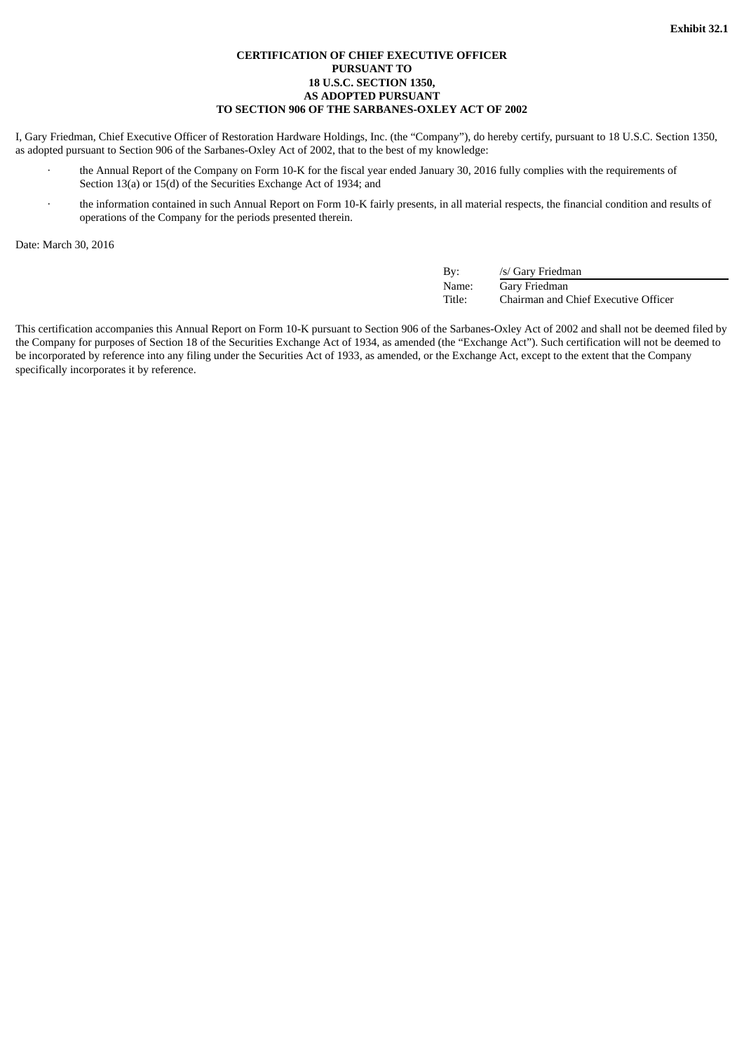# **CERTIFICATION OF CHIEF EXECUTIVE OFFICER PURSUANT TO 18 U.S.C. SECTION 1350, AS ADOPTED PURSUANT TO SECTION 906 OF THE SARBANES-OXLEY ACT OF 2002**

I, Gary Friedman, Chief Executive Officer of Restoration Hardware Holdings, Inc. (the "Company"), do hereby certify, pursuant to 18 U.S.C. Section 1350, as adopted pursuant to Section 906 of the Sarbanes-Oxley Act of 2002, that to the best of my knowledge:

- the Annual Report of the Company on Form 10-K for the fiscal year ended January 30, 2016 fully complies with the requirements of Section 13(a) or 15(d) of the Securities Exchange Act of 1934; and
- the information contained in such Annual Report on Form 10-K fairly presents, in all material respects, the financial condition and results of operations of the Company for the periods presented therein.

Date: March 30, 2016

By: /s/ Gary Friedman Name: Gary Friedman Title: Chairman and Chief Executive Officer

This certification accompanies this Annual Report on Form 10-K pursuant to Section 906 of the Sarbanes-Oxley Act of 2002 and shall not be deemed filed by the Company for purposes of Section 18 of the Securities Exchange Act of 1934, as amended (the "Exchange Act"). Such certification will not be deemed to be incorporated by reference into any filing under the Securities Act of 1933, as amended, or the Exchange Act, except to the extent that the Company specifically incorporates it by reference.